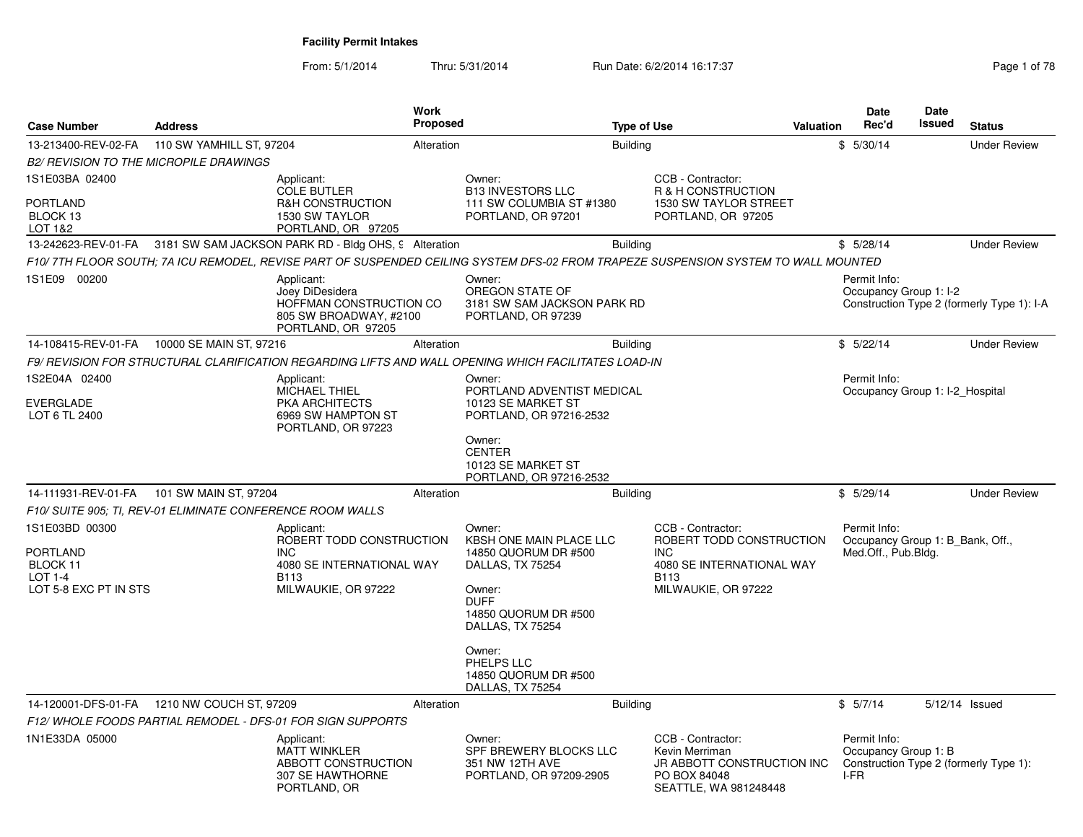From: 5/1/2014Thru: 5/31/2014 Run Date: 6/2/2014 16:17:37 Rege 1 of 78

| <b>Case Number</b>                                                                  | <b>Address</b>                                             |                                                                                                                         | <b>Work</b><br><b>Proposed</b> |                                                                                                                                                           | <b>Type of Use</b> |                                                                                                                         | Valuation | <b>Date</b><br>Rec'd                                                    | Date<br>Issued | <b>Status</b>                              |
|-------------------------------------------------------------------------------------|------------------------------------------------------------|-------------------------------------------------------------------------------------------------------------------------|--------------------------------|-----------------------------------------------------------------------------------------------------------------------------------------------------------|--------------------|-------------------------------------------------------------------------------------------------------------------------|-----------|-------------------------------------------------------------------------|----------------|--------------------------------------------|
| 13-213400-REV-02-FA                                                                 | 110 SW YAMHILL ST, 97204                                   |                                                                                                                         | Alteration                     |                                                                                                                                                           | <b>Building</b>    |                                                                                                                         |           | \$5/30/14                                                               |                | <b>Under Review</b>                        |
|                                                                                     | <b>B2/ REVISION TO THE MICROPILE DRAWINGS</b>              |                                                                                                                         |                                |                                                                                                                                                           |                    |                                                                                                                         |           |                                                                         |                |                                            |
| 1S1E03BA 02400                                                                      |                                                            | Applicant:                                                                                                              |                                | Owner:                                                                                                                                                    |                    | CCB - Contractor:                                                                                                       |           |                                                                         |                |                                            |
| <b>PORTLAND</b><br>BLOCK 13<br>LOT 1&2                                              |                                                            | <b>COLE BUTLER</b><br>R&H CONSTRUCTION<br>1530 SW TAYLOR<br>PORTLAND, OR 97205                                          |                                | <b>B13 INVESTORS LLC</b><br>111 SW COLUMBIA ST #1380<br>PORTLAND, OR 97201                                                                                |                    | R & H CONSTRUCTION<br>1530 SW TAYLOR STREET<br>PORTLAND, OR 97205                                                       |           |                                                                         |                |                                            |
|                                                                                     |                                                            | 13-242623-REV-01-FA 3181 SW SAM JACKSON PARK RD - Bldg OHS, 9 Alteration                                                |                                |                                                                                                                                                           | <b>Building</b>    |                                                                                                                         |           | \$5/28/14                                                               |                | <b>Under Review</b>                        |
|                                                                                     |                                                            |                                                                                                                         |                                | F10/7TH FLOOR SOUTH; 7A ICU REMODEL, REVISE PART OF SUSPENDED CEILING SYSTEM DFS-02 FROM TRAPEZE SUSPENSION SYSTEM TO WALL MOUNTED                        |                    |                                                                                                                         |           |                                                                         |                |                                            |
| 1S1E09 00200                                                                        |                                                            | Applicant:<br>Joey DiDesidera<br>HOFFMAN CONSTRUCTION CO<br>805 SW BROADWAY, #2100<br>PORTLAND, OR 97205                |                                | Owner:<br>OREGON STATE OF<br>3181 SW SAM JACKSON PARK RD<br>PORTLAND, OR 97239                                                                            |                    |                                                                                                                         |           | Permit Info:<br>Occupancy Group 1: I-2                                  |                | Construction Type 2 (formerly Type 1): I-A |
| 14-108415-REV-01-FA                                                                 | 10000 SE MAIN ST, 97216                                    |                                                                                                                         | Alteration                     |                                                                                                                                                           | <b>Building</b>    |                                                                                                                         |           | \$5/22/14                                                               |                | <b>Under Review</b>                        |
|                                                                                     |                                                            |                                                                                                                         |                                | F9/ REVISION FOR STRUCTURAL CLARIFICATION REGARDING LIFTS AND WALL OPENING WHICH FACILITATES LOAD-IN                                                      |                    |                                                                                                                         |           |                                                                         |                |                                            |
| 1S2E04A 02400                                                                       |                                                            | Applicant:<br>MICHAEL THIEL                                                                                             |                                | Owner:<br>PORTLAND ADVENTIST MEDICAL                                                                                                                      |                    |                                                                                                                         |           | Permit Info:<br>Occupancy Group 1: I-2 Hospital                         |                |                                            |
| <b>EVERGLADE</b><br>LOT 6 TL 2400                                                   |                                                            | PKA ARCHITECTS<br>6969 SW HAMPTON ST<br>PORTLAND, OR 97223                                                              |                                | 10123 SE MARKET ST<br>PORTLAND, OR 97216-2532                                                                                                             |                    |                                                                                                                         |           |                                                                         |                |                                            |
|                                                                                     |                                                            |                                                                                                                         |                                | Owner:<br><b>CENTER</b><br>10123 SE MARKET ST<br>PORTLAND, OR 97216-2532                                                                                  |                    |                                                                                                                         |           |                                                                         |                |                                            |
| 14-111931-REV-01-FA                                                                 | 101 SW MAIN ST, 97204                                      |                                                                                                                         | Alteration                     |                                                                                                                                                           | <b>Building</b>    |                                                                                                                         |           | \$5/29/14                                                               |                | <b>Under Review</b>                        |
|                                                                                     | F10/ SUITE 905: TI, REV-01 ELIMINATE CONFERENCE ROOM WALLS |                                                                                                                         |                                |                                                                                                                                                           |                    |                                                                                                                         |           |                                                                         |                |                                            |
| 1S1E03BD 00300<br><b>PORTLAND</b><br>BLOCK 11<br>$LOT 1-4$<br>LOT 5-8 EXC PT IN STS |                                                            | Applicant:<br>ROBERT TODD CONSTRUCTION<br><b>INC</b><br>4080 SE INTERNATIONAL WAY<br><b>B113</b><br>MILWAUKIE, OR 97222 |                                | Owner:<br><b>KBSH ONE MAIN PLACE LLC</b><br>14850 QUORUM DR #500<br>DALLAS, TX 75254<br>Owner:<br><b>DUFF</b><br>14850 QUORUM DR #500<br>DALLAS, TX 75254 |                    | CCB - Contractor:<br>ROBERT TODD CONSTRUCTION<br><b>INC</b><br>4080 SE INTERNATIONAL WAY<br>B113<br>MILWAUKIE, OR 97222 |           | Permit Info:<br>Occupancy Group 1: B Bank, Off.,<br>Med.Off., Pub.Bldg. |                |                                            |
|                                                                                     |                                                            |                                                                                                                         |                                | Owner:<br>PHELPS LLC<br>14850 QUORUM DR #500<br>DALLAS, TX 75254                                                                                          |                    |                                                                                                                         |           |                                                                         |                |                                            |
| 14-120001-DFS-01-FA                                                                 | 1210 NW COUCH ST, 97209                                    |                                                                                                                         | Alteration                     |                                                                                                                                                           | <b>Building</b>    |                                                                                                                         |           | \$5/7/14                                                                |                | 5/12/14 Issued                             |
|                                                                                     |                                                            | F12/WHOLE FOODS PARTIAL REMODEL - DFS-01 FOR SIGN SUPPORTS                                                              |                                |                                                                                                                                                           |                    |                                                                                                                         |           |                                                                         |                |                                            |
| 1N1E33DA 05000                                                                      |                                                            | Applicant:<br><b>MATT WINKLER</b><br>ABBOTT CONSTRUCTION<br>307 SE HAWTHORNE<br>PORTLAND, OR                            |                                | Owner:<br>SPF BREWERY BLOCKS LLC<br>351 NW 12TH AVE<br>PORTLAND, OR 97209-2905                                                                            |                    | CCB - Contractor:<br>Kevin Merriman<br>JR ABBOTT CONSTRUCTION INC<br>PO BOX 84048<br>SEATTLE, WA 981248448              |           | Permit Info:<br>Occupancy Group 1: B<br>I-FR                            |                | Construction Type 2 (formerly Type 1):     |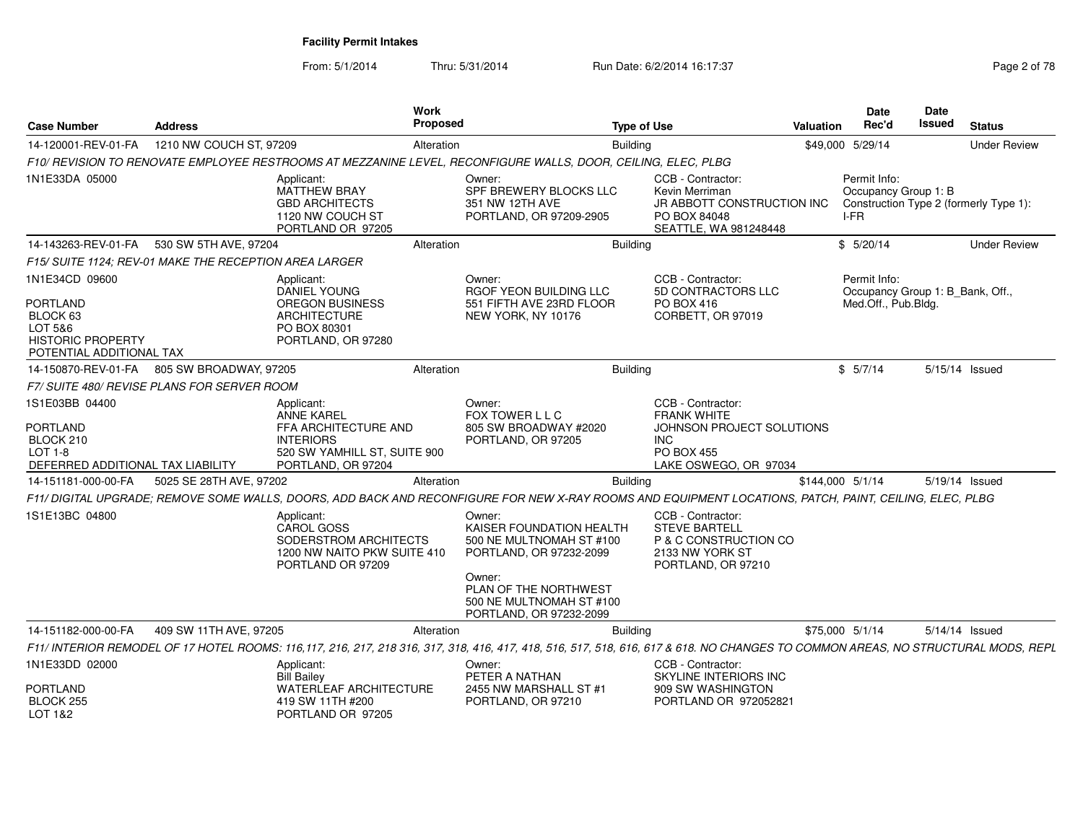From: 5/1/2014

Thru: 5/31/2014 Run Date: 6/2/2014 16:17:37 Rage 2 of 78

| <b>Case Number</b>                                                                                        | <b>Address</b>                                         |                                                                                                                            | <b>Work</b><br>Proposed |                                                                                                                                                                                   | <b>Type of Use</b>              |                                                                                                             | Valuation        | Date<br>Rec'd                                | Date<br>Issued                   | <b>Status</b>                          |
|-----------------------------------------------------------------------------------------------------------|--------------------------------------------------------|----------------------------------------------------------------------------------------------------------------------------|-------------------------|-----------------------------------------------------------------------------------------------------------------------------------------------------------------------------------|---------------------------------|-------------------------------------------------------------------------------------------------------------|------------------|----------------------------------------------|----------------------------------|----------------------------------------|
| 14-120001-REV-01-FA                                                                                       | 1210 NW COUCH ST, 97209                                |                                                                                                                            | Alteration              |                                                                                                                                                                                   | <b>Building</b>                 |                                                                                                             |                  | \$49,000 5/29/14                             |                                  | <b>Under Review</b>                    |
|                                                                                                           |                                                        |                                                                                                                            |                         | F10/ REVISION TO RENOVATE EMPLOYEE RESTROOMS AT MEZZANINE LEVEL, RECONFIGURE WALLS, DOOR, CEILING, ELEC, PLBG                                                                     |                                 |                                                                                                             |                  |                                              |                                  |                                        |
| 1N1E33DA 05000                                                                                            |                                                        | Applicant:<br><b>MATTHEW BRAY</b><br><b>GBD ARCHITECTS</b><br>1120 NW COUCH ST<br>PORTLAND OR 97205                        |                         | Owner:<br>SPF BREWERY BLOCKS LLC<br>351 NW 12TH AVE<br>PORTLAND, OR 97209-2905                                                                                                    | Kevin Merriman<br>PO BOX 84048  | CCB - Contractor:<br>JR ABBOTT CONSTRUCTION INC<br>SEATTLE, WA 981248448                                    |                  | Permit Info:<br>Occupancy Group 1: B<br>I-FR |                                  | Construction Type 2 (formerly Type 1): |
| 14-143263-REV-01-FA                                                                                       | 530 SW 5TH AVE, 97204                                  |                                                                                                                            | Alteration              |                                                                                                                                                                                   | Building                        |                                                                                                             |                  | \$5/20/14                                    |                                  | <b>Under Review</b>                    |
|                                                                                                           | F15/ SUITE 1124: REV-01 MAKE THE RECEPTION AREA LARGER |                                                                                                                            |                         |                                                                                                                                                                                   |                                 |                                                                                                             |                  |                                              |                                  |                                        |
| 1N1E34CD 09600<br>PORTLAND<br>BLOCK 63<br>LOT 5&6<br><b>HISTORIC PROPERTY</b><br>POTENTIAL ADDITIONAL TAX |                                                        | Applicant:<br><b>DANIEL YOUNG</b><br><b>OREGON BUSINESS</b><br><b>ARCHITECTURE</b><br>PO BOX 80301<br>PORTLAND, OR 97280   |                         | Owner:<br>RGOF YEON BUILDING LLC<br>551 FIFTH AVE 23RD FLOOR<br>NEW YORK, NY 10176                                                                                                | <b>PO BOX 416</b>               | CCB - Contractor:<br>5D CONTRACTORS LLC<br>CORBETT, OR 97019                                                |                  | Permit Info:<br>Med.Off., Pub.Bldg.          | Occupancy Group 1: B_Bank, Off., |                                        |
| 14-150870-REV-01-FA                                                                                       | 805 SW BROADWAY, 97205                                 |                                                                                                                            | Alteration              |                                                                                                                                                                                   | Building                        |                                                                                                             |                  | \$5/7/14                                     |                                  | 5/15/14 Issued                         |
|                                                                                                           | F7/ SUITE 480/ REVISE PLANS FOR SERVER ROOM            |                                                                                                                            |                         |                                                                                                                                                                                   |                                 |                                                                                                             |                  |                                              |                                  |                                        |
| 1S1E03BB 04400<br><b>PORTLAND</b><br>BLOCK 210<br>$LOT 1-8$<br>DEFERRED ADDITIONAL TAX LIABILITY          |                                                        | Applicant:<br>ANNE KAREL<br>FFA ARCHITECTURE AND<br><b>INTERIORS</b><br>520 SW YAMHILL ST, SUITE 900<br>PORTLAND, OR 97204 |                         | Owner:<br>FOX TOWER L L C<br>805 SW BROADWAY #2020<br>PORTLAND, OR 97205                                                                                                          | <b>INC</b><br><b>PO BOX 455</b> | CCB - Contractor:<br><b>FRANK WHITE</b><br>JOHNSON PROJECT SOLUTIONS<br>LAKE OSWEGO, OR 97034               |                  |                                              |                                  |                                        |
| 14-151181-000-00-FA                                                                                       | 5025 SE 28TH AVE, 97202                                |                                                                                                                            | Alteration              |                                                                                                                                                                                   | <b>Building</b>                 |                                                                                                             | \$144,000 5/1/14 |                                              |                                  | 5/19/14 Issued                         |
|                                                                                                           |                                                        |                                                                                                                            |                         | F11/ DIGITAL UPGRADE; REMOVE SOME WALLS, DOORS, ADD BACK AND RECONFIGURE FOR NEW X-RAY ROOMS AND EQUIPMENT LOCATIONS, PATCH, PAINT, CEILING, ELEC, PLBG                           |                                 |                                                                                                             |                  |                                              |                                  |                                        |
| 1S1E13BC 04800                                                                                            |                                                        | Applicant:<br><b>CAROL GOSS</b><br>SODERSTROM ARCHITECTS<br>1200 NW NAITO PKW SUITE 410<br>PORTLAND OR 97209               |                         | Owner:<br>KAISER FOUNDATION HEALTH<br>500 NE MULTNOMAH ST #100<br>PORTLAND, OR 97232-2099<br>Owner:<br>PLAN OF THE NORTHWEST                                                      |                                 | CCB - Contractor:<br><b>STEVE BARTELL</b><br>P & C CONSTRUCTION CO<br>2133 NW YORK ST<br>PORTLAND, OR 97210 |                  |                                              |                                  |                                        |
|                                                                                                           |                                                        |                                                                                                                            |                         | 500 NE MULTNOMAH ST #100<br>PORTLAND, OR 97232-2099                                                                                                                               |                                 |                                                                                                             |                  |                                              |                                  |                                        |
| 14-151182-000-00-FA                                                                                       | 409 SW 11TH AVE, 97205                                 |                                                                                                                            | Alteration              |                                                                                                                                                                                   | <b>Building</b>                 |                                                                                                             | \$75,000 5/1/14  |                                              |                                  | 5/14/14 Issued                         |
|                                                                                                           |                                                        |                                                                                                                            |                         | F11/ INTERIOR REMODEL OF 17 HOTEL ROOMS: 116,117, 216, 217, 218 316, 317, 318, 416, 417, 418, 516, 517, 518, 616, 617 & 618. NO CHANGES TO COMMON AREAS, NO STRUCTURAL MODS, REPL |                                 |                                                                                                             |                  |                                              |                                  |                                        |
| 1N1E33DD 02000<br><b>PORTLAND</b><br>BLOCK 255                                                            |                                                        | Applicant:<br><b>Bill Bailey</b><br>WATERLEAF ARCHITECTURE<br>419 SW 11TH #200                                             |                         | Owner:<br>PETER A NATHAN<br>2455 NW MARSHALL ST #1<br>PORTLAND, OR 97210                                                                                                          |                                 | CCB - Contractor:<br>SKYLINE INTERIORS INC<br>909 SW WASHINGTON<br>PORTLAND OR 972052821                    |                  |                                              |                                  |                                        |
| LOT 182                                                                                                   |                                                        | PORTLAND OR 97205                                                                                                          |                         |                                                                                                                                                                                   |                                 |                                                                                                             |                  |                                              |                                  |                                        |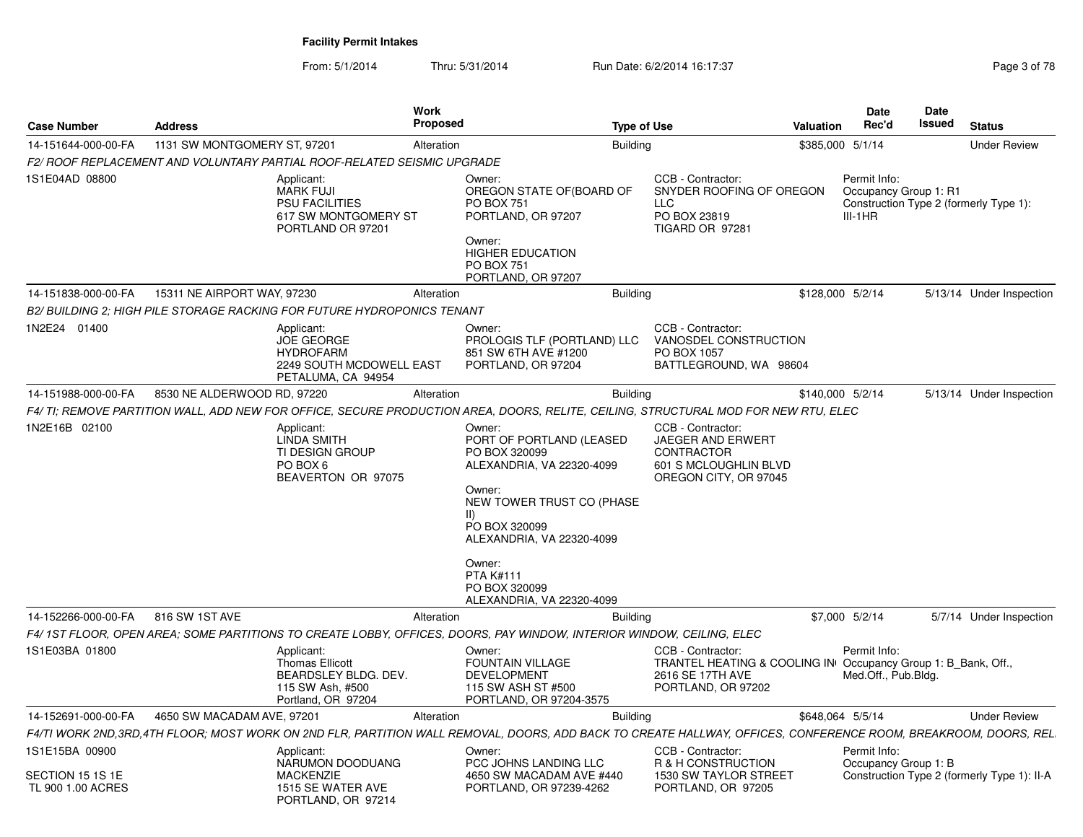From: 5/1/2014Thru: 5/31/2014 Run Date: 6/2/2014 16:17:37 Rege 3 of 78

|                                    |                              | Work                                                                                                                                                           |                                                                                                                                                                                                                                       |                                                                                                                             |                  | <b>Date</b>                                        | Date   |                                             |
|------------------------------------|------------------------------|----------------------------------------------------------------------------------------------------------------------------------------------------------------|---------------------------------------------------------------------------------------------------------------------------------------------------------------------------------------------------------------------------------------|-----------------------------------------------------------------------------------------------------------------------------|------------------|----------------------------------------------------|--------|---------------------------------------------|
| <b>Case Number</b>                 | <b>Address</b>               | Proposed                                                                                                                                                       |                                                                                                                                                                                                                                       | <b>Type of Use</b>                                                                                                          | Valuation        | Rec'd                                              | Issued | <b>Status</b>                               |
| 14-151644-000-00-FA                | 1131 SW MONTGOMERY ST, 97201 | Alteration                                                                                                                                                     | <b>Building</b>                                                                                                                                                                                                                       |                                                                                                                             | \$385,000 5/1/14 |                                                    |        | <b>Under Review</b>                         |
|                                    |                              | F2/ ROOF REPLACEMENT AND VOLUNTARY PARTIAL ROOF-RELATED SEISMIC UPGRADE                                                                                        |                                                                                                                                                                                                                                       |                                                                                                                             |                  |                                                    |        |                                             |
| 1S1E04AD 08800                     |                              | Applicant:<br><b>MARK FUJI</b><br><b>PSU FACILITIES</b><br>617 SW MONTGOMERY ST<br>PORTLAND OR 97201                                                           | Owner:<br>OREGON STATE OF (BOARD OF<br><b>PO BOX 751</b><br>PORTLAND, OR 97207<br>Owner:<br>HIGHER EDUCATION<br>PO BOX 751<br>PORTLAND, OR 97207                                                                                      | CCB - Contractor:<br>SNYDER ROOFING OF OREGON<br><b>LLC</b><br>PO BOX 23819<br>TIGARD OR 97281                              |                  | Permit Info:<br>Occupancy Group 1: R1<br>$III-1HR$ |        | Construction Type 2 (formerly Type 1):      |
| 14-151838-000-00-FA                | 15311 NE AIRPORT WAY, 97230  | Alteration                                                                                                                                                     | <b>Building</b>                                                                                                                                                                                                                       |                                                                                                                             | \$128,000 5/2/14 |                                                    |        | 5/13/14 Under Inspection                    |
|                                    |                              | B2/ BUILDING 2: HIGH PILE STORAGE RACKING FOR FUTURE HYDROPONICS TENANT                                                                                        |                                                                                                                                                                                                                                       |                                                                                                                             |                  |                                                    |        |                                             |
| 1N2E24 01400                       |                              | Applicant:<br>JOE GEORGE<br><b>HYDROFARM</b><br>2249 SOUTH MCDOWELL EAST<br>PETALUMA, CA 94954                                                                 | Owner:<br>PROLOGIS TLF (PORTLAND) LLC<br>851 SW 6TH AVE #1200<br>PORTLAND, OR 97204                                                                                                                                                   | CCB - Contractor:<br>VANOSDEL CONSTRUCTION<br>PO BOX 1057<br>BATTLEGROUND, WA 98604                                         |                  |                                                    |        |                                             |
| 14-151988-000-00-FA                | 8530 NE ALDERWOOD RD, 97220  | Alteration                                                                                                                                                     | <b>Building</b>                                                                                                                                                                                                                       |                                                                                                                             | \$140,000 5/2/14 |                                                    |        | 5/13/14 Under Inspection                    |
|                                    |                              | F4/ TI; REMOVE PARTITION WALL, ADD NEW FOR OFFICE, SECURE PRODUCTION AREA, DOORS, RELITE, CEILING, STRUCTURAL MOD FOR NEW RTU, ELEC                            |                                                                                                                                                                                                                                       |                                                                                                                             |                  |                                                    |        |                                             |
| 1N2E16B 02100                      |                              | Applicant:<br><b>LINDA SMITH</b><br>TI DESIGN GROUP<br>PO BOX 6<br>BEAVERTON OR 97075                                                                          | Owner:<br>PORT OF PORTLAND (LEASED<br>PO BOX 320099<br>ALEXANDRIA, VA 22320-4099<br>Owner:<br>NEW TOWER TRUST CO (PHASE<br>$\mathsf{II}$<br>PO BOX 320099<br>ALEXANDRIA, VA 22320-4099<br>Owner:<br><b>PTA K#111</b><br>PO BOX 320099 | CCB - Contractor:<br>JAEGER AND ERWERT<br><b>CONTRACTOR</b><br>601 S MCLOUGHLIN BLVD<br>OREGON CITY, OR 97045               |                  |                                                    |        |                                             |
|                                    |                              |                                                                                                                                                                | ALEXANDRIA, VA 22320-4099                                                                                                                                                                                                             |                                                                                                                             |                  |                                                    |        |                                             |
| 14-152266-000-00-FA                | 816 SW 1ST AVE               | Alteration                                                                                                                                                     | <b>Building</b>                                                                                                                                                                                                                       |                                                                                                                             | \$7,000 5/2/14   |                                                    |        | 5/7/14 Under Inspection                     |
|                                    |                              | F4/ 1ST FLOOR, OPEN AREA; SOME PARTITIONS TO CREATE LOBBY, OFFICES, DOORS, PAY WINDOW, INTERIOR WINDOW, CEILING, ELEC                                          |                                                                                                                                                                                                                                       |                                                                                                                             |                  |                                                    |        |                                             |
| 1S1E03BA 01800                     |                              | Applicant:<br><b>Thomas Ellicott</b><br>BEARDSLEY BLDG. DEV.<br>115 SW Ash, #500<br>Portland, OR 97204                                                         | Owner:<br><b>FOUNTAIN VILLAGE</b><br><b>DEVELOPMENT</b><br>115 SW ASH ST #500<br>PORTLAND, OR 97204-3575                                                                                                                              | CCB - Contractor:<br>TRANTEL HEATING & COOLING IN Occupancy Group 1: B_Bank, Off.<br>2616 SE 17TH AVE<br>PORTLAND, OR 97202 |                  | Permit Info:<br>Med.Off., Pub.Bldg.                |        |                                             |
| 14-152691-000-00-FA                | 4650 SW MACADAM AVE, 97201   | Alteration                                                                                                                                                     | <b>Building</b>                                                                                                                                                                                                                       |                                                                                                                             | \$648,064 5/5/14 |                                                    |        | <b>Under Review</b>                         |
|                                    |                              | F4/TI WORK 2ND,3RD,4TH FLOOR; MOST WORK ON 2ND FLR, PARTITION WALL REMOVAL, DOORS, ADD BACK TO CREATE HALLWAY, OFFICES, CONFERENCE ROOM, BREAKROOM, DOORS, REL |                                                                                                                                                                                                                                       |                                                                                                                             |                  |                                                    |        |                                             |
| 1S1E15BA 00900<br>SECTION 15 1S 1E |                              | Applicant:<br>NARUMON DOODUANG<br><b>MACKENZIE</b>                                                                                                             | Owner:<br>PCC JOHNS LANDING LLC<br>4650 SW MACADAM AVE #440                                                                                                                                                                           | CCB - Contractor:<br>R & H CONSTRUCTION<br>1530 SW TAYLOR STREET                                                            |                  | Permit Info:<br>Occupancy Group 1: B               |        | Construction Type 2 (formerly Type 1): II-A |
| TL 900 1.00 ACRES                  |                              | 1515 SE WATER AVE<br>PORTLAND, OR 97214                                                                                                                        | PORTLAND, OR 97239-4262                                                                                                                                                                                                               | PORTLAND, OR 97205                                                                                                          |                  |                                                    |        |                                             |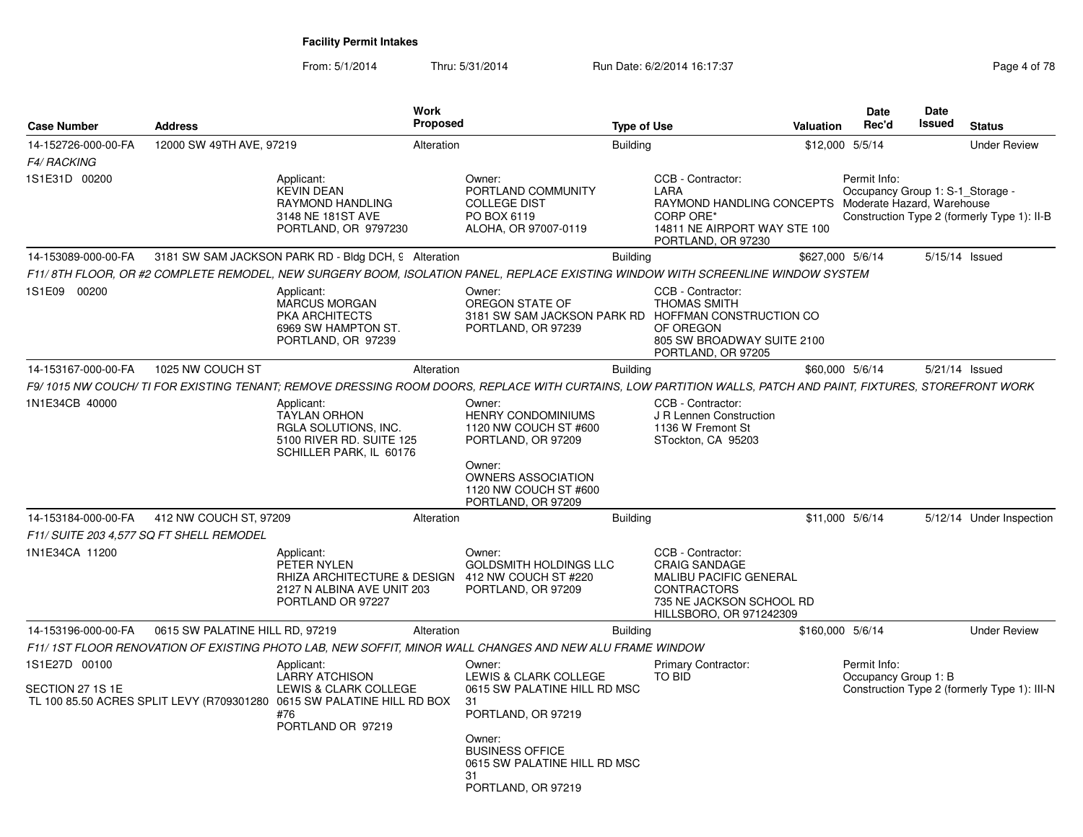From: 5/1/2014Thru: 5/31/2014 Run Date: 6/2/2014 16:17:37 Rege 4 of 78

| <b>Case Number</b>                                              | <b>Address</b>                  |                                                                                                                                                               | <b>Work</b><br><b>Proposed</b> |                                                                                                                                             | <b>Type of Use</b> |                                                                                                                                                         | Valuation        | <b>Date</b><br>Rec'd                             | Date<br>Issued | <b>Status</b>                                |
|-----------------------------------------------------------------|---------------------------------|---------------------------------------------------------------------------------------------------------------------------------------------------------------|--------------------------------|---------------------------------------------------------------------------------------------------------------------------------------------|--------------------|---------------------------------------------------------------------------------------------------------------------------------------------------------|------------------|--------------------------------------------------|----------------|----------------------------------------------|
| 14-152726-000-00-FA<br>F4/ RACKING                              | 12000 SW 49TH AVE, 97219        |                                                                                                                                                               | Alteration                     |                                                                                                                                             | <b>Building</b>    |                                                                                                                                                         |                  | \$12,000 5/5/14                                  |                | <b>Under Review</b>                          |
| 1S1E31D 00200                                                   |                                 | Applicant:<br><b>KEVIN DEAN</b><br>RAYMOND HANDLING<br>3148 NE 181ST AVE<br>PORTLAND, OR 9797230                                                              |                                | Owner:<br>PORTLAND COMMUNITY<br><b>COLLEGE DIST</b><br>PO BOX 6119<br>ALOHA, OR 97007-0119                                                  |                    | CCB - Contractor:<br>LARA<br>RAYMOND HANDLING CONCEPTS Moderate Hazard, Warehouse<br>CORP ORE*<br>14811 NE AIRPORT WAY STE 100<br>PORTLAND, OR 97230    |                  | Permit Info:<br>Occupancy Group 1: S-1_Storage - |                | Construction Type 2 (formerly Type 1): II-B  |
| 14-153089-000-00-FA                                             |                                 | 3181 SW SAM JACKSON PARK RD - Bldg DCH, 9 Alteration                                                                                                          |                                |                                                                                                                                             | <b>Building</b>    |                                                                                                                                                         |                  | \$627,000 5/6/14                                 |                | 5/15/14 Issued                               |
|                                                                 |                                 | F11/8TH FLOOR, OR #2 COMPLETE REMODEL, NEW SURGERY BOOM, ISOLATION PANEL, REPLACE EXISTING WINDOW WITH SCREENLINE WINDOW SYSTEM                               |                                |                                                                                                                                             |                    |                                                                                                                                                         |                  |                                                  |                |                                              |
| 1S1E09 00200                                                    |                                 | Applicant:<br><b>MARCUS MORGAN</b><br>PKA ARCHITECTS<br>6969 SW HAMPTON ST.<br>PORTLAND, OR 97239                                                             |                                | Owner:<br>OREGON STATE OF<br>3181 SW SAM JACKSON PARK RD HOFFMAN CONSTRUCTION CO<br>PORTLAND, OR 97239                                      |                    | CCB - Contractor:<br><b>THOMAS SMITH</b><br>OF OREGON<br>805 SW BROADWAY SUITE 2100<br>PORTLAND, OR 97205                                               |                  |                                                  |                |                                              |
| 14-153167-000-00-FA                                             | 1025 NW COUCH ST                |                                                                                                                                                               | Alteration                     |                                                                                                                                             | <b>Building</b>    |                                                                                                                                                         |                  | \$60,000 5/6/14                                  |                | 5/21/14 Issued                               |
|                                                                 |                                 | F9/ 1015 NW COUCH/ TI FOR EXISTING TENANT; REMOVE DRESSING ROOM DOORS, REPLACE WITH CURTAINS, LOW PARTITION WALLS, PATCH AND PAINT, FIXTURES, STOREFRONT WORK |                                |                                                                                                                                             |                    |                                                                                                                                                         |                  |                                                  |                |                                              |
| 1N1E34CB 40000                                                  |                                 | Applicant:<br><b>TAYLAN ORHON</b><br>RGLA SOLUTIONS, INC.<br>5100 RIVER RD. SUITE 125<br>SCHILLER PARK, IL 60176                                              |                                | Owner:<br><b>HENRY CONDOMINIUMS</b><br>1120 NW COUCH ST #600<br>PORTLAND, OR 97209<br>Owner:<br>OWNERS ASSOCIATION<br>1120 NW COUCH ST #600 |                    | CCB - Contractor:<br>J R Lennen Construction<br>1136 W Fremont St<br>STockton, CA 95203                                                                 |                  |                                                  |                |                                              |
|                                                                 |                                 |                                                                                                                                                               |                                | PORTLAND, OR 97209                                                                                                                          |                    |                                                                                                                                                         |                  |                                                  |                |                                              |
| 14-153184-000-00-FA<br>F11/ SUITE 203 4,577 SQ FT SHELL REMODEL | 412 NW COUCH ST, 97209          |                                                                                                                                                               | Alteration                     |                                                                                                                                             | <b>Building</b>    |                                                                                                                                                         |                  | \$11,000 5/6/14                                  |                | 5/12/14 Under Inspection                     |
| 1N1E34CA 11200                                                  |                                 | Applicant:<br>PETER NYLEN<br>RHIZA ARCHITECTURE & DESIGN<br>2127 N ALBINA AVE UNIT 203<br>PORTLAND OR 97227                                                   |                                | Owner:<br><b>GOLDSMITH HOLDINGS LLC</b><br>412 NW COUCH ST #220<br>PORTLAND, OR 97209                                                       |                    | CCB - Contractor:<br><b>CRAIG SANDAGE</b><br><b>MALIBU PACIFIC GENERAL</b><br><b>CONTRACTORS</b><br>735 NE JACKSON SCHOOL RD<br>HILLSBORO, OR 971242309 |                  |                                                  |                |                                              |
| 14-153196-000-00-FA                                             | 0615 SW PALATINE HILL RD, 97219 |                                                                                                                                                               | Alteration                     |                                                                                                                                             | <b>Building</b>    |                                                                                                                                                         | \$160,000 5/6/14 |                                                  |                | <b>Under Review</b>                          |
|                                                                 |                                 | F11/1ST FLOOR RENOVATION OF EXISTING PHOTO LAB, NEW SOFFIT, MINOR WALL CHANGES AND NEW ALU FRAME WINDOW                                                       |                                |                                                                                                                                             |                    |                                                                                                                                                         |                  |                                                  |                |                                              |
| 1S1E27D 00100                                                   |                                 | Applicant:                                                                                                                                                    |                                | Owner:                                                                                                                                      |                    | <b>Primary Contractor:</b>                                                                                                                              |                  | Permit Info:                                     |                |                                              |
| SECTION 27 1S 1E                                                |                                 | <b>LARRY ATCHISON</b><br>LEWIS & CLARK COLLEGE<br>TL 100 85.50 ACRES SPLIT LEVY (R709301280 0615 SW PALATINE HILL RD BOX<br>#76<br>PORTLAND OR 97219          |                                | LEWIS & CLARK COLLEGE<br>0615 SW PALATINE HILL RD MSC<br>31<br>PORTLAND, OR 97219                                                           |                    | TO BID                                                                                                                                                  |                  | Occupancy Group 1: B                             |                | Construction Type 2 (formerly Type 1): III-N |
|                                                                 |                                 |                                                                                                                                                               |                                | Owner:<br><b>BUSINESS OFFICE</b><br>0615 SW PALATINE HILL RD MSC<br>31<br>PORTLAND, OR 97219                                                |                    |                                                                                                                                                         |                  |                                                  |                |                                              |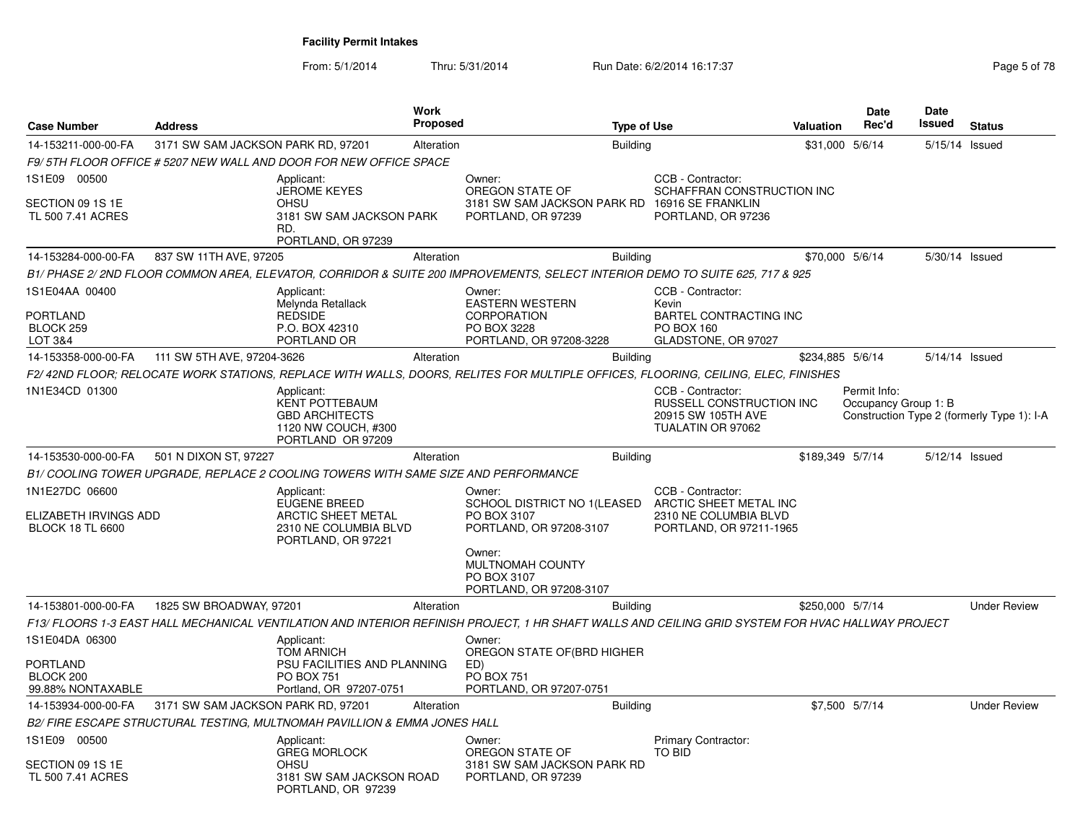From: 5/1/2014Thru: 5/31/2014 Run Date: 6/2/2014 16:17:37 Rege 5 of 78

| <b>Case Number</b>                                                 | <b>Address</b>                     |                                                                                                                | Work<br><b>Proposed</b> |                                                                                                                                                   | <b>Type of Use</b> |                                                                                                         | Valuation        | <b>Date</b><br>Rec'd                 | <b>Date</b><br>Issued | <b>Status</b>                              |
|--------------------------------------------------------------------|------------------------------------|----------------------------------------------------------------------------------------------------------------|-------------------------|---------------------------------------------------------------------------------------------------------------------------------------------------|--------------------|---------------------------------------------------------------------------------------------------------|------------------|--------------------------------------|-----------------------|--------------------------------------------|
| 14-153211-000-00-FA                                                | 3171 SW SAM JACKSON PARK RD, 97201 |                                                                                                                | Alteration              |                                                                                                                                                   | <b>Building</b>    |                                                                                                         | \$31,000 5/6/14  |                                      | 5/15/14 Issued        |                                            |
|                                                                    |                                    | F9/ 5TH FLOOR OFFICE # 5207 NEW WALL AND DOOR FOR NEW OFFICE SPACE                                             |                         |                                                                                                                                                   |                    |                                                                                                         |                  |                                      |                       |                                            |
| 1S1E09 00500                                                       |                                    | Applicant:                                                                                                     |                         | Owner:                                                                                                                                            |                    | CCB - Contractor:                                                                                       |                  |                                      |                       |                                            |
| SECTION 09 1S 1E<br>TL 500 7.41 ACRES                              |                                    | <b>JEROME KEYES</b><br><b>OHSU</b><br>3181 SW SAM JACKSON PARK<br>RD.<br>PORTLAND, OR 97239                    |                         | OREGON STATE OF<br>3181 SW SAM JACKSON PARK RD<br>PORTLAND, OR 97239                                                                              |                    | SCHAFFRAN CONSTRUCTION INC<br>16916 SE FRANKLIN<br>PORTLAND, OR 97236                                   |                  |                                      |                       |                                            |
| 14-153284-000-00-FA                                                | 837 SW 11TH AVE, 97205             |                                                                                                                | Alteration              |                                                                                                                                                   | <b>Building</b>    |                                                                                                         | \$70,000 5/6/14  |                                      | 5/30/14 Issued        |                                            |
|                                                                    |                                    |                                                                                                                |                         | B1/ PHASE 2/ 2ND FLOOR COMMON AREA, ELEVATOR, CORRIDOR & SUITE 200 IMPROVEMENTS, SELECT INTERIOR DEMO TO SUITE 625, 717 & 925                     |                    |                                                                                                         |                  |                                      |                       |                                            |
| 1S1E04AA 00400<br><b>PORTLAND</b><br>BLOCK 259<br>LOT 3&4          |                                    | Applicant:<br>Melynda Retallack<br><b>REDSIDE</b><br>P.O. BOX 42310<br>PORTLAND OR                             |                         | Owner:<br><b>EASTERN WESTERN</b><br><b>CORPORATION</b><br>PO BOX 3228<br>PORTLAND, OR 97208-3228                                                  |                    | CCB - Contractor:<br>Kevin<br><b>BARTEL CONTRACTING INC</b><br><b>PO BOX 160</b><br>GLADSTONE, OR 97027 |                  |                                      |                       |                                            |
| 14-153358-000-00-FA                                                | 111 SW 5TH AVE, 97204-3626         |                                                                                                                | Alteration              |                                                                                                                                                   | <b>Building</b>    |                                                                                                         | \$234,885 5/6/14 |                                      | 5/14/14 Issued        |                                            |
|                                                                    |                                    |                                                                                                                |                         | F2/42ND FLOOR: RELOCATE WORK STATIONS. REPLACE WITH WALLS. DOORS. RELITES FOR MULTIPLE OFFICES. FLOORING. CEILING. ELEC. FINISHES                 |                    |                                                                                                         |                  |                                      |                       |                                            |
| 1N1E34CD 01300                                                     |                                    | Applicant:<br><b>KENT POTTEBAUM</b><br><b>GBD ARCHITECTS</b><br>1120 NW COUCH, #300<br>PORTLAND OR 97209       |                         |                                                                                                                                                   |                    | CCB - Contractor:<br>RUSSELL CONSTRUCTION INC<br>20915 SW 105TH AVE<br>TUALATIN OR 97062                |                  | Permit Info:<br>Occupancy Group 1: B |                       | Construction Type 2 (formerly Type 1): I-A |
| 14-153530-000-00-FA                                                | 501 N DIXON ST, 97227              |                                                                                                                | Alteration              |                                                                                                                                                   | <b>Building</b>    |                                                                                                         | \$189,349 5/7/14 |                                      | 5/12/14 Issued        |                                            |
|                                                                    |                                    | B1/ COOLING TOWER UPGRADE, REPLACE 2 COOLING TOWERS WITH SAME SIZE AND PERFORMANCE                             |                         |                                                                                                                                                   |                    |                                                                                                         |                  |                                      |                       |                                            |
| 1N1E27DC 06600<br>ELIZABETH IRVINGS ADD<br><b>BLOCK 18 TL 6600</b> |                                    | Applicant:<br><b>EUGENE BREED</b><br><b>ARCTIC SHEET METAL</b><br>2310 NE COLUMBIA BLVD<br>PORTLAND, OR 97221  |                         | Owner:<br>SCHOOL DISTRICT NO 1(LEASED<br>PO BOX 3107<br>PORTLAND, OR 97208-3107                                                                   |                    | CCB - Contractor:<br>ARCTIC SHEET METAL INC<br>2310 NE COLUMBIA BLVD<br>PORTLAND, OR 97211-1965         |                  |                                      |                       |                                            |
|                                                                    |                                    |                                                                                                                |                         | Owner:<br>MULTNOMAH COUNTY<br>PO BOX 3107<br>PORTLAND, OR 97208-3107                                                                              |                    |                                                                                                         |                  |                                      |                       |                                            |
| 14-153801-000-00-FA                                                | 1825 SW BROADWAY, 97201            |                                                                                                                | Alteration              |                                                                                                                                                   | <b>Building</b>    |                                                                                                         | \$250,000 5/7/14 |                                      |                       | <b>Under Review</b>                        |
|                                                                    |                                    |                                                                                                                |                         | F13/ FLOORS 1-3 EAST HALL MECHANICAL VENTILATION AND INTERIOR REFINISH PROJECT, 1 HR SHAFT WALLS AND CEILING GRID SYSTEM FOR HVAC HALLWAY PROJECT |                    |                                                                                                         |                  |                                      |                       |                                            |
| 1S1E04DA 06300<br>PORTLAND<br>BLOCK 200<br>99.88% NONTAXABLE       |                                    | Applicant:<br><b>TOM ARNICH</b><br>PSU FACILITIES AND PLANNING<br><b>PO BOX 751</b><br>Portland, OR 97207-0751 |                         | Owner:<br>OREGON STATE OF (BRD HIGHER<br>ED)<br><b>PO BOX 751</b><br>PORTLAND, OR 97207-0751                                                      |                    |                                                                                                         |                  |                                      |                       |                                            |
| 14-153934-000-00-FA                                                | 3171 SW SAM JACKSON PARK RD, 97201 |                                                                                                                | Alteration              |                                                                                                                                                   | <b>Building</b>    |                                                                                                         |                  | \$7,500 5/7/14                       |                       | <b>Under Review</b>                        |
|                                                                    |                                    | B2/ FIRE ESCAPE STRUCTURAL TESTING, MULTNOMAH PAVILLION & EMMA JONES HALL                                      |                         |                                                                                                                                                   |                    |                                                                                                         |                  |                                      |                       |                                            |
| 1S1E09 00500<br>SECTION 09 1S 1E<br>TL 500 7.41 ACRES              |                                    | Applicant:<br><b>GREG MORLOCK</b><br><b>OHSU</b><br>3181 SW SAM JACKSON ROAD<br>PORTLAND, OR 97239             |                         | Owner:<br>OREGON STATE OF<br>3181 SW SAM JACKSON PARK RD<br>PORTLAND, OR 97239                                                                    |                    | <b>Primary Contractor:</b><br><b>TO BID</b>                                                             |                  |                                      |                       |                                            |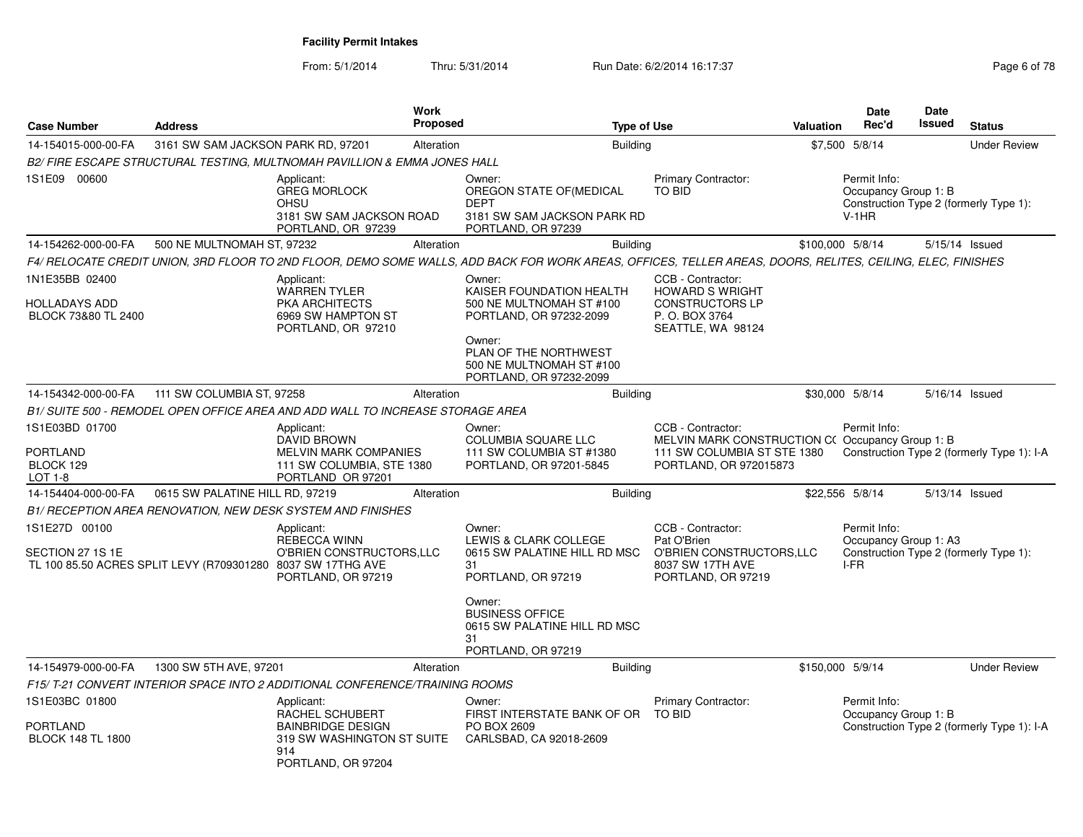From: 5/1/2014Thru: 5/31/2014 Run Date: 6/2/2014 16:17:37 Rege 6 of 78

| <b>Case Number</b>                                                                               | <b>Address</b>                     |                                                                                                                      | <b>Work</b><br><b>Proposed</b> | <b>Type of Use</b>                                                                                                                                          |                                                                                                                               | <b>Valuation</b> | Date<br>Rec'd                                   | Date<br><b>Issued</b> | <b>Status</b>                              |
|--------------------------------------------------------------------------------------------------|------------------------------------|----------------------------------------------------------------------------------------------------------------------|--------------------------------|-------------------------------------------------------------------------------------------------------------------------------------------------------------|-------------------------------------------------------------------------------------------------------------------------------|------------------|-------------------------------------------------|-----------------------|--------------------------------------------|
| 14-154015-000-00-FA                                                                              | 3161 SW SAM JACKSON PARK RD, 97201 |                                                                                                                      | Alteration                     | <b>Building</b>                                                                                                                                             |                                                                                                                               |                  | \$7,500 5/8/14                                  |                       | <b>Under Review</b>                        |
|                                                                                                  |                                    | B2/ FIRE ESCAPE STRUCTURAL TESTING, MULTNOMAH PAVILLION & EMMA JONES HALL                                            |                                |                                                                                                                                                             |                                                                                                                               |                  |                                                 |                       |                                            |
| 1S1E09 00600                                                                                     |                                    | Applicant:<br><b>GREG MORLOCK</b><br><b>OHSU</b><br>3181 SW SAM JACKSON ROAD<br>PORTLAND, OR 97239                   |                                | Owner:<br>OREGON STATE OF (MEDICAL<br><b>DEPT</b><br>3181 SW SAM JACKSON PARK RD<br>PORTLAND, OR 97239                                                      | <b>Primary Contractor:</b><br>TO BID                                                                                          |                  | Permit Info:<br>Occupancy Group 1: B<br>$V-1HR$ |                       | Construction Type 2 (formerly Type 1):     |
| 14-154262-000-00-FA                                                                              | 500 NE MULTNOMAH ST, 97232         |                                                                                                                      | Alteration                     | Building                                                                                                                                                    |                                                                                                                               | \$100,000 5/8/14 |                                                 |                       | 5/15/14 Issued                             |
|                                                                                                  |                                    |                                                                                                                      |                                | F4/ RELOCATE CREDIT UNION. 3RD FLOOR TO 2ND FLOOR. DEMO SOME WALLS. ADD BACK FOR WORK AREAS. OFFICES. TELLER AREAS. DOORS. RELITES. CEILING. ELEC. FINISHES |                                                                                                                               |                  |                                                 |                       |                                            |
| 1N1E35BB 02400<br>HOLLADAYS ADD<br>BLOCK 73&80 TL 2400                                           |                                    | Applicant:<br>WARREN TYLER<br>PKA ARCHITECTS<br>6969 SW HAMPTON ST<br>PORTLAND, OR 97210                             |                                | Owner:<br>KAISER FOUNDATION HEALTH<br>500 NE MULTNOMAH ST #100<br>PORTLAND, OR 97232-2099<br>Owner:<br>PLAN OF THE NORTHWEST<br>500 NE MULTNOMAH ST #100    | CCB - Contractor:<br><b>HOWARD S WRIGHT</b><br><b>CONSTRUCTORS LP</b><br>P.O. BOX 3764<br>SEATTLE, WA 98124                   |                  |                                                 |                       |                                            |
|                                                                                                  |                                    |                                                                                                                      |                                | PORTLAND, OR 97232-2099                                                                                                                                     |                                                                                                                               |                  |                                                 |                       |                                            |
| 14-154342-000-00-FA                                                                              | 111 SW COLUMBIA ST, 97258          |                                                                                                                      | Alteration                     | <b>Building</b>                                                                                                                                             |                                                                                                                               |                  | \$30,000 5/8/14                                 |                       | 5/16/14 Issued                             |
|                                                                                                  |                                    | B1/ SUITE 500 - REMODEL OPEN OFFICE AREA AND ADD WALL TO INCREASE STORAGE AREA                                       |                                |                                                                                                                                                             |                                                                                                                               |                  |                                                 |                       |                                            |
| 1S1E03BD 01700<br>PORTLAND<br>BLOCK 129<br>LOT 1-8                                               |                                    | Applicant:<br><b>DAVID BROWN</b><br><b>MELVIN MARK COMPANIES</b><br>111 SW COLUMBIA, STE 1380<br>PORTLAND OR 97201   |                                | Owner:<br><b>COLUMBIA SQUARE LLC</b><br>111 SW COLUMBIA ST #1380<br>PORTLAND, OR 97201-5845                                                                 | CCB - Contractor:<br>MELVIN MARK CONSTRUCTION C(Occupancy Group 1: B<br>111 SW COLUMBIA ST STE 1380<br>PORTLAND, OR 972015873 |                  | Permit Info:                                    |                       | Construction Type 2 (formerly Type 1): I-A |
| 14-154404-000-00-FA                                                                              | 0615 SW PALATINE HILL RD, 97219    |                                                                                                                      | Alteration                     | Building                                                                                                                                                    |                                                                                                                               |                  | \$22,556 5/8/14                                 |                       | 5/13/14 Issued                             |
|                                                                                                  |                                    | B1/ RECEPTION AREA RENOVATION, NEW DESK SYSTEM AND FINISHES                                                          |                                |                                                                                                                                                             |                                                                                                                               |                  |                                                 |                       |                                            |
| 1S1E27D 00100<br>SECTION 27 1S 1E<br>TL 100 85.50 ACRES SPLIT LEVY (R709301280 8037 SW 17THG AVE |                                    | Applicant:<br><b>REBECCA WINN</b><br>O'BRIEN CONSTRUCTORS, LLC<br>PORTLAND, OR 97219                                 |                                | Owner:<br>LEWIS & CLARK COLLEGE<br>0615 SW PALATINE HILL RD MSC<br>31<br>PORTLAND, OR 97219                                                                 | CCB - Contractor:<br>Pat O'Brien<br>O'BRIEN CONSTRUCTORS, LLC<br>8037 SW 17TH AVE<br>PORTLAND, OR 97219                       |                  | Permit Info:<br>Occupancy Group 1: A3<br>I-FR   |                       | Construction Type 2 (formerly Type 1):     |
|                                                                                                  |                                    |                                                                                                                      |                                | Owner:<br><b>BUSINESS OFFICE</b><br>0615 SW PALATINE HILL RD MSC<br>31<br>PORTLAND, OR 97219                                                                |                                                                                                                               |                  |                                                 |                       |                                            |
| 14-154979-000-00-FA                                                                              | 1300 SW 5TH AVE, 97201             |                                                                                                                      | Alteration                     | <b>Building</b>                                                                                                                                             |                                                                                                                               | \$150,000 5/9/14 |                                                 |                       | <b>Under Review</b>                        |
|                                                                                                  |                                    | F15/ T-21 CONVERT INTERIOR SPACE INTO 2 ADDITIONAL CONFERENCE/TRAINING ROOMS                                         |                                |                                                                                                                                                             |                                                                                                                               |                  |                                                 |                       |                                            |
| 1S1E03BC 01800<br>PORTLAND<br><b>BLOCK 148 TL 1800</b>                                           |                                    | Applicant:<br>RACHEL SCHUBERT<br><b>BAINBRIDGE DESIGN</b><br>319 SW WASHINGTON ST SUITE<br>914<br>PORTLAND, OR 97204 |                                | Owner:<br>FIRST INTERSTATE BANK OF OR<br>PO BOX 2609<br>CARLSBAD, CA 92018-2609                                                                             | Primary Contractor:<br><b>TO BID</b>                                                                                          |                  | Permit Info:<br>Occupancy Group 1: B            |                       | Construction Type 2 (formerly Type 1): I-A |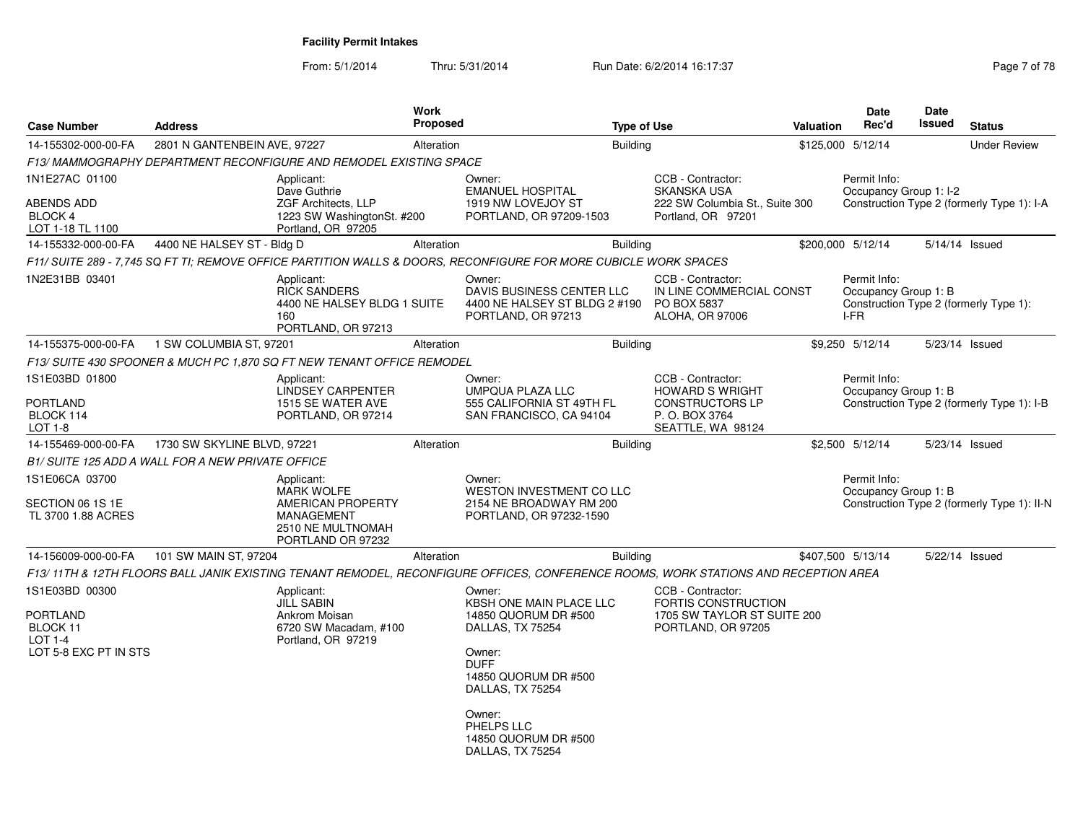From: 5/1/2014Thru: 5/31/2014 Run Date: 6/2/2014 16:17:37 Rege 7 of 78

| <b>Case Number</b>                                                                       | <b>Address</b>                                           |                                                                                                                     | <b>Work</b><br>Proposed |                                                                                                                                                                                                                        | <b>Type of Use</b> |                                                                                               | Valuation | <b>Date</b><br>Rec'd                         | Date<br>Issued | <b>Status</b>                               |
|------------------------------------------------------------------------------------------|----------------------------------------------------------|---------------------------------------------------------------------------------------------------------------------|-------------------------|------------------------------------------------------------------------------------------------------------------------------------------------------------------------------------------------------------------------|--------------------|-----------------------------------------------------------------------------------------------|-----------|----------------------------------------------|----------------|---------------------------------------------|
| 14-155302-000-00-FA                                                                      | 2801 N GANTENBEIN AVE, 97227                             |                                                                                                                     | Alteration              |                                                                                                                                                                                                                        | <b>Building</b>    |                                                                                               |           | \$125,000 5/12/14                            |                | <b>Under Review</b>                         |
|                                                                                          |                                                          | F13/ MAMMOGRAPHY DEPARTMENT RECONFIGURE AND REMODEL EXISTING SPACE                                                  |                         |                                                                                                                                                                                                                        |                    |                                                                                               |           |                                              |                |                                             |
| 1N1E27AC 01100                                                                           |                                                          | Applicant:                                                                                                          |                         | Owner:                                                                                                                                                                                                                 |                    | CCB - Contractor:                                                                             |           | Permit Info:                                 |                |                                             |
| ABENDS ADD<br>BLOCK 4<br>LOT 1-18 TL 1100                                                |                                                          | Dave Guthrie<br><b>ZGF Architects, LLP</b><br>1223 SW WashingtonSt. #200<br>Portland, OR 97205                      |                         | <b>EMANUEL HOSPITAL</b><br>1919 NW LOVEJOY ST<br>PORTLAND, OR 97209-1503                                                                                                                                               |                    | <b>SKANSKA USA</b><br>222 SW Columbia St., Suite 300<br>Portland, OR 97201                    |           | Occupancy Group 1: I-2                       |                | Construction Type 2 (formerly Type 1): I-A  |
| 14-155332-000-00-FA                                                                      | 4400 NE HALSEY ST - Bldg D                               |                                                                                                                     | Alteration              |                                                                                                                                                                                                                        | <b>Building</b>    |                                                                                               |           | \$200,000 5/12/14                            |                | 5/14/14 Issued                              |
|                                                                                          |                                                          |                                                                                                                     |                         | F11/ SUITE 289 - 7.745 SQ FT TI: REMOVE OFFICE PARTITION WALLS & DOORS. RECONFIGURE FOR MORE CUBICLE WORK SPACES                                                                                                       |                    |                                                                                               |           |                                              |                |                                             |
| 1N2E31BB 03401                                                                           |                                                          | Applicant:<br><b>RICK SANDERS</b><br>4400 NE HALSEY BLDG 1 SUITE<br>160<br>PORTLAND, OR 97213                       |                         | Owner:<br>DAVIS BUSINESS CENTER LLC<br>4400 NE HALSEY ST BLDG 2 #190<br>PORTLAND, OR 97213                                                                                                                             |                    | CCB - Contractor:<br>IN LINE COMMERCIAL CONST<br>PO BOX 5837<br>ALOHA, OR 97006               |           | Permit Info:<br>Occupancy Group 1: B<br>I-FR |                | Construction Type 2 (formerly Type 1):      |
| 14-155375-000-00-FA                                                                      | 1 SW COLUMBIA ST, 97201                                  |                                                                                                                     | Alteration              |                                                                                                                                                                                                                        | <b>Building</b>    |                                                                                               |           | \$9,250 5/12/14                              |                | 5/23/14 Issued                              |
|                                                                                          |                                                          | F13/ SUITE 430 SPOONER & MUCH PC 1,870 SQ FT NEW TENANT OFFICE REMODEL                                              |                         |                                                                                                                                                                                                                        |                    |                                                                                               |           |                                              |                |                                             |
| 1S1E03BD 01800                                                                           |                                                          | Applicant:<br><b>LINDSEY CARPENTER</b>                                                                              |                         | Owner:<br><b>UMPQUA PLAZA LLC</b>                                                                                                                                                                                      |                    | CCB - Contractor:<br><b>HOWARD S WRIGHT</b>                                                   |           | Permit Info:<br>Occupancy Group 1: B         |                |                                             |
| <b>PORTLAND</b><br>BLOCK 114<br>LOT 1-8                                                  |                                                          | 1515 SE WATER AVE<br>PORTLAND, OR 97214                                                                             |                         | 555 CALIFORNIA ST 49TH FL<br>SAN FRANCISCO, CA 94104                                                                                                                                                                   |                    | <b>CONSTRUCTORS LP</b><br>P. O. BOX 3764<br>SEATTLE, WA 98124                                 |           |                                              |                | Construction Type 2 (formerly Type 1): I-B  |
| 14-155469-000-00-FA                                                                      | 1730 SW SKYLINE BLVD, 97221                              |                                                                                                                     | Alteration              |                                                                                                                                                                                                                        | <b>Building</b>    |                                                                                               |           | \$2,500 5/12/14                              |                | 5/23/14 Issued                              |
|                                                                                          | <b>B1/ SUITE 125 ADD A WALL FOR A NEW PRIVATE OFFICE</b> |                                                                                                                     |                         |                                                                                                                                                                                                                        |                    |                                                                                               |           |                                              |                |                                             |
| 1S1E06CA 03700<br>SECTION 06 1S 1E<br>TL 3700 1.88 ACRES                                 |                                                          | Applicant:<br><b>MARK WOLFE</b><br>AMERICAN PROPERTY<br><b>MANAGEMENT</b><br>2510 NE MULTNOMAH<br>PORTLAND OR 97232 |                         | Owner:<br>WESTON INVESTMENT CO LLC<br>2154 NE BROADWAY RM 200<br>PORTLAND, OR 97232-1590                                                                                                                               |                    |                                                                                               |           | Permit Info:<br>Occupancy Group 1: B         |                | Construction Type 2 (formerly Type 1): II-N |
| 14-156009-000-00-FA                                                                      | 101 SW MAIN ST, 97204                                    |                                                                                                                     | Alteration              |                                                                                                                                                                                                                        | <b>Building</b>    |                                                                                               |           | \$407,500 5/13/14                            |                | 5/22/14 Issued                              |
|                                                                                          |                                                          |                                                                                                                     |                         | F13/11TH & 12TH FLOORS BALL JANIK EXISTING TENANT REMODEL, RECONFIGURE OFFICES, CONFERENCE ROOMS, WORK STATIONS AND RECEPTION AREA                                                                                     |                    |                                                                                               |           |                                              |                |                                             |
| 1S1E03BD 00300<br><b>PORTLAND</b><br>BLOCK 11<br><b>LOT 1-4</b><br>LOT 5-8 EXC PT IN STS |                                                          | Applicant:<br>JILL SABIN<br>Ankrom Moisan<br>6720 SW Macadam, #100<br>Portland, OR 97219                            |                         | Owner:<br>KBSH ONE MAIN PLACE LLC<br>14850 QUORUM DR #500<br>DALLAS, TX 75254<br>Owner:<br><b>DUFF</b><br>14850 QUORUM DR #500<br>DALLAS, TX 75254<br>Owner:<br>PHELPS LLC<br>14850 QUORUM DR #500<br>DALLAS, TX 75254 |                    | CCB - Contractor:<br>FORTIS CONSTRUCTION<br>1705 SW TAYLOR ST SUITE 200<br>PORTLAND, OR 97205 |           |                                              |                |                                             |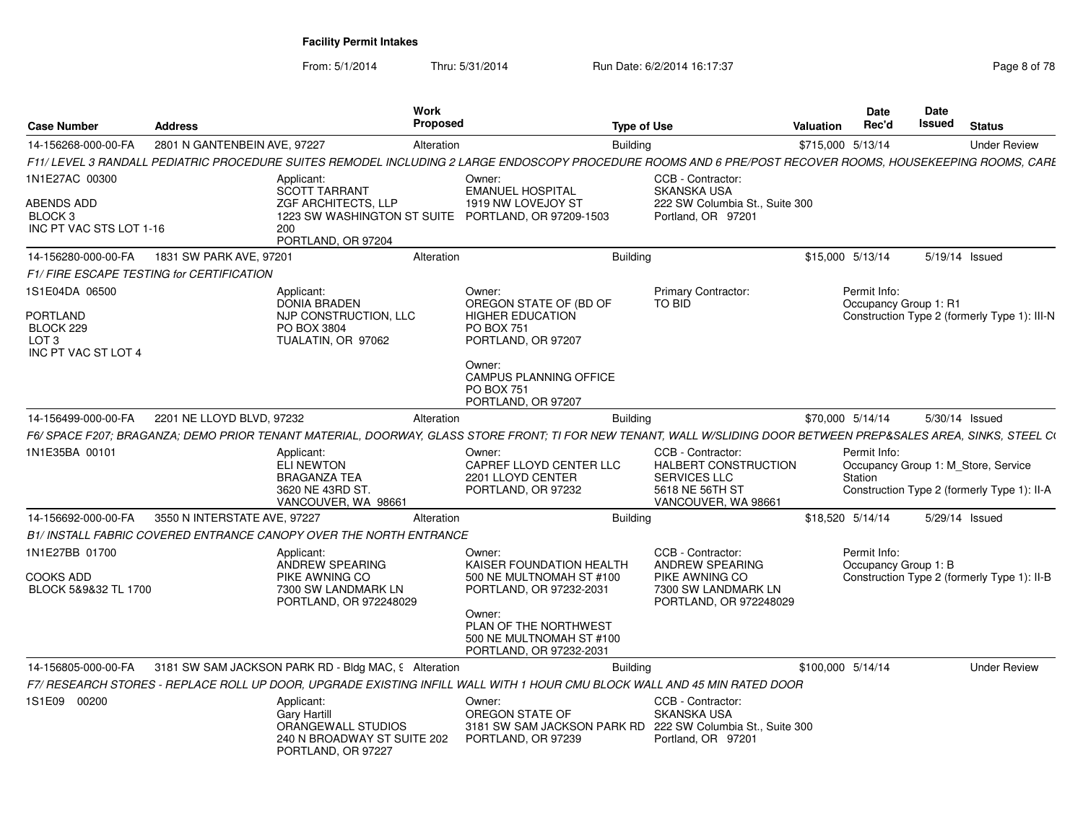From: 5/1/2014

Thru: 5/31/2014 Run Date: 6/2/2014 16:17:37 Rege 8 of 78

| <b>Case Number</b>                                                                        | <b>Address</b>                           |                                                                                                              | Work<br><b>Proposed</b> |                                                                                                                                                                   | <b>Type of Use</b> |                                                                                                            | <b>Valuation</b>  | <b>Date</b><br>Rec'd                  | <b>Date</b><br>Issued | <b>Status</b>                                                                      |
|-------------------------------------------------------------------------------------------|------------------------------------------|--------------------------------------------------------------------------------------------------------------|-------------------------|-------------------------------------------------------------------------------------------------------------------------------------------------------------------|--------------------|------------------------------------------------------------------------------------------------------------|-------------------|---------------------------------------|-----------------------|------------------------------------------------------------------------------------|
| 14-156268-000-00-FA                                                                       | 2801 N GANTENBEIN AVE, 97227             |                                                                                                              | Alteration              |                                                                                                                                                                   | Building           |                                                                                                            | \$715,000 5/13/14 |                                       |                       | <b>Under Review</b>                                                                |
|                                                                                           |                                          |                                                                                                              |                         | F11/ LEVEL 3 RANDALL PEDIATRIC PROCEDURE SUITES REMODEL INCLUDING 2 LARGE ENDOSCOPY PROCEDURE ROOMS AND 6 PRE/POST RECOVER ROOMS, HOUSEKEEPING ROOMS, CARL        |                    |                                                                                                            |                   |                                       |                       |                                                                                    |
| 1N1E27AC 00300                                                                            |                                          | Applicant:<br>SCOTT TARRANT                                                                                  |                         | Owner:<br><b>EMANUEL HOSPITAL</b>                                                                                                                                 |                    | CCB - Contractor:<br><b>SKANSKA USA</b>                                                                    |                   |                                       |                       |                                                                                    |
| ABENDS ADD<br>BLOCK <sub>3</sub><br>INC PT VAC STS LOT 1-16                               |                                          | ZGF ARCHITECTS, LLP<br>1223 SW WASHINGTON ST SUITE<br>200<br>PORTLAND, OR 97204                              |                         | 1919 NW LOVEJOY ST<br>PORTLAND, OR 97209-1503                                                                                                                     |                    | 222 SW Columbia St., Suite 300<br>Portland, OR 97201                                                       |                   |                                       |                       |                                                                                    |
| 14-156280-000-00-FA                                                                       | 1831 SW PARK AVE, 97201                  |                                                                                                              | Alteration              |                                                                                                                                                                   | Building           |                                                                                                            |                   | \$15,000 5/13/14                      |                       | 5/19/14 Issued                                                                     |
|                                                                                           | F1/FIRE ESCAPE TESTING for CERTIFICATION |                                                                                                              |                         |                                                                                                                                                                   |                    |                                                                                                            |                   |                                       |                       |                                                                                    |
| 1S1E04DA 06500<br><b>PORTLAND</b><br>BLOCK 229<br>LOT <sub>3</sub><br>INC PT VAC ST LOT 4 |                                          | Applicant:<br><b>DONIA BRADEN</b><br>NJP CONSTRUCTION, LLC<br>PO BOX 3804<br>TUALATIN, OR 97062              |                         | Owner:<br>OREGON STATE OF (BD OF<br><b>HIGHER EDUCATION</b><br><b>PO BOX 751</b><br>PORTLAND, OR 97207                                                            |                    | Primary Contractor:<br>TO BID                                                                              |                   | Permit Info:<br>Occupancy Group 1: R1 |                       | Construction Type 2 (formerly Type 1): III-N                                       |
|                                                                                           |                                          |                                                                                                              |                         | Owner:<br><b>CAMPUS PLANNING OFFICE</b><br><b>PO BOX 751</b><br>PORTLAND, OR 97207                                                                                |                    |                                                                                                            |                   |                                       |                       |                                                                                    |
| 14-156499-000-00-FA                                                                       | 2201 NE LLOYD BLVD, 97232                |                                                                                                              | Alteration              |                                                                                                                                                                   | <b>Building</b>    |                                                                                                            |                   | \$70,000 5/14/14                      |                       | 5/30/14 Issued                                                                     |
|                                                                                           |                                          |                                                                                                              |                         | F6/ SPACE F207; BRAGANZA; DEMO PRIOR TENANT MATERIAL, DOORWAY, GLASS STORE FRONT; TI FOR NEW TENANT, WALL W/SLIDING DOOR BETWEEN PREP&SALES AREA, SINKS, STEEL CI |                    |                                                                                                            |                   |                                       |                       |                                                                                    |
| 1N1E35BA 00101                                                                            |                                          | Applicant:<br>ELI NEWTON<br><b>BRAGANZA TEA</b><br>3620 NE 43RD ST.<br>VANCOUVER, WA 98661                   |                         | Owner:<br>CAPREF LLOYD CENTER LLC<br>2201 LLOYD CENTER<br>PORTLAND, OR 97232                                                                                      |                    | CCB - Contractor:<br>HALBERT CONSTRUCTION<br><b>SERVICES LLC</b><br>5618 NE 56TH ST<br>VANCOUVER, WA 98661 |                   | Permit Info:<br>Station               |                       | Occupancy Group 1: M Store, Service<br>Construction Type 2 (formerly Type 1): II-A |
| 14-156692-000-00-FA                                                                       | 3550 N INTERSTATE AVE, 97227             |                                                                                                              | Alteration              |                                                                                                                                                                   | <b>Building</b>    |                                                                                                            |                   | \$18,520 5/14/14                      |                       | 5/29/14 Issued                                                                     |
|                                                                                           |                                          | B1/ INSTALL FABRIC COVERED ENTRANCE CANOPY OVER THE NORTH ENTRANCE                                           |                         |                                                                                                                                                                   |                    |                                                                                                            |                   |                                       |                       |                                                                                    |
| 1N1E27BB 01700                                                                            |                                          | Applicant:<br>ANDREW SPEARING                                                                                |                         | Owner:<br>KAISER FOUNDATION HEALTH                                                                                                                                |                    | CCB - Contractor:<br>ANDREW SPEARING                                                                       |                   | Permit Info:<br>Occupancy Group 1: B  |                       |                                                                                    |
| <b>COOKS ADD</b><br>BLOCK 5&9&32 TL 1700                                                  |                                          | PIKE AWNING CO<br>7300 SW LANDMARK LN<br>PORTLAND, OR 972248029                                              |                         | 500 NE MULTNOMAH ST #100<br>PORTLAND, OR 97232-2031<br>Owner:                                                                                                     |                    | PIKE AWNING CO<br>7300 SW LANDMARK LN<br>PORTLAND, OR 972248029                                            |                   |                                       |                       | Construction Type 2 (formerly Type 1): II-B                                        |
|                                                                                           |                                          |                                                                                                              |                         | PLAN OF THE NORTHWEST<br>500 NE MULTNOMAH ST #100<br>PORTLAND, OR 97232-2031                                                                                      |                    |                                                                                                            |                   |                                       |                       |                                                                                    |
| 14-156805-000-00-FA                                                                       |                                          | 3181 SW SAM JACKSON PARK RD - Bldg MAC, 9 Alteration                                                         |                         |                                                                                                                                                                   | <b>Building</b>    |                                                                                                            | \$100,000 5/14/14 |                                       |                       | <b>Under Review</b>                                                                |
|                                                                                           |                                          |                                                                                                              |                         | F7/ RESEARCH STORES - REPLACE ROLL UP DOOR, UPGRADE EXISTING INFILL WALL WITH 1 HOUR CMU BLOCK WALL AND 45 MIN RATED DOOR                                         |                    |                                                                                                            |                   |                                       |                       |                                                                                    |
| 1S1E09 00200                                                                              |                                          | Applicant:<br><b>Gary Hartill</b><br>ORANGEWALL STUDIOS<br>240 N BROADWAY ST SUITE 202<br>PORTLAND, OR 97227 |                         | Owner:<br>OREGON STATE OF<br>3181 SW SAM JACKSON PARK RD 222 SW Columbia St., Suite 300<br>PORTLAND, OR 97239                                                     |                    | CCB - Contractor:<br><b>SKANSKA USA</b><br>Portland, OR 97201                                              |                   |                                       |                       |                                                                                    |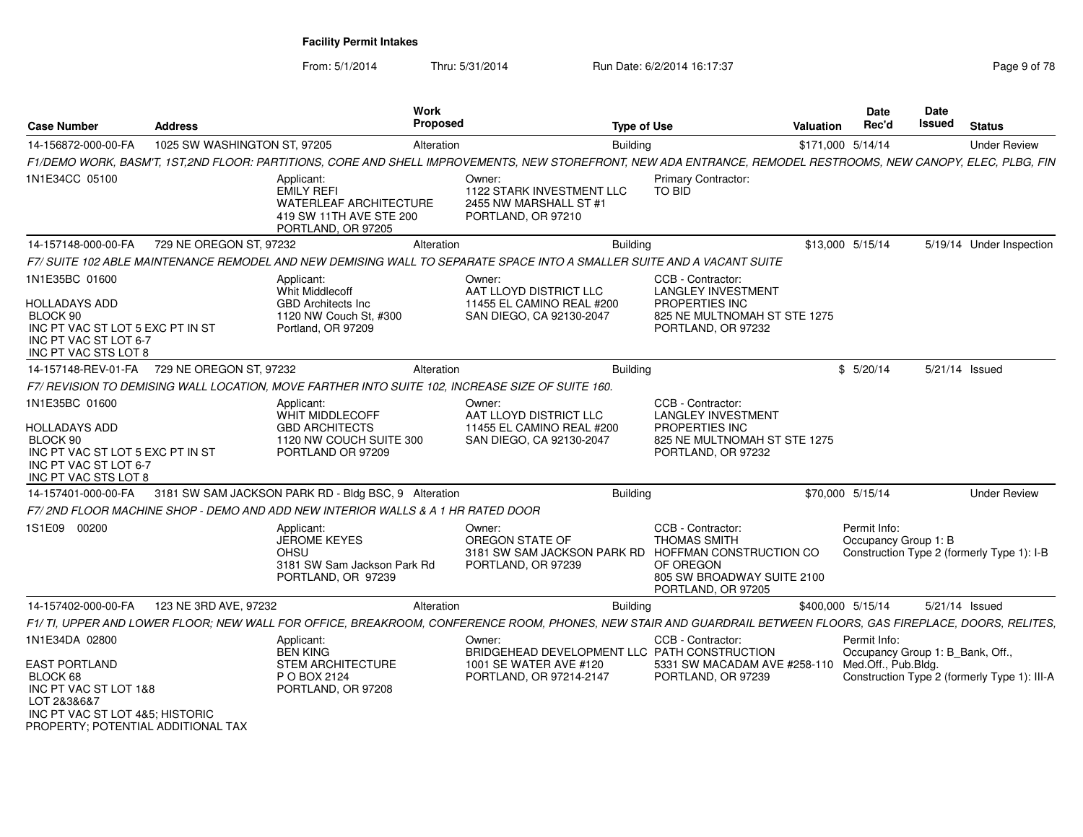From: 5/1/2014

Thru: 5/31/2014 Run Date: 6/2/2014 16:17:37 Rege 9 of 78

| <b>Case Number</b>                                                                                                                                                  | <b>Address</b>               |                                                                                                                   | <b>Work</b><br>Proposed |                                                                                                                                                                | <b>Type of Use</b>                                                                                                     | Valuation         | Date<br>Rec'd                                                           | Date<br>Issued | <b>Status</b>                                |
|---------------------------------------------------------------------------------------------------------------------------------------------------------------------|------------------------------|-------------------------------------------------------------------------------------------------------------------|-------------------------|----------------------------------------------------------------------------------------------------------------------------------------------------------------|------------------------------------------------------------------------------------------------------------------------|-------------------|-------------------------------------------------------------------------|----------------|----------------------------------------------|
| 14-156872-000-00-FA                                                                                                                                                 | 1025 SW WASHINGTON ST, 97205 |                                                                                                                   | Alteration              | <b>Building</b>                                                                                                                                                |                                                                                                                        | \$171,000 5/14/14 |                                                                         |                | <b>Under Review</b>                          |
|                                                                                                                                                                     |                              |                                                                                                                   |                         | F1/DEMO WORK, BASM'T, 1ST,2ND FLOOR: PARTITIONS, CORE AND SHELL IMPROVEMENTS, NEW STOREFRONT, NEW ADA ENTRANCE, REMODEL RESTROOMS, NEW CANOPY, ELEC, PLBG, FIN |                                                                                                                        |                   |                                                                         |                |                                              |
| 1N1E34CC 05100                                                                                                                                                      |                              | Applicant:<br><b>EMILY REFI</b><br><b>WATERLEAF ARCHITECTURE</b><br>419 SW 11TH AVE STE 200<br>PORTLAND, OR 97205 |                         | Owner:<br>1122 STARK INVESTMENT LLC<br>2455 NW MARSHALL ST #1<br>PORTLAND, OR 97210                                                                            | <b>Primary Contractor:</b><br><b>TO BID</b>                                                                            |                   |                                                                         |                |                                              |
| 14-157148-000-00-FA                                                                                                                                                 | 729 NE OREGON ST, 97232      |                                                                                                                   | Alteration              | <b>Building</b>                                                                                                                                                |                                                                                                                        | \$13,000 5/15/14  |                                                                         |                | 5/19/14 Under Inspection                     |
|                                                                                                                                                                     |                              |                                                                                                                   |                         | F7/ SUITE 102 ABLE MAINTENANCE REMODEL AND NEW DEMISING WALL TO SEPARATE SPACE INTO A SMALLER SUITE AND A VACANT SUITE                                         |                                                                                                                        |                   |                                                                         |                |                                              |
| 1N1E35BC 01600                                                                                                                                                      |                              | Applicant:                                                                                                        |                         | Owner:                                                                                                                                                         | CCB - Contractor:                                                                                                      |                   |                                                                         |                |                                              |
| <b>HOLLADAYS ADD</b><br>BLOCK 90<br>INC PT VAC ST LOT 5 EXC PT IN ST<br>INC PT VAC ST LOT 6-7<br>INC PT VAC STS LOT 8                                               |                              | <b>Whit Middlecoff</b><br><b>GBD Architects Inc</b><br>1120 NW Couch St, #300<br>Portland, OR 97209               |                         | AAT LLOYD DISTRICT LLC<br>11455 EL CAMINO REAL #200<br>SAN DIEGO, CA 92130-2047                                                                                | <b>LANGLEY INVESTMENT</b><br><b>PROPERTIES INC</b><br>825 NE MULTNOMAH ST STE 1275<br>PORTLAND, OR 97232               |                   |                                                                         |                |                                              |
| 14-157148-REV-01-FA 729 NE OREGON ST, 97232                                                                                                                         |                              |                                                                                                                   | Alteration              | Building                                                                                                                                                       |                                                                                                                        |                   | \$5/20/14                                                               | 5/21/14 Issued |                                              |
|                                                                                                                                                                     |                              | F7/ REVISION TO DEMISING WALL LOCATION, MOVE FARTHER INTO SUITE 102, INCREASE SIZE OF SUITE 160.                  |                         |                                                                                                                                                                |                                                                                                                        |                   |                                                                         |                |                                              |
| 1N1E35BC 01600<br><b>HOLLADAYS ADD</b><br>BLOCK 90<br>INC PT VAC ST LOT 5 EXC PT IN ST<br>INC PT VAC ST LOT 6-7<br>INC PT VAC STS LOT 8                             |                              | Applicant:<br>WHIT MIDDLECOFF<br><b>GBD ARCHITECTS</b><br>1120 NW COUCH SUITE 300<br>PORTLAND OR 97209            |                         | Owner:<br>AAT LLOYD DISTRICT LLC<br>11455 EL CAMINO REAL #200<br>SAN DIEGO, CA 92130-2047                                                                      | CCB - Contractor:<br><b>LANGLEY INVESTMENT</b><br>PROPERTIES INC<br>825 NE MULTNOMAH ST STE 1275<br>PORTLAND, OR 97232 |                   |                                                                         |                |                                              |
| 14-157401-000-00-FA                                                                                                                                                 |                              | 3181 SW SAM JACKSON PARK RD - Bldg BSC, 9 Alteration                                                              |                         | <b>Building</b>                                                                                                                                                |                                                                                                                        | \$70,000 5/15/14  |                                                                         |                | <b>Under Review</b>                          |
|                                                                                                                                                                     |                              | F7/2ND FLOOR MACHINE SHOP - DEMO AND ADD NEW INTERIOR WALLS & A 1 HR RATED DOOR                                   |                         |                                                                                                                                                                |                                                                                                                        |                   |                                                                         |                |                                              |
| 1S1E09 00200                                                                                                                                                        |                              | Applicant:<br><b>JEROME KEYES</b><br>OHSU<br>3181 SW Sam Jackson Park Rd<br>PORTLAND, OR 97239                    |                         | Owner:<br>OREGON STATE OF<br>3181 SW SAM JACKSON PARK RD HOFFMAN CONSTRUCTION CO<br>PORTLAND, OR 97239                                                         | CCB - Contractor:<br><b>THOMAS SMITH</b><br>OF OREGON<br>805 SW BROADWAY SUITE 2100<br>PORTLAND, OR 97205              |                   | Permit Info:<br>Occupancy Group 1: B                                    |                | Construction Type 2 (formerly Type 1): I-B   |
| 14-157402-000-00-FA                                                                                                                                                 | 123 NE 3RD AVE, 97232        |                                                                                                                   | Alteration              | <b>Building</b>                                                                                                                                                |                                                                                                                        | \$400,000 5/15/14 |                                                                         | 5/21/14 Issued |                                              |
|                                                                                                                                                                     |                              |                                                                                                                   |                         | F1/ TI, UPPER AND LOWER FLOOR; NEW WALL FOR OFFICE, BREAKROOM, CONFERENCE ROOM, PHONES, NEW STAIR AND GUARDRAIL BETWEEN FLOORS, GAS FIREPLACE, DOORS, RELITES, |                                                                                                                        |                   |                                                                         |                |                                              |
| 1N1E34DA 02800<br><b>EAST PORTLAND</b><br>BLOCK 68<br>INC PT VAC ST LOT 1&8<br>LOT 2&3&6&7<br>INC PT VAC ST LOT 4&5; HISTORIC<br>PROPERTY: POTENTIAL ADDITIONAL TAX |                              | Applicant:<br><b>BEN KING</b><br><b>STEM ARCHITECTURE</b><br>P O BOX 2124<br>PORTLAND, OR 97208                   |                         | Owner:<br>BRIDGEHEAD DEVELOPMENT LLC PATH CONSTRUCTION<br>1001 SE WATER AVE #120<br>PORTLAND, OR 97214-2147                                                    | CCB - Contractor:<br>5331 SW MACADAM AVE #258-110<br>PORTLAND, OR 97239                                                |                   | Permit Info:<br>Occupancy Group 1: B_Bank, Off.,<br>Med.Off., Pub.Bldg. |                | Construction Type 2 (formerly Type 1): III-A |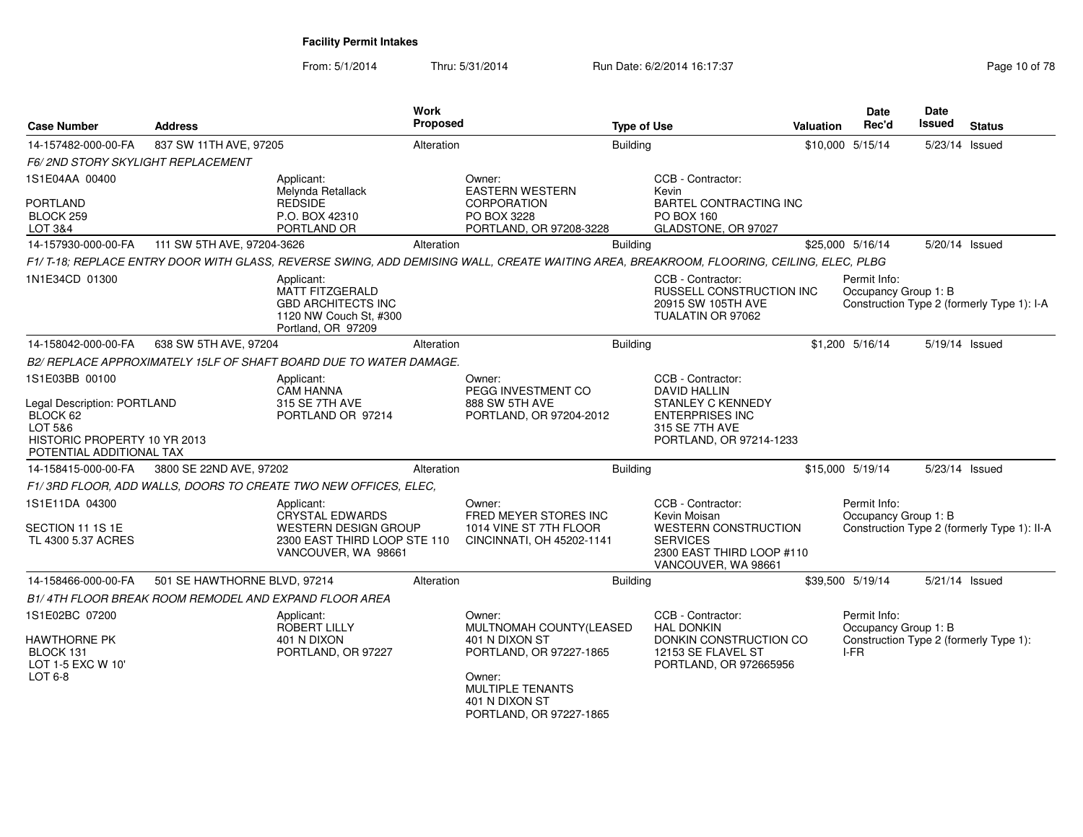From: 5/1/2014Thru: 5/31/2014 Run Date: 6/2/2014 16:17:37 Rege 10 of 78

| <b>Case Number</b>                                                                                             | <b>Address</b>                                        |                                                                                                                   | Work<br>Proposed |                                                                                                                                         | <b>Type of Use</b> |                                                                                                    | <b>Valuation</b> | Date<br>Rec'd                                | Date<br>Issued | <b>Status</b>                               |
|----------------------------------------------------------------------------------------------------------------|-------------------------------------------------------|-------------------------------------------------------------------------------------------------------------------|------------------|-----------------------------------------------------------------------------------------------------------------------------------------|--------------------|----------------------------------------------------------------------------------------------------|------------------|----------------------------------------------|----------------|---------------------------------------------|
| 14-157482-000-00-FA                                                                                            | 837 SW 11TH AVE, 97205                                |                                                                                                                   | Alteration       |                                                                                                                                         | <b>Building</b>    |                                                                                                    |                  | \$10,000 5/15/14                             | 5/23/14 Issued |                                             |
| <b>F6/2ND STORY SKYLIGHT REPLACEMENT</b>                                                                       |                                                       |                                                                                                                   |                  |                                                                                                                                         |                    |                                                                                                    |                  |                                              |                |                                             |
| 1S1E04AA 00400<br><b>PORTLAND</b>                                                                              |                                                       | Applicant:<br>Melynda Retallack<br><b>REDSIDE</b>                                                                 |                  | Owner:<br><b>EASTERN WESTERN</b><br><b>CORPORATION</b>                                                                                  |                    | CCB - Contractor:<br>Kevin<br><b>BARTEL CONTRACTING INC</b>                                        |                  |                                              |                |                                             |
| BLOCK 259<br>LOT 3&4                                                                                           |                                                       | P.O. BOX 42310<br>PORTLAND OR                                                                                     |                  | PO BOX 3228<br>PORTLAND, OR 97208-3228                                                                                                  |                    | <b>PO BOX 160</b><br>GLADSTONE, OR 97027                                                           |                  |                                              |                |                                             |
| 14-157930-000-00-FA                                                                                            | 111 SW 5TH AVE, 97204-3626                            |                                                                                                                   | Alteration       |                                                                                                                                         | <b>Building</b>    |                                                                                                    |                  | \$25,000 5/16/14                             | 5/20/14 Issued |                                             |
|                                                                                                                |                                                       |                                                                                                                   |                  | F1/T-18; REPLACE ENTRY DOOR WITH GLASS, REVERSE SWING, ADD DEMISING WALL, CREATE WAITING AREA, BREAKROOM, FLOORING, CEILING, ELEC, PLBG |                    |                                                                                                    |                  |                                              |                |                                             |
| 1N1E34CD 01300                                                                                                 |                                                       | Applicant:<br><b>MATT FITZGERALD</b><br><b>GBD ARCHITECTS INC</b><br>1120 NW Couch St. #300<br>Portland, OR 97209 |                  |                                                                                                                                         |                    | CCB - Contractor:<br>RUSSELL CONSTRUCTION INC<br>20915 SW 105TH AVE<br>TUALATIN OR 97062           |                  | Permit Info:<br>Occupancy Group 1: B         |                | Construction Type 2 (formerly Type 1): I-A  |
| 14-158042-000-00-FA                                                                                            | 638 SW 5TH AVE, 97204                                 |                                                                                                                   | Alteration       |                                                                                                                                         | <b>Building</b>    |                                                                                                    |                  | \$1,200 5/16/14                              | 5/19/14 Issued |                                             |
|                                                                                                                |                                                       | B2/ REPLACE APPROXIMATELY 15LF OF SHAFT BOARD DUE TO WATER DAMAGE.                                                |                  |                                                                                                                                         |                    |                                                                                                    |                  |                                              |                |                                             |
| 1S1E03BB 00100                                                                                                 |                                                       | Applicant:<br><b>CAM HANNA</b>                                                                                    |                  | Owner:<br>PEGG INVESTMENT CO                                                                                                            |                    | CCB - Contractor:<br><b>DAVID HALLIN</b>                                                           |                  |                                              |                |                                             |
| Legal Description: PORTLAND<br>BLOCK 62<br>LOT 5&6<br>HISTORIC PROPERTY 10 YR 2013<br>POTENTIAL ADDITIONAL TAX |                                                       | 315 SE 7TH AVE<br>PORTLAND OR 97214                                                                               |                  | 888 SW 5TH AVE<br>PORTLAND, OR 97204-2012                                                                                               |                    | <b>STANLEY C KENNEDY</b><br><b>ENTERPRISES INC</b><br>315 SE 7TH AVE<br>PORTLAND, OR 97214-1233    |                  |                                              |                |                                             |
| 14-158415-000-00-FA                                                                                            | 3800 SE 22ND AVE, 97202                               |                                                                                                                   | Alteration       |                                                                                                                                         | <b>Building</b>    |                                                                                                    |                  | \$15,000 5/19/14                             | 5/23/14 Issued |                                             |
|                                                                                                                |                                                       | F1/3RD FLOOR, ADD WALLS, DOORS TO CREATE TWO NEW OFFICES, ELEC,                                                   |                  |                                                                                                                                         |                    |                                                                                                    |                  |                                              |                |                                             |
| 1S1E11DA 04300                                                                                                 |                                                       | Applicant:<br><b>CRYSTAL EDWARDS</b>                                                                              |                  | Owner:<br>FRED MEYER STORES INC                                                                                                         |                    | CCB - Contractor:<br>Kevin Moisan                                                                  |                  | Permit Info:<br>Occupancy Group 1: B         |                |                                             |
| SECTION 11 1S 1E<br>TL 4300 5.37 ACRES                                                                         |                                                       | <b>WESTERN DESIGN GROUP</b><br>2300 EAST THIRD LOOP STE 110<br>VANCOUVER, WA 98661                                |                  | 1014 VINE ST 7TH FLOOR<br>CINCINNATI, OH 45202-1141                                                                                     |                    | <b>WESTERN CONSTRUCTION</b><br><b>SERVICES</b><br>2300 EAST THIRD LOOP #110<br>VANCOUVER, WA 98661 |                  |                                              |                | Construction Type 2 (formerly Type 1): II-A |
| 14-158466-000-00-FA                                                                                            | 501 SE HAWTHORNE BLVD, 97214                          |                                                                                                                   | Alteration       |                                                                                                                                         | <b>Building</b>    |                                                                                                    |                  | \$39,500 5/19/14                             | 5/21/14 Issued |                                             |
|                                                                                                                | B1/4TH FLOOR BREAK ROOM REMODEL AND EXPAND FLOOR AREA |                                                                                                                   |                  |                                                                                                                                         |                    |                                                                                                    |                  |                                              |                |                                             |
| 1S1E02BC 07200<br><b>HAWTHORNE PK</b><br>BLOCK 131                                                             |                                                       | Applicant:<br>ROBERT LILLY<br>401 N DIXON<br>PORTLAND, OR 97227                                                   |                  | Owner:<br>MULTNOMAH COUNTY(LEASED<br>401 N DIXON ST<br>PORTLAND, OR 97227-1865                                                          |                    | CCB - Contractor:<br><b>HAL DONKIN</b><br>DONKIN CONSTRUCTION CO<br>12153 SE FLAVEL ST             |                  | Permit Info:<br>Occupancy Group 1: B<br>I-FR |                | Construction Type 2 (formerly Type 1):      |
| LOT 1-5 EXC W 10'<br>LOT $6-8$                                                                                 |                                                       |                                                                                                                   |                  | Owner:<br><b>MULTIPLE TENANTS</b><br>401 N DIXON ST<br>PORTLAND, OR 97227-1865                                                          |                    | PORTLAND, OR 972665956                                                                             |                  |                                              |                |                                             |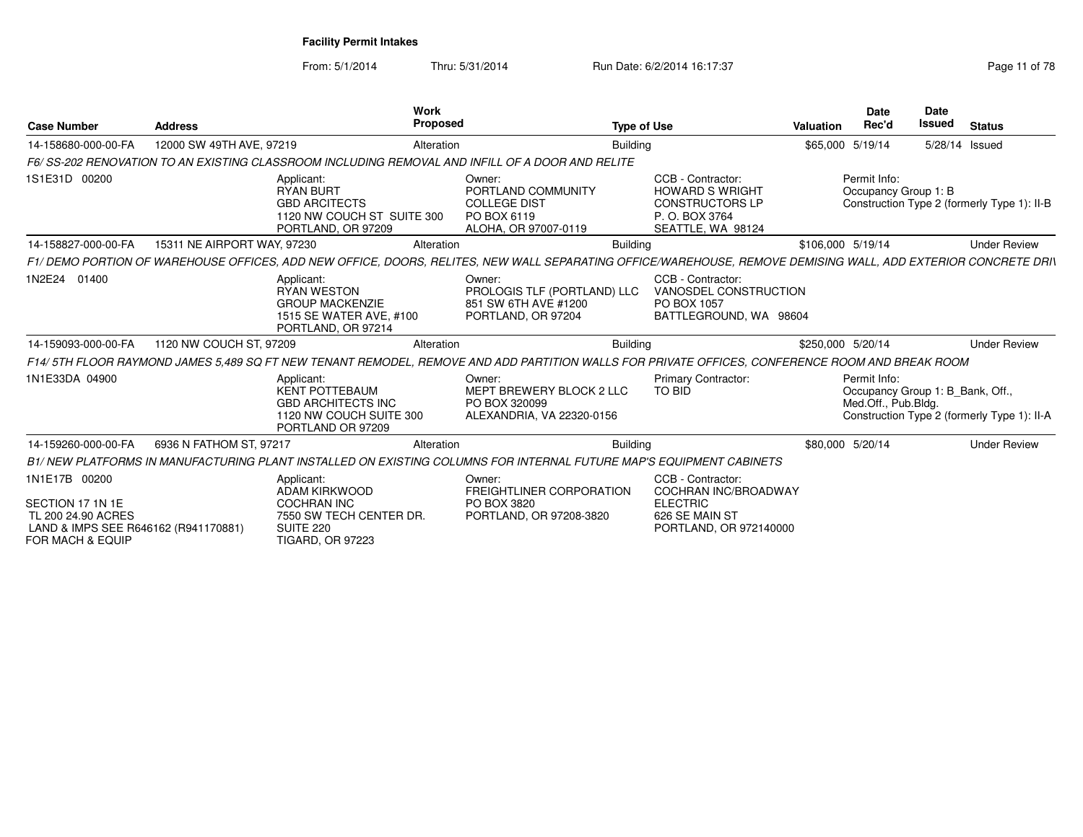From: 5/1/2014Thru: 5/31/2014 Run Date: 6/2/2014 16:17:37 Rege 11 of 78

| Work<br><b>Proposed</b><br><b>Case Number</b><br><b>Address</b>                                                                                                                                                                                                                    | <b>Type of Use</b>                                                                                                                                              | Valuation         | <b>Date</b><br>Rec'd                                                    | Date<br><b>Issued</b> | <b>Status</b>                               |
|------------------------------------------------------------------------------------------------------------------------------------------------------------------------------------------------------------------------------------------------------------------------------------|-----------------------------------------------------------------------------------------------------------------------------------------------------------------|-------------------|-------------------------------------------------------------------------|-----------------------|---------------------------------------------|
| 12000 SW 49TH AVE, 97219<br>14-158680-000-00-FA<br>Alteration                                                                                                                                                                                                                      | <b>Building</b>                                                                                                                                                 |                   | \$65,000 5/19/14                                                        |                       | 5/28/14 Issued                              |
| F6/SS-202 RENOVATION TO AN EXISTING CLASSROOM INCLUDING REMOVAL AND INFILL OF A DOOR AND RELITE                                                                                                                                                                                    |                                                                                                                                                                 |                   |                                                                         |                       |                                             |
| 1S1E31D 00200<br>Applicant:<br>Owner:<br><b>RYAN BURT</b><br><b>GBD ARCITECTS</b><br><b>COLLEGE DIST</b><br>PO BOX 6119<br>1120 NW COUCH ST SUITE 300<br>PORTLAND, OR 97209                                                                                                        | CCB - Contractor:<br>PORTLAND COMMUNITY<br><b>HOWARD S WRIGHT</b><br><b>CONSTRUCTORS LP</b><br>P.O. BOX 3764<br>ALOHA, OR 97007-0119<br>SEATTLE, WA 98124       |                   | Permit Info:<br>Occupancy Group 1: B                                    |                       | Construction Type 2 (formerly Type 1): II-B |
| 15311 NE AIRPORT WAY, 97230<br>14-158827-000-00-FA<br>Alteration                                                                                                                                                                                                                   | <b>Building</b>                                                                                                                                                 | \$106,000 5/19/14 |                                                                         |                       | <b>Under Review</b>                         |
| F1/DEMO PORTION OF WAREHOUSE OFFICES, ADD NEW OFFICE, DOORS, RELITES, NEW WALL SEPARATING OFFICE/WAREHOUSE, REMOVE DEMISING WALL, ADD EXTERIOR CONCRETE DRIN                                                                                                                       |                                                                                                                                                                 |                   |                                                                         |                       |                                             |
| 1N2E24 01400<br>Applicant:<br>Owner:<br><b>RYAN WESTON</b><br><b>GROUP MACKENZIE</b><br>1515 SE WATER AVE, #100<br>PORTLAND, OR 97204<br>PORTLAND, OR 97214                                                                                                                        | CCB - Contractor:<br>VANOSDEL CONSTRUCTION<br>PROLOGIS TLF (PORTLAND) LLC<br>851 SW 6TH AVE #1200<br>PO BOX 1057<br>BATTLEGROUND, WA 98604                      |                   |                                                                         |                       |                                             |
| 14-159093-000-00-FA<br>1120 NW COUCH ST, 97209<br>Alteration                                                                                                                                                                                                                       | <b>Building</b>                                                                                                                                                 | \$250,000 5/20/14 |                                                                         |                       | <b>Under Review</b>                         |
| F14/5TH FLOOR RAYMOND JAMES 5.489 SQ FT NEW TENANT REMODEL, REMOVE AND ADD PARTITION WALLS FOR PRIVATE OFFICES, CONFERENCE ROOM AND BREAK ROOM                                                                                                                                     |                                                                                                                                                                 |                   |                                                                         |                       |                                             |
| 1N1E33DA 04900<br>Applicant:<br>Owner:<br><b>KENT POTTEBAUM</b><br><b>GBD ARCHITECTS INC</b><br>PO BOX 320099<br>1120 NW COUCH SUITE 300<br>PORTLAND OR 97209                                                                                                                      | <b>Primary Contractor:</b><br>MEPT BREWERY BLOCK 2 LLC<br><b>TO BID</b><br>ALEXANDRIA, VA 22320-0156                                                            |                   | Permit Info:<br>Occupancy Group 1: B_Bank, Off.,<br>Med.Off., Pub.Bldg. |                       | Construction Type 2 (formerly Type 1): II-A |
| 6936 N FATHOM ST, 97217<br>14-159260-000-00-FA<br>Alteration                                                                                                                                                                                                                       | <b>Building</b>                                                                                                                                                 |                   | \$80,000 5/20/14                                                        |                       | <b>Under Review</b>                         |
| B1/ NEW PLATFORMS IN MANUFACTURING PLANT INSTALLED ON EXISTING COLUMNS FOR INTERNAL FUTURE MAP'S EQUIPMENT CABINETS                                                                                                                                                                |                                                                                                                                                                 |                   |                                                                         |                       |                                             |
| 1N1E17B 00200<br>Applicant:<br>Owner:<br><b>ADAM KIRKWOOD</b><br>SECTION 17 1N 1E<br><b>COCHRAN INC</b><br>PO BOX 3820<br>7550 SW TECH CENTER DR.<br>TL 200 24.90 ACRES<br>LAND & IMPS SEE R646162 (R941170881)<br><b>SUITE 220</b><br>FOR MACH & EQUIP<br><b>TIGARD, OR 97223</b> | CCB - Contractor:<br>FREIGHTLINER CORPORATION<br>COCHRAN INC/BROADWAY<br><b>ELECTRIC</b><br>PORTLAND, OR 97208-3820<br>626 SE MAIN ST<br>PORTLAND, OR 972140000 |                   |                                                                         |                       |                                             |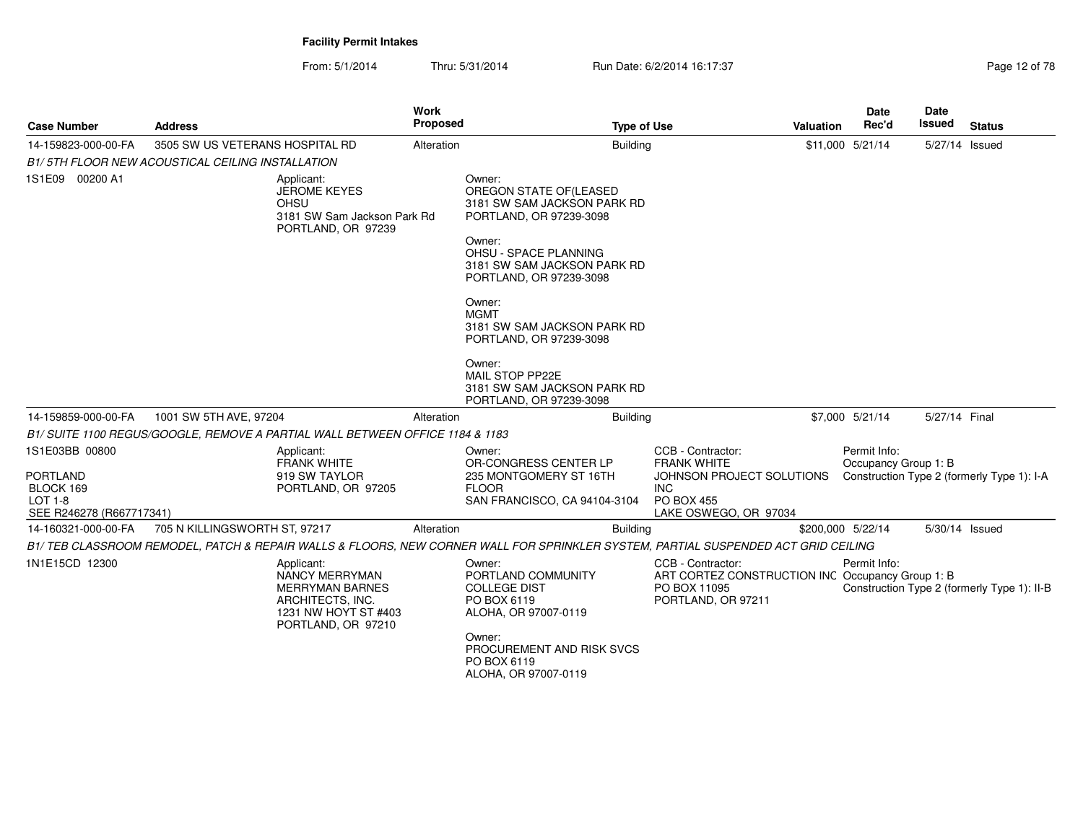From: 5/1/2014Thru: 5/31/2014 Run Date: 6/2/2014 16:17:37 Rege 12 of 78

| <b>Case Number</b>                                                  | <b>Address</b>                                                                | <b>Work</b><br><b>Proposed</b>                                                                             | <b>Type of Use</b>                                                                                                                | <b>Valuation</b>                                                                                            | <b>Date</b><br>Rec'd                 | Date<br><b>Issued</b> | <b>Status</b>                               |
|---------------------------------------------------------------------|-------------------------------------------------------------------------------|------------------------------------------------------------------------------------------------------------|-----------------------------------------------------------------------------------------------------------------------------------|-------------------------------------------------------------------------------------------------------------|--------------------------------------|-----------------------|---------------------------------------------|
| 14-159823-000-00-FA                                                 | 3505 SW US VETERANS HOSPITAL RD                                               | Alteration                                                                                                 | <b>Building</b>                                                                                                                   |                                                                                                             | \$11,000 5/21/14                     | 5/27/14 Issued        |                                             |
|                                                                     | B1/5TH FLOOR NEW ACOUSTICAL CEILING INSTALLATION                              |                                                                                                            |                                                                                                                                   |                                                                                                             |                                      |                       |                                             |
| 1S1E09 00200 A1                                                     | Applicant:<br><b>JEROME KEYES</b><br>OHSU                                     | 3181 SW Sam Jackson Park Rd<br>PORTLAND, OR 97239                                                          | Owner:<br>OREGON STATE OF (LEASED<br>3181 SW SAM JACKSON PARK RD<br>PORTLAND, OR 97239-3098                                       |                                                                                                             |                                      |                       |                                             |
|                                                                     |                                                                               |                                                                                                            | Owner:<br>OHSU - SPACE PLANNING<br>3181 SW SAM JACKSON PARK RD<br>PORTLAND, OR 97239-3098                                         |                                                                                                             |                                      |                       |                                             |
|                                                                     |                                                                               |                                                                                                            | Owner:<br><b>MGMT</b><br>3181 SW SAM JACKSON PARK RD<br>PORTLAND, OR 97239-3098                                                   |                                                                                                             |                                      |                       |                                             |
|                                                                     |                                                                               |                                                                                                            | Owner:<br>MAIL STOP PP22E<br>3181 SW SAM JACKSON PARK RD<br>PORTLAND, OR 97239-3098                                               |                                                                                                             |                                      |                       |                                             |
| 14-159859-000-00-FA                                                 | 1001 SW 5TH AVE, 97204                                                        | Alteration                                                                                                 | <b>Building</b>                                                                                                                   |                                                                                                             | \$7,000 5/21/14                      | 5/27/14 Final         |                                             |
|                                                                     | B1/ SUITE 1100 REGUS/GOOGLE, REMOVE A PARTIAL WALL BETWEEN OFFICE 1184 & 1183 |                                                                                                            |                                                                                                                                   |                                                                                                             |                                      |                       |                                             |
| 1S1E03BB 00800                                                      | Applicant:<br><b>FRANK WHITE</b>                                              |                                                                                                            | Owner:<br>OR-CONGRESS CENTER LP                                                                                                   | CCB - Contractor:<br><b>FRANK WHITE</b>                                                                     | Permit Info:<br>Occupancy Group 1: B |                       |                                             |
| <b>PORTLAND</b><br>BLOCK 169<br>LOT 1-8<br>SEE R246278 (R667717341) | 919 SW TAYLOR                                                                 | PORTLAND, OR 97205                                                                                         | 235 MONTGOMERY ST 16TH<br><b>FLOOR</b><br>SAN FRANCISCO, CA 94104-3104                                                            | JOHNSON PROJECT SOLUTIONS<br><b>INC</b><br><b>PO BOX 455</b><br>LAKE OSWEGO, OR 97034                       |                                      |                       | Construction Type 2 (formerly Type 1): I-A  |
| 14-160321-000-00-FA                                                 | 705 N KILLINGSWORTH ST, 97217                                                 | Alteration                                                                                                 | Building                                                                                                                          |                                                                                                             | \$200,000 5/22/14                    | 5/30/14 Issued        |                                             |
|                                                                     |                                                                               |                                                                                                            | B1/TEB CLASSROOM REMODEL, PATCH & REPAIR WALLS & FLOORS, NEW CORNER WALL FOR SPRINKLER SYSTEM, PARTIAL SUSPENDED ACT GRID CEILING |                                                                                                             |                                      |                       |                                             |
| 1N1E15CD 12300                                                      | Applicant:                                                                    | NANCY MERRYMAN<br><b>MERRYMAN BARNES</b><br>ARCHITECTS, INC.<br>1231 NW HOYT ST #403<br>PORTLAND, OR 97210 | Owner:<br>PORTLAND COMMUNITY<br><b>COLLEGE DIST</b><br>PO BOX 6119<br>ALOHA, OR 97007-0119<br>Owner:                              | CCB - Contractor:<br>ART CORTEZ CONSTRUCTION INC Occupancy Group 1: B<br>PO BOX 11095<br>PORTLAND, OR 97211 | Permit Info:                         |                       | Construction Type 2 (formerly Type 1): II-B |
|                                                                     |                                                                               |                                                                                                            | PROCUREMENT AND RISK SVCS<br>PO BOX 6119<br>ALOHA, OR 97007-0119                                                                  |                                                                                                             |                                      |                       |                                             |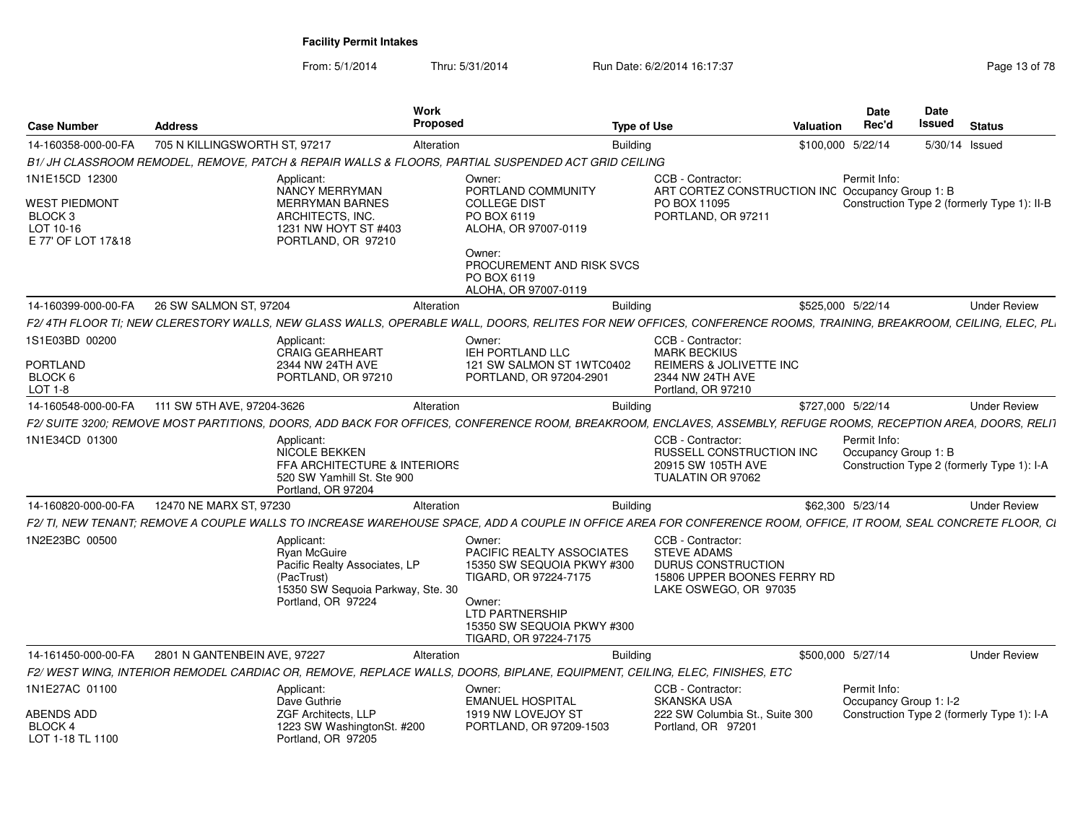From: 5/1/2014Thru: 5/31/2014 Run Date: 6/2/2014 16:17:37 Rege 13 of 78

| <b>Case Number</b>                                             | <b>Address</b>                |                                                                                                                                      | <b>Work</b><br><b>Proposed</b> |                                                                                                                                                                                    | <b>Type of Use</b>                                                                                                       | Valuation                                        | <b>Date</b><br>Rec'd                   | Date<br><b>Issued</b> | <b>Status</b>                               |
|----------------------------------------------------------------|-------------------------------|--------------------------------------------------------------------------------------------------------------------------------------|--------------------------------|------------------------------------------------------------------------------------------------------------------------------------------------------------------------------------|--------------------------------------------------------------------------------------------------------------------------|--------------------------------------------------|----------------------------------------|-----------------------|---------------------------------------------|
| 14-160358-000-00-FA                                            | 705 N KILLINGSWORTH ST, 97217 |                                                                                                                                      | Alteration                     | <b>Building</b>                                                                                                                                                                    |                                                                                                                          | \$100,000 5/22/14                                |                                        |                       | 5/30/14 Issued                              |
|                                                                |                               |                                                                                                                                      |                                | B1/ JH CLASSROOM REMODEL, REMOVE, PATCH & REPAIR WALLS & FLOORS, PARTIAL SUSPENDED ACT GRID CEILING                                                                                |                                                                                                                          |                                                  |                                        |                       |                                             |
| 1N1E15CD 12300<br><b>WEST PIEDMONT</b><br>BLOCK 3<br>LOT 10-16 |                               | Applicant:<br><b>NANCY MERRYMAN</b><br><b>MERRYMAN BARNES</b><br>ARCHITECTS, INC.<br>1231 NW HOYT ST #403                            |                                | Owner:<br>PORTLAND COMMUNITY<br><b>COLLEGE DIST</b><br>PO BOX 6119<br>ALOHA, OR 97007-0119                                                                                         | CCB - Contractor:<br>PO BOX 11095<br>PORTLAND, OR 97211                                                                  | ART CORTEZ CONSTRUCTION INC Occupancy Group 1: B | Permit Info:                           |                       | Construction Type 2 (formerly Type 1): II-B |
| E 77' OF LOT 17&18                                             |                               | PORTLAND, OR 97210                                                                                                                   |                                | Owner:<br>PROCUREMENT AND RISK SVCS<br>PO BOX 6119<br>ALOHA, OR 97007-0119                                                                                                         |                                                                                                                          |                                                  |                                        |                       |                                             |
| 14-160399-000-00-FA                                            | 26 SW SALMON ST, 97204        |                                                                                                                                      | Alteration                     | <b>Building</b>                                                                                                                                                                    |                                                                                                                          | \$525,000 5/22/14                                |                                        |                       | <b>Under Review</b>                         |
|                                                                |                               |                                                                                                                                      |                                | F2/4TH FLOOR TI: NEW CLERESTORY WALLS. NEW GLASS WALLS. OPERABLE WALL. DOORS. RELITES FOR NEW OFFICES. CONFERENCE ROOMS. TRAINING. BREAKROOM. CEILING. ELEC. PLI                   |                                                                                                                          |                                                  |                                        |                       |                                             |
| 1S1E03BD 00200<br><b>PORTLAND</b><br>BLOCK 6<br>LOT 1-8        |                               | Applicant:<br><b>CRAIG GEARHEART</b><br>2344 NW 24TH AVE<br>PORTLAND, OR 97210                                                       |                                | Owner:<br>IEH PORTLAND LLC<br>121 SW SALMON ST 1WTC0402<br>PORTLAND, OR 97204-2901                                                                                                 | CCB - Contractor:<br><b>MARK BECKIUS</b><br><b>REIMERS &amp; JOLIVETTE INC</b><br>2344 NW 24TH AVE<br>Portland, OR 97210 |                                                  |                                        |                       |                                             |
|                                                                | 111 SW 5TH AVE, 97204-3626    |                                                                                                                                      |                                |                                                                                                                                                                                    |                                                                                                                          |                                                  |                                        |                       |                                             |
| 14-160548-000-00-FA                                            |                               |                                                                                                                                      | Alteration                     | <b>Building</b><br>F2/ SUITE 3200; REMOVE MOST PARTITIONS, DOORS, ADD BACK FOR OFFICES, CONFERENCE ROOM, BREAKROOM, ENCLAVES, ASSEMBLY, REFUGE ROOMS, RECEPTION AREA, DOORS, RELIT |                                                                                                                          | \$727,000 5/22/14                                |                                        |                       | <b>Under Review</b>                         |
| 1N1E34CD 01300                                                 |                               | Applicant:<br>NICOLE BEKKEN<br>FFA ARCHITECTURE & INTERIORS<br>520 SW Yamhill St. Ste 900<br>Portland, OR 97204                      |                                |                                                                                                                                                                                    | CCB - Contractor:<br>RUSSELL CONSTRUCTION INC<br>20915 SW 105TH AVE<br>TUALATIN OR 97062                                 |                                                  | Permit Info:<br>Occupancy Group 1: B   |                       | Construction Type 2 (formerly Type 1): I-A  |
| 14-160820-000-00-FA                                            | 12470 NE MARX ST, 97230       |                                                                                                                                      | Alteration                     | <b>Building</b>                                                                                                                                                                    |                                                                                                                          |                                                  | \$62,300 5/23/14                       |                       | <b>Under Review</b>                         |
|                                                                |                               |                                                                                                                                      |                                | F2/ TI, NEW TENANT; REMOVE A COUPLE WALLS TO INCREASE WAREHOUSE SPACE, ADD A COUPLE IN OFFICE AREA FOR CONFERENCE ROOM, OFFICE, IT ROOM, SEAL CONCRETE FLOOR, CI                   |                                                                                                                          |                                                  |                                        |                       |                                             |
| 1N2E23BC 00500                                                 |                               | Applicant:<br>Ryan McGuire<br>Pacific Realty Associates, LP<br>(PacTrust)<br>15350 SW Sequoia Parkway, Ste. 30<br>Portland, OR 97224 |                                | Owner:<br>PACIFIC REALTY ASSOCIATES<br>15350 SW SEQUOIA PKWY #300<br>TIGARD, OR 97224-7175<br>Owner:<br>LTD PARTNERSHIP<br>15350 SW SEQUOIA PKWY #300<br>TIGARD, OR 97224-7175     | CCB - Contractor:<br><b>STEVE ADAMS</b><br>DURUS CONSTRUCTION<br>15806 UPPER BOONES FERRY RD<br>LAKE OSWEGO, OR 97035    |                                                  |                                        |                       |                                             |
| 14-161450-000-00-FA                                            | 2801 N GANTENBEIN AVE, 97227  |                                                                                                                                      | Alteration                     | <b>Building</b>                                                                                                                                                                    |                                                                                                                          | \$500,000 5/27/14                                |                                        |                       | <b>Under Review</b>                         |
|                                                                |                               |                                                                                                                                      |                                | F2/WEST WING, INTERIOR REMODEL CARDIAC OR, REMOVE, REPLACE WALLS, DOORS, BIPLANE, EQUIPMENT, CEILING, ELEC, FINISHES, ETC                                                          |                                                                                                                          |                                                  |                                        |                       |                                             |
| 1N1E27AC 01100                                                 |                               | Applicant:<br>Dave Guthrie                                                                                                           |                                | Owner:<br><b>EMANUEL HOSPITAL</b>                                                                                                                                                  | CCB - Contractor:<br><b>SKANSKA USA</b>                                                                                  |                                                  | Permit Info:<br>Occupancy Group 1: I-2 |                       |                                             |
| ABENDS ADD<br>BLOCK 4<br>LOT 1-18 TL 1100                      |                               | ZGF Architects, LLP<br>1223 SW WashingtonSt. #200<br>Portland, OR 97205                                                              |                                | 1919 NW LOVEJOY ST<br>PORTLAND, OR 97209-1503                                                                                                                                      | 222 SW Columbia St., Suite 300<br>Portland, OR 97201                                                                     |                                                  |                                        |                       | Construction Type 2 (formerly Type 1): I-A  |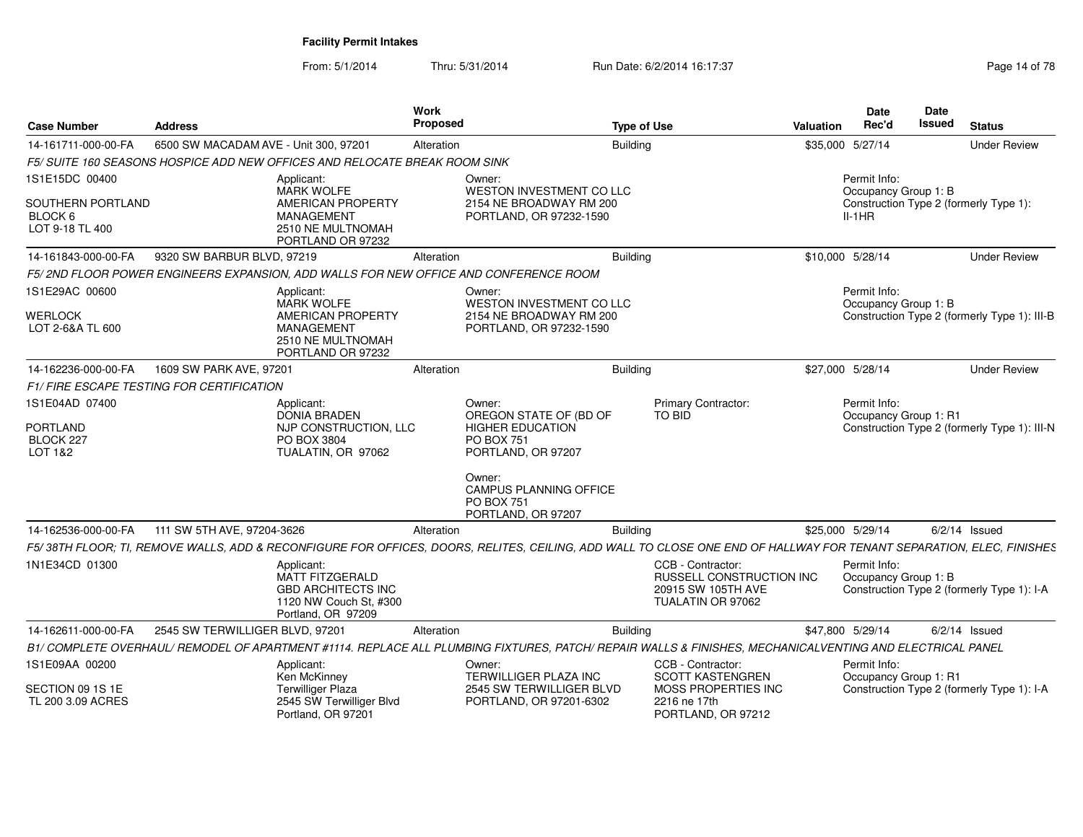From: 5/1/2014Thru: 5/31/2014 Run Date: 6/2/2014 16:17:37 Research 2010 14:078

| <b>Case Number</b>                                         | <b>Address</b>                                                                                                                                                      | Work<br>Proposed |                                                                                                        | <b>Type of Use</b>                                                                       | Valuation | <b>Date</b><br>Rec'd                  | Date<br>Issued | <b>Status</b>                                |
|------------------------------------------------------------|---------------------------------------------------------------------------------------------------------------------------------------------------------------------|------------------|--------------------------------------------------------------------------------------------------------|------------------------------------------------------------------------------------------|-----------|---------------------------------------|----------------|----------------------------------------------|
| 14-161711-000-00-FA                                        | 6500 SW MACADAM AVE - Unit 300, 97201                                                                                                                               | Alteration       | <b>Building</b>                                                                                        |                                                                                          |           | \$35,000 5/27/14                      |                | <b>Under Review</b>                          |
|                                                            | F5/ SUITE 160 SEASONS HOSPICE ADD NEW OFFICES AND RELOCATE BREAK ROOM SINK                                                                                          |                  |                                                                                                        |                                                                                          |           |                                       |                |                                              |
| 1S1E15DC 00400                                             | Applicant:<br><b>MARK WOLFE</b>                                                                                                                                     |                  | Owner:<br>WESTON INVESTMENT CO LLC                                                                     |                                                                                          |           | Permit Info:<br>Occupancy Group 1: B  |                |                                              |
| SOUTHERN PORTLAND<br>BLOCK <sub>6</sub><br>LOT 9-18 TL 400 | AMERICAN PROPERTY<br><b>MANAGEMENT</b><br>2510 NE MULTNOMAH<br>PORTLAND OR 97232                                                                                    |                  | 2154 NE BROADWAY RM 200<br>PORTLAND, OR 97232-1590                                                     |                                                                                          |           | $II-1HR$                              |                | Construction Type 2 (formerly Type 1):       |
| 14-161843-000-00-FA                                        | 9320 SW BARBUR BLVD, 97219                                                                                                                                          | Alteration       | <b>Building</b>                                                                                        |                                                                                          |           | \$10,000 5/28/14                      |                | <b>Under Review</b>                          |
|                                                            | F5/2ND FLOOR POWER ENGINEERS EXPANSION, ADD WALLS FOR NEW OFFICE AND CONFERENCE ROOM                                                                                |                  |                                                                                                        |                                                                                          |           |                                       |                |                                              |
| 1S1E29AC 00600<br>WERLOCK                                  | Applicant:<br><b>MARK WOLFE</b><br>AMERICAN PROPERTY                                                                                                                |                  | Owner:<br>WESTON INVESTMENT CO LLC<br>2154 NE BROADWAY RM 200                                          |                                                                                          |           | Permit Info:<br>Occupancy Group 1: B  |                | Construction Type 2 (formerly Type 1): III-B |
| LOT 2-6&A TL 600                                           | <b>MANAGEMENT</b><br>2510 NE MULTNOMAH<br>PORTLAND OR 97232                                                                                                         |                  | PORTLAND, OR 97232-1590                                                                                |                                                                                          |           |                                       |                |                                              |
| 14-162236-000-00-FA                                        | 1609 SW PARK AVE, 97201                                                                                                                                             | Alteration       | Building                                                                                               |                                                                                          |           | \$27,000 5/28/14                      |                | <b>Under Review</b>                          |
|                                                            | <b>F1/FIRE ESCAPE TESTING FOR CERTIFICATION</b>                                                                                                                     |                  |                                                                                                        |                                                                                          |           |                                       |                |                                              |
| 1S1E04AD 07400<br><b>PORTLAND</b><br>BLOCK 227<br>LOT 1&2  | Applicant:<br><b>DONIA BRADEN</b><br>NJP CONSTRUCTION, LLC<br>PO BOX 3804<br>TUALATIN, OR 97062                                                                     |                  | Owner:<br>OREGON STATE OF (BD OF<br><b>HIGHER EDUCATION</b><br><b>PO BOX 751</b><br>PORTLAND, OR 97207 | Primary Contractor:<br>TO BID                                                            |           | Permit Info:<br>Occupancy Group 1: R1 |                | Construction Type 2 (formerly Type 1): III-N |
|                                                            |                                                                                                                                                                     |                  | Owner:<br>CAMPUS PLANNING OFFICE<br><b>PO BOX 751</b><br>PORTLAND, OR 97207                            |                                                                                          |           |                                       |                |                                              |
| 14-162536-000-00-FA                                        | 111 SW 5TH AVE, 97204-3626                                                                                                                                          | Alteration       | <b>Building</b>                                                                                        |                                                                                          |           | \$25,000 5/29/14                      |                | $6/2/14$ Issued                              |
|                                                            | F5/38TH FLOOR; TI, REMOVE WALLS, ADD & RECONFIGURE FOR OFFICES, DOORS, RELITES, CEILING, ADD WALL TO CLOSE ONE END OF HALLWAY FOR TENANT SEPARATION, ELEC, FINISHES |                  |                                                                                                        |                                                                                          |           |                                       |                |                                              |
| 1N1E34CD 01300                                             | Applicant:<br><b>MATT FITZGERALD</b><br><b>GBD ARCHITECTS INC</b><br>1120 NW Couch St. #300<br>Portland, OR 97209                                                   |                  |                                                                                                        | CCB - Contractor:<br>RUSSELL CONSTRUCTION INC<br>20915 SW 105TH AVE<br>TUALATIN OR 97062 |           | Permit Info:<br>Occupancy Group 1: B  |                | Construction Type 2 (formerly Type 1): I-A   |
| 14-162611-000-00-FA                                        | 2545 SW TERWILLIGER BLVD, 97201                                                                                                                                     | Alteration       | <b>Building</b>                                                                                        |                                                                                          |           | \$47,800 5/29/14                      |                | $6/2/14$ Issued                              |
|                                                            | B1/ COMPLETE OVERHAUL/ REMODEL OF APARTMENT #1114. REPLACE ALL PLUMBING FIXTURES, PATCH/ REPAIR WALLS & FINISHES, MECHANICALVENTING AND ELECTRICAL PANEL            |                  |                                                                                                        |                                                                                          |           |                                       |                |                                              |
| 1S1E09AA 00200                                             | Applicant:<br>Ken McKinney                                                                                                                                          |                  | Owner:<br>TERWILLIGER PLAZA INC                                                                        | CCB - Contractor:<br><b>SCOTT KASTENGREN</b>                                             |           | Permit Info:<br>Occupancy Group 1: R1 |                |                                              |
| SECTION 09 1S 1E<br>TL 200 3.09 ACRES                      | <b>Terwilliger Plaza</b><br>2545 SW Terwilliger Blvd<br>Portland, OR 97201                                                                                          |                  | 2545 SW TERWILLIGER BLVD<br>PORTLAND, OR 97201-6302                                                    | MOSS PROPERTIES INC<br>2216 ne 17th<br>PORTLAND, OR 97212                                |           |                                       |                | Construction Type 2 (formerly Type 1): I-A   |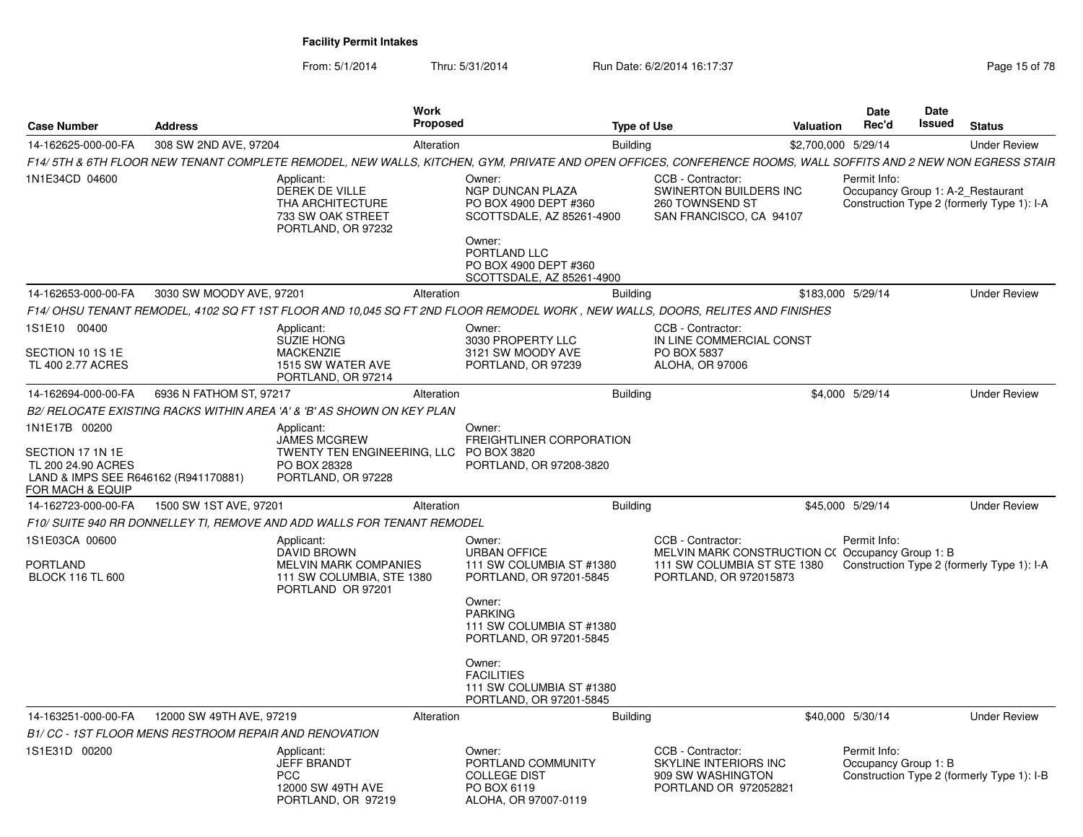From: 5/1/2014

Thru: 5/31/2014 Run Date: 6/2/2014 16:17:37 Rege 15 of 78

| <b>Case Number</b>                                                                                                  | <b>Address</b>                                                | <b>Work</b><br>Proposed                                                                                                                                       |                                                                                                                                                                                                  | <b>Type of Use</b> |                                                                                                      | <b>Valuation</b>    | <b>Date</b><br>Rec'd                 | Date<br>Issued | <b>Status</b>                                                                   |
|---------------------------------------------------------------------------------------------------------------------|---------------------------------------------------------------|---------------------------------------------------------------------------------------------------------------------------------------------------------------|--------------------------------------------------------------------------------------------------------------------------------------------------------------------------------------------------|--------------------|------------------------------------------------------------------------------------------------------|---------------------|--------------------------------------|----------------|---------------------------------------------------------------------------------|
| 14-162625-000-00-FA                                                                                                 | 308 SW 2ND AVE, 97204                                         | Alteration                                                                                                                                                    |                                                                                                                                                                                                  | <b>Building</b>    |                                                                                                      | \$2,700,000 5/29/14 |                                      |                | <b>Under Review</b>                                                             |
|                                                                                                                     |                                                               | F14/5TH & 6TH FLOOR NEW TENANT COMPLETE REMODEL, NEW WALLS, KITCHEN, GYM, PRIVATE AND OPEN OFFICES, CONFERENCE ROOMS, WALL SOFFITS AND 2 NEW NON EGRESS STAIR |                                                                                                                                                                                                  |                    |                                                                                                      |                     |                                      |                |                                                                                 |
| 1N1E34CD 04600                                                                                                      |                                                               | Applicant:<br>DEREK DE VILLE<br>THA ARCHITECTURE<br>733 SW OAK STREET<br>PORTLAND, OR 97232                                                                   | Owner:<br>NGP DUNCAN PLAZA<br>PO BOX 4900 DEPT #360<br>SCOTTSDALE, AZ 85261-4900<br>Owner:<br>PORTLAND LLC<br>PO BOX 4900 DEPT #360<br>SCOTTSDALE, AZ 85261-4900                                 |                    | CCB - Contractor:<br>SWINERTON BUILDERS INC<br>260 TOWNSEND ST<br>SAN FRANCISCO, CA 94107            |                     | Permit Info:                         |                | Occupancy Group 1: A-2 Restaurant<br>Construction Type 2 (formerly Type 1): I-A |
| 14-162653-000-00-FA                                                                                                 | 3030 SW MOODY AVE, 97201                                      | Alteration                                                                                                                                                    |                                                                                                                                                                                                  | <b>Building</b>    |                                                                                                      |                     | \$183.000 5/29/14                    |                | <b>Under Review</b>                                                             |
|                                                                                                                     |                                                               | F14/ OHSU TENANT REMODEL, 4102 SQ FT 1ST FLOOR AND 10,045 SQ FT 2ND FLOOR REMODEL WORK, NEW WALLS, DOORS, RELITES AND FINISHES                                |                                                                                                                                                                                                  |                    |                                                                                                      |                     |                                      |                |                                                                                 |
| 1S1E10 00400<br>SECTION 10 1S 1E<br>TL 400 2.77 ACRES                                                               |                                                               | Applicant:<br><b>SUZIE HONG</b><br><b>MACKENZIE</b><br>1515 SW WATER AVE<br>PORTLAND, OR 97214                                                                | Owner:<br>3030 PROPERTY LLC<br>3121 SW MOODY AVE<br>PORTLAND, OR 97239                                                                                                                           |                    | CCB - Contractor:<br>IN LINE COMMERCIAL CONST<br>PO BOX 5837<br><b>ALOHA, OR 97006</b>               |                     |                                      |                |                                                                                 |
| 14-162694-000-00-FA                                                                                                 | 6936 N FATHOM ST, 97217                                       | Alteration                                                                                                                                                    |                                                                                                                                                                                                  | <b>Building</b>    |                                                                                                      |                     | \$4,000 5/29/14                      |                | <b>Under Review</b>                                                             |
|                                                                                                                     |                                                               | B2/ RELOCATE EXISTING RACKS WITHIN AREA 'A' & 'B' AS SHOWN ON KEY PLAN                                                                                        |                                                                                                                                                                                                  |                    |                                                                                                      |                     |                                      |                |                                                                                 |
| 1N1E17B 00200<br>SECTION 17 1N 1E<br>TL 200 24.90 ACRES<br>LAND & IMPS SEE R646162 (R941170881)<br>FOR MACH & EQUIP |                                                               | Applicant:<br><b>JAMES MCGREW</b><br>TWENTY TEN ENGINEERING, LLC<br>PO BOX 28328<br>PORTLAND, OR 97228                                                        | Owner:<br>FREIGHTLINER CORPORATION<br>PO BOX 3820<br>PORTLAND, OR 97208-3820                                                                                                                     |                    |                                                                                                      |                     |                                      |                |                                                                                 |
| 14-162723-000-00-FA                                                                                                 | 1500 SW 1ST AVE, 97201                                        | Alteration                                                                                                                                                    |                                                                                                                                                                                                  | <b>Building</b>    |                                                                                                      |                     | \$45,000 5/29/14                     |                | <b>Under Review</b>                                                             |
|                                                                                                                     |                                                               | F10/ SUITE 940 RR DONNELLEY TI, REMOVE AND ADD WALLS FOR TENANT REMODEL                                                                                       |                                                                                                                                                                                                  |                    |                                                                                                      |                     |                                      |                |                                                                                 |
| 1S1E03CA 00600<br><b>PORTLAND</b>                                                                                   |                                                               | Applicant:<br><b>DAVID BROWN</b><br><b>MELVIN MARK COMPANIES</b>                                                                                              | Owner:<br><b>URBAN OFFICE</b><br>111 SW COLUMBIA ST #1380                                                                                                                                        |                    | CCB - Contractor:<br>MELVIN MARK CONSTRUCTION C(Occupancy Group 1: B)<br>111 SW COLUMBIA ST STE 1380 |                     | Permit Info:                         |                | Construction Type 2 (formerly Type 1): I-A                                      |
| <b>BLOCK 116 TL 600</b>                                                                                             |                                                               | 111 SW COLUMBIA, STE 1380<br>PORTLAND OR 97201                                                                                                                | PORTLAND, OR 97201-5845<br>Owner:<br><b>PARKING</b><br>111 SW COLUMBIA ST #1380<br>PORTLAND, OR 97201-5845<br>Owner:<br><b>FACILITIES</b><br>111 SW COLUMBIA ST #1380<br>PORTLAND, OR 97201-5845 |                    | PORTLAND, OR 972015873                                                                               |                     |                                      |                |                                                                                 |
| 14-163251-000-00-FA                                                                                                 | 12000 SW 49TH AVE, 97219                                      | Alteration                                                                                                                                                    |                                                                                                                                                                                                  | <b>Building</b>    |                                                                                                      |                     | \$40,000 5/30/14                     |                | <b>Under Review</b>                                                             |
|                                                                                                                     | <b>B1/ CC - 1ST FLOOR MENS RESTROOM REPAIR AND RENOVATION</b> |                                                                                                                                                               |                                                                                                                                                                                                  |                    |                                                                                                      |                     |                                      |                |                                                                                 |
| 1S1E31D 00200                                                                                                       |                                                               | Applicant:<br><b>JEFF BRANDT</b><br><b>PCC</b><br>12000 SW 49TH AVE<br>PORTLAND, OR 97219                                                                     | Owner:<br>PORTLAND COMMUNITY<br><b>COLLEGE DIST</b><br>PO BOX 6119<br>ALOHA, OR 97007-0119                                                                                                       |                    | CCB - Contractor:<br>SKYLINE INTERIORS INC<br>909 SW WASHINGTON<br>PORTLAND OR 972052821             |                     | Permit Info:<br>Occupancy Group 1: B |                | Construction Type 2 (formerly Type 1): I-B                                      |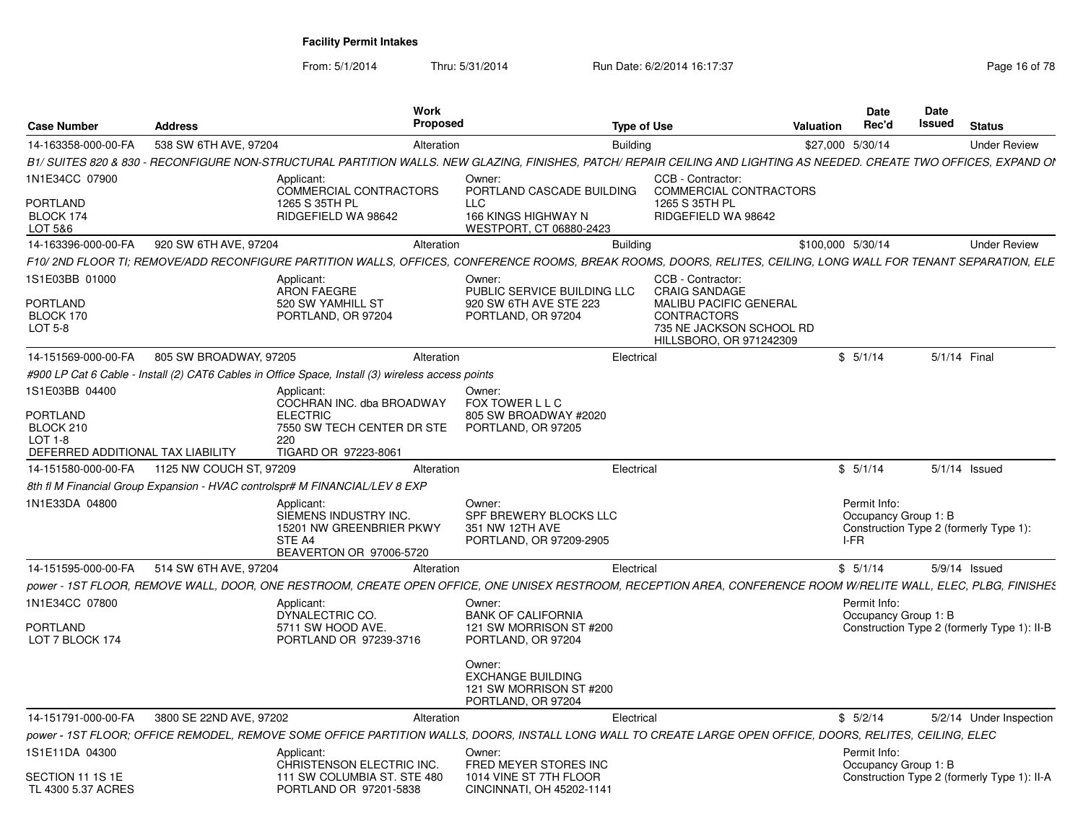From: 5/1/2014

Thru: 5/31/2014 Run Date: 6/2/2014 16:17:37 Rege 16 of 78

| <b>Case Number</b>                             | <b>Address</b>          | Work<br><b>Proposed</b>                                                                                                                                               |                                                                                     | <b>Type of Use</b> |                                                                                                            | Valuation         | Date<br>Rec'd                                | Date<br>Issued | <b>Status</b>                               |
|------------------------------------------------|-------------------------|-----------------------------------------------------------------------------------------------------------------------------------------------------------------------|-------------------------------------------------------------------------------------|--------------------|------------------------------------------------------------------------------------------------------------|-------------------|----------------------------------------------|----------------|---------------------------------------------|
| 14-163358-000-00-FA                            | 538 SW 6TH AVE, 97204   | Alteration                                                                                                                                                            |                                                                                     | <b>Building</b>    |                                                                                                            | \$27,000 5/30/14  |                                              |                | <b>Under Review</b>                         |
|                                                |                         | B1/ SUITES 820 & 830 - RECONFIGURE NON-STRUCTURAL PARTITION WALLS. NEW GLAZING, FINISHES, PATCH/ REPAIR CEILING AND LIGHTING AS NEEDED. CREATE TWO OFFICES, EXPAND OI |                                                                                     |                    |                                                                                                            |                   |                                              |                |                                             |
| 1N1E34CC 07900<br>PORTLAND                     |                         | Applicant:<br>COMMERCIAL CONTRACTORS<br>1265 S 35TH PL                                                                                                                | Owner:<br>PORTLAND CASCADE BUILDING<br>LLC                                          |                    | CCB - Contractor:<br>COMMERCIAL CONTRACTORS<br>1265 S 35TH PL                                              |                   |                                              |                |                                             |
| BLOCK 174<br>LOT 5&6                           |                         | RIDGEFIELD WA 98642                                                                                                                                                   | 166 KINGS HIGHWAY N<br>WESTPORT, CT 06880-2423                                      |                    | RIDGEFIELD WA 98642                                                                                        |                   |                                              |                |                                             |
| 14-163396-000-00-FA                            | 920 SW 6TH AVE, 97204   | Alteration                                                                                                                                                            |                                                                                     | <b>Building</b>    |                                                                                                            | \$100,000 5/30/14 |                                              |                | <b>Under Review</b>                         |
|                                                |                         | F10/2ND FLOOR TI; REMOVE/ADD RECONFIGURE PARTITION WALLS, OFFICES, CONFERENCE ROOMS, BREAK ROOMS, DOORS, RELITES, CEILING, LONG WALL FOR TENANT SEPARATION, ELE       |                                                                                     |                    |                                                                                                            |                   |                                              |                |                                             |
| 1S1E03BB 01000                                 |                         | Applicant:<br><b>ARON FAEGRE</b>                                                                                                                                      | Owner:<br>PUBLIC SERVICE BUILDING LLC                                               |                    | CCB - Contractor:<br><b>CRAIG SANDAGE</b>                                                                  |                   |                                              |                |                                             |
| <b>PORTLAND</b><br>BLOCK 170<br>LOT 5-8        |                         | 520 SW YAMHILL ST<br>PORTLAND, OR 97204                                                                                                                               | 920 SW 6TH AVE STE 223<br>PORTLAND, OR 97204                                        |                    | <b>MALIBU PACIFIC GENERAL</b><br><b>CONTRACTORS</b><br>735 NE JACKSON SCHOOL RD<br>HILLSBORO, OR 971242309 |                   |                                              |                |                                             |
| 14-151569-000-00-FA                            | 805 SW BROADWAY, 97205  | Alteration                                                                                                                                                            |                                                                                     | Electrical         |                                                                                                            |                   | \$5/1/14                                     | 5/1/14 Final   |                                             |
|                                                |                         | #900 LP Cat 6 Cable - Install (2) CAT6 Cables in Office Space, Install (3) wireless access points                                                                     |                                                                                     |                    |                                                                                                            |                   |                                              |                |                                             |
| 1S1E03BB 04400                                 |                         | Applicant:<br>COCHRAN INC. dba BROADWAY                                                                                                                               | Owner:<br>FOX TOWER L L C                                                           |                    |                                                                                                            |                   |                                              |                |                                             |
| <b>PORTLAND</b><br>BLOCK 210                   |                         | <b>ELECTRIC</b><br>7550 SW TECH CENTER DR STE                                                                                                                         | 805 SW BROADWAY #2020<br>PORTLAND, OR 97205                                         |                    |                                                                                                            |                   |                                              |                |                                             |
| $LOT 1-8$<br>DEFERRED ADDITIONAL TAX LIABILITY |                         | 220<br>TIGARD OR 97223-8061                                                                                                                                           |                                                                                     |                    |                                                                                                            |                   |                                              |                |                                             |
| 14-151580-000-00-FA                            | 1125 NW COUCH ST, 97209 | Alteration                                                                                                                                                            |                                                                                     | Electrical         |                                                                                                            |                   | \$5/1/14                                     |                | $5/1/14$ Issued                             |
|                                                |                         | 8th fl M Financial Group Expansion - HVAC controlspr# M FINANCIAL/LEV 8 EXP                                                                                           |                                                                                     |                    |                                                                                                            |                   |                                              |                |                                             |
| 1N1E33DA 04800                                 |                         | Applicant:<br>SIEMENS INDUSTRY INC.<br>15201 NW GREENBRIER PKWY<br>STE A4<br>BEAVERTON OR 97006-5720                                                                  | Owner:<br>SPF BREWERY BLOCKS LLC<br>351 NW 12TH AVE<br>PORTLAND, OR 97209-2905      |                    |                                                                                                            |                   | Permit Info:<br>Occupancy Group 1: B<br>I-FR |                | Construction Type 2 (formerly Type 1):      |
| 14-151595-000-00-FA                            | 514 SW 6TH AVE, 97204   | Alteration                                                                                                                                                            |                                                                                     | Electrical         |                                                                                                            |                   | \$5/1/14                                     |                | $5/9/14$ Issued                             |
|                                                |                         | power - 1ST FLOOR, REMOVE WALL, DOOR, ONE RESTROOM, CREATE OPEN OFFICE, ONE UNISEX RESTROOM, RECEPTION AREA, CONFERENCE ROOM W/RELITE WALL, ELEC, PLBG, FINISHES      |                                                                                     |                    |                                                                                                            |                   |                                              |                |                                             |
| 1N1E34CC 07800                                 |                         | Applicant:<br>DYNALECTRIC CO.                                                                                                                                         | Owner:<br><b>BANK OF CALIFORNIA</b>                                                 |                    |                                                                                                            |                   | Permit Info:<br>Occupancy Group 1: B         |                |                                             |
| <b>PORTLAND</b><br>LOT 7 BLOCK 174             |                         | 5711 SW HOOD AVE.<br>PORTLAND OR 97239-3716                                                                                                                           | 121 SW MORRISON ST #200<br>PORTLAND, OR 97204                                       |                    |                                                                                                            |                   |                                              |                | Construction Type 2 (formerly Type 1): II-B |
|                                                |                         |                                                                                                                                                                       | Owner:<br><b>EXCHANGE BUILDING</b><br>121 SW MORRISON ST #200<br>PORTLAND, OR 97204 |                    |                                                                                                            |                   |                                              |                |                                             |
| 14-151791-000-00-FA                            | 3800 SE 22ND AVE, 97202 | Alteration                                                                                                                                                            |                                                                                     | Electrical         |                                                                                                            |                   | \$5/2/14                                     |                | 5/2/14 Under Inspection                     |
|                                                |                         | power - 1ST FLOOR; OFFICE REMODEL, REMOVE SOME OFFICE PARTITION WALLS, DOORS, INSTALL LONG WALL TO CREATE LARGE OPEN OFFICE, DOORS, RELITES, CEILING, ELEC            |                                                                                     |                    |                                                                                                            |                   |                                              |                |                                             |
| 1S1E11DA 04300                                 |                         | Applicant:<br>CHRISTENSON ELECTRIC INC.                                                                                                                               | Owner:<br>FRED MEYER STORES INC                                                     |                    |                                                                                                            |                   | Permit Info:<br>Occupancy Group 1: B         |                |                                             |
| SECTION 11 1S 1E<br>TL 4300 5.37 ACRES         |                         | 111 SW COLUMBIA ST. STE 480<br>PORTLAND OR 97201-5838                                                                                                                 | 1014 VINE ST 7TH FLOOR<br>CINCINNATI, OH 45202-1141                                 |                    |                                                                                                            |                   |                                              |                | Construction Type 2 (formerly Type 1): II-A |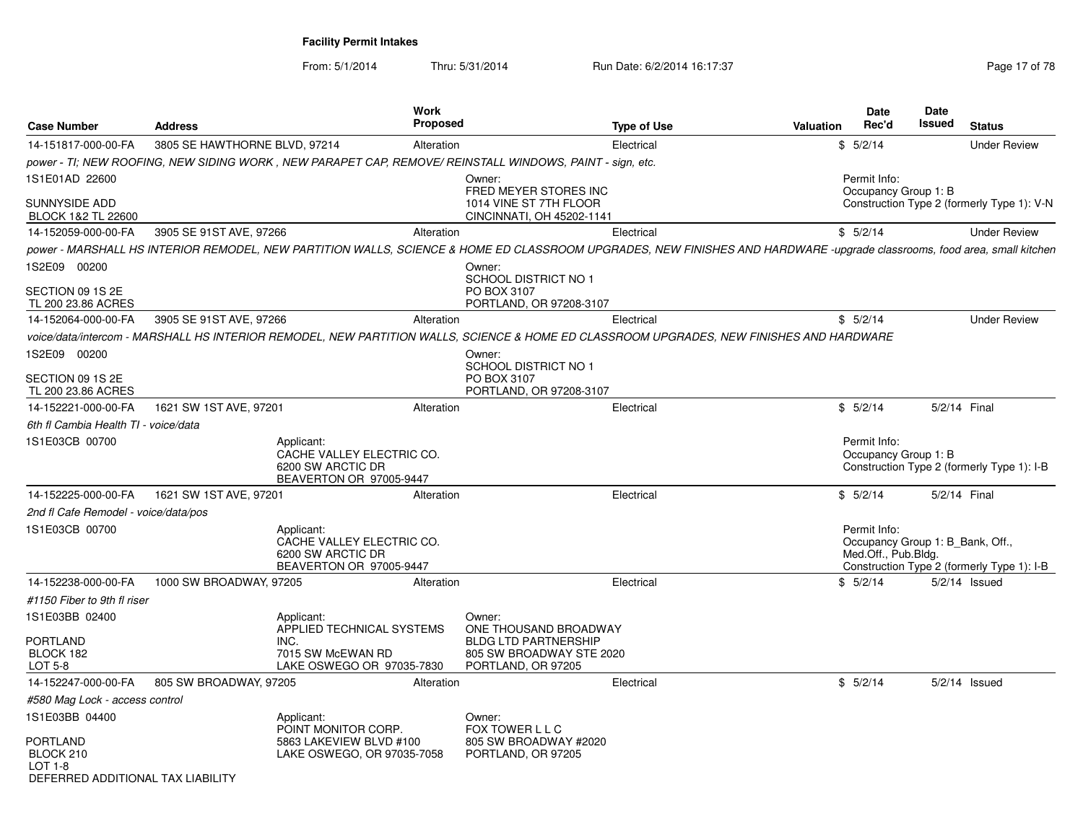From: 5/1/2014Thru: 5/31/2014 Run Date: 6/2/2014 16:17:37 Rege 17 of 78

| <b>Case Number</b>                                                    | <b>Address</b>                | Work                                                                                    | Proposed                                                                                                                                                                 | <b>Type of Use</b> | <b>Valuation</b> | <b>Date</b><br>Rec'd                                                    | Date<br>Issued | <b>Status</b>                              |
|-----------------------------------------------------------------------|-------------------------------|-----------------------------------------------------------------------------------------|--------------------------------------------------------------------------------------------------------------------------------------------------------------------------|--------------------|------------------|-------------------------------------------------------------------------|----------------|--------------------------------------------|
| 14-151817-000-00-FA                                                   | 3805 SE HAWTHORNE BLVD, 97214 |                                                                                         | Alteration                                                                                                                                                               | Electrical         |                  | \$5/2/14                                                                |                | <b>Under Review</b>                        |
|                                                                       |                               |                                                                                         | power - TI; NEW ROOFING, NEW SIDING WORK, NEW PARAPET CAP, REMOVE/ REINSTALL WINDOWS, PAINT - sign, etc.                                                                 |                    |                  |                                                                         |                |                                            |
| 1S1E01AD 22600                                                        |                               |                                                                                         | Owner:<br>FRED MEYER STORES INC                                                                                                                                          |                    |                  | Permit Info:<br>Occupancy Group 1: B                                    |                |                                            |
| SUNNYSIDE ADD<br>BLOCK 1&2 TL 22600                                   |                               |                                                                                         | 1014 VINE ST 7TH FLOOR<br>CINCINNATI, OH 45202-1141                                                                                                                      |                    |                  |                                                                         |                | Construction Type 2 (formerly Type 1): V-N |
| 14-152059-000-00-FA                                                   | 3905 SE 91ST AVE, 97266       |                                                                                         | Alteration                                                                                                                                                               | Electrical         |                  | \$5/2/14                                                                |                | <b>Under Review</b>                        |
|                                                                       |                               |                                                                                         | power - MARSHALL HS INTERIOR REMODEL, NEW PARTITION WALLS, SCIENCE & HOME ED CLASSROOM UPGRADES, NEW FINISHES AND HARDWARE -upgrade classrooms, food area, small kitchen |                    |                  |                                                                         |                |                                            |
| 1S2E09 00200                                                          |                               |                                                                                         | Owner:                                                                                                                                                                   |                    |                  |                                                                         |                |                                            |
| SECTION 09 1S 2E<br>TL 200 23.86 ACRES                                |                               |                                                                                         | SCHOOL DISTRICT NO 1<br>PO BOX 3107<br>PORTLAND, OR 97208-3107                                                                                                           |                    |                  |                                                                         |                |                                            |
| 14-152064-000-00-FA                                                   | 3905 SE 91ST AVE, 97266       |                                                                                         | Alteration                                                                                                                                                               | Electrical         |                  | \$5/2/14                                                                |                | <b>Under Review</b>                        |
|                                                                       |                               |                                                                                         | voice/data/intercom - MARSHALL HS INTERIOR REMODEL, NEW PARTITION WALLS, SCIENCE & HOME ED CLASSROOM UPGRADES, NEW FINISHES AND HARDWARE                                 |                    |                  |                                                                         |                |                                            |
| 1S2E09 00200                                                          |                               |                                                                                         | Owner:<br>SCHOOL DISTRICT NO 1                                                                                                                                           |                    |                  |                                                                         |                |                                            |
| SECTION 09 1S 2E<br>TL 200 23.86 ACRES                                |                               |                                                                                         | PO BOX 3107<br>PORTLAND, OR 97208-3107                                                                                                                                   |                    |                  |                                                                         |                |                                            |
| 14-152221-000-00-FA                                                   | 1621 SW 1ST AVE, 97201        |                                                                                         | Alteration                                                                                                                                                               | Electrical         |                  | \$5/2/14                                                                | 5/2/14 Final   |                                            |
| 6th fl Cambia Health TI - voice/data                                  |                               |                                                                                         |                                                                                                                                                                          |                    |                  |                                                                         |                |                                            |
| 1S1E03CB 00700                                                        |                               | Applicant:<br>CACHE VALLEY ELECTRIC CO.<br>6200 SW ARCTIC DR<br>BEAVERTON OR 97005-9447 |                                                                                                                                                                          |                    |                  | Permit Info:<br>Occupancy Group 1: B                                    |                | Construction Type 2 (formerly Type 1): I-B |
| 14-152225-000-00-FA                                                   | 1621 SW 1ST AVE, 97201        |                                                                                         | Alteration                                                                                                                                                               | Electrical         |                  | \$5/2/14                                                                | 5/2/14 Final   |                                            |
| 2nd fl Cafe Remodel - voice/data/pos                                  |                               |                                                                                         |                                                                                                                                                                          |                    |                  |                                                                         |                |                                            |
| 1S1E03CB 00700                                                        |                               | Applicant:<br>CACHE VALLEY ELECTRIC CO.<br>6200 SW ARCTIC DR<br>BEAVERTON OR 97005-9447 |                                                                                                                                                                          |                    |                  | Permit Info:<br>Occupancy Group 1: B_Bank, Off.,<br>Med.Off., Pub.Bldg. |                | Construction Type 2 (formerly Type 1): I-B |
| 14-152238-000-00-FA                                                   | 1000 SW BROADWAY, 97205       |                                                                                         | Alteration                                                                                                                                                               | Electrical         |                  | \$5/2/14                                                                |                | $5/2/14$ Issued                            |
| #1150 Fiber to 9th fl riser                                           |                               |                                                                                         |                                                                                                                                                                          |                    |                  |                                                                         |                |                                            |
| 1S1E03BB 02400                                                        |                               | Applicant:<br>APPLIED TECHNICAL SYSTEMS                                                 | Owner:<br>ONE THOUSAND BROADWAY                                                                                                                                          |                    |                  |                                                                         |                |                                            |
| PORTLAND<br>BLOCK 182<br>LOT 5-8                                      |                               | INC.<br>7015 SW McEWAN RD<br>LAKE OSWEGO OR 97035-7830                                  | <b>BLDG LTD PARTNERSHIP</b><br>805 SW BROADWAY STE 2020<br>PORTLAND, OR 97205                                                                                            |                    |                  |                                                                         |                |                                            |
| 14-152247-000-00-FA                                                   | 805 SW BROADWAY, 97205        |                                                                                         | Alteration                                                                                                                                                               | Electrical         |                  | \$5/2/14                                                                |                | $5/2/14$ Issued                            |
| #580 Mag Lock - access control                                        |                               |                                                                                         |                                                                                                                                                                          |                    |                  |                                                                         |                |                                            |
| 1S1E03BB 04400                                                        |                               | Applicant:                                                                              | Owner:                                                                                                                                                                   |                    |                  |                                                                         |                |                                            |
| PORTLAND<br>BLOCK 210<br>LOT 1-8<br>DEFERRED ADDITIONAL TAX LIABILITY |                               | POINT MONITOR CORP.<br>5863 LAKEVIEW BLVD #100<br>LAKE OSWEGO, OR 97035-7058            | FOX TOWER L L C<br>805 SW BROADWAY #2020<br>PORTLAND, OR 97205                                                                                                           |                    |                  |                                                                         |                |                                            |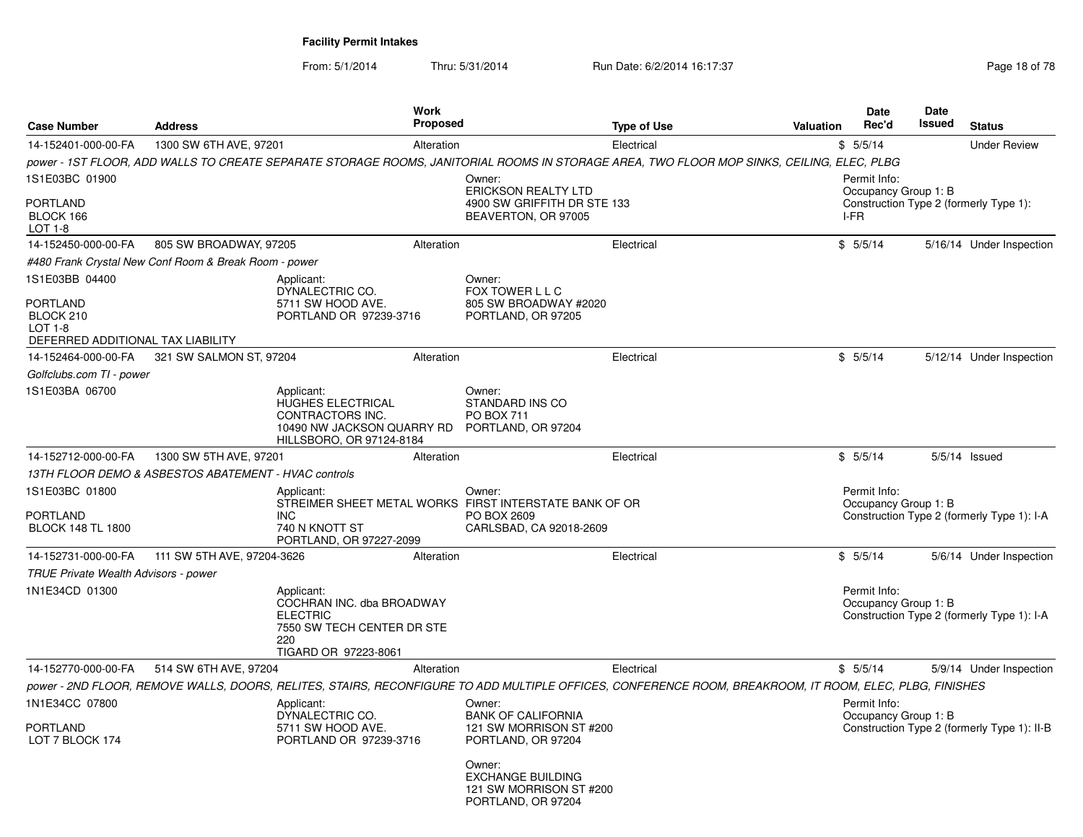From: 5/1/2014Thru: 5/31/2014 Run Date: 6/2/2014 16:17:37 Rege 18 of 78

| <b>Case Number</b>                                                                               | <b>Address</b>                                        |                                                                                                                         | <b>Work</b><br><b>Proposed</b> |                                                                                                                                                         | <b>Type of Use</b> | Valuation | <b>Date</b><br>Rec'd                         | <b>Date</b><br>Issued | <b>Status</b>                               |
|--------------------------------------------------------------------------------------------------|-------------------------------------------------------|-------------------------------------------------------------------------------------------------------------------------|--------------------------------|---------------------------------------------------------------------------------------------------------------------------------------------------------|--------------------|-----------|----------------------------------------------|-----------------------|---------------------------------------------|
| 14-152401-000-00-FA                                                                              | 1300 SW 6TH AVE, 97201                                |                                                                                                                         | Alteration                     |                                                                                                                                                         | Electrical         |           | \$5/5/14                                     |                       | <b>Under Review</b>                         |
|                                                                                                  |                                                       |                                                                                                                         |                                | power - 1ST FLOOR, ADD WALLS TO CREATE SEPARATE STORAGE ROOMS, JANITORIAL ROOMS IN STORAGE AREA, TWO FLOOR MOP SINKS, CEILING, ELEC, PLBG               |                    |           |                                              |                       |                                             |
| 1S1E03BC 01900<br><b>PORTLAND</b><br>BLOCK 166<br>LOT 1-8                                        |                                                       |                                                                                                                         |                                | Owner:<br>ERICKSON REALTY LTD<br>4900 SW GRIFFITH DR STE 133<br>BEAVERTON, OR 97005                                                                     |                    |           | Permit Info:<br>Occupancy Group 1: B<br>I-FR |                       | Construction Type 2 (formerly Type 1):      |
| 14-152450-000-00-FA                                                                              | 805 SW BROADWAY, 97205                                |                                                                                                                         | Alteration                     |                                                                                                                                                         | Electrical         |           | \$5/5/14                                     |                       | 5/16/14 Under Inspection                    |
|                                                                                                  | #480 Frank Crystal New Conf Room & Break Room - power |                                                                                                                         |                                |                                                                                                                                                         |                    |           |                                              |                       |                                             |
| 1S1E03BB 04400<br><b>PORTLAND</b><br>BLOCK 210<br>$LOT 1-8$<br>DEFERRED ADDITIONAL TAX LIABILITY |                                                       | Applicant:<br>DYNALECTRIC CO.<br>5711 SW HOOD AVE.<br>PORTLAND OR 97239-3716                                            |                                | Owner:<br>FOX TOWER L L C<br>805 SW BROADWAY #2020<br>PORTLAND, OR 97205                                                                                |                    |           |                                              |                       |                                             |
| 14-152464-000-00-FA                                                                              | 321 SW SALMON ST, 97204                               |                                                                                                                         | Alteration                     |                                                                                                                                                         | Electrical         |           | \$5/5/14                                     |                       | 5/12/14 Under Inspection                    |
| Golfclubs.com TI - power                                                                         |                                                       |                                                                                                                         |                                |                                                                                                                                                         |                    |           |                                              |                       |                                             |
| 1S1E03BA 06700                                                                                   |                                                       | Applicant:<br>HUGHES ELECTRICAL<br>CONTRACTORS INC.<br>10490 NW JACKSON QUARRY RD<br>HILLSBORO, OR 97124-8184           |                                | Owner:<br>STANDARD INS CO<br>PO BOX 711<br>PORTLAND, OR 97204                                                                                           |                    |           |                                              |                       |                                             |
| 14-152712-000-00-FA                                                                              | 1300 SW 5TH AVE, 97201                                |                                                                                                                         | Alteration                     |                                                                                                                                                         | Electrical         |           | \$5/5/14                                     |                       | $5/5/14$ Issued                             |
|                                                                                                  | 13TH FLOOR DEMO & ASBESTOS ABATEMENT - HVAC controls  |                                                                                                                         |                                |                                                                                                                                                         |                    |           |                                              |                       |                                             |
| 1S1E03BC 01800<br><b>PORTLAND</b><br><b>BLOCK 148 TL 1800</b>                                    |                                                       | Applicant:<br><b>INC</b><br>740 N KNOTT ST<br>PORTLAND, OR 97227-2099                                                   |                                | Owner:<br>STREIMER SHEET METAL WORKS FIRST INTERSTATE BANK OF OR<br>PO BOX 2609<br>CARLSBAD, CA 92018-2609                                              |                    |           | Permit Info:<br>Occupancy Group 1: B         |                       | Construction Type 2 (formerly Type 1): I-A  |
| 14-152731-000-00-FA                                                                              | 111 SW 5TH AVE, 97204-3626                            |                                                                                                                         | Alteration                     |                                                                                                                                                         | Electrical         |           | \$5/5/14                                     |                       | 5/6/14 Under Inspection                     |
| <b>TRUE Private Wealth Advisors - power</b>                                                      |                                                       |                                                                                                                         |                                |                                                                                                                                                         |                    |           |                                              |                       |                                             |
| 1N1E34CD 01300                                                                                   |                                                       | Applicant:<br>COCHRAN INC. dba BROADWAY<br><b>ELECTRIC</b><br>7550 SW TECH CENTER DR STE<br>220<br>TIGARD OR 97223-8061 |                                |                                                                                                                                                         |                    |           | Permit Info:<br>Occupancy Group 1: B         |                       | Construction Type 2 (formerly Type 1): I-A  |
| 14-152770-000-00-FA                                                                              | 514 SW 6TH AVE, 97204                                 |                                                                                                                         | Alteration                     |                                                                                                                                                         | Electrical         |           | \$5/5/14                                     |                       | 5/9/14 Under Inspection                     |
|                                                                                                  |                                                       |                                                                                                                         |                                | power - 2ND FLOOR, REMOVE WALLS, DOORS, RELITES, STAIRS, RECONFIGURE TO ADD MULTIPLE OFFICES, CONFERENCE ROOM, BREAKROOM, IT ROOM, ELEC, PLBG, FINISHES |                    |           |                                              |                       |                                             |
| 1N1E34CC 07800                                                                                   |                                                       | Applicant:<br>DYNALECTRIC CO.                                                                                           |                                | Owner:<br><b>BANK OF CALIFORNIA</b>                                                                                                                     |                    |           | Permit Info:<br>Occupancy Group 1: B         |                       |                                             |
| <b>PORTLAND</b><br>LOT 7 BLOCK 174                                                               |                                                       | 5711 SW HOOD AVE.<br>PORTLAND OR 97239-3716                                                                             |                                | 121 SW MORRISON ST #200<br>PORTLAND, OR 97204                                                                                                           |                    |           |                                              |                       | Construction Type 2 (formerly Type 1): II-B |
|                                                                                                  |                                                       |                                                                                                                         |                                | Owner:<br><b>EXCHANGE BUILDING</b><br>121 SW MORRISON ST #200<br>PORTLAND, OR 97204                                                                     |                    |           |                                              |                       |                                             |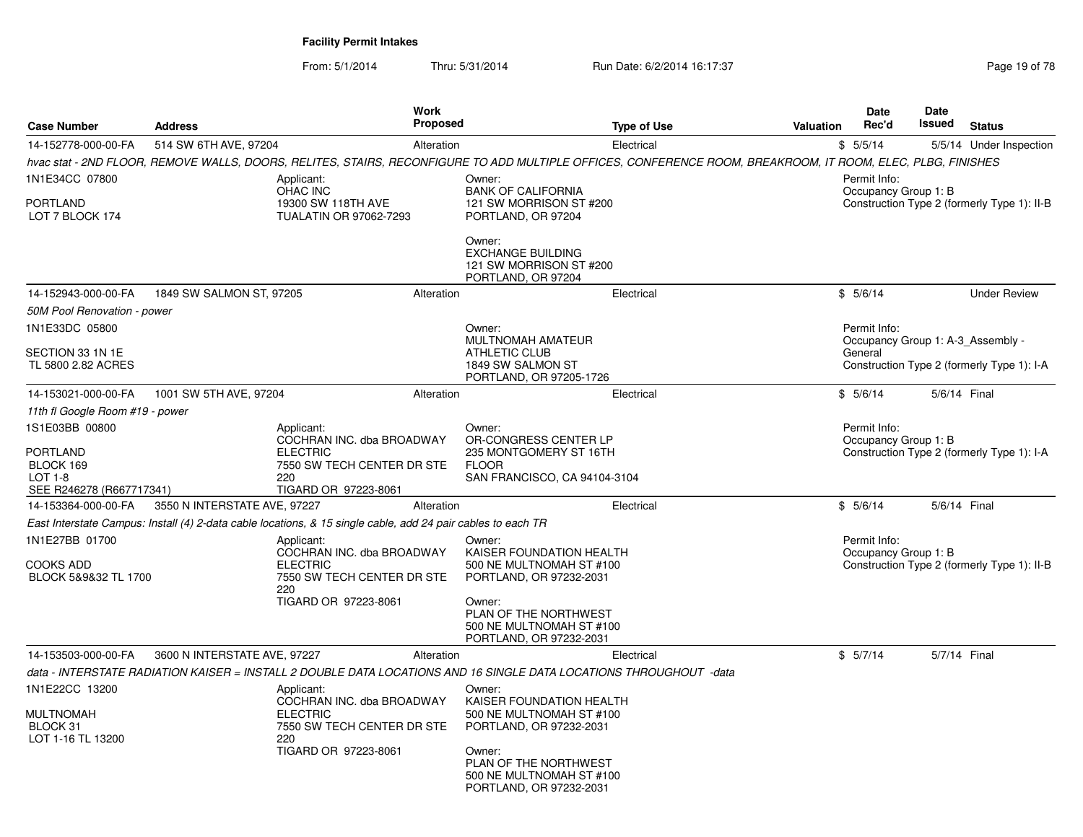From: 5/1/2014Thru: 5/31/2014 Run Date: 6/2/2014 16:17:37 Rege 19 of 78

|                                                              |                              | Work<br><b>Proposed</b>                                                                                                                                                               |                                                                                        |                    | Valuation | Date<br>Rec'd                                     | <b>Date</b><br>Issued |                                             |
|--------------------------------------------------------------|------------------------------|---------------------------------------------------------------------------------------------------------------------------------------------------------------------------------------|----------------------------------------------------------------------------------------|--------------------|-----------|---------------------------------------------------|-----------------------|---------------------------------------------|
| <b>Case Number</b>                                           | <b>Address</b>               |                                                                                                                                                                                       |                                                                                        | <b>Type of Use</b> |           |                                                   |                       | <b>Status</b>                               |
| 14-152778-000-00-FA                                          | 514 SW 6TH AVE, 97204        | Alteration                                                                                                                                                                            |                                                                                        | Electrical         |           | \$5/5/14                                          |                       | 5/5/14 Under Inspection                     |
| 1N1E34CC 07800                                               |                              | hvac stat - 2ND FLOOR, REMOVE WALLS, DOORS, RELITES, STAIRS, RECONFIGURE TO ADD MULTIPLE OFFICES, CONFERENCE ROOM, BREAKROOM, IT ROOM, ELEC, PLBG, FINISHES<br>Applicant:<br>OHAC INC | Owner:<br><b>BANK OF CALIFORNIA</b>                                                    |                    |           | Permit Info:<br>Occupancy Group 1: B              |                       |                                             |
| PORTLAND<br>LOT 7 BLOCK 174                                  |                              | 19300 SW 118TH AVE<br><b>TUALATIN OR 97062-7293</b>                                                                                                                                   | 121 SW MORRISON ST #200<br>PORTLAND, OR 97204                                          |                    |           |                                                   |                       | Construction Type 2 (formerly Type 1): II-B |
|                                                              |                              |                                                                                                                                                                                       | Owner:<br><b>EXCHANGE BUILDING</b><br>121 SW MORRISON ST #200<br>PORTLAND, OR 97204    |                    |           |                                                   |                       |                                             |
| 14-152943-000-00-FA                                          | 1849 SW SALMON ST, 97205     | Alteration                                                                                                                                                                            |                                                                                        | Electrical         |           | \$5/6/14                                          |                       | <b>Under Review</b>                         |
| 50M Pool Renovation - power                                  |                              |                                                                                                                                                                                       |                                                                                        |                    |           |                                                   |                       |                                             |
| 1N1E33DC 05800                                               |                              |                                                                                                                                                                                       | Owner:<br>MULTNOMAH AMATEUR                                                            |                    |           | Permit Info:<br>Occupancy Group 1: A-3 Assembly - |                       |                                             |
| SECTION 33 1N 1E<br>TL 5800 2.82 ACRES                       |                              |                                                                                                                                                                                       | ATHLETIC CLUB<br>1849 SW SALMON ST<br>PORTLAND, OR 97205-1726                          |                    |           | General                                           |                       | Construction Type 2 (formerly Type 1): I-A  |
| 14-153021-000-00-FA                                          | 1001 SW 5TH AVE, 97204       | Alteration                                                                                                                                                                            |                                                                                        | Electrical         |           | \$5/6/14                                          |                       | 5/6/14 Final                                |
| 11th fl Google Room #19 - power                              |                              |                                                                                                                                                                                       |                                                                                        |                    |           |                                                   |                       |                                             |
| 1S1E03BB 00800                                               |                              | Applicant:<br>COCHRAN INC. dba BROADWAY                                                                                                                                               | Owner:<br>OR-CONGRESS CENTER LP                                                        |                    |           | Permit Info:<br>Occupancy Group 1: B              |                       |                                             |
| PORTLAND<br>BLOCK 169<br>LOT 1-8<br>SEE R246278 (R667717341) |                              | <b>ELECTRIC</b><br>7550 SW TECH CENTER DR STE<br>220<br>TIGARD OR 97223-8061                                                                                                          | 235 MONTGOMERY ST 16TH<br><b>FLOOR</b><br>SAN FRANCISCO, CA 94104-3104                 |                    |           |                                                   |                       | Construction Type 2 (formerly Type 1): I-A  |
| 14-153364-000-00-FA                                          | 3550 N INTERSTATE AVE, 97227 | Alteration                                                                                                                                                                            |                                                                                        | Electrical         |           | \$5/6/14                                          |                       | 5/6/14 Final                                |
|                                                              |                              | East Interstate Campus: Install (4) 2-data cable locations, & 15 single cable, add 24 pair cables to each TR                                                                          |                                                                                        |                    |           |                                                   |                       |                                             |
| 1N1E27BB 01700                                               |                              | Applicant:<br>COCHRAN INC. dba BROADWAY                                                                                                                                               | Owner:<br>KAISER FOUNDATION HEALTH                                                     |                    |           | Permit Info:                                      |                       |                                             |
| <b>COOKS ADD</b>                                             |                              | <b>ELECTRIC</b>                                                                                                                                                                       | 500 NE MULTNOMAH ST #100                                                               |                    |           | Occupancy Group 1: B                              |                       | Construction Type 2 (formerly Type 1): II-B |
| BLOCK 5&9&32 TL 1700                                         |                              | 7550 SW TECH CENTER DR STE<br>220                                                                                                                                                     | PORTLAND, OR 97232-2031                                                                |                    |           |                                                   |                       |                                             |
|                                                              |                              | TIGARD OR 97223-8061                                                                                                                                                                  | Owner:<br>PLAN OF THE NORTHWEST<br>500 NE MULTNOMAH ST #100<br>PORTLAND, OR 97232-2031 |                    |           |                                                   |                       |                                             |
| 14-153503-000-00-FA                                          | 3600 N INTERSTATE AVE, 97227 | Alteration                                                                                                                                                                            |                                                                                        | Electrical         |           | \$5/7/14                                          |                       | 5/7/14 Final                                |
|                                                              |                              | data - INTERSTATE RADIATION KAISER = INSTALL 2 DOUBLE DATA LOCATIONS AND 16 SINGLE DATA LOCATIONS THROUGHOUT -data                                                                    |                                                                                        |                    |           |                                                   |                       |                                             |
| 1N1E22CC 13200                                               |                              | Applicant:<br>COCHRAN INC. dba BROADWAY                                                                                                                                               | Owner:<br>KAISER FOUNDATION HEALTH                                                     |                    |           |                                                   |                       |                                             |
| <b>MULTNOMAH</b><br>BLOCK 31                                 |                              | <b>ELECTRIC</b><br>7550 SW TECH CENTER DR STE                                                                                                                                         | 500 NE MULTNOMAH ST #100<br>PORTLAND, OR 97232-2031                                    |                    |           |                                                   |                       |                                             |
| LOT 1-16 TL 13200                                            |                              | 220<br>TIGARD OR 97223-8061                                                                                                                                                           | Owner:<br>PLAN OF THE NORTHWEST<br>500 NE MULTNOMAH ST #100<br>PORTLAND, OR 97232-2031 |                    |           |                                                   |                       |                                             |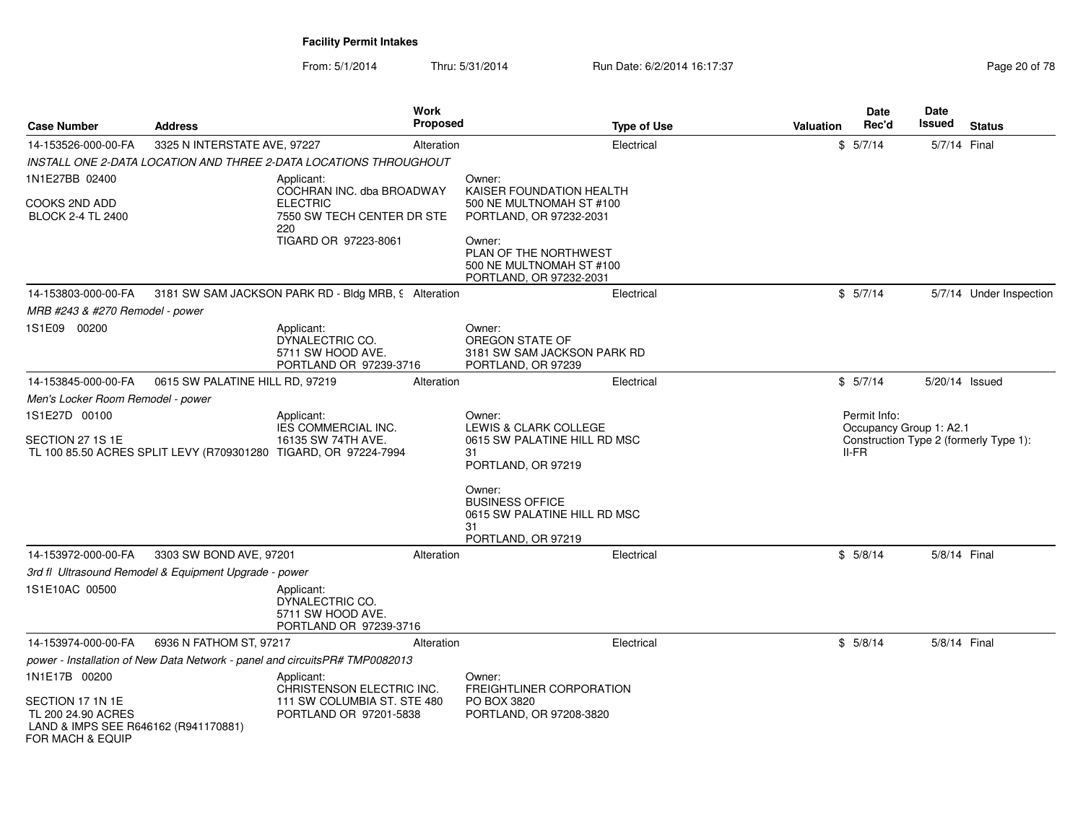From: 5/1/2014Thru: 5/31/2014 Run Date: 6/2/2014 16:17:37 Rege 20 of 78

| <b>Case Number</b>                                                             | <b>Address</b>                                        | Work<br><b>Proposed</b>                                                                                                    |                                                                                              | <b>Type of Use</b> | <b>Valuation</b> | Date<br>Rec'd           | <b>Date</b><br><b>Issued</b>                                      | <b>Status</b>           |  |
|--------------------------------------------------------------------------------|-------------------------------------------------------|----------------------------------------------------------------------------------------------------------------------------|----------------------------------------------------------------------------------------------|--------------------|------------------|-------------------------|-------------------------------------------------------------------|-------------------------|--|
| 14-153526-000-00-FA                                                            | 3325 N INTERSTATE AVE, 97227                          | Alteration                                                                                                                 |                                                                                              | Electrical         |                  | \$5/7/14                | 5/7/14 Final                                                      |                         |  |
|                                                                                |                                                       | INSTALL ONE 2-DATA LOCATION AND THREE 2-DATA LOCATIONS THROUGHOUT                                                          |                                                                                              |                    |                  |                         |                                                                   |                         |  |
| 1N1E27BB 02400                                                                 |                                                       | Applicant:                                                                                                                 | Owner:                                                                                       |                    |                  |                         |                                                                   |                         |  |
| COOKS 2ND ADD<br><b>BLOCK 2-4 TL 2400</b>                                      |                                                       | COCHRAN INC. dba BROADWAY<br><b>ELECTRIC</b><br>7550 SW TECH CENTER DR STE<br>220                                          | KAISER FOUNDATION HEALTH<br>500 NE MULTNOMAH ST #100<br>PORTLAND, OR 97232-2031              |                    |                  |                         |                                                                   |                         |  |
|                                                                                |                                                       | TIGARD OR 97223-8061                                                                                                       | Owner:<br>PLAN OF THE NORTHWEST<br>500 NE MULTNOMAH ST #100<br>PORTLAND, OR 97232-2031       |                    |                  |                         |                                                                   |                         |  |
| 14-153803-000-00-FA                                                            |                                                       | 3181 SW SAM JACKSON PARK RD - Bldg MRB, 9 Alteration                                                                       |                                                                                              | Electrical         |                  | \$5/7/14                |                                                                   | 5/7/14 Under Inspection |  |
| MRB #243 & #270 Remodel - power                                                |                                                       |                                                                                                                            |                                                                                              |                    |                  |                         |                                                                   |                         |  |
| 1S1E09 00200                                                                   |                                                       | Applicant:<br>DYNALECTRIC CO.<br>5711 SW HOOD AVE.<br>PORTLAND OR 97239-3716                                               | Owner:<br>OREGON STATE OF<br>3181 SW SAM JACKSON PARK RD<br>PORTLAND, OR 97239               |                    |                  |                         |                                                                   |                         |  |
| 14-153845-000-00-FA                                                            | 0615 SW PALATINE HILL RD, 97219                       | Alteration                                                                                                                 |                                                                                              | Electrical         |                  | \$5/7/14                | 5/20/14 Issued                                                    |                         |  |
| Men's Locker Room Remodel - power                                              |                                                       |                                                                                                                            |                                                                                              |                    |                  |                         |                                                                   |                         |  |
| 1S1E27D 00100<br>SECTION 27 1S 1E                                              |                                                       | Applicant:<br>IES COMMERCIAL INC.<br>16135 SW 74TH AVE.<br>TL 100 85.50 ACRES SPLIT LEVY (R709301280 TIGARD, OR 97224-7994 | Owner:<br>LEWIS & CLARK COLLEGE<br>0615 SW PALATINE HILL RD MSC<br>31<br>PORTLAND, OR 97219  |                    |                  | Permit Info:<br>$II-FR$ | Occupancy Group 1: A2.1<br>Construction Type 2 (formerly Type 1): |                         |  |
|                                                                                |                                                       |                                                                                                                            | Owner:<br><b>BUSINESS OFFICE</b><br>0615 SW PALATINE HILL RD MSC<br>31<br>PORTLAND, OR 97219 |                    |                  |                         |                                                                   |                         |  |
| 14-153972-000-00-FA                                                            | 3303 SW BOND AVE, 97201                               | Alteration                                                                                                                 |                                                                                              | Electrical         |                  | \$5/8/14                | 5/8/14 Final                                                      |                         |  |
|                                                                                | 3rd fl Ultrasound Remodel & Equipment Upgrade - power |                                                                                                                            |                                                                                              |                    |                  |                         |                                                                   |                         |  |
| 1S1E10AC 00500                                                                 |                                                       | Applicant:<br>DYNALECTRIC CO.<br>5711 SW HOOD AVE.<br>PORTLAND OR 97239-3716                                               |                                                                                              |                    |                  |                         |                                                                   |                         |  |
| 14-153974-000-00-FA                                                            | 6936 N FATHOM ST, 97217                               | Alteration                                                                                                                 |                                                                                              | Electrical         |                  | \$5/8/14                | 5/8/14 Final                                                      |                         |  |
|                                                                                |                                                       | power - Installation of New Data Network - panel and circuitsPR# TMP0082013                                                |                                                                                              |                    |                  |                         |                                                                   |                         |  |
| 1N1E17B 00200<br>SECTION 17 1N 1E                                              |                                                       | Applicant:<br>CHRISTENSON ELECTRIC INC.<br>111 SW COLUMBIA ST. STE 480                                                     | Owner:<br>FREIGHTLINER CORPORATION<br>PO BOX 3820                                            |                    |                  |                         |                                                                   |                         |  |
| TL 200 24.90 ACRES<br>LAND & IMPS SEE R646162 (R941170881)<br>FOR MACH & EQUIP |                                                       | PORTLAND OR 97201-5838                                                                                                     | PORTLAND, OR 97208-3820                                                                      |                    |                  |                         |                                                                   |                         |  |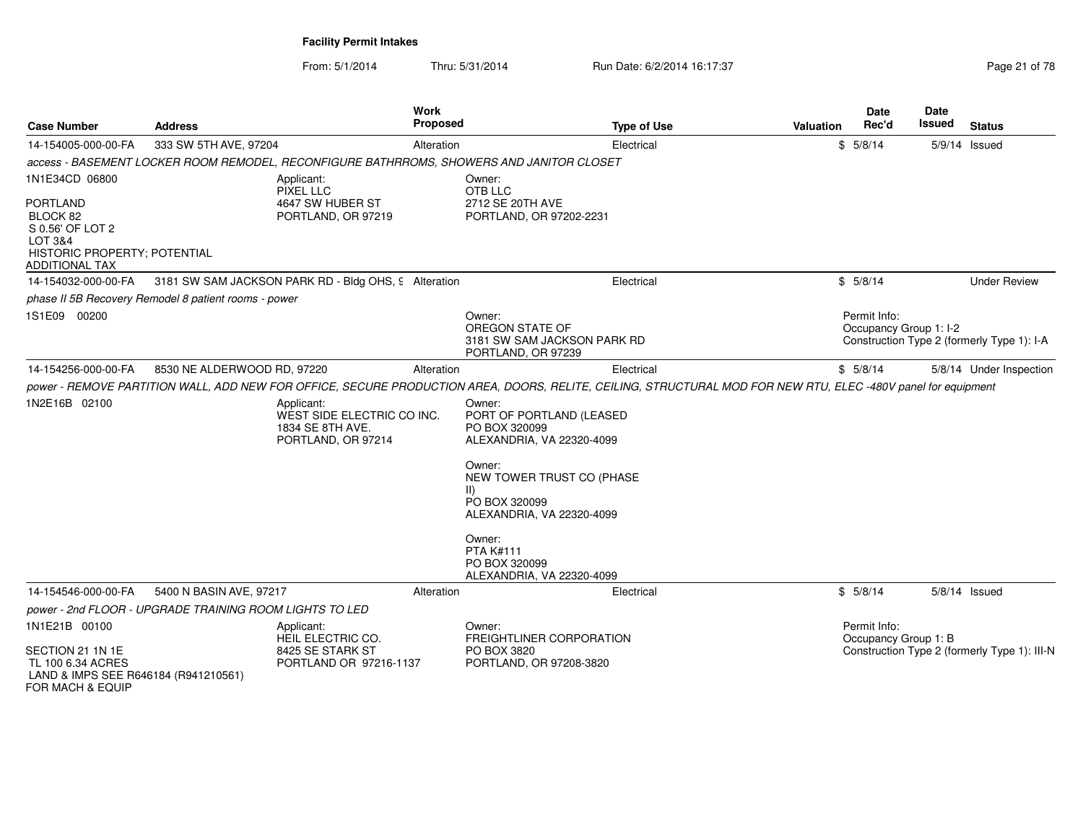From: 5/1/2014Thru: 5/31/2014 Run Date: 6/2/2014 16:17:37 Rege 21 of 78

| <b>Case Number</b>                                                                                                                    | <b>Address</b>                                          | <b>Work</b><br>Proposed                                                                  | <b>Type of Use</b>                                                                                                                                                                                                                                                                                                                                                                                                 | <b>Valuation</b> | <b>Date</b><br>Rec'd                   | <b>Date</b><br>Issued | <b>Status</b>                                |
|---------------------------------------------------------------------------------------------------------------------------------------|---------------------------------------------------------|------------------------------------------------------------------------------------------|--------------------------------------------------------------------------------------------------------------------------------------------------------------------------------------------------------------------------------------------------------------------------------------------------------------------------------------------------------------------------------------------------------------------|------------------|----------------------------------------|-----------------------|----------------------------------------------|
| 14-154005-000-00-FA                                                                                                                   | 333 SW 5TH AVE, 97204                                   | Alteration                                                                               | Electrical                                                                                                                                                                                                                                                                                                                                                                                                         |                  | \$5/8/14                               |                       | 5/9/14 Issued                                |
|                                                                                                                                       |                                                         | access - BASEMENT LOCKER ROOM REMODEL, RECONFIGURE BATHRROMS, SHOWERS AND JANITOR CLOSET |                                                                                                                                                                                                                                                                                                                                                                                                                    |                  |                                        |                       |                                              |
| 1N1E34CD 06800<br><b>PORTLAND</b><br>BLOCK 82<br>S 0.56' OF LOT 2<br>LOT 3&4<br>HISTORIC PROPERTY; POTENTIAL<br><b>ADDITIONAL TAX</b> |                                                         | Applicant:<br>PIXEL LLC<br>4647 SW HUBER ST<br>PORTLAND, OR 97219                        | Owner:<br>OTB LLC<br>2712 SE 20TH AVE<br>PORTLAND, OR 97202-2231                                                                                                                                                                                                                                                                                                                                                   |                  |                                        |                       |                                              |
| 14-154032-000-00-FA                                                                                                                   |                                                         | 3181 SW SAM JACKSON PARK RD - Bldg OHS, 9 Alteration                                     | Electrical                                                                                                                                                                                                                                                                                                                                                                                                         |                  | \$5/8/14                               |                       | <b>Under Review</b>                          |
|                                                                                                                                       | phase II 5B Recovery Remodel 8 patient rooms - power    |                                                                                          |                                                                                                                                                                                                                                                                                                                                                                                                                    |                  |                                        |                       |                                              |
| 1S1E09 00200                                                                                                                          |                                                         |                                                                                          | Owner:<br>OREGON STATE OF<br>3181 SW SAM JACKSON PARK RD<br>PORTLAND, OR 97239                                                                                                                                                                                                                                                                                                                                     |                  | Permit Info:<br>Occupancy Group 1: I-2 |                       | Construction Type 2 (formerly Type 1): I-A   |
| 14-154256-000-00-FA                                                                                                                   | 8530 NE ALDERWOOD RD, 97220                             | Alteration                                                                               | Electrical                                                                                                                                                                                                                                                                                                                                                                                                         |                  | \$5/8/14                               |                       | 5/8/14 Under Inspection                      |
| 1N2E16B 02100                                                                                                                         |                                                         | Applicant:<br>WEST SIDE ELECTRIC CO INC.<br>1834 SE 8TH AVE.<br>PORTLAND, OR 97214       | power - REMOVE PARTITION WALL, ADD NEW FOR OFFICE, SECURE PRODUCTION AREA, DOORS, RELITE, CEILING, STRUCTURAL MOD FOR NEW RTU, ELEC -480V panel for equipment<br>Owner:<br>PORT OF PORTLAND (LEASED<br>PO BOX 320099<br>ALEXANDRIA, VA 22320-4099<br>Owner:<br>NEW TOWER TRUST CO (PHASE<br>PO BOX 320099<br>ALEXANDRIA, VA 22320-4099<br>Owner:<br><b>PTA K#111</b><br>PO BOX 320099<br>ALEXANDRIA, VA 22320-4099 |                  |                                        |                       |                                              |
| 14-154546-000-00-FA                                                                                                                   | 5400 N BASIN AVE, 97217                                 | Alteration                                                                               | Electrical                                                                                                                                                                                                                                                                                                                                                                                                         |                  | \$5/8/14                               |                       | 5/8/14 Issued                                |
|                                                                                                                                       | power - 2nd FLOOR - UPGRADE TRAINING ROOM LIGHTS TO LED |                                                                                          |                                                                                                                                                                                                                                                                                                                                                                                                                    |                  |                                        |                       |                                              |
| 1N1E21B 00100<br>SECTION 21 1N 1E<br>TL 100 6.34 ACRES<br>LAND & IMPS SEE R646184 (R941210561)<br>FOR MACH & EQUIP                    |                                                         | Applicant:<br>HEIL ELECTRIC CO.<br>8425 SE STARK ST<br>PORTLAND OR 97216-1137            | Owner:<br>FREIGHTLINER CORPORATION<br>PO BOX 3820<br>PORTLAND, OR 97208-3820                                                                                                                                                                                                                                                                                                                                       |                  | Permit Info:<br>Occupancy Group 1: B   |                       | Construction Type 2 (formerly Type 1): III-N |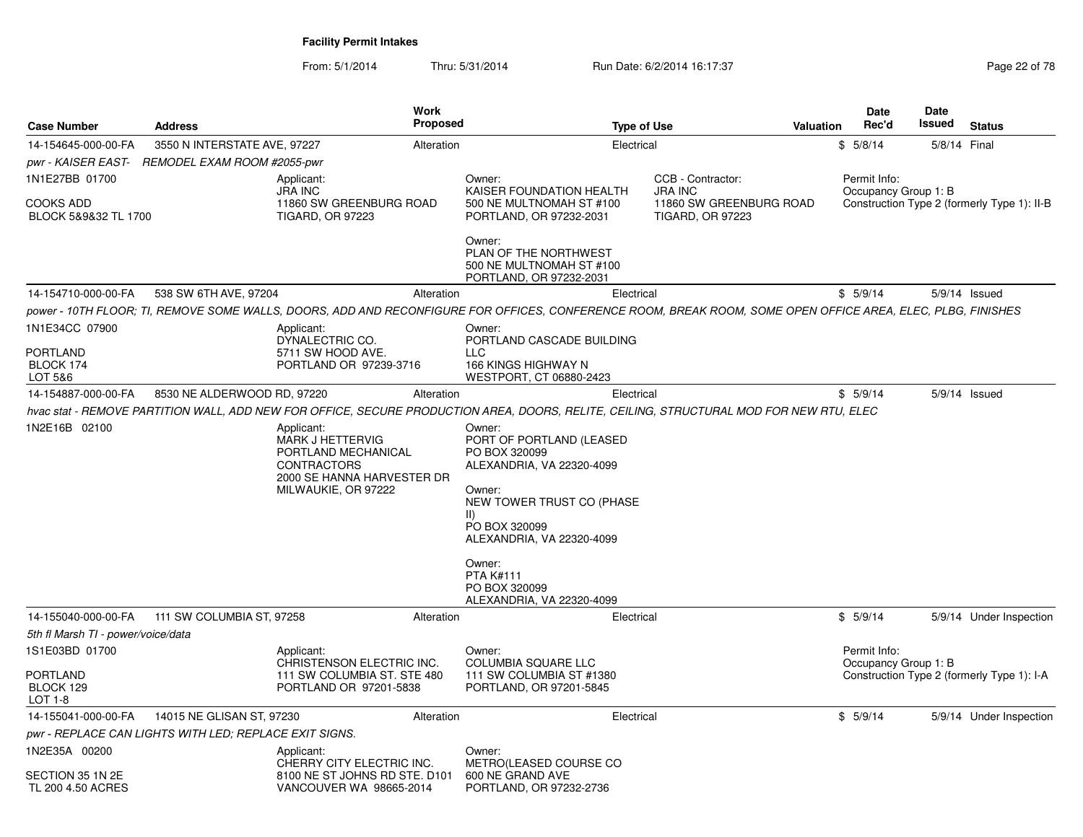From: 5/1/2014Thru: 5/31/2014 Run Date: 6/2/2014 16:17:37 Rege 22 of 78

| <b>Case Number</b>                                     | <b>Address</b>                                         | <b>Work</b><br><b>Proposed</b>                                                                                                                              |                                                                     | <b>Type of Use</b>                                                                                              |                                                                                           | Valuation | Date<br>Rec'd                        | <b>Date</b><br>Issued | <b>Status</b>                               |
|--------------------------------------------------------|--------------------------------------------------------|-------------------------------------------------------------------------------------------------------------------------------------------------------------|---------------------------------------------------------------------|-----------------------------------------------------------------------------------------------------------------|-------------------------------------------------------------------------------------------|-----------|--------------------------------------|-----------------------|---------------------------------------------|
| 14-154645-000-00-FA                                    | 3550 N INTERSTATE AVE, 97227                           | Alteration                                                                                                                                                  |                                                                     | Electrical                                                                                                      |                                                                                           |           | \$5/8/14                             | 5/8/14 Final          |                                             |
| pwr - KAISER EAST-                                     | REMODEL EXAM ROOM #2055-pwr                            |                                                                                                                                                             |                                                                     |                                                                                                                 |                                                                                           |           |                                      |                       |                                             |
| 1N1E27BB 01700<br>COOKS ADD<br>BLOCK 5&9&32 TL 1700    |                                                        | Applicant:<br><b>JRA INC</b><br>11860 SW GREENBURG ROAD<br><b>TIGARD, OR 97223</b>                                                                          | Owner:                                                              | KAISER FOUNDATION HEALTH<br>500 NE MULTNOMAH ST #100<br>PORTLAND, OR 97232-2031                                 | CCB - Contractor:<br><b>JRA INC</b><br>11860 SW GREENBURG ROAD<br><b>TIGARD, OR 97223</b> |           | Permit Info:<br>Occupancy Group 1: B |                       | Construction Type 2 (formerly Type 1): II-B |
|                                                        |                                                        |                                                                                                                                                             | Owner:                                                              | PLAN OF THE NORTHWEST<br>500 NE MULTNOMAH ST #100<br>PORTLAND, OR 97232-2031                                    |                                                                                           |           |                                      |                       |                                             |
| 14-154710-000-00-FA                                    | 538 SW 6TH AVE, 97204                                  | Alteration                                                                                                                                                  |                                                                     | Electrical                                                                                                      |                                                                                           |           | \$5/9/14                             |                       | 5/9/14 Issued                               |
|                                                        |                                                        | power - 10TH FLOOR: TI, REMOVE SOME WALLS, DOORS, ADD AND RECONFIGURE FOR OFFICES, CONFERENCE ROOM, BREAK ROOM, SOME OPEN OFFICE AREA, ELEC, PLBG, FINISHES |                                                                     |                                                                                                                 |                                                                                           |           |                                      |                       |                                             |
| 1N1E34CC 07900                                         |                                                        | Applicant:                                                                                                                                                  | Owner:                                                              |                                                                                                                 |                                                                                           |           |                                      |                       |                                             |
| PORTLAND                                               |                                                        | DYNALECTRIC CO.<br>5711 SW HOOD AVE.                                                                                                                        | LLC                                                                 | PORTLAND CASCADE BUILDING                                                                                       |                                                                                           |           |                                      |                       |                                             |
| BLOCK 174                                              |                                                        | PORTLAND OR 97239-3716                                                                                                                                      |                                                                     | 166 KINGS HIGHWAY N                                                                                             |                                                                                           |           |                                      |                       |                                             |
| LOT 5&6                                                |                                                        |                                                                                                                                                             |                                                                     | WESTPORT, CT 06880-2423                                                                                         |                                                                                           |           |                                      |                       |                                             |
| 14-154887-000-00-FA                                    | 8530 NE ALDERWOOD RD, 97220                            | Alteration                                                                                                                                                  |                                                                     | Electrical                                                                                                      |                                                                                           |           | \$5/9/14                             |                       | $5/9/14$ Issued                             |
|                                                        |                                                        | hvac stat - REMOVE PARTITION WALL, ADD NEW FOR OFFICE, SECURE PRODUCTION AREA, DOORS, RELITE, CEILING, STRUCTURAL MOD FOR NEW RTU, ELEC                     |                                                                     |                                                                                                                 |                                                                                           |           |                                      |                       |                                             |
| 1N2E16B 02100                                          |                                                        | Applicant:<br>MARK J HETTERVIG<br>PORTLAND MECHANICAL<br><b>CONTRACTORS</b><br>2000 SE HANNA HARVESTER DR<br>MILWAUKIE, OR 97222                            | Owner:<br>PO BOX 320099<br>Owner:<br>$\vert \vert$<br>PO BOX 320099 | PORT OF PORTLAND (LEASED<br>ALEXANDRIA, VA 22320-4099<br>NEW TOWER TRUST CO (PHASE<br>ALEXANDRIA, VA 22320-4099 |                                                                                           |           |                                      |                       |                                             |
|                                                        |                                                        |                                                                                                                                                             | Owner:<br><b>PTA K#111</b><br>PO BOX 320099                         | ALEXANDRIA, VA 22320-4099                                                                                       |                                                                                           |           |                                      |                       |                                             |
| 14-155040-000-00-FA                                    | 111 SW COLUMBIA ST, 97258                              | Alteration                                                                                                                                                  |                                                                     | Electrical                                                                                                      |                                                                                           |           | \$5/9/14                             |                       | 5/9/14 Under Inspection                     |
| 5th fl Marsh TI - power/voice/data                     |                                                        |                                                                                                                                                             |                                                                     |                                                                                                                 |                                                                                           |           |                                      |                       |                                             |
| 1S1E03BD 01700                                         |                                                        | Applicant:<br>CHRISTENSON ELECTRIC INC.                                                                                                                     | Owner:                                                              | <b>COLUMBIA SQUARE LLC</b>                                                                                      |                                                                                           |           | Permit Info:<br>Occupancy Group 1: B |                       |                                             |
| PORTLAND<br>BLOCK 129<br>LOT 1-8                       |                                                        | 111 SW COLUMBIA ST. STE 480<br>PORTLAND OR 97201-5838                                                                                                       |                                                                     | 111 SW COLUMBIA ST #1380<br>PORTLAND, OR 97201-5845                                                             |                                                                                           |           |                                      |                       | Construction Type 2 (formerly Type 1): I-A  |
| 14-155041-000-00-FA                                    | 14015 NE GLISAN ST, 97230                              | Alteration                                                                                                                                                  |                                                                     | Electrical                                                                                                      |                                                                                           |           | \$5/9/14                             |                       | 5/9/14 Under Inspection                     |
|                                                        | pwr - REPLACE CAN LIGHTS WITH LED; REPLACE EXIT SIGNS. |                                                                                                                                                             |                                                                     |                                                                                                                 |                                                                                           |           |                                      |                       |                                             |
| 1N2E35A 00200<br>SECTION 35 1N 2E<br>TL 200 4.50 ACRES |                                                        | Applicant:<br>CHERRY CITY ELECTRIC INC.<br>8100 NE ST JOHNS RD STE. D101<br>VANCOUVER WA 98665-2014                                                         | Owner:<br>600 NE GRAND AVE                                          | METRO(LEASED COURSE CO<br>PORTLAND, OR 97232-2736                                                               |                                                                                           |           |                                      |                       |                                             |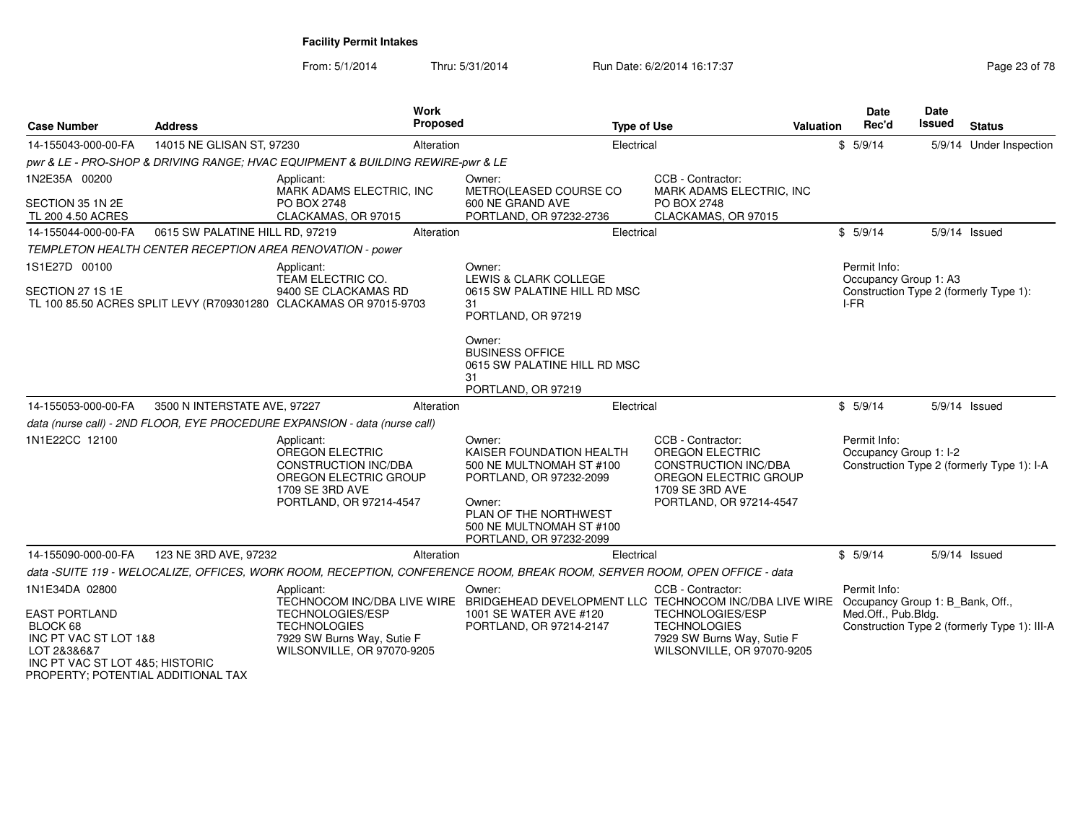From: 5/1/2014Thru: 5/31/2014 Run Date: 6/2/2014 16:17:37 Rege 23 of 78

| <b>Case Number</b>                                                                                                            | <b>Address</b>                  |                                                                                                                                                  | Work<br><b>Proposed</b> | <b>Type of Use</b>                                                                                                                                                                  |                                                                                                                                                   | Valuation | Date<br>Rec'd                                                           | Date<br>Issued | <b>Status</b>                                |
|-------------------------------------------------------------------------------------------------------------------------------|---------------------------------|--------------------------------------------------------------------------------------------------------------------------------------------------|-------------------------|-------------------------------------------------------------------------------------------------------------------------------------------------------------------------------------|---------------------------------------------------------------------------------------------------------------------------------------------------|-----------|-------------------------------------------------------------------------|----------------|----------------------------------------------|
| 14-155043-000-00-FA                                                                                                           | 14015 NE GLISAN ST, 97230       |                                                                                                                                                  | Alteration              | Electrical                                                                                                                                                                          |                                                                                                                                                   |           | \$5/9/14                                                                |                | 5/9/14 Under Inspection                      |
|                                                                                                                               |                                 | pwr & LE - PRO-SHOP & DRIVING RANGE: HVAC EQUIPMENT & BUILDING REWIRE-pwr & LE                                                                   |                         |                                                                                                                                                                                     |                                                                                                                                                   |           |                                                                         |                |                                              |
| 1N2E35A 00200<br>SECTION 35 1N 2E<br>TL 200 4.50 ACRES                                                                        |                                 | Applicant:<br>MARK ADAMS ELECTRIC, INC<br>PO BOX 2748<br>CLACKAMAS, OR 97015                                                                     |                         | Owner:<br>METRO(LEASED COURSE CO<br>600 NE GRAND AVE<br>PORTLAND, OR 97232-2736                                                                                                     | CCB - Contractor:<br>MARK ADAMS ELECTRIC, INC<br>PO BOX 2748<br>CLACKAMAS, OR 97015                                                               |           |                                                                         |                |                                              |
| 14-155044-000-00-FA                                                                                                           | 0615 SW PALATINE HILL RD, 97219 |                                                                                                                                                  | Alteration              | Electrical                                                                                                                                                                          |                                                                                                                                                   |           | \$5/9/14                                                                |                | 5/9/14 Issued                                |
|                                                                                                                               |                                 | TEMPLETON HEALTH CENTER RECEPTION AREA RENOVATION - power                                                                                        |                         |                                                                                                                                                                                     |                                                                                                                                                   |           |                                                                         |                |                                              |
| 1S1E27D 00100<br>SECTION 27 1S 1E                                                                                             |                                 | Applicant:<br>TEAM ELECTRIC CO.<br>9400 SE CLACKAMAS RD<br>TL 100 85.50 ACRES SPLIT LEVY (R709301280 CLACKAMAS OR 97015-9703                     |                         | Owner:<br>LEWIS & CLARK COLLEGE<br>0615 SW PALATINE HILL RD MSC<br>31<br>PORTLAND, OR 97219                                                                                         |                                                                                                                                                   |           | Permit Info:<br>Occupancy Group 1: A3<br>I-FR                           |                | Construction Type 2 (formerly Type 1):       |
|                                                                                                                               |                                 |                                                                                                                                                  |                         | Owner:<br><b>BUSINESS OFFICE</b><br>0615 SW PALATINE HILL RD MSC<br>31<br>PORTLAND, OR 97219                                                                                        |                                                                                                                                                   |           |                                                                         |                |                                              |
| 14-155053-000-00-FA                                                                                                           | 3500 N INTERSTATE AVE, 97227    |                                                                                                                                                  | Alteration              | Electrical                                                                                                                                                                          |                                                                                                                                                   |           | \$5/9/14                                                                |                | 5/9/14 Issued                                |
|                                                                                                                               |                                 | data (nurse call) - 2ND FLOOR, EYE PROCEDURE EXPANSION - data (nurse call)                                                                       |                         |                                                                                                                                                                                     |                                                                                                                                                   |           |                                                                         |                |                                              |
| 1N1E22CC 12100                                                                                                                |                                 | Applicant:<br>OREGON ELECTRIC<br><b>CONSTRUCTION INC/DBA</b><br>OREGON ELECTRIC GROUP<br>1709 SE 3RD AVE<br>PORTLAND, OR 97214-4547              |                         | Owner:<br>KAISER FOUNDATION HEALTH<br>500 NE MULTNOMAH ST #100<br>PORTLAND, OR 97232-2099<br>Owner:<br>PLAN OF THE NORTHWEST<br>500 NE MULTNOMAH ST #100<br>PORTLAND, OR 97232-2099 | CCB - Contractor:<br><b>OREGON ELECTRIC</b><br><b>CONSTRUCTION INC/DBA</b><br>OREGON ELECTRIC GROUP<br>1709 SE 3RD AVE<br>PORTLAND, OR 97214-4547 |           | Permit Info:<br>Occupancy Group 1: I-2                                  |                | Construction Type 2 (formerly Type 1): I-A   |
| 14-155090-000-00-FA                                                                                                           | 123 NE 3RD AVE, 97232           |                                                                                                                                                  | Alteration              | Electrical                                                                                                                                                                          |                                                                                                                                                   |           | \$5/9/14                                                                |                | 5/9/14 Issued                                |
|                                                                                                                               |                                 |                                                                                                                                                  |                         | data -SUITE 119 - WELOCALIZE, OFFICES, WORK ROOM, RECEPTION, CONFERENCE ROOM, BREAK ROOM, SERVER ROOM, OPEN OFFICE - data                                                           |                                                                                                                                                   |           |                                                                         |                |                                              |
| 1N1E34DA 02800<br><b>EAST PORTLAND</b><br>BLOCK 68<br>INC PT VAC ST LOT 1&8<br>LOT 2&3&6&7<br>INC PT VAC ST LOT 4&5: HISTORIC |                                 | Applicant:<br>TECHNOCOM INC/DBA LIVE WIRE<br>TECHNOLOGIES/ESP<br><b>TECHNOLOGIES</b><br>7929 SW Burns Way, Sutie F<br>WILSONVILLE, OR 97070-9205 |                         | Owner:<br>BRIDGEHEAD DEVELOPMENT LLC TECHNOCOM INC/DBA LIVE WIRE<br>1001 SE WATER AVE #120<br>PORTLAND, OR 97214-2147                                                               | CCB - Contractor:<br>TECHNOLOGIES/ESP<br><b>TECHNOLOGIES</b><br>7929 SW Burns Way, Sutie F<br>WILSONVILLE, OR 97070-9205                          |           | Permit Info:<br>Occupancy Group 1: B Bank, Off.,<br>Med.Off., Pub.Bldg. |                | Construction Type 2 (formerly Type 1): III-A |

INC PT VAC ST LOT 4&5; HISTORIC PROPERTY; POTENTIAL ADDITIONAL TAX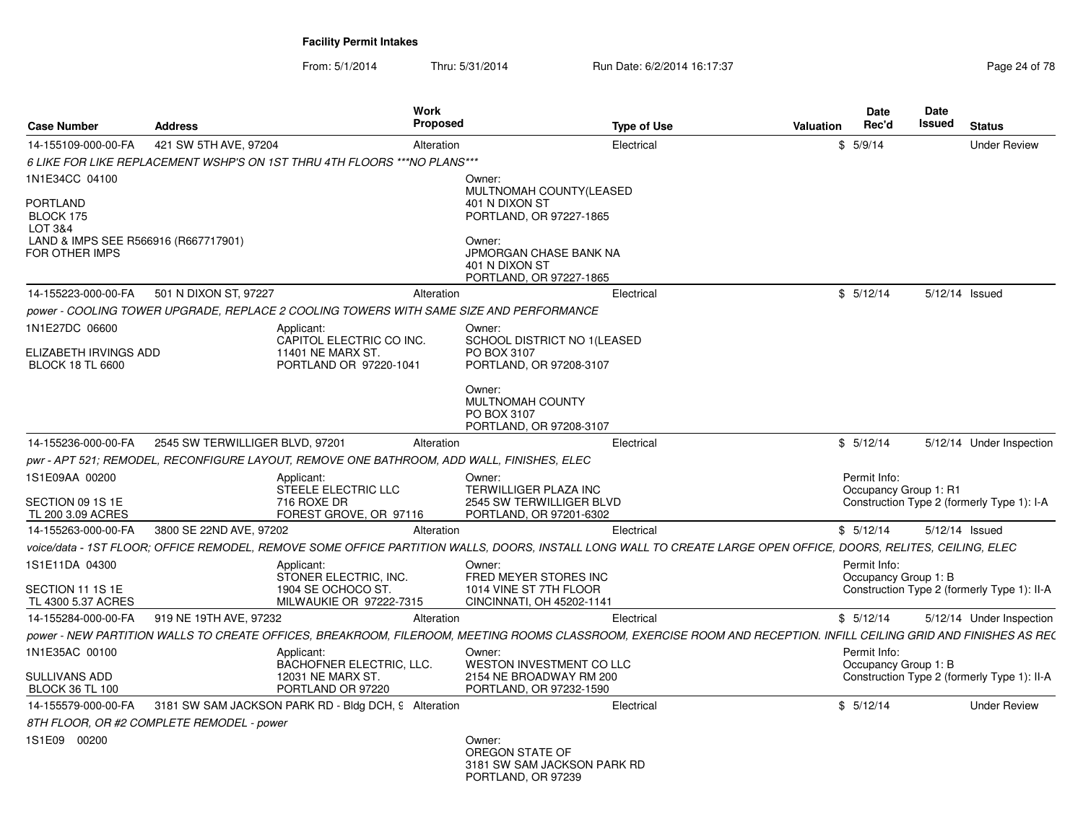From: 5/1/2014Thru: 5/31/2014 Run Date: 6/2/2014 16:17:37 Rege 24 of 78

| <b>Case Number</b>                                     | <b>Address</b>                            | Work<br><b>Proposed</b>                                                                                                                                           |                                                                                | <b>Type of Use</b> | <b>Valuation</b> | <b>Date</b><br>Rec'd                  | <b>Date</b><br><b>Issued</b> | <b>Status</b>                               |
|--------------------------------------------------------|-------------------------------------------|-------------------------------------------------------------------------------------------------------------------------------------------------------------------|--------------------------------------------------------------------------------|--------------------|------------------|---------------------------------------|------------------------------|---------------------------------------------|
| 14-155109-000-00-FA                                    | 421 SW 5TH AVE, 97204                     | Alteration                                                                                                                                                        |                                                                                | Electrical         |                  | \$5/9/14                              |                              | <b>Under Review</b>                         |
|                                                        |                                           | 6 LIKE FOR LIKE REPLACEMENT WSHP'S ON 1ST THRU 4TH FLOORS *** NO PLANS ***                                                                                        |                                                                                |                    |                  |                                       |                              |                                             |
| 1N1E34CC 04100                                         |                                           |                                                                                                                                                                   | Owner:                                                                         |                    |                  |                                       |                              |                                             |
| <b>PORTLAND</b><br>BLOCK 175<br><b>LOT 3&amp;4</b>     |                                           |                                                                                                                                                                   | MULTNOMAH COUNTY(LEASED<br>401 N DIXON ST<br>PORTLAND, OR 97227-1865           |                    |                  |                                       |                              |                                             |
| LAND & IMPS SEE R566916 (R667717901)<br>FOR OTHER IMPS |                                           |                                                                                                                                                                   | Owner:<br>JPMORGAN CHASE BANK NA<br>401 N DIXON ST<br>PORTLAND, OR 97227-1865  |                    |                  |                                       |                              |                                             |
| 14-155223-000-00-FA                                    | 501 N DIXON ST, 97227                     | Alteration                                                                                                                                                        |                                                                                | Electrical         |                  | \$5/12/14                             |                              | 5/12/14 Issued                              |
|                                                        |                                           | power - COOLING TOWER UPGRADE, REPLACE 2 COOLING TOWERS WITH SAME SIZE AND PERFORMANCE                                                                            |                                                                                |                    |                  |                                       |                              |                                             |
| 1N1E27DC 06600                                         |                                           | Applicant:<br>CAPITOL ELECTRIC CO INC.                                                                                                                            | Owner:<br>SCHOOL DISTRICT NO 1(LEASED                                          |                    |                  |                                       |                              |                                             |
| ELIZABETH IRVINGS ADD<br><b>BLOCK 18 TL 6600</b>       |                                           | 11401 NE MARX ST.<br>PORTLAND OR 97220-1041                                                                                                                       | PO BOX 3107<br>PORTLAND, OR 97208-3107                                         |                    |                  |                                       |                              |                                             |
|                                                        |                                           |                                                                                                                                                                   | Owner:<br>MULTNOMAH COUNTY<br>PO BOX 3107<br>PORTLAND, OR 97208-3107           |                    |                  |                                       |                              |                                             |
| 14-155236-000-00-FA                                    | 2545 SW TERWILLIGER BLVD, 97201           | Alteration                                                                                                                                                        |                                                                                | Electrical         |                  | \$5/12/14                             |                              | 5/12/14 Under Inspection                    |
|                                                        |                                           | pwr - APT 521; REMODEL, RECONFIGURE LAYOUT, REMOVE ONE BATHROOM, ADD WALL, FINISHES, ELEC                                                                         |                                                                                |                    |                  |                                       |                              |                                             |
| 1S1E09AA 00200<br>SECTION 09 1S 1E                     |                                           | Applicant:<br>STEELE ELECTRIC LLC<br>716 ROXE DR                                                                                                                  | Owner:<br><b>TERWILLIGER PLAZA INC</b><br>2545 SW TERWILLIGER BLVD             |                    |                  | Permit Info:<br>Occupancy Group 1: R1 |                              | Construction Type 2 (formerly Type 1): I-A  |
| TL 200 3.09 ACRES                                      |                                           | FOREST GROVE, OR 97116                                                                                                                                            | PORTLAND, OR 97201-6302                                                        |                    |                  |                                       |                              |                                             |
| 14-155263-000-00-FA                                    | 3800 SE 22ND AVE, 97202                   | Alteration                                                                                                                                                        |                                                                                | Electrical         |                  | \$5/12/14                             |                              | 5/12/14 Issued                              |
|                                                        |                                           | voice/data - 1ST FLOOR; OFFICE REMODEL, REMOVE SOME OFFICE PARTITION WALLS, DOORS, INSTALL LONG WALL TO CREATE LARGE OPEN OFFICE, DOORS, RELITES, CEILING, ELEC   |                                                                                |                    |                  |                                       |                              |                                             |
| 1S1E11DA 04300<br>SECTION 11 1S 1E                     |                                           | Applicant:<br>STONER ELECTRIC, INC.<br>1904 SE OCHOCO ST.                                                                                                         | Owner:<br>FRED MEYER STORES INC<br>1014 VINE ST 7TH FLOOR                      |                    |                  | Permit Info:<br>Occupancy Group 1: B  |                              | Construction Type 2 (formerly Type 1): II-A |
| TL 4300 5.37 ACRES                                     |                                           | MILWAUKIE OR 97222-7315                                                                                                                                           | CINCINNATI, OH 45202-1141                                                      |                    |                  |                                       |                              |                                             |
| 14-155284-000-00-FA                                    | 919 NE 19TH AVE, 97232                    | Alteration                                                                                                                                                        |                                                                                | Electrical         |                  | \$5/12/14                             |                              | 5/12/14 Under Inspection                    |
|                                                        |                                           | power - NEW PARTITION WALLS TO CREATE OFFICES, BREAKROOM, FILEROOM, MEETING ROOMS CLASSROOM, EXERCISE ROOM AND RECEPTION. INFILL CEILING GRID AND FINISHES AS RE( |                                                                                |                    |                  |                                       |                              |                                             |
| 1N1E35AC 00100                                         |                                           | Applicant:<br>BACHOFNER ELECTRIC, LLC.                                                                                                                            | Owner:<br>WESTON INVESTMENT CO LLC                                             |                    |                  | Permit Info:<br>Occupancy Group 1: B  |                              |                                             |
| <b>SULLIVANS ADD</b><br><b>BLOCK 36 TL 100</b>         |                                           | 12031 NE MARX ST.<br>PORTLAND OR 97220                                                                                                                            | 2154 NE BROADWAY RM 200<br>PORTLAND, OR 97232-1590                             |                    |                  |                                       |                              | Construction Type 2 (formerly Type 1): II-A |
| 14-155579-000-00-FA                                    |                                           | 3181 SW SAM JACKSON PARK RD - Bldg DCH, 9 Alteration                                                                                                              |                                                                                | Electrical         |                  | \$5/12/14                             |                              | <b>Under Review</b>                         |
|                                                        | 8TH FLOOR, OR #2 COMPLETE REMODEL - power |                                                                                                                                                                   |                                                                                |                    |                  |                                       |                              |                                             |
| 1S1E09 00200                                           |                                           |                                                                                                                                                                   | Owner:<br>OREGON STATE OF<br>3181 SW SAM JACKSON PARK RD<br>PORTLAND, OR 97239 |                    |                  |                                       |                              |                                             |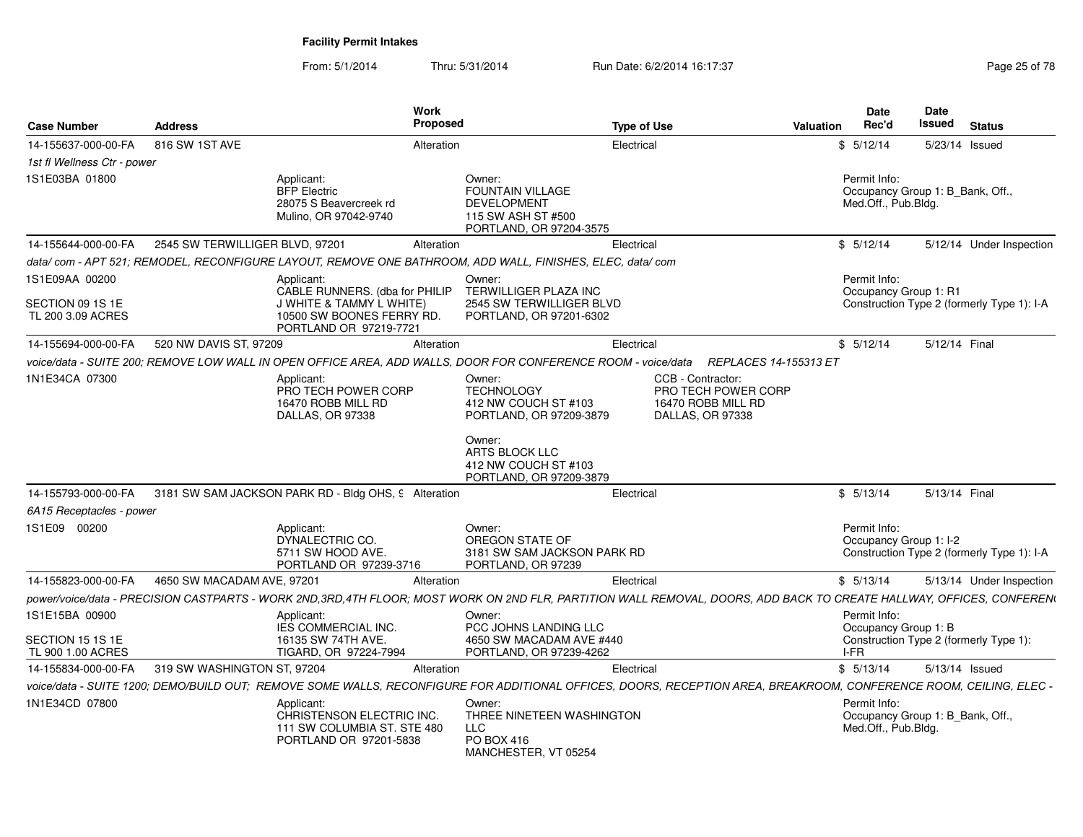From: 5/1/2014Thru: 5/31/2014 Run Date: 6/2/2014 16:17:37 Rege 25 of 78

| <b>Case Number</b>                                   | <b>Address</b>              |                                                                                                                   | Work<br>Proposed                                                                                           | <b>Type of Use</b>                                                                                                                                                  | <b>Date</b><br>Rec'd<br>Valuation      | Date<br>Issued<br><b>Status</b>            |
|------------------------------------------------------|-----------------------------|-------------------------------------------------------------------------------------------------------------------|------------------------------------------------------------------------------------------------------------|---------------------------------------------------------------------------------------------------------------------------------------------------------------------|----------------------------------------|--------------------------------------------|
| 14-155637-000-00-FA                                  | 816 SW 1ST AVE              |                                                                                                                   | Alteration                                                                                                 | Electrical                                                                                                                                                          | \$5/12/14                              | 5/23/14 Issued                             |
| 1st fl Wellness Ctr - power                          |                             |                                                                                                                   |                                                                                                            |                                                                                                                                                                     |                                        |                                            |
| 1S1E03BA 01800                                       |                             | Applicant:<br><b>BFP</b> Electric<br>28075 S Beavercreek rd<br>Mulino, OR 97042-9740                              | Owner:<br>FOUNTAIN VILLAGE<br><b>DEVELOPMENT</b><br>115 SW ASH ST #500<br>PORTLAND, OR 97204-3575          |                                                                                                                                                                     | Permit Info:<br>Med.Off., Pub.Bldg.    | Occupancy Group 1: B_Bank, Off.,           |
| 14-155644-000-00-FA  2545 SW TERWILLIGER BLVD, 97201 |                             |                                                                                                                   | Alteration                                                                                                 | Electrical                                                                                                                                                          | \$5/12/14                              | 5/12/14 Under Inspection                   |
|                                                      |                             |                                                                                                                   | data/com - APT 521; REMODEL, RECONFIGURE LAYOUT, REMOVE ONE BATHROOM, ADD WALL, FINISHES, ELEC, data/com   |                                                                                                                                                                     |                                        |                                            |
| 1S1E09AA 00200                                       |                             | Applicant:                                                                                                        | Owner:                                                                                                     |                                                                                                                                                                     | Permit Info:                           |                                            |
| SECTION 09 1S 1E<br>TL 200 3.09 ACRES                |                             | CABLE RUNNERS. (dba for PHILIP<br>J WHITE & TAMMY L WHITE)<br>10500 SW BOONES FERRY RD.<br>PORTLAND OR 97219-7721 | TERWILLIGER PLAZA INC<br>2545 SW TERWILLIGER BLVD<br>PORTLAND, OR 97201-6302                               |                                                                                                                                                                     | Occupancy Group 1: R1                  | Construction Type 2 (formerly Type 1): I-A |
| 14-155694-000-00-FA                                  | 520 NW DAVIS ST, 97209      |                                                                                                                   | Alteration                                                                                                 | Electrical                                                                                                                                                          | \$5/12/14                              | 5/12/14 Final                              |
|                                                      |                             |                                                                                                                   |                                                                                                            | voice/data - SUITE 200; REMOVE LOW WALL IN OPEN OFFICE AREA, ADD WALLS, DOOR FOR CONFERENCE ROOM - voice/data REPLACES 14-155313 ET                                 |                                        |                                            |
| 1N1E34CA 07300                                       |                             | Applicant:<br>PRO TECH POWER CORP<br>16470 ROBB MILL RD<br>DALLAS, OR 97338                                       | Owner:<br><b>TECHNOLOGY</b><br>412 NW COUCH ST #103<br>PORTLAND, OR 97209-3879<br>Owner:<br>ARTS BLOCK LLC | CCB - Contractor:<br>PRO TECH POWER CORP<br>16470 ROBB MILL RD<br>DALLAS, OR 97338                                                                                  |                                        |                                            |
|                                                      |                             |                                                                                                                   | 412 NW COUCH ST #103<br>PORTLAND, OR 97209-3879                                                            |                                                                                                                                                                     |                                        |                                            |
|                                                      |                             | 14-155793-000-00-FA 3181 SW SAM JACKSON PARK RD - Bldg OHS, 9 Alteration                                          |                                                                                                            | Electrical                                                                                                                                                          | \$5/13/14                              | 5/13/14 Final                              |
| 6A15 Receptacles - power                             |                             |                                                                                                                   |                                                                                                            |                                                                                                                                                                     |                                        |                                            |
| 1S1E09 00200                                         |                             | Applicant:<br>DYNALECTRIC CO.<br>5711 SW HOOD AVE.<br>PORTLAND OR 97239-3716                                      | Owner:<br>OREGON STATE OF<br>3181 SW SAM JACKSON PARK RD<br>PORTLAND, OR 97239                             |                                                                                                                                                                     | Permit Info:<br>Occupancy Group 1: I-2 | Construction Type 2 (formerly Type 1): I-A |
| 14-155823-000-00-FA                                  | 4650 SW MACADAM AVE, 97201  |                                                                                                                   | Alteration                                                                                                 | Electrical                                                                                                                                                          | \$5/13/14                              | 5/13/14 Under Inspection                   |
|                                                      |                             |                                                                                                                   |                                                                                                            | power/voice/data - PRECISION CASTPARTS - WORK 2ND,3RD,4TH FLOOR; MOST WORK ON 2ND FLR, PARTITION WALL REMOVAL, DOORS, ADD BACK TO CREATE HALLWAY, OFFICES, CONFEREN |                                        |                                            |
| 1S1E15BA 00900                                       |                             | Applicant:                                                                                                        | Owner:                                                                                                     |                                                                                                                                                                     | Permit Info:                           |                                            |
| SECTION 15 1S 1E                                     |                             | <b>IES COMMERCIAL INC.</b><br>16135 SW 74TH AVE.                                                                  | PCC JOHNS LANDING LLC<br>4650 SW MACADAM AVE #440                                                          |                                                                                                                                                                     | Occupancy Group 1: B                   | Construction Type 2 (formerly Type 1):     |
| TL 900 1.00 ACRES                                    |                             | TIGARD, OR 97224-7994                                                                                             | PORTLAND, OR 97239-4262                                                                                    |                                                                                                                                                                     | I-FR                                   |                                            |
| 14-155834-000-00-FA                                  | 319 SW WASHINGTON ST, 97204 |                                                                                                                   | Alteration                                                                                                 | Electrical                                                                                                                                                          | \$5/13/14                              | 5/13/14 Issued                             |
|                                                      |                             |                                                                                                                   |                                                                                                            | voice/data - SUITE 1200; DEMO/BUILD OUT; REMOVE SOME WALLS, RECONFIGURE FOR ADDITIONAL OFFICES, DOORS, RECEPTION AREA, BREAKROOM, CONFERENCE ROOM, CEILING, ELEC -  |                                        |                                            |
| 1N1E34CD 07800                                       |                             | Applicant:<br>CHRISTENSON ELECTRIC INC.<br>111 SW COLUMBIA ST. STE 480<br>PORTLAND OR 97201-5838                  | Owner:<br>THREE NINETEEN WASHINGTON<br><b>LLC</b><br>PO BOX 416<br>MANCHESTER, VT 05254                    |                                                                                                                                                                     | Permit Info:<br>Med.Off., Pub.Bldg.    | Occupancy Group 1: B_Bank, Off.,           |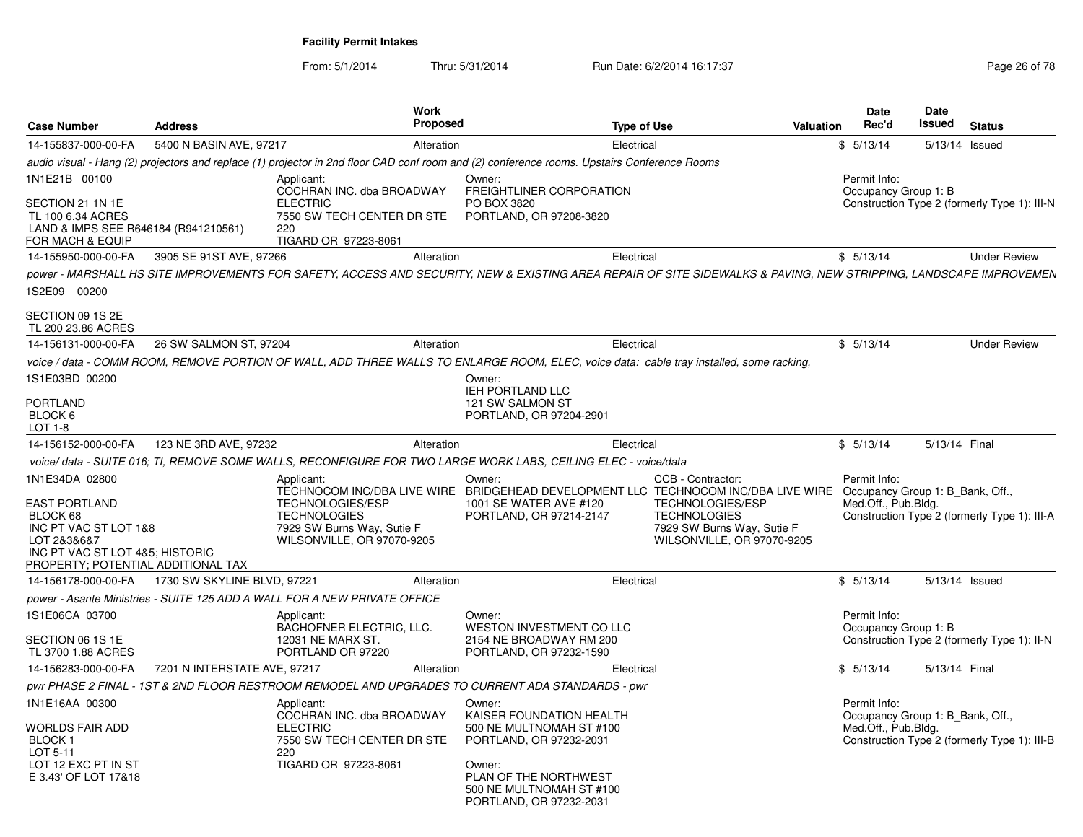From: 5/1/2014Thru: 5/31/2014 Run Date: 6/2/2014 16:17:37 Research 2010 178

| <b>Case Number</b>                                                                                | <b>Address</b>               | Work<br>Proposed                                                                                                                                                  |                                                                              | <b>Type of Use</b> |                                         | <b>Valuation</b> | Date<br>Rec'd                                           | <b>Date</b><br>Issued | <b>Status</b>                                |
|---------------------------------------------------------------------------------------------------|------------------------------|-------------------------------------------------------------------------------------------------------------------------------------------------------------------|------------------------------------------------------------------------------|--------------------|-----------------------------------------|------------------|---------------------------------------------------------|-----------------------|----------------------------------------------|
| 14-155837-000-00-FA                                                                               | 5400 N BASIN AVE, 97217      | Alteration                                                                                                                                                        |                                                                              | Electrical         |                                         |                  | \$5/13/14                                               |                       | 5/13/14 Issued                               |
|                                                                                                   |                              | audio visual - Hang (2) projectors and replace (1) projector in 2nd floor CAD conf room and (2) conference rooms. Upstairs Conference Rooms                       |                                                                              |                    |                                         |                  |                                                         |                       |                                              |
| 1N1E21B 00100                                                                                     |                              | Applicant:<br>COCHRAN INC. dba BROADWAY                                                                                                                           | Owner:<br>FREIGHTLINER CORPORATION                                           |                    |                                         |                  | Permit Info:<br>Occupancy Group 1: B                    |                       |                                              |
| SECTION 21 1N 1E<br>TL 100 6.34 ACRES<br>LAND & IMPS SEE R646184 (R941210561)<br>FOR MACH & EQUIP |                              | <b>ELECTRIC</b><br>7550 SW TECH CENTER DR STE<br>220<br>TIGARD OR 97223-8061                                                                                      | PO BOX 3820<br>PORTLAND, OR 97208-3820                                       |                    |                                         |                  |                                                         |                       | Construction Type 2 (formerly Type 1): III-N |
| 14-155950-000-00-FA                                                                               | 3905 SE 91ST AVE, 97266      | Alteration                                                                                                                                                        |                                                                              | Electrical         |                                         |                  | \$5/13/14                                               |                       | <b>Under Review</b>                          |
|                                                                                                   |                              | power - MARSHALL HS SITE IMPROVEMENTS FOR SAFETY, ACCESS AND SECURITY, NEW & EXISTING AREA REPAIR OF SITE SIDEWALKS & PAVING, NEW STRIPPING, LANDSCAPE IMPROVEMEN |                                                                              |                    |                                         |                  |                                                         |                       |                                              |
| 1S2E09 00200                                                                                      |                              |                                                                                                                                                                   |                                                                              |                    |                                         |                  |                                                         |                       |                                              |
| SECTION 09 1S 2E<br>TL 200 23.86 ACRES                                                            |                              |                                                                                                                                                                   |                                                                              |                    |                                         |                  |                                                         |                       |                                              |
| 14-156131-000-00-FA                                                                               | 26 SW SALMON ST, 97204       | Alteration                                                                                                                                                        |                                                                              | Electrical         |                                         |                  | \$5/13/14                                               |                       | <b>Under Review</b>                          |
|                                                                                                   |                              | voice / data - COMM ROOM, REMOVE PORTION OF WALL, ADD THREE WALLS TO ENLARGE ROOM, ELEC, voice data: cable tray installed, some racking,                          |                                                                              |                    |                                         |                  |                                                         |                       |                                              |
| 1S1E03BD 00200                                                                                    |                              |                                                                                                                                                                   | Owner:<br>IEH PORTLAND LLC                                                   |                    |                                         |                  |                                                         |                       |                                              |
| <b>PORTLAND</b>                                                                                   |                              |                                                                                                                                                                   | 121 SW SALMON ST                                                             |                    |                                         |                  |                                                         |                       |                                              |
| BLOCK 6<br>$LOT 1-8$                                                                              |                              |                                                                                                                                                                   | PORTLAND, OR 97204-2901                                                      |                    |                                         |                  |                                                         |                       |                                              |
| 14-156152-000-00-FA                                                                               | 123 NE 3RD AVE, 97232        | Alteration                                                                                                                                                        |                                                                              | Electrical         |                                         |                  | \$5/13/14                                               | 5/13/14 Final         |                                              |
|                                                                                                   |                              | voice/data - SUITE 016; TI, REMOVE SOME WALLS, RECONFIGURE FOR TWO LARGE WORK LABS, CEILING ELEC - voice/data                                                     |                                                                              |                    |                                         |                  |                                                         |                       |                                              |
| 1N1E34DA 02800                                                                                    |                              | Applicant:                                                                                                                                                        | Owner:                                                                       |                    | CCB - Contractor:                       |                  | Permit Info:                                            |                       |                                              |
|                                                                                                   |                              | TECHNOCOM INC/DBA LIVE WIRE BRIDGEHEAD DEVELOPMENT LLC TECHNOCOM INC/DBA LIVE WIRE                                                                                |                                                                              |                    |                                         |                  | Occupancy Group 1: B_Bank, Off.,                        |                       |                                              |
| <b>EAST PORTLAND</b><br>BLOCK 68                                                                  |                              | <b>TECHNOLOGIES/ESP</b><br><b>TECHNOLOGIES</b>                                                                                                                    | 1001 SE WATER AVE #120<br>PORTLAND, OR 97214-2147                            |                    | TECHNOLOGIES/ESP<br><b>TECHNOLOGIES</b> |                  | Med.Off., Pub.Bldg.                                     |                       | Construction Type 2 (formerly Type 1): III-A |
| INC PT VAC ST LOT 1&8                                                                             |                              | 7929 SW Burns Way, Sutie F                                                                                                                                        |                                                                              |                    | 7929 SW Burns Way, Sutie F              |                  |                                                         |                       |                                              |
| LOT 2&3&6&7                                                                                       |                              | WILSONVILLE, OR 97070-9205                                                                                                                                        |                                                                              |                    | WILSONVILLE, OR 97070-9205              |                  |                                                         |                       |                                              |
| INC PT VAC ST LOT 4&5; HISTORIC<br>PROPERTY: POTENTIAL ADDITIONAL TAX                             |                              |                                                                                                                                                                   |                                                                              |                    |                                         |                  |                                                         |                       |                                              |
| 14-156178-000-00-FA                                                                               | 1730 SW SKYLINE BLVD, 97221  | Alteration                                                                                                                                                        |                                                                              | Electrical         |                                         |                  | \$5/13/14                                               |                       | 5/13/14 Issued                               |
|                                                                                                   |                              | power - Asante Ministries - SUITE 125 ADD A WALL FOR A NEW PRIVATE OFFICE                                                                                         |                                                                              |                    |                                         |                  |                                                         |                       |                                              |
| 1S1E06CA 03700                                                                                    |                              | Applicant:                                                                                                                                                        | Owner:                                                                       |                    |                                         |                  | Permit Info:                                            |                       |                                              |
|                                                                                                   |                              | BACHOFNER ELECTRIC, LLC.                                                                                                                                          | WESTON INVESTMENT CO LLC                                                     |                    |                                         |                  | Occupancy Group 1: B                                    |                       |                                              |
| SECTION 06 1S 1E                                                                                  |                              | 12031 NE MARX ST.                                                                                                                                                 | 2154 NE BROADWAY RM 200                                                      |                    |                                         |                  |                                                         |                       | Construction Type 2 (formerly Type 1): II-N  |
| TL 3700 1.88 ACRES<br>14-156283-000-00-FA                                                         | 7201 N INTERSTATE AVE, 97217 | PORTLAND OR 97220<br>Alteration                                                                                                                                   | PORTLAND, OR 97232-1590                                                      | Electrical         |                                         |                  | \$5/13/14                                               | 5/13/14 Final         |                                              |
|                                                                                                   |                              | pwr PHASE 2 FINAL - 1ST & 2ND FLOOR RESTROOM REMODEL AND UPGRADES TO CURRENT ADA STANDARDS - pwr                                                                  |                                                                              |                    |                                         |                  |                                                         |                       |                                              |
| 1N1E16AA 00300                                                                                    |                              | Applicant:                                                                                                                                                        | Owner:                                                                       |                    |                                         |                  | Permit Info:                                            |                       |                                              |
| <b>WORLDS FAIR ADD</b>                                                                            |                              | COCHRAN INC. dba BROADWAY<br><b>ELECTRIC</b>                                                                                                                      | KAISER FOUNDATION HEALTH<br>500 NE MULTNOMAH ST #100                         |                    |                                         |                  | Occupancy Group 1: B Bank, Off.,<br>Med.Off., Pub.Bldg. |                       |                                              |
| BLOCK 1                                                                                           |                              | 7550 SW TECH CENTER DR STE                                                                                                                                        | PORTLAND, OR 97232-2031                                                      |                    |                                         |                  |                                                         |                       | Construction Type 2 (formerly Type 1): III-B |
| LOT 5-11<br>LOT 12 EXC PT IN ST                                                                   |                              | 220<br>TIGARD OR 97223-8061                                                                                                                                       | Owner:                                                                       |                    |                                         |                  |                                                         |                       |                                              |
| E 3.43' OF LOT 17&18                                                                              |                              |                                                                                                                                                                   | PLAN OF THE NORTHWEST<br>500 NE MULTNOMAH ST #100<br>PORTLAND, OR 97232-2031 |                    |                                         |                  |                                                         |                       |                                              |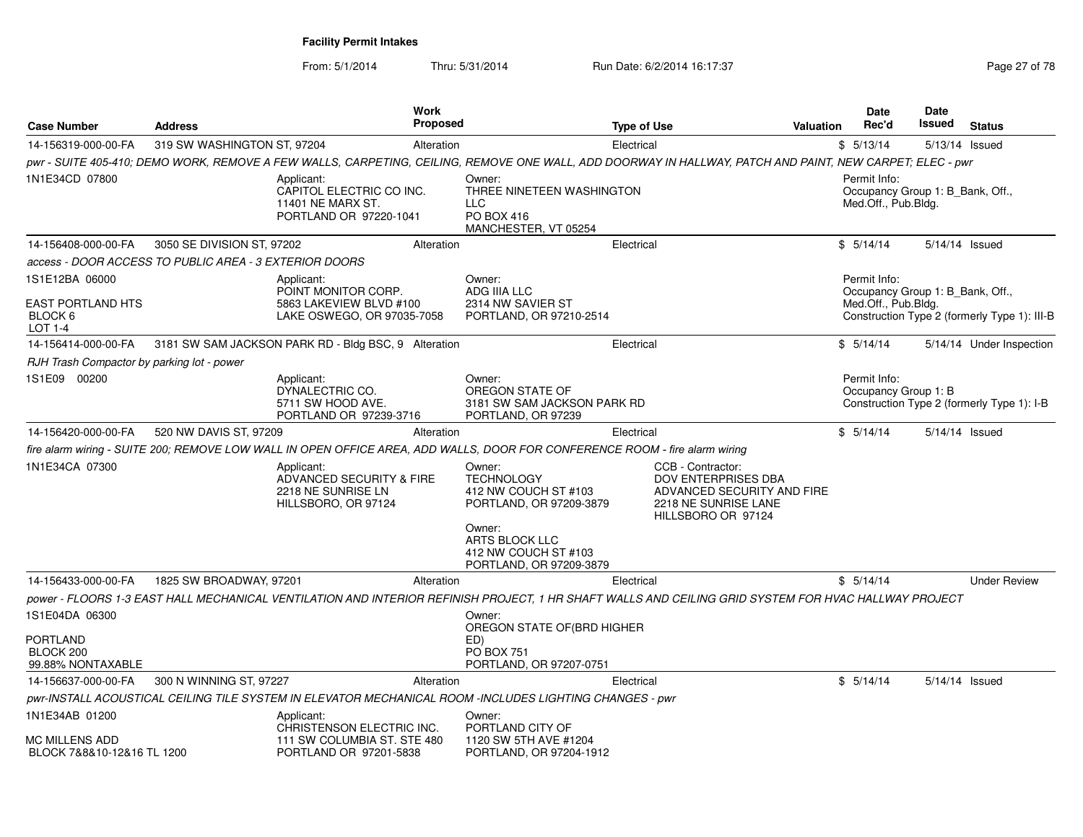From: 5/1/2014Thru: 5/31/2014 Run Date: 6/2/2014 16:17:37 Rege 27 of 78

| <b>Case Number</b>                                             | <b>Address</b>                                         | <b>Work</b><br>Proposed                                                                                                                                  |                                                                                          | Type of Use |                                                                                                                      | Valuation | <b>Date</b><br>Rec'd                                                    | <b>Date</b><br>Issued | <b>Status</b>                                |
|----------------------------------------------------------------|--------------------------------------------------------|----------------------------------------------------------------------------------------------------------------------------------------------------------|------------------------------------------------------------------------------------------|-------------|----------------------------------------------------------------------------------------------------------------------|-----------|-------------------------------------------------------------------------|-----------------------|----------------------------------------------|
| 14-156319-000-00-FA                                            | 319 SW WASHINGTON ST, 97204                            | Alteration                                                                                                                                               |                                                                                          | Electrical  |                                                                                                                      |           | \$5/13/14                                                               |                       | 5/13/14 Issued                               |
|                                                                |                                                        | pwr - SUITE 405-410; DEMO WORK, REMOVE A FEW WALLS, CARPETING, CEILING, REMOVE ONE WALL, ADD DOORWAY IN HALLWAY, PATCH AND PAINT, NEW CARPET; ELEC - pwr |                                                                                          |             |                                                                                                                      |           |                                                                         |                       |                                              |
| 1N1E34CD 07800                                                 |                                                        | Applicant:<br>CAPITOL ELECTRIC CO INC.<br>11401 NE MARX ST.<br>PORTLAND OR 97220-1041                                                                    | Owner:<br>THREE NINETEEN WASHINGTON<br><b>LLC</b><br>PO BOX 416<br>MANCHESTER, VT 05254  |             |                                                                                                                      |           | Permit Info:<br>Occupancy Group 1: B_Bank, Off.,<br>Med.Off., Pub.Bldg. |                       |                                              |
| 14-156408-000-00-FA                                            | 3050 SE DIVISION ST, 97202                             | Alteration                                                                                                                                               |                                                                                          | Electrical  |                                                                                                                      |           | \$5/14/14                                                               |                       | 5/14/14 Issued                               |
|                                                                | access - DOOR ACCESS TO PUBLIC AREA - 3 EXTERIOR DOORS |                                                                                                                                                          |                                                                                          |             |                                                                                                                      |           |                                                                         |                       |                                              |
| 1S1E12BA 06000<br>EAST PORTLAND HTS<br>BLOCK 6<br>LOT 1-4      |                                                        | Applicant:<br>POINT MONITOR CORP.<br>5863 LAKEVIEW BLVD #100<br>LAKE OSWEGO, OR 97035-7058                                                               | Owner:<br>ADG IIIA LLC<br>2314 NW SAVIER ST<br>PORTLAND, OR 97210-2514                   |             |                                                                                                                      |           | Permit Info:<br>Occupancy Group 1: B_Bank, Off.,<br>Med.Off., Pub.Bldg. |                       | Construction Type 2 (formerly Type 1): III-B |
| 14-156414-000-00-FA                                            |                                                        | 3181 SW SAM JACKSON PARK RD - Bldg BSC, 9 Alteration                                                                                                     |                                                                                          | Electrical  |                                                                                                                      |           | \$5/14/14                                                               |                       | 5/14/14 Under Inspection                     |
| RJH Trash Compactor by parking lot - power                     |                                                        |                                                                                                                                                          |                                                                                          |             |                                                                                                                      |           |                                                                         |                       |                                              |
| 1S1E09 00200                                                   |                                                        | Applicant:<br>DYNALECTRIC CO.<br>5711 SW HOOD AVE.<br>PORTLAND OR 97239-3716                                                                             | Owner:<br>OREGON STATE OF<br>3181 SW SAM JACKSON PARK RD<br>PORTLAND, OR 97239           |             |                                                                                                                      |           | Permit Info:<br>Occupancy Group 1: B                                    |                       | Construction Type 2 (formerly Type 1): I-B   |
| 14-156420-000-00-FA                                            | 520 NW DAVIS ST, 97209                                 | Alteration                                                                                                                                               |                                                                                          | Electrical  |                                                                                                                      |           | \$5/14/14                                                               |                       | 5/14/14 Issued                               |
|                                                                |                                                        | fire alarm wiring - SUITE 200; REMOVE LOW WALL IN OPEN OFFICE AREA, ADD WALLS, DOOR FOR CONFERENCE ROOM - fire alarm wiring                              |                                                                                          |             |                                                                                                                      |           |                                                                         |                       |                                              |
| 1N1E34CA 07300                                                 |                                                        | Applicant:<br>ADVANCED SECURITY & FIRE<br>2218 NE SUNRISE LN<br>HILLSBORO, OR 97124                                                                      | Owner:<br><b>TECHNOLOGY</b><br>412 NW COUCH ST #103<br>PORTLAND, OR 97209-3879<br>Owner: |             | CCB - Contractor:<br>DOV ENTERPRISES DBA<br>ADVANCED SECURITY AND FIRE<br>2218 NE SUNRISE LANE<br>HILLSBORO OR 97124 |           |                                                                         |                       |                                              |
|                                                                |                                                        |                                                                                                                                                          | ARTS BLOCK LLC<br>412 NW COUCH ST #103<br>PORTLAND, OR 97209-3879                        |             |                                                                                                                      |           |                                                                         |                       |                                              |
| 14-156433-000-00-FA                                            | 1825 SW BROADWAY, 97201                                | Alteration                                                                                                                                               |                                                                                          | Electrical  |                                                                                                                      |           | \$5/14/14                                                               |                       | <b>Under Review</b>                          |
|                                                                |                                                        | power - FLOORS 1-3 EAST HALL MECHANICAL VENTILATION AND INTERIOR REFINISH PROJECT, 1 HR SHAFT WALLS AND CEILING GRID SYSTEM FOR HVAC HALLWAY PROJECT     |                                                                                          |             |                                                                                                                      |           |                                                                         |                       |                                              |
| 1S1E04DA 06300                                                 |                                                        |                                                                                                                                                          | Owner:                                                                                   |             |                                                                                                                      |           |                                                                         |                       |                                              |
| PORTLAND<br>BLOCK 200<br>99.88% NONTAXABLE                     |                                                        |                                                                                                                                                          | OREGON STATE OF (BRD HIGHER<br>ED)<br><b>PO BOX 751</b><br>PORTLAND, OR 97207-0751       |             |                                                                                                                      |           |                                                                         |                       |                                              |
| 14-156637-000-00-FA                                            | 300 N WINNING ST, 97227                                | Alteration                                                                                                                                               |                                                                                          | Electrical  |                                                                                                                      |           | \$5/14/14                                                               |                       | 5/14/14 Issued                               |
|                                                                |                                                        | pwr-INSTALL ACOUSTICAL CEILING TILE SYSTEM IN ELEVATOR MECHANICAL ROOM -INCLUDES LIGHTING CHANGES - pwr                                                  |                                                                                          |             |                                                                                                                      |           |                                                                         |                       |                                              |
| 1N1E34AB 01200<br>MC MILLENS ADD<br>BLOCK 7&8&10-12&16 TL 1200 |                                                        | Applicant:<br>CHRISTENSON ELECTRIC INC.<br>111 SW COLUMBIA ST. STE 480<br>PORTLAND OR 97201-5838                                                         | Owner:<br>PORTLAND CITY OF<br>1120 SW 5TH AVE #1204<br>PORTLAND, OR 97204-1912           |             |                                                                                                                      |           |                                                                         |                       |                                              |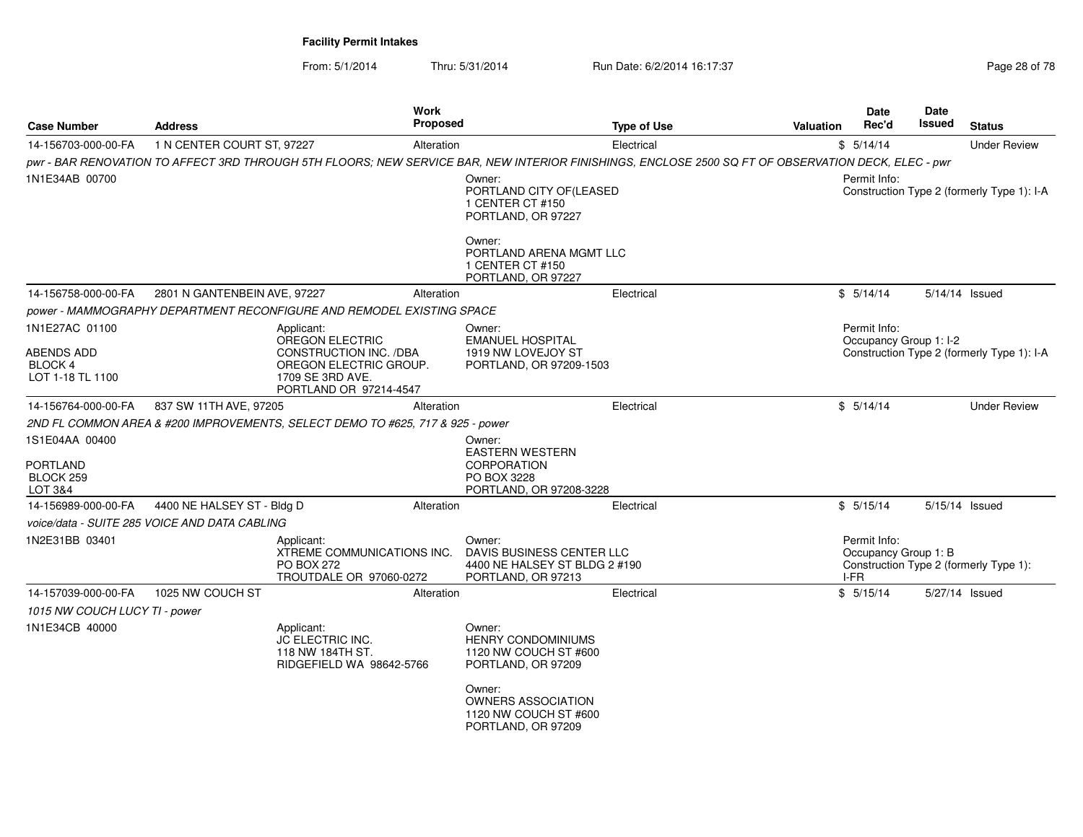From: 5/1/2014

Thru: 5/31/2014 Run Date: 6/2/2014 16:17:37 Rege 28 of 78

|                                                             |                              | Work<br><b>Proposed</b>                                                                                                                             |                                                                                                                                                                          |                    |           | <b>Date</b>                                                | Date<br>Issued         |                                            |
|-------------------------------------------------------------|------------------------------|-----------------------------------------------------------------------------------------------------------------------------------------------------|--------------------------------------------------------------------------------------------------------------------------------------------------------------------------|--------------------|-----------|------------------------------------------------------------|------------------------|--------------------------------------------|
| <b>Case Number</b>                                          | <b>Address</b>               |                                                                                                                                                     |                                                                                                                                                                          | <b>Type of Use</b> | Valuation | Rec'd                                                      |                        | <b>Status</b>                              |
| 14-156703-000-00-FA                                         | 1 N CENTER COURT ST, 97227   | Alteration                                                                                                                                          |                                                                                                                                                                          | Electrical         |           | \$5/14/14                                                  |                        | <b>Under Review</b>                        |
|                                                             |                              | pwr - BAR RENOVATION TO AFFECT 3RD THROUGH 5TH FLOORS: NEW SERVICE BAR, NEW INTERIOR FINISHINGS, ENCLOSE 2500 SQ FT OF OBSERVATION DECK, ELEC - pwr |                                                                                                                                                                          |                    |           |                                                            |                        |                                            |
| 1N1E34AB 00700                                              |                              |                                                                                                                                                     | Owner:<br>PORTLAND CITY OF(LEASED<br>1 CENTER CT #150<br>PORTLAND, OR 97227                                                                                              |                    |           | Permit Info:<br>Construction Type 2 (formerly Type 1): I-A |                        |                                            |
|                                                             |                              |                                                                                                                                                     | Owner:<br>PORTLAND ARENA MGMT LLC<br>1 CENTER CT #150<br>PORTLAND, OR 97227                                                                                              |                    |           |                                                            |                        |                                            |
| 14-156758-000-00-FA                                         | 2801 N GANTENBEIN AVE, 97227 | Alteration                                                                                                                                          |                                                                                                                                                                          | Electrical         |           | \$5/14/14                                                  |                        | 5/14/14 Issued                             |
|                                                             |                              | power - MAMMOGRAPHY DEPARTMENT RECONFIGURE AND REMODEL EXISTING SPACE                                                                               |                                                                                                                                                                          |                    |           |                                                            |                        |                                            |
| 1N1E27AC 01100<br>ABENDS ADD<br>BLOCK 4<br>LOT 1-18 TL 1100 |                              | Applicant:<br><b>OREGON ELECTRIC</b><br>CONSTRUCTION INC. /DBA<br>OREGON ELECTRIC GROUP.<br>1709 SE 3RD AVE.<br>PORTLAND OR 97214-4547              | Owner:<br><b>EMANUEL HOSPITAL</b><br>1919 NW LOVEJOY ST<br>PORTLAND, OR 97209-1503                                                                                       |                    |           | Permit Info:                                               | Occupancy Group 1: I-2 | Construction Type 2 (formerly Type 1): I-A |
| 14-156764-000-00-FA                                         | 837 SW 11TH AVE, 97205       | Alteration                                                                                                                                          |                                                                                                                                                                          | Electrical         |           | \$5/14/14                                                  |                        | <b>Under Review</b>                        |
|                                                             |                              | 2ND FL COMMON AREA & #200 IMPROVEMENTS, SELECT DEMO TO #625, 717 & 925 - power                                                                      |                                                                                                                                                                          |                    |           |                                                            |                        |                                            |
| 1S1E04AA 00400<br><b>PORTLAND</b><br>BLOCK 259<br>LOT 3&4   |                              |                                                                                                                                                     | Owner:<br><b>EASTERN WESTERN</b><br><b>CORPORATION</b><br>PO BOX 3228<br>PORTLAND, OR 97208-3228                                                                         |                    |           |                                                            |                        |                                            |
| 14-156989-000-00-FA                                         | 4400 NE HALSEY ST - Bldg D   | Alteration                                                                                                                                          |                                                                                                                                                                          | Electrical         |           | \$5/15/14                                                  |                        | 5/15/14 Issued                             |
| voice/data - SUITE 285 VOICE AND DATA CABLING               |                              |                                                                                                                                                     |                                                                                                                                                                          |                    |           |                                                            |                        |                                            |
| 1N2E31BB 03401                                              |                              | Applicant:<br>XTREME COMMUNICATIONS INC.<br><b>PO BOX 272</b><br>TROUTDALE OR 97060-0272                                                            | Owner:<br>DAVIS BUSINESS CENTER LLC<br>4400 NE HALSEY ST BLDG 2 #190<br>PORTLAND, OR 97213                                                                               |                    |           | Permit Info:<br>Occupancy Group 1: B<br>I-FR               |                        | Construction Type 2 (formerly Type 1):     |
| 14-157039-000-00-FA                                         | 1025 NW COUCH ST             | Alteration                                                                                                                                          |                                                                                                                                                                          | Electrical         |           | \$5/15/14                                                  |                        | 5/27/14 Issued                             |
| 1015 NW COUCH LUCY TI - power                               |                              |                                                                                                                                                     |                                                                                                                                                                          |                    |           |                                                            |                        |                                            |
| 1N1E34CB 40000                                              |                              | Applicant:<br>JC ELECTRIC INC.<br>118 NW 184TH ST.<br>RIDGEFIELD WA 98642-5766                                                                      | Owner:<br><b>HENRY CONDOMINIUMS</b><br>1120 NW COUCH ST #600<br>PORTLAND, OR 97209<br>Owner:<br><b>OWNERS ASSOCIATION</b><br>1120 NW COUCH ST #600<br>PORTLAND, OR 97209 |                    |           |                                                            |                        |                                            |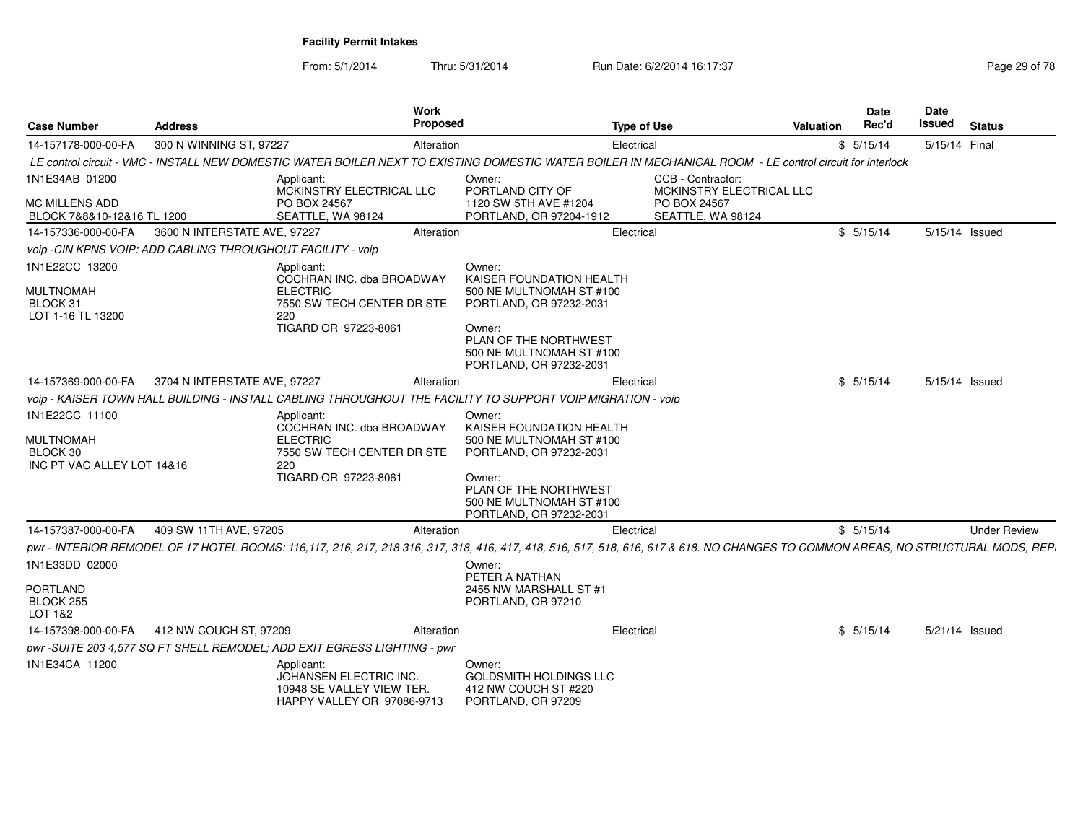From: 5/1/2014

Thru: 5/31/2014 Run Date: 6/2/2014 16:17:37 Rege 29 of 78

| <b>Case Number</b>                                                           | <b>Address</b>               | <b>Work</b><br><b>Proposed</b>                                                                                                                                                     |                                                                                                                                                                                     | <b>Type of Use</b>                            | <b>Valuation</b> | <b>Date</b><br>Rec'd | Date<br>Issued | <b>Status</b>       |
|------------------------------------------------------------------------------|------------------------------|------------------------------------------------------------------------------------------------------------------------------------------------------------------------------------|-------------------------------------------------------------------------------------------------------------------------------------------------------------------------------------|-----------------------------------------------|------------------|----------------------|----------------|---------------------|
| 14-157178-000-00-FA                                                          | 300 N WINNING ST, 97227      | Alteration                                                                                                                                                                         |                                                                                                                                                                                     | Electrical                                    |                  | \$5/15/14            | 5/15/14 Final  |                     |
|                                                                              |                              | LE control circuit - VMC - INSTALL NEW DOMESTIC WATER BOILER NEXT TO EXISTING DOMESTIC WATER BOILER IN MECHANICAL ROOM - LE control circuit for interlock                          |                                                                                                                                                                                     |                                               |                  |                      |                |                     |
| 1N1E34AB 01200                                                               |                              | Applicant:<br>MCKINSTRY ELECTRICAL LLC                                                                                                                                             | Owner:<br>PORTLAND CITY OF                                                                                                                                                          | CCB - Contractor:<br>MCKINSTRY ELECTRICAL LLC |                  |                      |                |                     |
| <b>MC MILLENS ADD</b><br>BLOCK 7&8&10-12&16 TL 1200                          |                              | PO BOX 24567<br>SEATTLE, WA 98124                                                                                                                                                  | 1120 SW 5TH AVE #1204<br>PORTLAND, OR 97204-1912                                                                                                                                    | PO BOX 24567<br>SEATTLE, WA 98124             |                  |                      |                |                     |
| 14-157336-000-00-FA                                                          | 3600 N INTERSTATE AVE, 97227 | Alteration                                                                                                                                                                         |                                                                                                                                                                                     | Electrical                                    |                  | \$5/15/14            |                | 5/15/14 Issued      |
| voip -CIN KPNS VOIP: ADD CABLING THROUGHOUT FACILITY - voip                  |                              |                                                                                                                                                                                    |                                                                                                                                                                                     |                                               |                  |                      |                |                     |
| 1N1E22CC 13200<br><b>MULTNOMAH</b><br>BLOCK 31<br>LOT 1-16 TL 13200          |                              | Applicant:<br>COCHRAN INC. dba BROADWAY<br><b>ELECTRIC</b><br>7550 SW TECH CENTER DR STE<br>220<br>TIGARD OR 97223-8061                                                            | Owner:<br>KAISER FOUNDATION HEALTH<br>500 NE MULTNOMAH ST #100<br>PORTLAND, OR 97232-2031<br>Owner:                                                                                 |                                               |                  |                      |                |                     |
|                                                                              |                              |                                                                                                                                                                                    | PLAN OF THE NORTHWEST<br>500 NE MULTNOMAH ST #100<br>PORTLAND, OR 97232-2031                                                                                                        |                                               |                  |                      |                |                     |
| 14-157369-000-00-FA                                                          | 3704 N INTERSTATE AVE, 97227 | Alteration                                                                                                                                                                         |                                                                                                                                                                                     | Electrical                                    |                  | \$5/15/14            |                | 5/15/14 Issued      |
|                                                                              |                              | voip - KAISER TOWN HALL BUILDING - INSTALL CABLING THROUGHOUT THE FACILITY TO SUPPORT VOIP MIGRATION - voip                                                                        |                                                                                                                                                                                     |                                               |                  |                      |                |                     |
| 1N1E22CC 11100<br><b>MULTNOMAH</b><br>BLOCK 30<br>INC PT VAC ALLEY LOT 14&16 |                              | Applicant:<br>COCHRAN INC. dba BROADWAY<br><b>ELECTRIC</b><br>7550 SW TECH CENTER DR STE<br>220<br>TIGARD OR 97223-8061                                                            | Owner:<br>KAISER FOUNDATION HEALTH<br>500 NE MULTNOMAH ST #100<br>PORTLAND, OR 97232-2031<br>Owner:<br>PLAN OF THE NORTHWEST<br>500 NE MULTNOMAH ST #100<br>PORTLAND, OR 97232-2031 |                                               |                  |                      |                |                     |
| 14-157387-000-00-FA                                                          | 409 SW 11TH AVE, 97205       | Alteration                                                                                                                                                                         |                                                                                                                                                                                     | Electrical                                    |                  | \$5/15/14            |                | <b>Under Review</b> |
| 1N1E33DD 02000                                                               |                              | pwr - INTERIOR REMODEL OF 17 HOTEL ROOMS: 116,117, 216, 217, 218 316, 317, 318, 416, 417, 418, 516, 517, 518, 616, 617 & 618. NO CHANGES TO COMMON AREAS, NO STRUCTURAL MODS, REP. | Owner:<br>PETER A NATHAN                                                                                                                                                            |                                               |                  |                      |                |                     |
| PORTLAND<br>BLOCK 255<br>LOT 1&2                                             |                              |                                                                                                                                                                                    | 2455 NW MARSHALL ST #1<br>PORTLAND, OR 97210                                                                                                                                        |                                               |                  |                      |                |                     |
| 14-157398-000-00-FA                                                          | 412 NW COUCH ST, 97209       | Alteration                                                                                                                                                                         |                                                                                                                                                                                     | Electrical                                    |                  | \$5/15/14            |                | 5/21/14 Issued      |
|                                                                              |                              | pwr -SUITE 203 4,577 SQ FT SHELL REMODEL; ADD EXIT EGRESS LIGHTING - pwr                                                                                                           |                                                                                                                                                                                     |                                               |                  |                      |                |                     |
| 1N1E34CA 11200                                                               |                              | Applicant:<br>JOHANSEN ELECTRIC INC.<br>10948 SE VALLEY VIEW TER.<br>HAPPY VALLEY OR 97086-9713                                                                                    | Owner:<br>GOLDSMITH HOLDINGS LLC<br>412 NW COUCH ST #220<br>PORTLAND, OR 97209                                                                                                      |                                               |                  |                      |                |                     |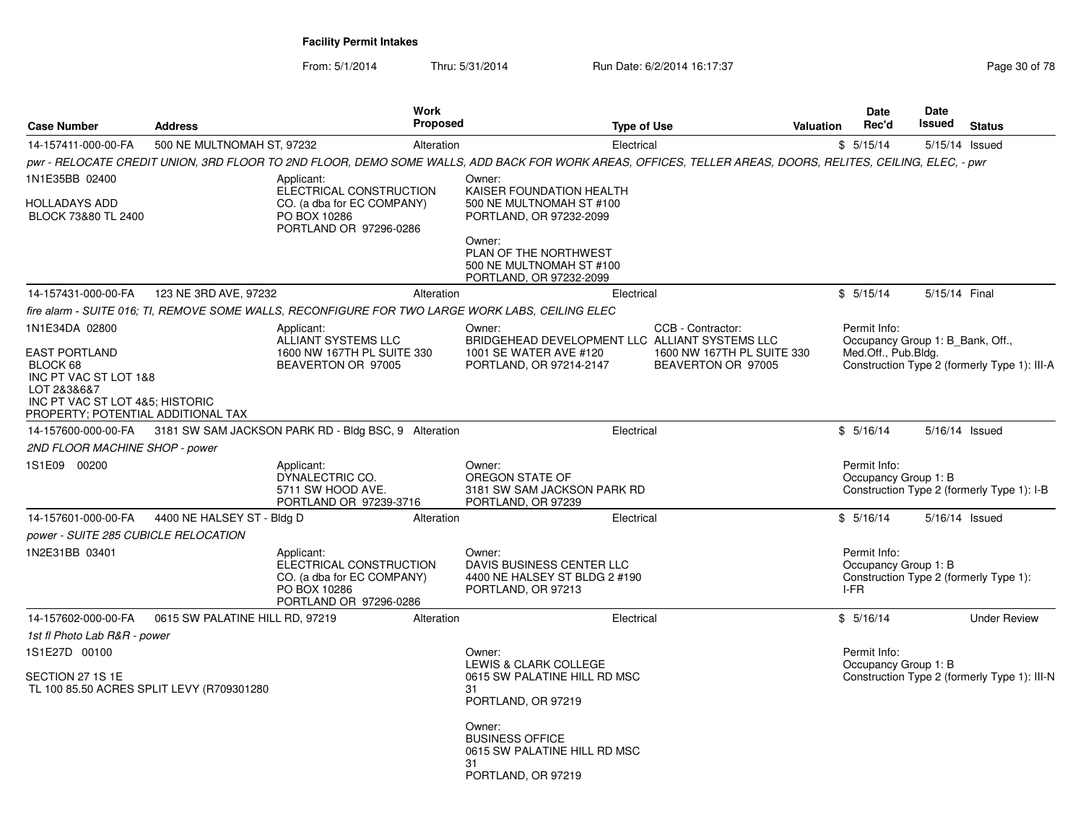From: 5/1/2014Thru: 5/31/2014 Run Date: 6/2/2014 16:17:37 Rege 30 of 78

| <b>Case Number</b>                                                                                                                                                  | <b>Address</b>                            | <b>Work</b><br><b>Proposed</b>                                                                                                                             |                                                                                                                                                                                     | <b>Type of Use</b>                                                                                                      | <b>Valuation</b> | Date<br>Rec'd                                                           | Date<br>Issued | <b>Status</b>                                |
|---------------------------------------------------------------------------------------------------------------------------------------------------------------------|-------------------------------------------|------------------------------------------------------------------------------------------------------------------------------------------------------------|-------------------------------------------------------------------------------------------------------------------------------------------------------------------------------------|-------------------------------------------------------------------------------------------------------------------------|------------------|-------------------------------------------------------------------------|----------------|----------------------------------------------|
| 14-157411-000-00-FA                                                                                                                                                 | 500 NE MULTNOMAH ST. 97232                | Alteration                                                                                                                                                 |                                                                                                                                                                                     | Electrical                                                                                                              |                  | \$5/15/14                                                               |                | 5/15/14 Issued                               |
|                                                                                                                                                                     |                                           | pwr - RELOCATE CREDIT UNION, 3RD FLOOR TO 2ND FLOOR, DEMO SOME WALLS, ADD BACK FOR WORK AREAS, OFFICES, TELLER AREAS, DOORS, RELITES, CEILING, ELEC, - pwr |                                                                                                                                                                                     |                                                                                                                         |                  |                                                                         |                |                                              |
| 1N1E35BB 02400<br>HOLLADAYS ADD<br>BLOCK 73&80 TL 2400                                                                                                              |                                           | Applicant:<br>ELECTRICAL CONSTRUCTION<br>CO. (a dba for EC COMPANY)<br>PO BOX 10286<br>PORTLAND OR 97296-0286                                              | Owner:<br>KAISER FOUNDATION HEALTH<br>500 NE MULTNOMAH ST #100<br>PORTLAND, OR 97232-2099<br>Owner:<br>PLAN OF THE NORTHWEST<br>500 NE MULTNOMAH ST #100<br>PORTLAND, OR 97232-2099 |                                                                                                                         |                  |                                                                         |                |                                              |
| 14-157431-000-00-FA                                                                                                                                                 | 123 NE 3RD AVE, 97232                     | Alteration                                                                                                                                                 |                                                                                                                                                                                     | Electrical                                                                                                              |                  | \$5/15/14                                                               | 5/15/14 Final  |                                              |
|                                                                                                                                                                     |                                           | fire alarm - SUITE 016: TI. REMOVE SOME WALLS. RECONFIGURE FOR TWO LARGE WORK LABS. CEILING ELEC                                                           |                                                                                                                                                                                     |                                                                                                                         |                  |                                                                         |                |                                              |
| 1N1E34DA 02800<br><b>EAST PORTLAND</b><br>BLOCK 68<br>INC PT VAC ST LOT 1&8<br>LOT 2&3&6&7<br>INC PT VAC ST LOT 4&5; HISTORIC<br>PROPERTY; POTENTIAL ADDITIONAL TAX |                                           | Applicant:<br>ALLIANT SYSTEMS LLC<br>1600 NW 167TH PL SUITE 330<br>BEAVERTON OR 97005                                                                      | Owner:<br>1001 SE WATER AVE #120<br>PORTLAND, OR 97214-2147                                                                                                                         | CCB - Contractor:<br>BRIDGEHEAD DEVELOPMENT LLC ALLIANT SYSTEMS LLC<br>1600 NW 167TH PL SUITE 330<br>BEAVERTON OR 97005 |                  | Permit Info:<br>Occupancy Group 1: B Bank, Off.,<br>Med.Off., Pub.Bldg. |                | Construction Type 2 (formerly Type 1): III-A |
| 14-157600-000-00-FA                                                                                                                                                 |                                           | 3181 SW SAM JACKSON PARK RD - Bldg BSC, 9 Alteration                                                                                                       |                                                                                                                                                                                     | Electrical                                                                                                              |                  | \$5/16/14                                                               |                | 5/16/14 Issued                               |
| 2ND FLOOR MACHINE SHOP - power                                                                                                                                      |                                           |                                                                                                                                                            |                                                                                                                                                                                     |                                                                                                                         |                  |                                                                         |                |                                              |
| 1S1E09 00200                                                                                                                                                        |                                           | Applicant:<br>DYNALECTRIC CO.<br>5711 SW HOOD AVE.<br>PORTLAND OR 97239-3716                                                                               | Owner:<br>OREGON STATE OF<br>3181 SW SAM JACKSON PARK RD<br>PORTLAND, OR 97239                                                                                                      |                                                                                                                         |                  | Permit Info:<br>Occupancy Group 1: B                                    |                | Construction Type 2 (formerly Type 1): I-B   |
| 14-157601-000-00-FA                                                                                                                                                 | 4400 NE HALSEY ST - Bldg D                | Alteration                                                                                                                                                 |                                                                                                                                                                                     | Electrical                                                                                                              |                  | \$5/16/14                                                               |                | 5/16/14 Issued                               |
| power - SUITE 285 CUBICLE RELOCATION                                                                                                                                |                                           |                                                                                                                                                            |                                                                                                                                                                                     |                                                                                                                         |                  |                                                                         |                |                                              |
| 1N2E31BB 03401                                                                                                                                                      |                                           | Applicant:<br>ELECTRICAL CONSTRUCTION<br>CO. (a dba for EC COMPANY)<br>PO BOX 10286<br>PORTLAND OR 97296-0286                                              | Owner:<br>DAVIS BUSINESS CENTER LLC<br>4400 NE HALSEY ST BLDG 2 #190<br>PORTLAND, OR 97213                                                                                          |                                                                                                                         |                  | Permit Info:<br>Occupancy Group 1: B<br>I-FR                            |                | Construction Type 2 (formerly Type 1):       |
| 14-157602-000-00-FA                                                                                                                                                 | 0615 SW PALATINE HILL RD, 97219           | Alteration                                                                                                                                                 |                                                                                                                                                                                     | Electrical                                                                                                              |                  | \$5/16/14                                                               |                | <b>Under Review</b>                          |
| 1st fl Photo Lab R&R - power<br>1S1E27D 00100                                                                                                                       |                                           |                                                                                                                                                            | Owner:                                                                                                                                                                              |                                                                                                                         |                  | Permit Info:                                                            |                |                                              |
| SECTION 27 1S 1E                                                                                                                                                    | TL 100 85.50 ACRES SPLIT LEVY (R709301280 |                                                                                                                                                            | LEWIS & CLARK COLLEGE<br>0615 SW PALATINE HILL RD MSC<br>31<br>PORTLAND, OR 97219                                                                                                   |                                                                                                                         |                  | Occupancy Group 1: B                                                    |                | Construction Type 2 (formerly Type 1): III-N |
|                                                                                                                                                                     |                                           |                                                                                                                                                            | Owner:<br><b>BUSINESS OFFICE</b><br>0615 SW PALATINE HILL RD MSC<br>31<br>PORTLAND, OR 97219                                                                                        |                                                                                                                         |                  |                                                                         |                |                                              |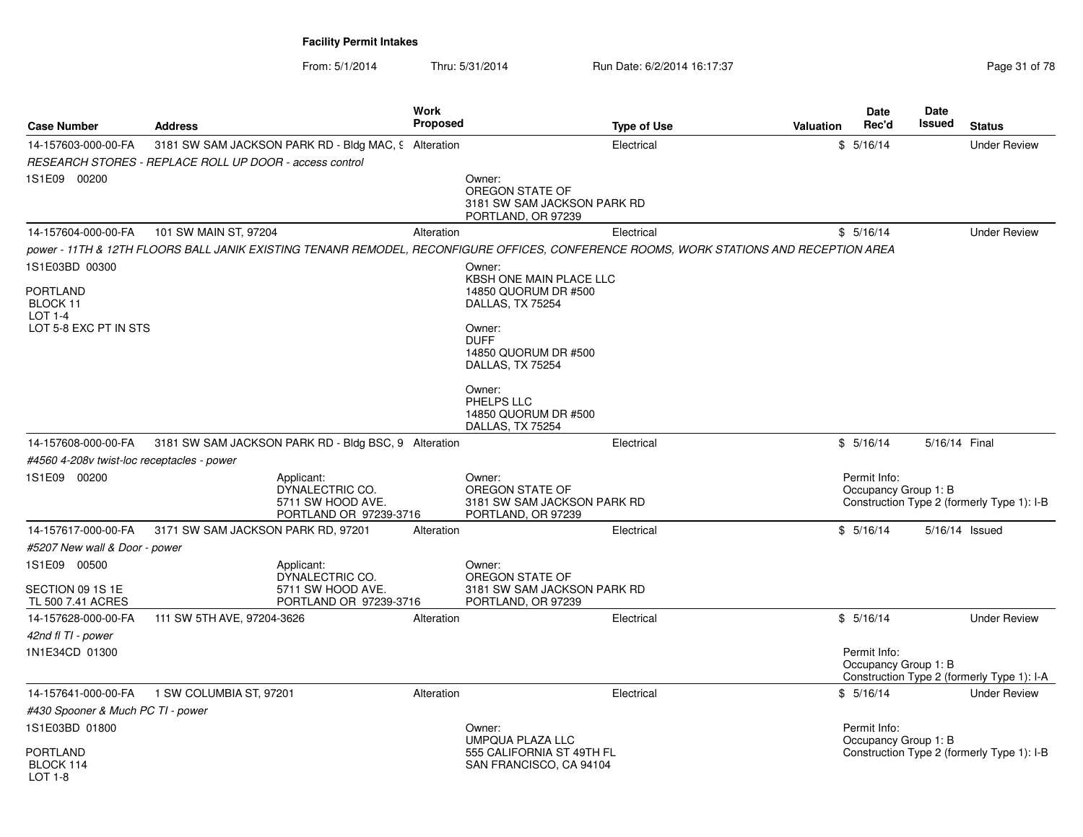From: 5/1/2014Thru: 5/31/2014 Run Date: 6/2/2014 16:17:37 Rege 31 of 78

| <b>Case Number</b>                            | <b>Address</b>                                                                                                                         | <b>Work</b><br><b>Proposed</b> |                                                                                | <b>Type of Use</b> | <b>Valuation</b> | Date<br>Rec'd                        | Date<br>Issued | <b>Status</b>                              |
|-----------------------------------------------|----------------------------------------------------------------------------------------------------------------------------------------|--------------------------------|--------------------------------------------------------------------------------|--------------------|------------------|--------------------------------------|----------------|--------------------------------------------|
| 14-157603-000-00-FA                           | 3181 SW SAM JACKSON PARK RD - Bldg MAC, 9 Alteration<br>RESEARCH STORES - REPLACE ROLL UP DOOR - access control                        |                                |                                                                                | Electrical         |                  | \$5/16/14                            |                | <b>Under Review</b>                        |
| 1S1E09 00200                                  |                                                                                                                                        |                                | Owner:<br>OREGON STATE OF<br>3181 SW SAM JACKSON PARK RD<br>PORTLAND, OR 97239 |                    |                  |                                      |                |                                            |
| 14-157604-000-00-FA                           | 101 SW MAIN ST, 97204                                                                                                                  | Alteration                     |                                                                                | Electrical         |                  | \$5/16/14                            |                | <b>Under Review</b>                        |
| 1S1E03BD 00300                                | power - 11TH & 12TH FLOORS BALL JANIK EXISTING TENANR REMODEL, RECONFIGURE OFFICES, CONFERENCE ROOMS, WORK STATIONS AND RECEPTION AREA |                                | Owner:                                                                         |                    |                  |                                      |                |                                            |
|                                               |                                                                                                                                        |                                | KBSH ONE MAIN PLACE LLC                                                        |                    |                  |                                      |                |                                            |
| <b>PORTLAND</b><br>BLOCK 11<br><b>LOT 1-4</b> |                                                                                                                                        |                                | 14850 QUORUM DR #500<br>DALLAS, TX 75254                                       |                    |                  |                                      |                |                                            |
| LOT 5-8 EXC PT IN STS                         |                                                                                                                                        |                                | Owner:<br><b>DUFF</b><br>14850 QUORUM DR #500<br>DALLAS, TX 75254              |                    |                  |                                      |                |                                            |
|                                               |                                                                                                                                        |                                | Owner:<br>PHELPS LLC<br>14850 QUORUM DR #500<br>DALLAS, TX 75254               |                    |                  |                                      |                |                                            |
| 14-157608-000-00-FA                           | 3181 SW SAM JACKSON PARK RD - Bldg BSC, 9 Alteration                                                                                   |                                |                                                                                | Electrical         |                  | \$5/16/14                            | 5/16/14 Final  |                                            |
| #4560 4-208v twist-loc receptacles - power    |                                                                                                                                        |                                |                                                                                |                    |                  |                                      |                |                                            |
| 1S1E09 00200                                  | Applicant:<br>DYNALECTRIC CO.<br>5711 SW HOOD AVE.<br>PORTLAND OR 97239-3716                                                           |                                | Owner:<br>OREGON STATE OF<br>3181 SW SAM JACKSON PARK RD<br>PORTLAND, OR 97239 |                    |                  | Permit Info:<br>Occupancy Group 1: B |                | Construction Type 2 (formerly Type 1): I-B |
| 14-157617-000-00-FA                           | 3171 SW SAM JACKSON PARK RD, 97201                                                                                                     | Alteration                     |                                                                                | Electrical         |                  | \$5/16/14                            |                | 5/16/14 Issued                             |
| #5207 New wall & Door - power                 |                                                                                                                                        |                                |                                                                                |                    |                  |                                      |                |                                            |
| 1S1E09 00500                                  | Applicant:<br>DYNALECTRIC CO.                                                                                                          |                                | Owner:<br>OREGON STATE OF                                                      |                    |                  |                                      |                |                                            |
| SECTION 09 1S 1E<br>TL 500 7.41 ACRES         | 5711 SW HOOD AVE.<br>PORTLAND OR 97239-3716                                                                                            |                                | 3181 SW SAM JACKSON PARK RD<br>PORTLAND, OR 97239                              |                    |                  |                                      |                |                                            |
| 14-157628-000-00-FA                           | 111 SW 5TH AVE, 97204-3626                                                                                                             | Alteration                     |                                                                                | Electrical         |                  | \$5/16/14                            |                | <b>Under Review</b>                        |
| 42nd fl TI - power                            |                                                                                                                                        |                                |                                                                                |                    |                  |                                      |                |                                            |
| 1N1E34CD 01300                                |                                                                                                                                        |                                |                                                                                |                    |                  | Permit Info:<br>Occupancy Group 1: B |                | Construction Type 2 (formerly Type 1): I-A |
| 14-157641-000-00-FA                           | 1 SW COLUMBIA ST, 97201                                                                                                                | Alteration                     |                                                                                | Electrical         |                  | \$5/16/14                            |                | <b>Under Review</b>                        |
| #430 Spooner & Much PC TI - power             |                                                                                                                                        |                                |                                                                                |                    |                  |                                      |                |                                            |
| 1S1E03BD 01800                                |                                                                                                                                        |                                | Owner:<br><b>UMPQUA PLAZA LLC</b>                                              |                    |                  | Permit Info:<br>Occupancy Group 1: B |                |                                            |
| <b>PORTLAND</b><br>BLOCK 114<br>LOT 1-8       |                                                                                                                                        |                                | 555 CALIFORNIA ST 49TH FL<br>SAN FRANCISCO, CA 94104                           |                    |                  |                                      |                | Construction Type 2 (formerly Type 1): I-B |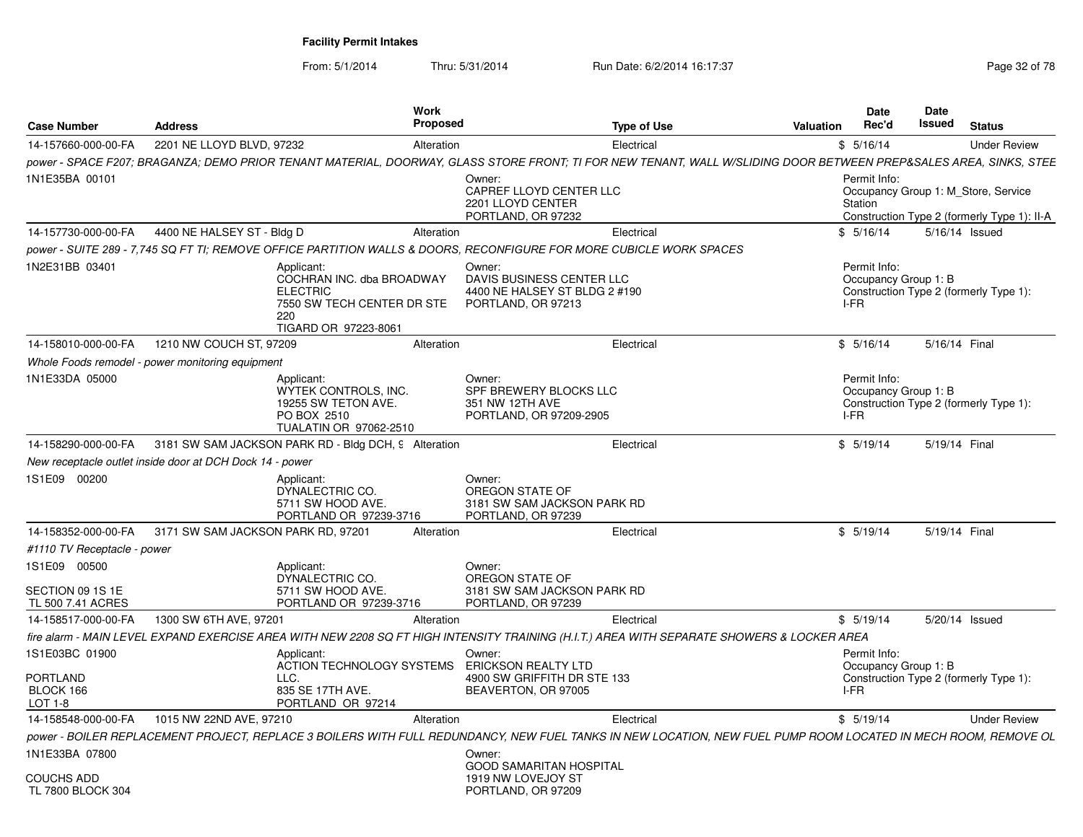From: 5/1/2014

Thru: 5/31/2014 Run Date: 6/2/2014 16:17:37 Rege 32 of 78

| <b>Case Number</b>                                    | Address                                                                                                                                                           | Work<br><b>Proposed</b>                                                        | <b>Type of Use</b>                                         | Valuation | <b>Date</b><br>Rec'd                 | Date<br><b>Issued</b> | <b>Status</b>                                                                      |
|-------------------------------------------------------|-------------------------------------------------------------------------------------------------------------------------------------------------------------------|--------------------------------------------------------------------------------|------------------------------------------------------------|-----------|--------------------------------------|-----------------------|------------------------------------------------------------------------------------|
| 14-157660-000-00-FA                                   | 2201 NE LLOYD BLVD, 97232                                                                                                                                         | Alteration                                                                     | Electrical                                                 |           | \$5/16/14                            |                       | <b>Under Review</b>                                                                |
|                                                       | power - SPACE F207; BRAGANZA; DEMO PRIOR TENANT MATERIAL, DOORWAY, GLASS STORE FRONT; TI FOR NEW TENANT, WALL W/SLIDING DOOR BETWEEN PREP&SALES AREA, SINKS, STEE |                                                                                |                                                            |           |                                      |                       |                                                                                    |
| 1N1E35BA 00101                                        |                                                                                                                                                                   | Owner:<br>CAPREF LLOYD CENTER LLC<br>2201 LLOYD CENTER<br>PORTLAND, OR 97232   |                                                            |           | Permit Info:<br>Station              |                       | Occupancy Group 1: M Store, Service<br>Construction Type 2 (formerly Type 1): II-A |
| 14-157730-000-00-FA                                   | 4400 NE HALSEY ST - Bldg D                                                                                                                                        | Alteration                                                                     | Electrical                                                 |           | \$5/16/14                            |                       | 5/16/14 Issued                                                                     |
|                                                       | power - SUITE 289 - 7.745 SQ FT TI: REMOVE OFFICE PARTITION WALLS & DOORS. RECONFIGURE FOR MORE CUBICLE WORK SPACES                                               |                                                                                |                                                            |           |                                      |                       |                                                                                    |
| 1N2E31BB 03401                                        | Applicant:<br>COCHRAN INC. dba BROADWAY<br><b>ELECTRIC</b><br>7550 SW TECH CENTER DR STE<br>220<br>TIGARD OR 97223-8061                                           | Owner:<br>PORTLAND, OR 97213                                                   | DAVIS BUSINESS CENTER LLC<br>4400 NE HALSEY ST BLDG 2 #190 | I-FR      | Permit Info:<br>Occupancy Group 1: B |                       | Construction Type 2 (formerly Type 1):                                             |
| 14-158010-000-00-FA                                   | 1210 NW COUCH ST, 97209                                                                                                                                           | Alteration                                                                     | Electrical                                                 |           | \$5/16/14                            |                       | 5/16/14 Final                                                                      |
|                                                       | Whole Foods remodel - power monitoring equipment                                                                                                                  |                                                                                |                                                            |           |                                      |                       |                                                                                    |
| 1N1E33DA 05000                                        | Applicant:<br>WYTEK CONTROLS, INC.<br>19255 SW TETON AVE.<br>PO BOX 2510<br>TUALATIN OR 97062-2510                                                                | Owner:<br>SPF BREWERY BLOCKS LLC<br>351 NW 12TH AVE<br>PORTLAND, OR 97209-2905 |                                                            | I-FR      | Permit Info:<br>Occupancy Group 1: B |                       | Construction Type 2 (formerly Type 1):                                             |
| 14-158290-000-00-FA                                   | 3181 SW SAM JACKSON PARK RD - Bldg DCH, 9 Alteration                                                                                                              |                                                                                | Electrical                                                 |           | \$5/19/14                            | 5/19/14 Final         |                                                                                    |
|                                                       | New receptacle outlet inside door at DCH Dock 14 - power                                                                                                          |                                                                                |                                                            |           |                                      |                       |                                                                                    |
| 1S1E09 00200                                          | Applicant:<br>DYNALECTRIC CO.<br>5711 SW HOOD AVE.<br>PORTLAND OR 97239-3716                                                                                      | Owner:<br>OREGON STATE OF<br>PORTLAND, OR 97239                                | 3181 SW SAM JACKSON PARK RD                                |           |                                      |                       |                                                                                    |
| 14-158352-000-00-FA                                   | 3171 SW SAM JACKSON PARK RD, 97201                                                                                                                                | Alteration                                                                     | Electrical                                                 |           | \$5/19/14                            |                       | 5/19/14 Final                                                                      |
| #1110 TV Receptacle - power                           |                                                                                                                                                                   |                                                                                |                                                            |           |                                      |                       |                                                                                    |
| 1S1E09 00500<br>SECTION 09 1S 1E<br>TL 500 7.41 ACRES | Applicant:<br>DYNALECTRIC CO.<br>5711 SW HOOD AVE.<br>PORTLAND OR 97239-3716                                                                                      | Owner:<br>OREGON STATE OF<br>PORTLAND, OR 97239                                | 3181 SW SAM JACKSON PARK RD                                |           |                                      |                       |                                                                                    |
| 14-158517-000-00-FA                                   | 1300 SW 6TH AVE, 97201                                                                                                                                            | Alteration                                                                     | Electrical                                                 |           | \$5/19/14                            |                       | 5/20/14 Issued                                                                     |
|                                                       | fire alarm - MAIN LEVEL EXPAND EXERCISE AREA WITH NEW 2208 SQ FT HIGH INTENSITY TRAINING (H.I.T.) AREA WITH SEPARATE SHOWERS & LOCKER AREA                        |                                                                                |                                                            |           |                                      |                       |                                                                                    |
| 1S1E03BC 01900                                        | Applicant:                                                                                                                                                        | Owner:                                                                         |                                                            |           | Permit Info:                         |                       |                                                                                    |
| PORTLAND<br>BLOCK 166<br>LOT 1-8                      | ACTION TECHNOLOGY SYSTEMS<br>LLC.<br>835 SE 17TH AVE.<br>PORTLAND OR 97214                                                                                        | ERICKSON REALTY LTD<br>BEAVERTON, OR 97005                                     | 4900 SW GRIFFITH DR STE 133                                | I-FR      | Occupancy Group 1: B                 |                       | Construction Type 2 (formerly Type 1):                                             |
| 14-158548-000-00-FA                                   | 1015 NW 22ND AVE, 97210                                                                                                                                           | Alteration                                                                     | Electrical                                                 |           | \$5/19/14                            |                       | <b>Under Review</b>                                                                |
|                                                       | power - BOILER REPLACEMENT PROJECT, REPLACE 3 BOILERS WITH FULL REDUNDANCY, NEW FUEL TANKS IN NEW LOCATION, NEW FUEL PUMP ROOM LOCATED IN MECH ROOM, REMOVE OL    |                                                                                |                                                            |           |                                      |                       |                                                                                    |
| 1N1E33BA 07800                                        |                                                                                                                                                                   | Owner:                                                                         | <b>GOOD SAMARITAN HOSPITAL</b>                             |           |                                      |                       |                                                                                    |
| <b>COUCHS ADD</b><br>TL 7800 BLOCK 304                |                                                                                                                                                                   | 1919 NW LOVEJOY ST<br>PORTLAND, OR 97209                                       |                                                            |           |                                      |                       |                                                                                    |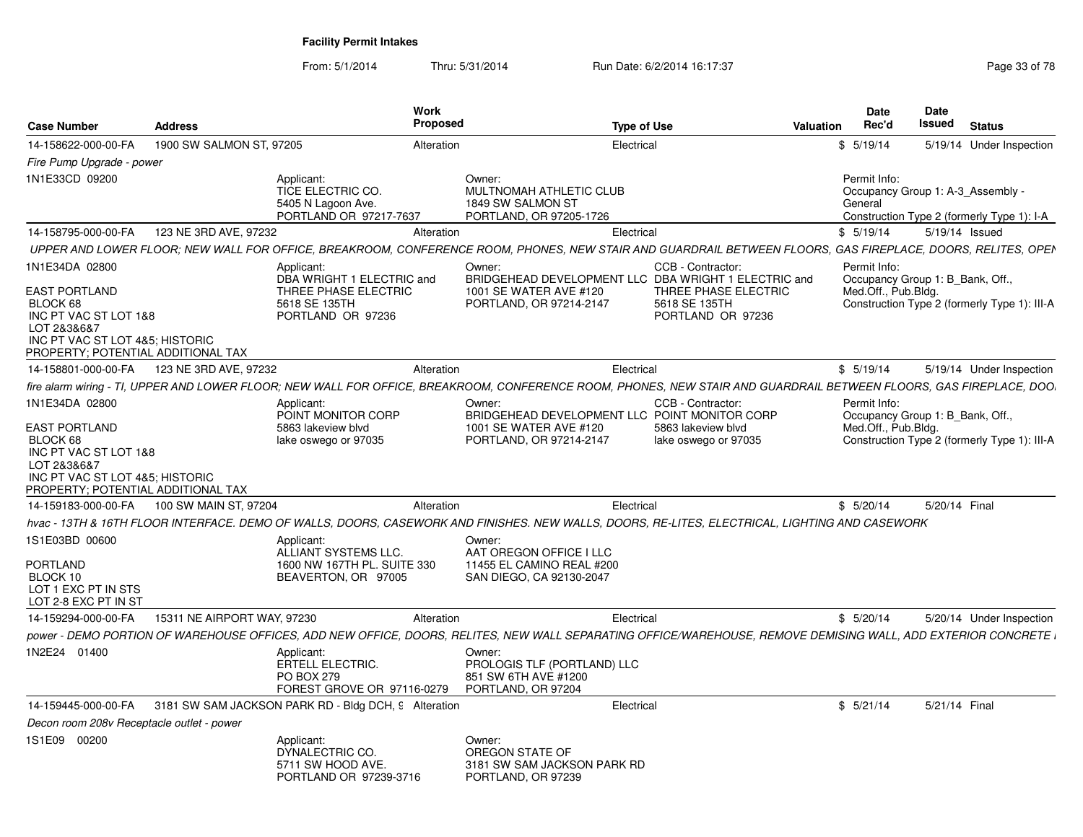From: 5/1/2014Thru: 5/31/2014 Run Date: 6/2/2014 16:17:37 Rege 33 of 78

| <b>Case Number</b>                                                                                                                                | <b>Address</b>              | Work<br><b>Proposed</b>                                                                  |                                                                                            | <b>Type of Use</b>                                                                                                                                                  | Valuation | <b>Date</b><br>Rec'd                                    | <b>Date</b><br>Issued | <b>Status</b>                                                                   |
|---------------------------------------------------------------------------------------------------------------------------------------------------|-----------------------------|------------------------------------------------------------------------------------------|--------------------------------------------------------------------------------------------|---------------------------------------------------------------------------------------------------------------------------------------------------------------------|-----------|---------------------------------------------------------|-----------------------|---------------------------------------------------------------------------------|
| 14-158622-000-00-FA                                                                                                                               | 1900 SW SALMON ST, 97205    | Alteration                                                                               |                                                                                            | Electrical                                                                                                                                                          |           | \$5/19/14                                               |                       | 5/19/14 Under Inspection                                                        |
| Fire Pump Upgrade - power                                                                                                                         |                             |                                                                                          |                                                                                            |                                                                                                                                                                     |           |                                                         |                       |                                                                                 |
| 1N1E33CD 09200                                                                                                                                    |                             | Applicant:<br>TICE ELECTRIC CO.<br>5405 N Lagoon Ave.<br>PORTLAND OR 97217-7637          | Owner:<br>MULTNOMAH ATHLETIC CLUB<br>1849 SW SALMON ST<br>PORTLAND, OR 97205-1726          |                                                                                                                                                                     |           | Permit Info:<br>General                                 |                       | Occupancy Group 1: A-3 Assembly -<br>Construction Type 2 (formerly Type 1): I-A |
| 14-158795-000-00-FA                                                                                                                               | 123 NE 3RD AVE, 97232       | Alteration                                                                               |                                                                                            | Electrical                                                                                                                                                          |           | \$5/19/14                                               | 5/19/14 Issued        |                                                                                 |
|                                                                                                                                                   |                             |                                                                                          |                                                                                            | UPPER AND LOWER FLOOR; NEW WALL FOR OFFICE, BREAKROOM, CONFERENCE ROOM, PHONES, NEW STAIR AND GUARDRAIL BETWEEN FLOORS, GAS FIREPLACE, DOORS, RELITES, OPEN         |           |                                                         |                       |                                                                                 |
| 1N1E34DA 02800                                                                                                                                    |                             | Applicant:                                                                               | Owner:                                                                                     | CCB - Contractor:                                                                                                                                                   |           | Permit Info:                                            |                       |                                                                                 |
| <b>EAST PORTLAND</b><br>BLOCK 68<br>INC PT VAC ST LOT 1&8<br>LOT 2&3&6&7<br>INC PT VAC ST LOT 4&5; HISTORIC<br>PROPERTY; POTENTIAL ADDITIONAL TAX |                             | DBA WRIGHT 1 ELECTRIC and<br>THREE PHASE ELECTRIC<br>5618 SE 135TH<br>PORTLAND OR 97236  | 1001 SE WATER AVE #120<br>PORTLAND, OR 97214-2147                                          | BRIDGEHEAD DEVELOPMENT LLC DBA WRIGHT 1 ELECTRIC and<br>THREE PHASE ELECTRIC<br>5618 SE 135TH<br>PORTLAND OR 97236                                                  |           | Occupancy Group 1: B Bank, Off.,<br>Med.Off., Pub.Bldg. |                       | Construction Type 2 (formerly Type 1): III-A                                    |
| 14-158801-000-00-FA                                                                                                                               | 123 NE 3RD AVE, 97232       | Alteration                                                                               |                                                                                            | Electrical                                                                                                                                                          |           | \$5/19/14                                               |                       | 5/19/14 Under Inspection                                                        |
|                                                                                                                                                   |                             |                                                                                          |                                                                                            | fire alarm wiring - TI, UPPER AND LOWER FLOOR; NEW WALL FOR OFFICE, BREAKROOM, CONFERENCE ROOM, PHONES, NEW STAIR AND GUARDRAIL BETWEEN FLOORS, GAS FIREPLACE, DOO. |           |                                                         |                       |                                                                                 |
| 1N1E34DA 02800                                                                                                                                    |                             | Applicant:<br>POINT MONITOR CORP                                                         | Owner:                                                                                     | CCB - Contractor:<br>BRIDGEHEAD DEVELOPMENT LLC POINT MONITOR CORP                                                                                                  |           | Permit Info:<br>Occupancy Group 1: B Bank, Off.,        |                       |                                                                                 |
| <b>EAST PORTLAND</b><br>BLOCK 68<br>INC PT VAC ST LOT 1&8<br>LOT 2&3&6&7<br>INC PT VAC ST LOT 4&5; HISTORIC<br>PROPERTY; POTENTIAL ADDITIONAL TAX |                             | 5863 lakeview blvd<br>lake oswego or 97035                                               | 1001 SE WATER AVE #120<br>PORTLAND, OR 97214-2147                                          | 5863 lakeview blvd<br>lake oswego or 97035                                                                                                                          |           | Med.Off., Pub.Bldg.                                     |                       | Construction Type 2 (formerly Type 1): III-A                                    |
| 14-159183-000-00-FA                                                                                                                               | 100 SW MAIN ST, 97204       | Alteration                                                                               |                                                                                            | Electrical                                                                                                                                                          |           | \$5/20/14                                               | 5/20/14 Final         |                                                                                 |
|                                                                                                                                                   |                             |                                                                                          |                                                                                            | hvac - 13TH & 16TH FLOOR INTERFACE. DEMO OF WALLS, DOORS, CASEWORK AND FINISHES. NEW WALLS, DOORS, RE-LITES, ELECTRICAL, LIGHTING AND CASEWORK                      |           |                                                         |                       |                                                                                 |
| 1S1E03BD 00600<br><b>PORTLAND</b><br>BLOCK 10<br>LOT 1 EXC PT IN STS<br>LOT 2-8 EXC PT IN ST                                                      |                             | Applicant:<br>ALLIANT SYSTEMS LLC.<br>1600 NW 167TH PL, SUITE 330<br>BEAVERTON, OR 97005 | Owner:<br>AAT OREGON OFFICE I LLC<br>11455 EL CAMINO REAL #200<br>SAN DIEGO, CA 92130-2047 |                                                                                                                                                                     |           |                                                         |                       |                                                                                 |
| 14-159294-000-00-FA                                                                                                                               | 15311 NE AIRPORT WAY, 97230 | Alteration                                                                               |                                                                                            | Electrical                                                                                                                                                          |           | \$5/20/14                                               |                       | 5/20/14 Under Inspection                                                        |
|                                                                                                                                                   |                             |                                                                                          |                                                                                            | power - DEMO PORTION OF WAREHOUSE OFFICES, ADD NEW OFFICE, DOORS, RELITES, NEW WALL SEPARATING OFFICE/WAREHOUSE, REMOVE DEMISING WALL, ADD EXTERIOR CONCRETE I      |           |                                                         |                       |                                                                                 |
| 1N2E24 01400                                                                                                                                      |                             | Applicant:<br><b>ERTELL ELECTRIC.</b><br><b>PO BOX 279</b><br>FOREST GROVE OR 97116-0279 | Owner:<br>PROLOGIS TLF (PORTLAND) LLC<br>851 SW 6TH AVE #1200<br>PORTLAND, OR 97204        |                                                                                                                                                                     |           |                                                         |                       |                                                                                 |
| 14-159445-000-00-FA                                                                                                                               |                             | 3181 SW SAM JACKSON PARK RD - Bldg DCH, 9 Alteration                                     |                                                                                            | Electrical                                                                                                                                                          |           | \$5/21/14                                               | 5/21/14 Final         |                                                                                 |
| Decon room 208v Receptacle outlet - power                                                                                                         |                             |                                                                                          |                                                                                            |                                                                                                                                                                     |           |                                                         |                       |                                                                                 |
| 1S1E09 00200                                                                                                                                      |                             | Applicant:<br>DYNALECTRIC CO.<br>5711 SW HOOD AVE.<br>PORTLAND OR 97239-3716             | Owner:<br>OREGON STATE OF<br>3181 SW SAM JACKSON PARK RD<br>PORTLAND, OR 97239             |                                                                                                                                                                     |           |                                                         |                       |                                                                                 |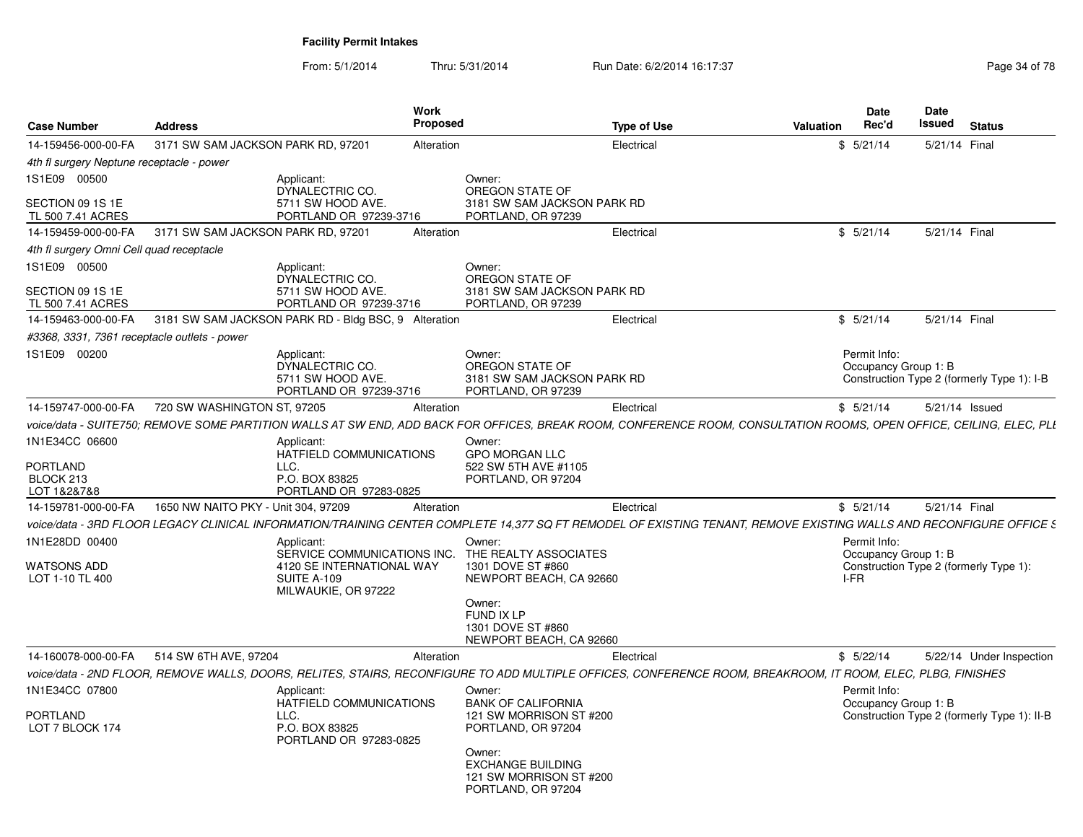From: 5/1/2014Thru: 5/31/2014 Run Date: 6/2/2014 16:17:37 Rege 34 of 78

| <b>Case Number</b>                                            | <b>Address</b>                      | Work                                                                                                                                                                 | <b>Proposed</b>                                                                                | <b>Type of Use</b> | Valuation | <b>Date</b><br>Rec'd                         | Date<br>Issued | <b>Status</b>                               |
|---------------------------------------------------------------|-------------------------------------|----------------------------------------------------------------------------------------------------------------------------------------------------------------------|------------------------------------------------------------------------------------------------|--------------------|-----------|----------------------------------------------|----------------|---------------------------------------------|
| 14-159456-000-00-FA                                           | 3171 SW SAM JACKSON PARK RD, 97201  |                                                                                                                                                                      |                                                                                                |                    |           | \$5/21/14                                    | 5/21/14 Final  |                                             |
|                                                               |                                     | Alteration                                                                                                                                                           |                                                                                                | Electrical         |           |                                              |                |                                             |
| 4th fl surgery Neptune receptacle - power<br>1S1E09 00500     |                                     | Applicant:                                                                                                                                                           | Owner:                                                                                         |                    |           |                                              |                |                                             |
| SECTION 09 1S 1E<br>TL 500 7.41 ACRES                         |                                     | DYNALECTRIC CO.<br>5711 SW HOOD AVE.<br>PORTLAND OR 97239-3716                                                                                                       | OREGON STATE OF<br>3181 SW SAM JACKSON PARK RD<br>PORTLAND, OR 97239                           |                    |           |                                              |                |                                             |
| 14-159459-000-00-FA                                           | 3171 SW SAM JACKSON PARK RD, 97201  |                                                                                                                                                                      | Alteration                                                                                     | Electrical         |           | \$5/21/14                                    | 5/21/14 Final  |                                             |
| 4th fl surgery Omni Cell quad receptacle                      |                                     |                                                                                                                                                                      |                                                                                                |                    |           |                                              |                |                                             |
| 1S1E09 00500                                                  |                                     | Applicant:                                                                                                                                                           | Owner:                                                                                         |                    |           |                                              |                |                                             |
| SECTION 09 1S 1E<br>TL 500 7.41 ACRES                         |                                     | DYNALECTRIC CO.<br>5711 SW HOOD AVE.<br>PORTLAND OR 97239-3716                                                                                                       | OREGON STATE OF<br>3181 SW SAM JACKSON PARK RD<br>PORTLAND, OR 97239                           |                    |           |                                              |                |                                             |
| 14-159463-000-00-FA                                           |                                     | 3181 SW SAM JACKSON PARK RD - Bldg BSC, 9 Alteration                                                                                                                 |                                                                                                | Electrical         |           | \$5/21/14                                    | 5/21/14 Final  |                                             |
| #3368, 3331, 7361 receptacle outlets - power                  |                                     |                                                                                                                                                                      |                                                                                                |                    |           |                                              |                |                                             |
| 1S1E09 00200                                                  |                                     | Applicant:<br>DYNALECTRIC CO.<br>5711 SW HOOD AVE.<br>PORTLAND OR 97239-3716                                                                                         | Owner:<br>OREGON STATE OF<br>3181 SW SAM JACKSON PARK RD<br>PORTLAND, OR 97239                 |                    |           | Permit Info:<br>Occupancy Group 1: B         |                | Construction Type 2 (formerly Type 1): I-B  |
| 14-159747-000-00-FA                                           | 720 SW WASHINGTON ST, 97205         | Alteration                                                                                                                                                           |                                                                                                | Electrical         |           | \$5/21/14                                    |                | 5/21/14 Issued                              |
|                                                               |                                     | voice/data - SUITE750; REMOVE SOME PARTITION WALLS AT SW END, ADD BACK FOR OFFICES, BREAK ROOM, CONFERENCE ROOM, CONSULTATION ROOMS, OPEN OFFICE, CEILING, ELEC, PLI |                                                                                                |                    |           |                                              |                |                                             |
| 1N1E34CC 06600<br><b>PORTLAND</b><br>BLOCK 213<br>LOT 1&2&7&8 |                                     | Applicant:<br>HATFIELD COMMUNICATIONS<br>LLC.<br>P.O. BOX 83825<br>PORTLAND OR 97283-0825                                                                            | Owner:<br><b>GPO MORGAN LLC</b><br>522 SW 5TH AVE #1105<br>PORTLAND, OR 97204                  |                    |           |                                              |                |                                             |
| 14-159781-000-00-FA                                           | 1650 NW NAITO PKY - Unit 304, 97209 | Alteration                                                                                                                                                           |                                                                                                | Electrical         |           | \$5/21/14                                    | 5/21/14 Final  |                                             |
|                                                               |                                     | voice/data - 3RD FLOOR LEGACY CLINICAL INFORMATION/TRAINING CENTER COMPLETE 14.377 SQ FT REMODEL OF EXISTING TENANT. REMOVE EXISTING WALLS AND RECONFIGURE OFFICE S  |                                                                                                |                    |           |                                              |                |                                             |
| 1N1E28DD 00400<br><b>WATSONS ADD</b><br>LOT 1-10 TL 400       |                                     | Applicant:<br>SERVICE COMMUNICATIONS INC.<br>4120 SE INTERNATIONAL WAY<br>SUITE A-109<br>MILWAUKIE, OR 97222                                                         | Owner:<br>THE REALTY ASSOCIATES<br>1301 DOVE ST #860<br>NEWPORT BEACH, CA 92660                |                    |           | Permit Info:<br>Occupancy Group 1: B<br>I-FR |                | Construction Type 2 (formerly Type 1):      |
|                                                               |                                     |                                                                                                                                                                      | Owner:<br>FUND IX LP<br>1301 DOVE ST #860<br>NEWPORT BEACH, CA 92660                           |                    |           |                                              |                |                                             |
| 14-160078-000-00-FA                                           | 514 SW 6TH AVE, 97204               | Alteration                                                                                                                                                           |                                                                                                | Electrical         |           | \$5/22/14                                    |                | 5/22/14 Under Inspection                    |
|                                                               |                                     | voice/data - 2ND FLOOR, REMOVE WALLS, DOORS, RELITES, STAIRS, RECONFIGURE TO ADD MULTIPLE OFFICES, CONFERENCE ROOM, BREAKROOM, IT ROOM, ELEC, PLBG, FINISHES         |                                                                                                |                    |           |                                              |                |                                             |
| 1N1E34CC 07800<br>PORTLAND<br>LOT 7 BLOCK 174                 |                                     | Applicant:<br>HATFIELD COMMUNICATIONS<br>LLC.<br>P.O. BOX 83825<br>PORTLAND OR 97283-0825                                                                            | Owner:<br><b>BANK OF CALIFORNIA</b><br>121 SW MORRISON ST #200<br>PORTLAND, OR 97204<br>Owner: |                    |           | Permit Info:<br>Occupancy Group 1: B         |                | Construction Type 2 (formerly Type 1): II-B |
|                                                               |                                     |                                                                                                                                                                      | <b>EXCHANGE BUILDING</b><br>121 SW MORRISON ST #200<br>PORTLAND, OR 97204                      |                    |           |                                              |                |                                             |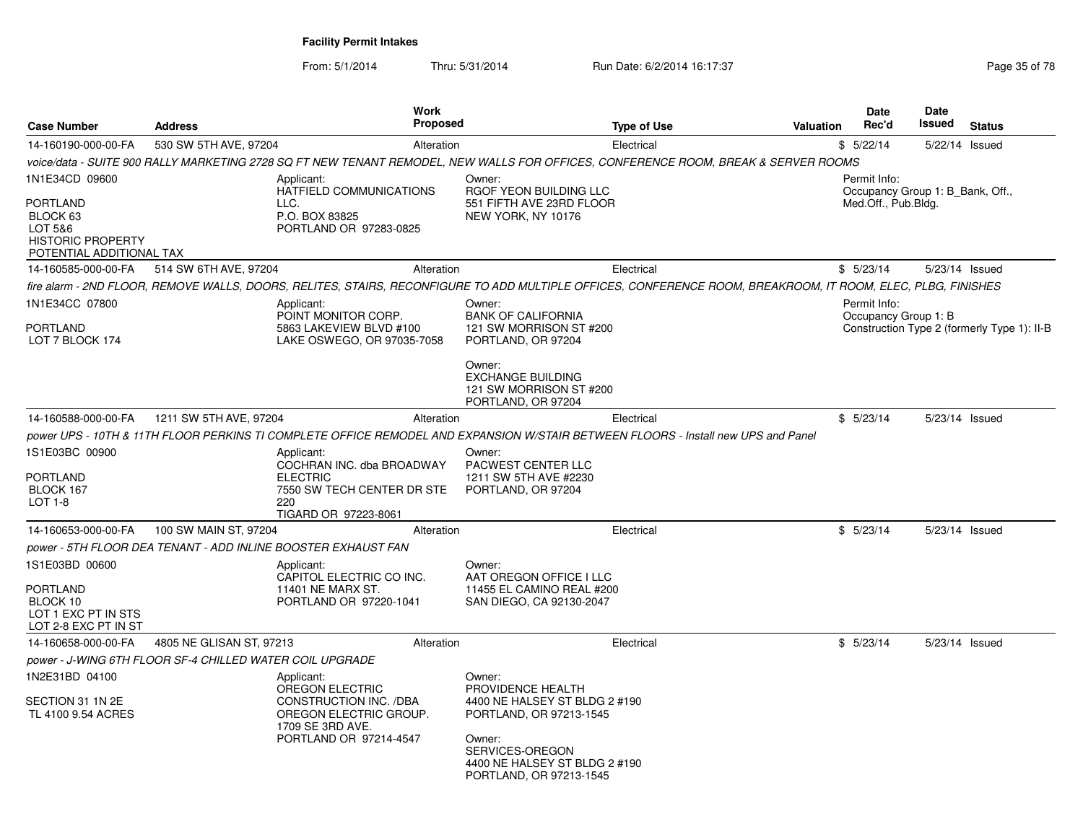From: 5/1/2014Thru: 5/31/2014 Run Date: 6/2/2014 16:17:37 Rege 35 of 78

| <b>Case Number</b>                                                                                               | <b>Address</b>                                           | <b>Work</b><br><b>Proposed</b>                                                                                                                               |                                                                                                                                                                                  | <b>Type of Use</b> | <b>Valuation</b> | Date<br>Rec'd                                                           | Date<br>Issued | <b>Status</b>                               |
|------------------------------------------------------------------------------------------------------------------|----------------------------------------------------------|--------------------------------------------------------------------------------------------------------------------------------------------------------------|----------------------------------------------------------------------------------------------------------------------------------------------------------------------------------|--------------------|------------------|-------------------------------------------------------------------------|----------------|---------------------------------------------|
| 14-160190-000-00-FA                                                                                              | 530 SW 5TH AVE, 97204                                    | Alteration                                                                                                                                                   |                                                                                                                                                                                  | Electrical         |                  | \$5/22/14                                                               | 5/22/14 Issued |                                             |
|                                                                                                                  |                                                          | voice/data - SUITE 900 RALLY MARKETING 2728 SQ FT NEW TENANT REMODEL, NEW WALLS FOR OFFICES, CONFERENCE ROOM, BREAK & SERVER ROOMS                           |                                                                                                                                                                                  |                    |                  |                                                                         |                |                                             |
| 1N1E34CD 09600<br><b>PORTLAND</b><br>BLOCK 63<br>LOT 5&6<br><b>HISTORIC PROPERTY</b><br>POTENTIAL ADDITIONAL TAX |                                                          | Applicant:<br>HATFIELD COMMUNICATIONS<br>LLC.<br>P.O. BOX 83825<br>PORTLAND OR 97283-0825                                                                    | Owner:<br>RGOF YEON BUILDING LLC<br>551 FIFTH AVE 23RD FLOOR<br>NEW YORK, NY 10176                                                                                               |                    |                  | Permit Info:<br>Occupancy Group 1: B Bank, Off.,<br>Med.Off., Pub.Bldg. |                |                                             |
| 14-160585-000-00-FA                                                                                              | 514 SW 6TH AVE, 97204                                    | Alteration                                                                                                                                                   |                                                                                                                                                                                  | Electrical         |                  | \$5/23/14                                                               | 5/23/14 Issued |                                             |
|                                                                                                                  |                                                          | fire alarm - 2ND FLOOR, REMOVE WALLS, DOORS, RELITES, STAIRS, RECONFIGURE TO ADD MULTIPLE OFFICES, CONFERENCE ROOM, BREAKROOM, IT ROOM, ELEC, PLBG, FINISHES |                                                                                                                                                                                  |                    |                  |                                                                         |                |                                             |
| 1N1E34CC 07800<br>PORTLAND<br>LOT 7 BLOCK 174                                                                    |                                                          | Applicant:<br>POINT MONITOR CORP.<br>5863 LAKEVIEW BLVD #100<br>LAKE OSWEGO, OR 97035-7058                                                                   | Owner:<br><b>BANK OF CALIFORNIA</b><br>121 SW MORRISON ST #200<br>PORTLAND, OR 97204<br>Owner:<br><b>EXCHANGE BUILDING</b><br>121 SW MORRISON ST #200<br>PORTLAND, OR 97204      |                    |                  | Permit Info:<br>Occupancy Group 1: B                                    |                | Construction Type 2 (formerly Type 1): II-B |
| 14-160588-000-00-FA                                                                                              | 1211 SW 5TH AVE, 97204                                   | Alteration                                                                                                                                                   |                                                                                                                                                                                  | Electrical         |                  | \$5/23/14                                                               | 5/23/14 Issued |                                             |
|                                                                                                                  |                                                          | power UPS - 10TH & 11TH FLOOR PERKINS TI COMPLETE OFFICE REMODEL AND EXPANSION W/STAIR BETWEEN FLOORS - Install new UPS and Panel                            |                                                                                                                                                                                  |                    |                  |                                                                         |                |                                             |
| 1S1E03BC 00900<br><b>PORTLAND</b><br>BLOCK 167<br><b>LOT 1-8</b>                                                 |                                                          | Applicant:<br>COCHRAN INC. dba BROADWAY<br><b>ELECTRIC</b><br>7550 SW TECH CENTER DR STE<br>220<br>TIGARD OR 97223-8061                                      | Owner:<br>PACWEST CENTER LLC<br>1211 SW 5TH AVE #2230<br>PORTLAND, OR 97204                                                                                                      |                    |                  |                                                                         |                |                                             |
| 14-160653-000-00-FA                                                                                              | 100 SW MAIN ST, 97204                                    | Alteration                                                                                                                                                   |                                                                                                                                                                                  | Electrical         |                  | \$5/23/14                                                               | 5/23/14 Issued |                                             |
|                                                                                                                  |                                                          | power - 5TH FLOOR DEA TENANT - ADD INLINE BOOSTER EXHAUST FAN                                                                                                |                                                                                                                                                                                  |                    |                  |                                                                         |                |                                             |
| 1S1E03BD 00600<br><b>PORTLAND</b><br>BLOCK 10<br>LOT 1 EXC PT IN STS<br>LOT 2-8 EXC PT IN ST                     |                                                          | Applicant:<br>CAPITOL ELECTRIC CO INC.<br>11401 NE MARX ST.<br>PORTLAND OR 97220-1041                                                                        | Owner:<br>AAT OREGON OFFICE I LLC<br>11455 EL CAMINO REAL #200<br>SAN DIEGO, CA 92130-2047                                                                                       |                    |                  |                                                                         |                |                                             |
| 14-160658-000-00-FA                                                                                              | 4805 NE GLISAN ST, 97213                                 | Alteration                                                                                                                                                   |                                                                                                                                                                                  | Electrical         |                  | \$5/23/14                                                               | 5/23/14 Issued |                                             |
|                                                                                                                  | power - J-WING 6TH FLOOR SF-4 CHILLED WATER COIL UPGRADE |                                                                                                                                                              |                                                                                                                                                                                  |                    |                  |                                                                         |                |                                             |
| 1N2E31BD 04100<br>SECTION 31 1N 2E<br>TL 4100 9.54 ACRES                                                         |                                                          | Applicant:<br>OREGON ELECTRIC<br>CONSTRUCTION INC. /DBA<br>OREGON ELECTRIC GROUP.<br>1709 SE 3RD AVE.<br>PORTLAND OR 97214-4547                              | Owner:<br>PROVIDENCE HEALTH<br>4400 NE HALSEY ST BLDG 2 #190<br>PORTLAND, OR 97213-1545<br>Owner:<br>SERVICES-OREGON<br>4400 NE HALSEY ST BLDG 2 #190<br>PORTLAND, OR 97213-1545 |                    |                  |                                                                         |                |                                             |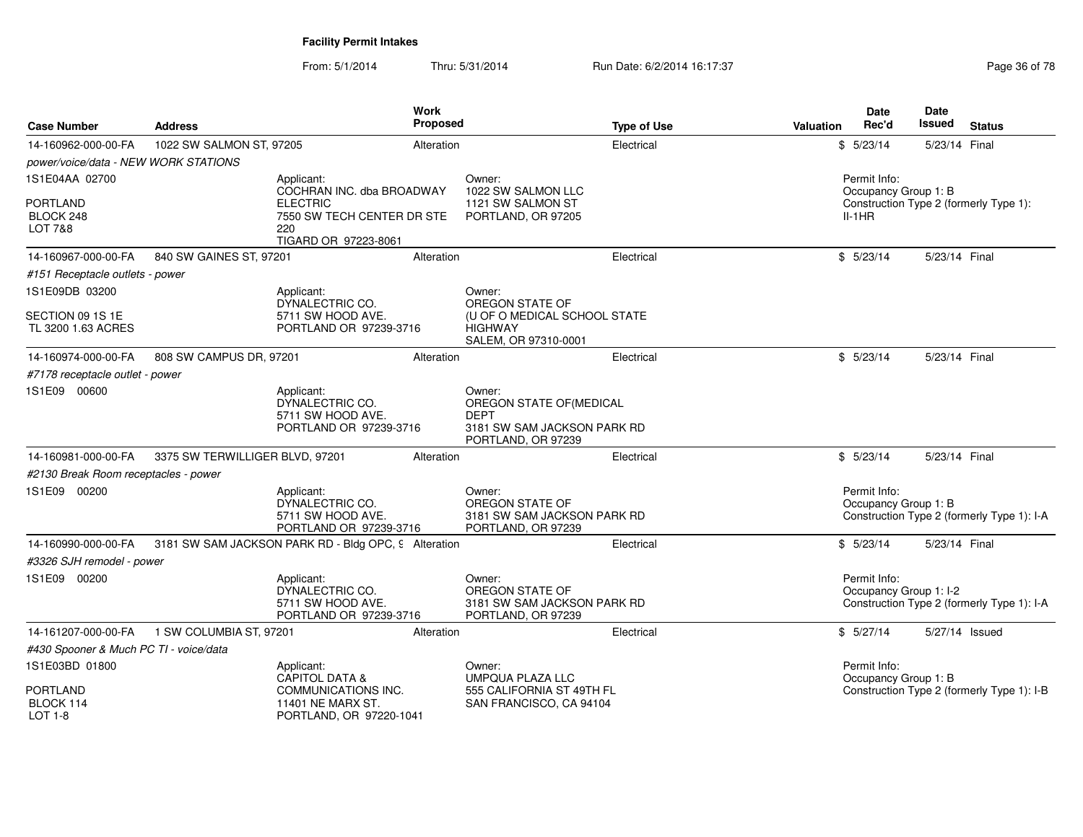From: 5/1/2014Thru: 5/31/2014 Run Date: 6/2/2014 16:17:37 Research 2010 178

| <b>Case Number</b>                      | <b>Address</b>                  | Work<br>Proposed                                                             |                                                                                                       | <b>Type of Use</b> | Valuation | <b>Date</b><br>Rec'd                   | Date<br>Issued | <b>Status</b>                              |
|-----------------------------------------|---------------------------------|------------------------------------------------------------------------------|-------------------------------------------------------------------------------------------------------|--------------------|-----------|----------------------------------------|----------------|--------------------------------------------|
| 14-160962-000-00-FA                     | 1022 SW SALMON ST, 97205        | Alteration                                                                   |                                                                                                       | Electrical         |           | \$5/23/14                              | 5/23/14 Final  |                                            |
| power/voice/data - NEW WORK STATIONS    |                                 |                                                                              |                                                                                                       |                    |           |                                        |                |                                            |
| 1S1E04AA 02700                          |                                 | Applicant:<br>COCHRAN INC. dba BROADWAY                                      | Owner:<br>1022 SW SALMON LLC                                                                          |                    |           | Permit Info:<br>Occupancy Group 1: B   |                |                                            |
| <b>PORTLAND</b><br>BLOCK 248<br>LOT 7&8 |                                 | <b>ELECTRIC</b><br>7550 SW TECH CENTER DR STE<br>220<br>TIGARD OR 97223-8061 | 1121 SW SALMON ST<br>PORTLAND, OR 97205                                                               |                    |           | $II-1HR$                               |                | Construction Type 2 (formerly Type 1):     |
| 14-160967-000-00-FA                     | 840 SW GAINES ST, 97201         | Alteration                                                                   |                                                                                                       | Electrical         |           | \$5/23/14                              | 5/23/14 Final  |                                            |
| #151 Receptacle outlets - power         |                                 |                                                                              |                                                                                                       |                    |           |                                        |                |                                            |
| 1S1E09DB 03200                          |                                 | Applicant:<br>DYNALECTRIC CO.                                                | Owner:<br>OREGON STATE OF                                                                             |                    |           |                                        |                |                                            |
| SECTION 09 1S 1E<br>TL 3200 1.63 ACRES  |                                 | 5711 SW HOOD AVE.<br>PORTLAND OR 97239-3716                                  | (U OF O MEDICAL SCHOOL STATE<br><b>HIGHWAY</b><br>SALEM, OR 97310-0001                                |                    |           |                                        |                |                                            |
| 14-160974-000-00-FA                     | 808 SW CAMPUS DR, 97201         | Alteration                                                                   |                                                                                                       | Electrical         |           | \$5/23/14                              | 5/23/14 Final  |                                            |
| #7178 receptacle outlet - power         |                                 |                                                                              |                                                                                                       |                    |           |                                        |                |                                            |
| 1S1E09 00600                            |                                 | Applicant:<br>DYNALECTRIC CO.<br>5711 SW HOOD AVE.<br>PORTLAND OR 97239-3716 | Owner:<br>OREGON STATE OF(MEDICAL<br><b>DEPT</b><br>3181 SW SAM JACKSON PARK RD<br>PORTLAND, OR 97239 |                    |           |                                        |                |                                            |
| 14-160981-000-00-FA                     | 3375 SW TERWILLIGER BLVD, 97201 | Alteration                                                                   |                                                                                                       | Electrical         |           | \$5/23/14                              | 5/23/14 Final  |                                            |
| #2130 Break Room receptacles - power    |                                 |                                                                              |                                                                                                       |                    |           |                                        |                |                                            |
| 1S1E09 00200                            |                                 | Applicant:<br>DYNALECTRIC CO.<br>5711 SW HOOD AVE.<br>PORTLAND OR 97239-3716 | Owner:<br>OREGON STATE OF<br>3181 SW SAM JACKSON PARK RD<br>PORTLAND, OR 97239                        |                    |           | Permit Info:<br>Occupancy Group 1: B   |                | Construction Type 2 (formerly Type 1): I-A |
| 14-160990-000-00-FA                     |                                 | 3181 SW SAM JACKSON PARK RD - Bldg OPC, 9 Alteration                         |                                                                                                       | Electrical         |           | \$5/23/14                              | 5/23/14 Final  |                                            |
| #3326 SJH remodel - power               |                                 |                                                                              |                                                                                                       |                    |           |                                        |                |                                            |
| 1S1E09 00200                            |                                 | Applicant:<br>DYNALECTRIC CO.<br>5711 SW HOOD AVE.<br>PORTLAND OR 97239-3716 | Owner:<br>OREGON STATE OF<br>3181 SW SAM JACKSON PARK RD<br>PORTLAND, OR 97239                        |                    |           | Permit Info:<br>Occupancy Group 1: I-2 |                | Construction Type 2 (formerly Type 1): I-A |
| 14-161207-000-00-FA                     | 1 SW COLUMBIA ST, 97201         | Alteration                                                                   |                                                                                                       | Electrical         |           | \$5/27/14                              | 5/27/14 Issued |                                            |
| #430 Spooner & Much PC TI - voice/data  |                                 |                                                                              |                                                                                                       |                    |           |                                        |                |                                            |
| 1S1E03BD 01800                          |                                 | Applicant:<br><b>CAPITOL DATA &amp;</b>                                      | Owner:<br><b>UMPQUA PLAZA LLC</b>                                                                     |                    |           | Permit Info:<br>Occupancy Group 1: B   |                |                                            |
| <b>PORTLAND</b><br>BLOCK 114<br>LOT 1-8 |                                 | COMMUNICATIONS INC.<br>11401 NE MARX ST.<br>PORTLAND, OR 97220-1041          | 555 CALIFORNIA ST 49TH FL<br>SAN FRANCISCO, CA 94104                                                  |                    |           |                                        |                | Construction Type 2 (formerly Type 1): I-B |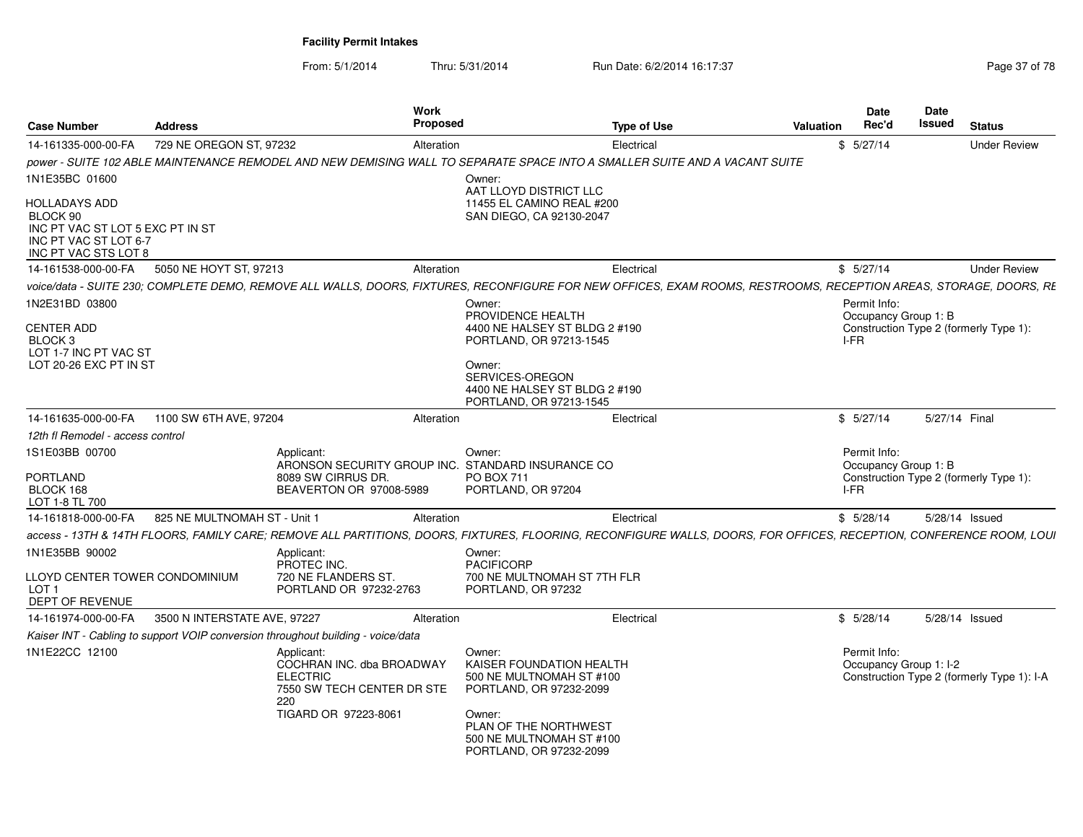From: 5/1/2014Thru: 5/31/2014 Run Date: 6/2/2014 16:17:37 Rege 37 of 78

| <b>Case Number</b>                                                                                             | <b>Address</b>               | Work<br>Proposed                                                                                                        |                                                                                                                                                                                     | <b>Type of Use</b>                                                                                                                                                  | Valuation | <b>Date</b><br>Rec'd                         | Date<br>Issued | <b>Status</b>                              |
|----------------------------------------------------------------------------------------------------------------|------------------------------|-------------------------------------------------------------------------------------------------------------------------|-------------------------------------------------------------------------------------------------------------------------------------------------------------------------------------|---------------------------------------------------------------------------------------------------------------------------------------------------------------------|-----------|----------------------------------------------|----------------|--------------------------------------------|
| 14-161335-000-00-FA                                                                                            | 729 NE OREGON ST, 97232      | Alteration                                                                                                              |                                                                                                                                                                                     | Electrical                                                                                                                                                          |           | \$5/27/14                                    |                | <b>Under Review</b>                        |
|                                                                                                                |                              |                                                                                                                         |                                                                                                                                                                                     | power - SUITE 102 ABLE MAINTENANCE REMODEL AND NEW DEMISING WALL TO SEPARATE SPACE INTO A SMALLER SUITE AND A VACANT SUITE                                          |           |                                              |                |                                            |
| 1N1E35BC 01600                                                                                                 |                              |                                                                                                                         | Owner:                                                                                                                                                                              |                                                                                                                                                                     |           |                                              |                |                                            |
| HOLLADAYS ADD<br>BLOCK 90<br>INC PT VAC ST LOT 5 EXC PT IN ST<br>INC PT VAC ST LOT 6-7<br>INC PT VAC STS LOT 8 |                              |                                                                                                                         | AAT LLOYD DISTRICT LLC<br>11455 EL CAMINO REAL #200<br>SAN DIEGO, CA 92130-2047                                                                                                     |                                                                                                                                                                     |           |                                              |                |                                            |
| 14-161538-000-00-FA                                                                                            | 5050 NE HOYT ST, 97213       | Alteration                                                                                                              |                                                                                                                                                                                     | Electrical                                                                                                                                                          |           | \$5/27/14                                    |                | <b>Under Review</b>                        |
|                                                                                                                |                              |                                                                                                                         |                                                                                                                                                                                     | voice/data - SUITE 230: COMPLETE DEMO. REMOVE ALL WALLS. DOORS. FIXTURES. RECONFIGURE FOR NEW OFFICES. EXAM ROOMS. RESTROOMS. RECEPTION AREAS. STORAGE. DOORS. RE   |           |                                              |                |                                            |
| 1N2E31BD 03800<br><b>CENTER ADD</b><br>BLOCK <sub>3</sub><br>LOT 1-7 INC PT VAC ST<br>LOT 20-26 EXC PT IN ST   |                              |                                                                                                                         | Owner:<br>PROVIDENCE HEALTH<br>4400 NE HALSEY ST BLDG 2 #190<br>PORTLAND, OR 97213-1545<br>Owner:<br>SERVICES-OREGON<br>4400 NE HALSEY ST BLDG 2 #190<br>PORTLAND, OR 97213-1545    |                                                                                                                                                                     |           | Permit Info:<br>Occupancy Group 1: B<br>I-FR |                | Construction Type 2 (formerly Type 1):     |
| 14-161635-000-00-FA                                                                                            | 1100 SW 6TH AVE, 97204       | Alteration                                                                                                              |                                                                                                                                                                                     | Electrical                                                                                                                                                          |           | \$5/27/14                                    | 5/27/14 Final  |                                            |
| 12th fl Remodel - access control                                                                               |                              |                                                                                                                         |                                                                                                                                                                                     |                                                                                                                                                                     |           |                                              |                |                                            |
| 1S1E03BB 00700                                                                                                 |                              | Applicant:                                                                                                              | Owner:                                                                                                                                                                              |                                                                                                                                                                     |           | Permit Info:                                 |                |                                            |
| PORTLAND<br>BLOCK 168<br>LOT 1-8 TL 700                                                                        |                              | ARONSON SECURITY GROUP INC. STANDARD INSURANCE CO<br>8089 SW CIRRUS DR.<br>BEAVERTON OR 97008-5989                      | <b>PO BOX 711</b><br>PORTLAND, OR 97204                                                                                                                                             |                                                                                                                                                                     |           | Occupancy Group 1: B<br>I-FR                 |                | Construction Type 2 (formerly Type 1):     |
| 14-161818-000-00-FA                                                                                            | 825 NE MULTNOMAH ST - Unit   | Alteration                                                                                                              |                                                                                                                                                                                     | Electrical                                                                                                                                                          |           | \$5/28/14                                    | 5/28/14 Issued |                                            |
|                                                                                                                |                              |                                                                                                                         |                                                                                                                                                                                     | access - 13TH & 14TH FLOORS. FAMILY CARE: REMOVE ALL PARTITIONS. DOORS. FIXTURES. FLOORING. RECONFIGURE WALLS. DOORS. FOR OFFICES. RECEPTION. CONFERENCE ROOM. LOUI |           |                                              |                |                                            |
| 1N1E35BB 90002                                                                                                 |                              | Applicant:<br>PROTEC INC.                                                                                               | Owner:<br>PACIFICORP                                                                                                                                                                |                                                                                                                                                                     |           |                                              |                |                                            |
| LLOYD CENTER TOWER CONDOMINIUM<br>LOT <sub>1</sub><br><b>DEPT OF REVENUE</b>                                   |                              | 720 NE FLANDERS ST.<br>PORTLAND OR 97232-2763                                                                           | 700 NE MULTNOMAH ST 7TH FLR<br>PORTLAND, OR 97232                                                                                                                                   |                                                                                                                                                                     |           |                                              |                |                                            |
| 14-161974-000-00-FA                                                                                            | 3500 N INTERSTATE AVE, 97227 | Alteration                                                                                                              |                                                                                                                                                                                     | Electrical                                                                                                                                                          |           | \$5/28/14                                    | 5/28/14 Issued |                                            |
|                                                                                                                |                              | Kaiser INT - Cabling to support VOIP conversion throughout building - voice/data                                        |                                                                                                                                                                                     |                                                                                                                                                                     |           |                                              |                |                                            |
| 1N1E22CC 12100                                                                                                 |                              | Applicant:<br>COCHRAN INC. dba BROADWAY<br><b>ELECTRIC</b><br>7550 SW TECH CENTER DR STE<br>220<br>TIGARD OR 97223-8061 | Owner:<br>KAISER FOUNDATION HEALTH<br>500 NE MULTNOMAH ST #100<br>PORTLAND, OR 97232-2099<br>Owner:<br>PLAN OF THE NORTHWEST<br>500 NE MULTNOMAH ST #100<br>PORTLAND, OR 97232-2099 |                                                                                                                                                                     |           | Permit Info:<br>Occupancy Group 1: I-2       |                | Construction Type 2 (formerly Type 1): I-A |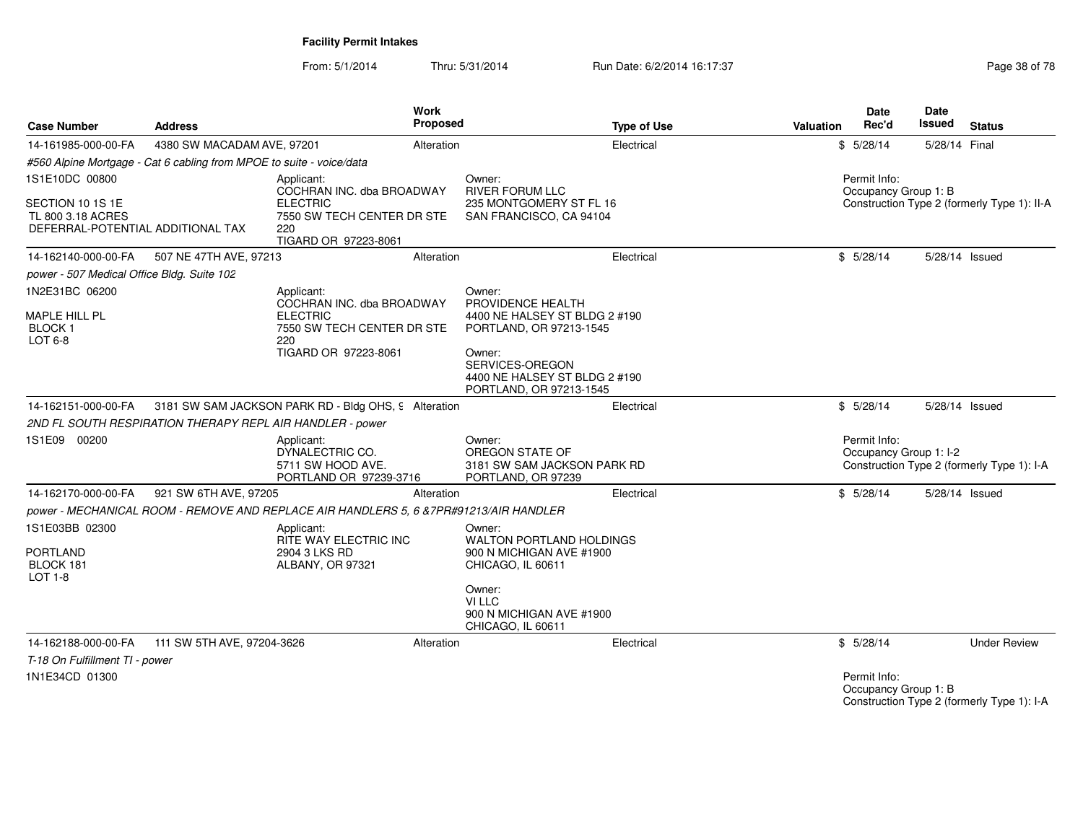From: 5/1/2014Thru: 5/31/2014 Run Date: 6/2/2014 16:17:37 Rege 38 of 78

| <b>Case Number</b>                                          | Address                                                              | <b>Work</b><br>Proposed                                                                |                                                                                            | <b>Type of Use</b> | <b>Valuation</b> | <b>Date</b><br>Rec'd                   | Date<br>Issued                                   | <b>Status</b>                               |
|-------------------------------------------------------------|----------------------------------------------------------------------|----------------------------------------------------------------------------------------|--------------------------------------------------------------------------------------------|--------------------|------------------|----------------------------------------|--------------------------------------------------|---------------------------------------------|
| 14-161985-000-00-FA                                         | 4380 SW MACADAM AVE, 97201                                           | Alteration                                                                             |                                                                                            | Electrical         |                  | \$5/28/14                              | 5/28/14 Final                                    |                                             |
|                                                             | #560 Alpine Mortgage - Cat 6 cabling from MPOE to suite - voice/data |                                                                                        |                                                                                            |                    |                  |                                        |                                                  |                                             |
| 1S1E10DC 00800<br>SECTION 10 1S 1E                          |                                                                      | Applicant:<br>COCHRAN INC. dba BROADWAY<br><b>ELECTRIC</b>                             | Owner:<br><b>RIVER FORUM LLC</b><br>235 MONTGOMERY ST FL 16                                |                    |                  | Permit Info:<br>Occupancy Group 1: B   |                                                  | Construction Type 2 (formerly Type 1): II-A |
| TL 800 3.18 ACRES<br>DEFERRAL-POTENTIAL ADDITIONAL TAX      |                                                                      | 7550 SW TECH CENTER DR STE<br>220<br>TIGARD OR 97223-8061                              | SAN FRANCISCO, CA 94104                                                                    |                    |                  |                                        |                                                  |                                             |
| 14-162140-000-00-FA                                         | 507 NE 47TH AVE, 97213                                               | Alteration                                                                             |                                                                                            | Electrical         |                  | \$5/28/14                              | 5/28/14 Issued                                   |                                             |
| power - 507 Medical Office Bldg. Suite 102                  |                                                                      |                                                                                        |                                                                                            |                    |                  |                                        |                                                  |                                             |
| 1N2E31BC 06200                                              |                                                                      | Applicant:<br>COCHRAN INC. dba BROADWAY                                                | Owner:<br>PROVIDENCE HEALTH                                                                |                    |                  |                                        |                                                  |                                             |
| <b>MAPLE HILL PL</b><br><b>BLOCK1</b><br>LOT $6-8$          |                                                                      | <b>ELECTRIC</b><br>7550 SW TECH CENTER DR STE<br>220                                   | 4400 NE HALSEY ST BLDG 2 #190<br>PORTLAND, OR 97213-1545                                   |                    |                  |                                        |                                                  |                                             |
|                                                             |                                                                      | TIGARD OR 97223-8061                                                                   | Owner:<br>SERVICES-OREGON<br>4400 NE HALSEY ST BLDG 2 #190<br>PORTLAND, OR 97213-1545      |                    |                  |                                        |                                                  |                                             |
| 14-162151-000-00-FA                                         |                                                                      | 3181 SW SAM JACKSON PARK RD - Bldg OHS, 9 Alteration                                   |                                                                                            | Electrical         |                  | \$5/28/14                              | 5/28/14 Issued                                   |                                             |
|                                                             | 2ND FL SOUTH RESPIRATION THERAPY REPL AIR HANDLER - power            |                                                                                        |                                                                                            |                    |                  |                                        |                                                  |                                             |
| 1S1E09 00200                                                |                                                                      | Applicant:<br>DYNALECTRIC CO.<br>5711 SW HOOD AVE.<br>PORTLAND OR 97239-3716           | Owner:<br>OREGON STATE OF<br>3181 SW SAM JACKSON PARK RD<br>PORTLAND, OR 97239             |                    |                  | Permit Info:<br>Occupancy Group 1: I-2 |                                                  | Construction Type 2 (formerly Type 1): I-A  |
| 14-162170-000-00-FA                                         | 921 SW 6TH AVE, 97205                                                | Alteration                                                                             |                                                                                            | Electrical         |                  | \$5/28/14                              | 5/28/14 Issued                                   |                                             |
|                                                             |                                                                      | power - MECHANICAL ROOM - REMOVE AND REPLACE AIR HANDLERS 5, 6 & 7PR#91213/AIR HANDLER |                                                                                            |                    |                  |                                        |                                                  |                                             |
| 1S1E03BB 02300<br><b>PORTLAND</b><br>BLOCK 181<br>$LOT 1-8$ |                                                                      | Applicant:<br>RITE WAY ELECTRIC INC<br>2904 3 LKS RD<br>ALBANY, OR 97321               | Owner:<br><b>WALTON PORTLAND HOLDINGS</b><br>900 N MICHIGAN AVE #1900<br>CHICAGO, IL 60611 |                    |                  |                                        |                                                  |                                             |
|                                                             |                                                                      |                                                                                        | Owner:<br>VI LLC<br>900 N MICHIGAN AVE #1900<br>CHICAGO, IL 60611                          |                    |                  |                                        |                                                  |                                             |
| 14-162188-000-00-FA                                         | 111 SW 5TH AVE, 97204-3626                                           | Alteration                                                                             |                                                                                            | Electrical         |                  | \$5/28/14                              |                                                  | <b>Under Review</b>                         |
| T-18 On Fulfillment TI - power                              |                                                                      |                                                                                        |                                                                                            |                    |                  |                                        |                                                  |                                             |
| 1N1E34CD 01300                                              |                                                                      |                                                                                        |                                                                                            |                    |                  | Permit Info:                           | $\sim$ $\sim$ $\sim$ $\sim$ $\sim$ $\sim$ $\sim$ |                                             |

Occupancy Group 1: B Construction Type 2 (formerly Type 1): I-A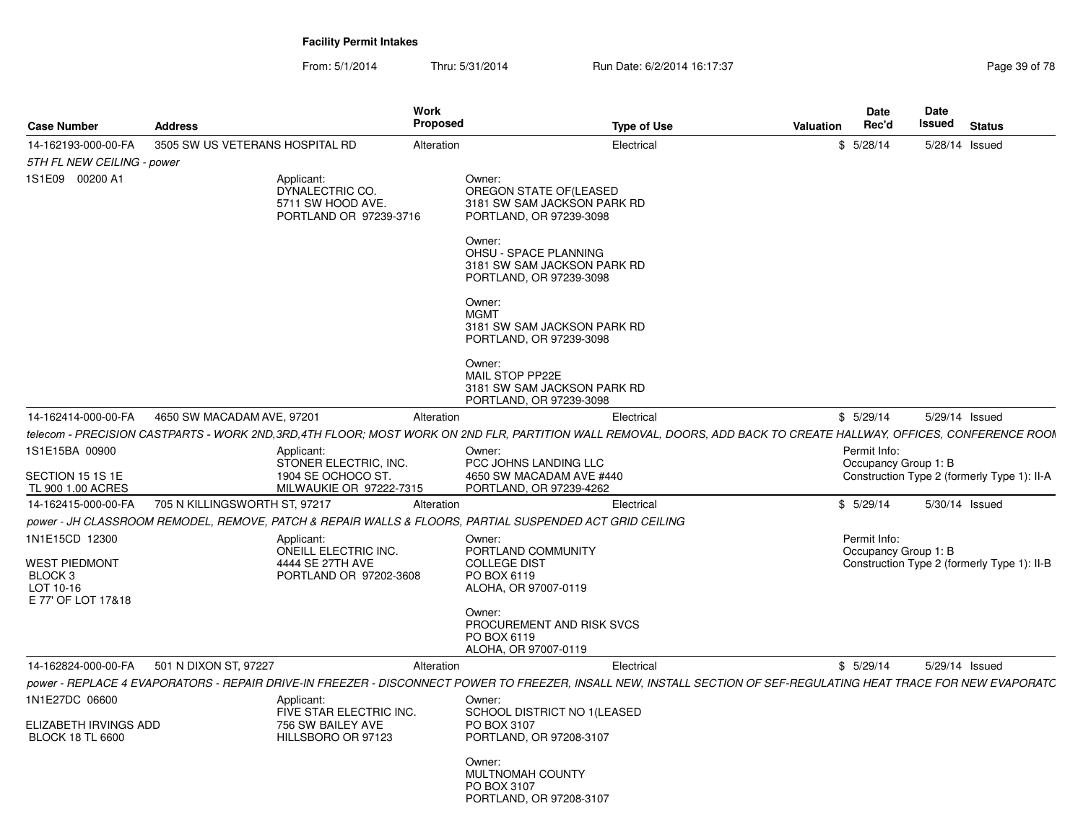From: 5/1/2014Thru: 5/31/2014 Run Date: 6/2/2014 16:17:37 Rege 39 of 78

|                                                       |                                 |                                                                                                         | Work       |                                                                                            |                    |           | Date                 | Date                                                                                                                                                              |
|-------------------------------------------------------|---------------------------------|---------------------------------------------------------------------------------------------------------|------------|--------------------------------------------------------------------------------------------|--------------------|-----------|----------------------|-------------------------------------------------------------------------------------------------------------------------------------------------------------------|
| <b>Case Number</b>                                    | <b>Address</b>                  |                                                                                                         | Proposed   |                                                                                            | <b>Type of Use</b> | Valuation | Rec'd                | Issued<br>Status                                                                                                                                                  |
| 14-162193-000-00-FA                                   | 3505 SW US VETERANS HOSPITAL RD |                                                                                                         | Alteration |                                                                                            | Electrical         |           | \$5/28/14            | 5/28/14 Issued                                                                                                                                                    |
| 5TH FL NEW CEILING - power                            |                                 |                                                                                                         |            |                                                                                            |                    |           |                      |                                                                                                                                                                   |
| 1S1E09 00200 A1                                       |                                 | Applicant:<br>DYNALECTRIC CO.<br>5711 SW HOOD AVE.<br>PORTLAND OR 97239-3716                            |            | Owner:<br>OREGON STATE OF(LEASED<br>3181 SW SAM JACKSON PARK RD<br>PORTLAND, OR 97239-3098 |                    |           |                      |                                                                                                                                                                   |
|                                                       |                                 |                                                                                                         |            | Owner:<br>OHSU - SPACE PLANNING<br>3181 SW SAM JACKSON PARK RD<br>PORTLAND, OR 97239-3098  |                    |           |                      |                                                                                                                                                                   |
|                                                       |                                 |                                                                                                         |            | Owner:<br><b>MGMT</b><br>3181 SW SAM JACKSON PARK RD<br>PORTLAND, OR 97239-3098            |                    |           |                      |                                                                                                                                                                   |
|                                                       |                                 |                                                                                                         |            | Owner:<br>MAIL STOP PP22E<br>3181 SW SAM JACKSON PARK RD<br>PORTLAND, OR 97239-3098        |                    |           |                      |                                                                                                                                                                   |
| 14-162414-000-00-FA 4650 SW MACADAM AVE, 97201        |                                 |                                                                                                         | Alteration |                                                                                            | Electrical         |           | \$5/29/14            | 5/29/14 Issued                                                                                                                                                    |
|                                                       |                                 |                                                                                                         |            |                                                                                            |                    |           |                      | telecom - PRECISION CASTPARTS - WORK 2ND,3RD,4TH FLOOR; MOST WORK ON 2ND FLR, PARTITION WALL REMOVAL, DOORS, ADD BACK TO CREATE HALLWAY, OFFICES, CONFERENCE ROOM |
| 1S1E15BA 00900                                        |                                 | Applicant:                                                                                              |            | Owner:                                                                                     |                    |           | Permit Info:         |                                                                                                                                                                   |
| SECTION 15 1S 1E<br>TL 900 1.00 ACRES                 |                                 | STONER ELECTRIC. INC.<br>1904 SE OCHOCO ST.<br>MILWAUKIE OR 97222-7315                                  |            | PCC JOHNS LANDING LLC<br>4650 SW MACADAM AVE #440<br>PORTLAND, OR 97239-4262               |                    |           | Occupancy Group 1: B | Construction Type 2 (formerly Type 1): II-A                                                                                                                       |
| 14-162415-000-00-FA                                   | 705 N KILLINGSWORTH ST, 97217   |                                                                                                         | Alteration |                                                                                            | Electrical         |           | \$5/29/14            | 5/30/14 Issued                                                                                                                                                    |
|                                                       |                                 | power - JH CLASSROOM REMODEL, REMOVE, PATCH & REPAIR WALLS & FLOORS, PARTIAL SUSPENDED ACT GRID CEILING |            |                                                                                            |                    |           |                      |                                                                                                                                                                   |
| 1N1E15CD 12300                                        |                                 | Applicant:                                                                                              |            | Owner:                                                                                     |                    |           | Permit Info:         |                                                                                                                                                                   |
| <b>WEST PIEDMONT</b>                                  |                                 | ONEILL ELECTRIC INC.<br>4444 SE 27TH AVE                                                                |            | PORTLAND COMMUNITY<br><b>COLLEGE DIST</b>                                                  |                    |           | Occupancy Group 1: B | Construction Type 2 (formerly Type 1): II-B                                                                                                                       |
| BLOCK <sub>3</sub><br>LOT 10-16<br>E 77' OF LOT 17&18 |                                 | PORTLAND OR 97202-3608                                                                                  |            | PO BOX 6119<br>ALOHA, OR 97007-0119                                                        |                    |           |                      |                                                                                                                                                                   |
|                                                       |                                 |                                                                                                         |            | Owner:<br>PROCUREMENT AND RISK SVCS<br>PO BOX 6119<br>ALOHA, OR 97007-0119                 |                    |           |                      |                                                                                                                                                                   |
| 14-162824-000-00-FA 501 N DIXON ST, 97227             |                                 |                                                                                                         | Alteration |                                                                                            | Electrical         |           | \$5/29/14            | 5/29/14 Issued                                                                                                                                                    |
|                                                       |                                 |                                                                                                         |            |                                                                                            |                    |           |                      | power - REPLACE 4 EVAPORATORS - REPAIR DRIVE-IN FREEZER - DISCONNECT POWER TO FREEZER, INSALL NEW, INSTALL SECTION OF SEF-REGULATING HEAT TRACE FOR NEW EVAPORATC |
|                                                       |                                 |                                                                                                         |            | Owner:                                                                                     |                    |           |                      |                                                                                                                                                                   |
| 1N1E27DC 06600                                        |                                 | Applicant:<br>FIVE STAR ELECTRIC INC.                                                                   |            | SCHOOL DISTRICT NO 1 (LEASED                                                               |                    |           |                      |                                                                                                                                                                   |
| ELIZABETH IRVINGS ADD                                 |                                 | 756 SW BAILEY AVE                                                                                       |            | PO BOX 3107                                                                                |                    |           |                      |                                                                                                                                                                   |
| <b>BLOCK 18 TL 6600</b>                               |                                 | HILLSBORO OR 97123                                                                                      |            | PORTLAND, OR 97208-3107                                                                    |                    |           |                      |                                                                                                                                                                   |
|                                                       |                                 |                                                                                                         |            | Owner:<br>MULTNOMAH COUNTY<br>PO BOX 3107                                                  |                    |           |                      |                                                                                                                                                                   |
|                                                       |                                 |                                                                                                         |            | PORTLAND, OR 97208-3107                                                                    |                    |           |                      |                                                                                                                                                                   |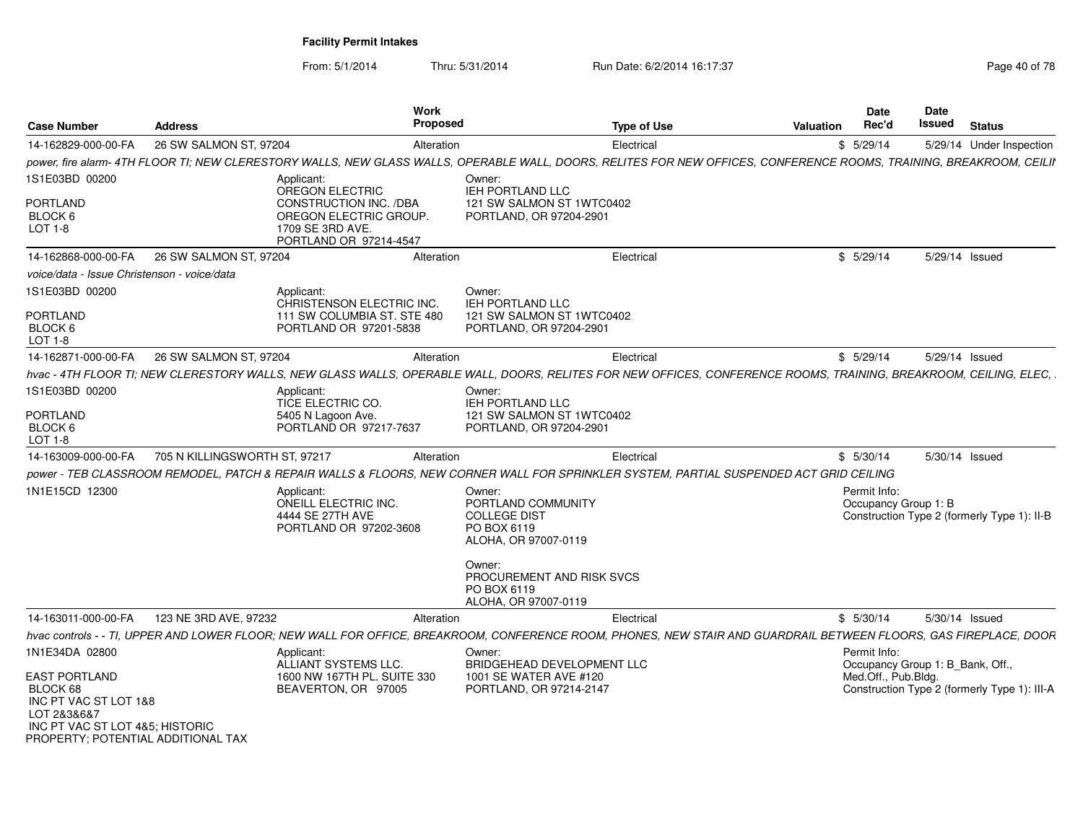| <b>Case Number</b>                                                                                                                                                  | <b>Address</b>                | Work<br>Proposed                                                                                      | <b>Type of Use</b>                                                                                                                                                                                                                                                                                                                                                                                                    | <b>Valuation</b> | <b>Date</b><br>Rec'd                                                    | <b>Date</b><br>Issued | <b>Status</b>                                |
|---------------------------------------------------------------------------------------------------------------------------------------------------------------------|-------------------------------|-------------------------------------------------------------------------------------------------------|-----------------------------------------------------------------------------------------------------------------------------------------------------------------------------------------------------------------------------------------------------------------------------------------------------------------------------------------------------------------------------------------------------------------------|------------------|-------------------------------------------------------------------------|-----------------------|----------------------------------------------|
| 14-162829-000-00-FA                                                                                                                                                 | 26 SW SALMON ST, 97204        | Alteration                                                                                            | Electrical                                                                                                                                                                                                                                                                                                                                                                                                            |                  | \$5/29/14                                                               |                       | 5/29/14 Under Inspection                     |
|                                                                                                                                                                     |                               |                                                                                                       | power, fire alarm- 4TH FLOOR TI; NEW CLERESTORY WALLS, NEW GLASS WALLS, OPERABLE WALL, DOORS, RELITES FOR NEW OFFICES, CONFERENCE ROOMS, TRAINING, BREAKROOM, CEILII                                                                                                                                                                                                                                                  |                  |                                                                         |                       |                                              |
| 1S1E03BD 00200                                                                                                                                                      |                               | Applicant:<br>OREGON ELECTRIC                                                                         | Owner:<br>IEH PORTLAND LLC                                                                                                                                                                                                                                                                                                                                                                                            |                  |                                                                         |                       |                                              |
| PORTLAND<br>BLOCK 6<br>LOT 1-8                                                                                                                                      |                               | <b>CONSTRUCTION INC. /DBA</b><br>OREGON ELECTRIC GROUP.<br>1709 SE 3RD AVE.<br>PORTLAND OR 97214-4547 | 121 SW SALMON ST 1WTC0402<br>PORTLAND, OR 97204-2901                                                                                                                                                                                                                                                                                                                                                                  |                  |                                                                         |                       |                                              |
| 14-162868-000-00-FA                                                                                                                                                 | 26 SW SALMON ST, 97204        | Alteration                                                                                            | Electrical                                                                                                                                                                                                                                                                                                                                                                                                            |                  | \$5/29/14                                                               |                       | 5/29/14 Issued                               |
| voice/data - Issue Christenson - voice/data                                                                                                                         |                               |                                                                                                       |                                                                                                                                                                                                                                                                                                                                                                                                                       |                  |                                                                         |                       |                                              |
| 1S1E03BD 00200                                                                                                                                                      |                               | Applicant:<br>CHRISTENSON ELECTRIC INC.                                                               | Owner:<br><b>IEH PORTLAND LLC</b>                                                                                                                                                                                                                                                                                                                                                                                     |                  |                                                                         |                       |                                              |
| <b>PORTLAND</b><br>BLOCK 6<br>LOT 1-8                                                                                                                               |                               | 111 SW COLUMBIA ST. STE 480<br>PORTLAND OR 97201-5838                                                 | 121 SW SALMON ST 1WTC0402<br>PORTLAND, OR 97204-2901                                                                                                                                                                                                                                                                                                                                                                  |                  |                                                                         |                       |                                              |
| 14-162871-000-00-FA                                                                                                                                                 | 26 SW SALMON ST, 97204        | Alteration                                                                                            | Electrical                                                                                                                                                                                                                                                                                                                                                                                                            |                  | \$5/29/14                                                               | 5/29/14 Issued        |                                              |
| 1S1E03BD 00200<br>PORTLAND<br>BLOCK 6<br>LOT 1-8<br>14-163009-000-00-FA                                                                                             | 705 N KILLINGSWORTH ST, 97217 | Applicant:<br>TICE ELECTRIC CO.<br>5405 N Lagoon Ave.<br>PORTLAND OR 97217-7637<br>Alteration         | hvac - 4TH FLOOR TI; NEW CLERESTORY WALLS, NEW GLASS WALLS, OPERABLE WALL, DOORS, RELITES FOR NEW OFFICES, CONFERENCE ROOMS, TRAINING, BREAKROOM, CEILING, ELEC,<br>Owner:<br><b>IEH PORTLAND LLC</b><br>121 SW SALMON ST 1WTC0402<br>PORTLAND, OR 97204-2901<br>Electrical<br>power - TEB CLASSROOM REMODEL, PATCH & REPAIR WALLS & FLOORS, NEW CORNER WALL FOR SPRINKLER SYSTEM, PARTIAL SUSPENDED ACT GRID CEILING |                  | \$5/30/14                                                               |                       | 5/30/14 Issued                               |
| 1N1E15CD 12300                                                                                                                                                      |                               | Applicant:<br>ONEILL ELECTRIC INC.<br>4444 SE 27TH AVE<br>PORTLAND OR 97202-3608                      | Owner:<br>PORTLAND COMMUNITY<br><b>COLLEGE DIST</b><br>PO BOX 6119<br>ALOHA, OR 97007-0119<br>Owner:<br>PROCUREMENT AND RISK SVCS<br>PO BOX 6119<br>ALOHA, OR 97007-0119                                                                                                                                                                                                                                              |                  | Permit Info:<br>Occupancy Group 1: B                                    |                       | Construction Type 2 (formerly Type 1): II-B  |
| 14-163011-000-00-FA                                                                                                                                                 | 123 NE 3RD AVE, 97232         | Alteration                                                                                            | Electrical                                                                                                                                                                                                                                                                                                                                                                                                            |                  | \$5/30/14                                                               |                       | 5/30/14 Issued                               |
|                                                                                                                                                                     |                               |                                                                                                       | hvac controls - - TI, UPPER AND LOWER FLOOR; NEW WALL FOR OFFICE, BREAKROOM, CONFERENCE ROOM, PHONES, NEW STAIR AND GUARDRAIL BETWEEN FLOORS, GAS FIREPLACE, DOOR                                                                                                                                                                                                                                                     |                  |                                                                         |                       |                                              |
| 1N1E34DA 02800<br><b>EAST PORTLAND</b><br>BLOCK 68<br>INC PT VAC ST LOT 1&8<br>LOT 2&3&6&7<br>INC PT VAC ST LOT 4&5; HISTORIC<br>PROPERTY; POTENTIAL ADDITIONAL TAX |                               | Applicant:<br>ALLIANT SYSTEMS LLC.<br>1600 NW 167TH PL, SUITE 330<br>BEAVERTON, OR 97005              | Owner:<br>BRIDGEHEAD DEVELOPMENT LLC<br>1001 SE WATER AVE #120<br>PORTLAND, OR 97214-2147                                                                                                                                                                                                                                                                                                                             |                  | Permit Info:<br>Occupancy Group 1: B_Bank, Off.,<br>Med.Off., Pub.Bldg. |                       | Construction Type 2 (formerly Type 1): III-A |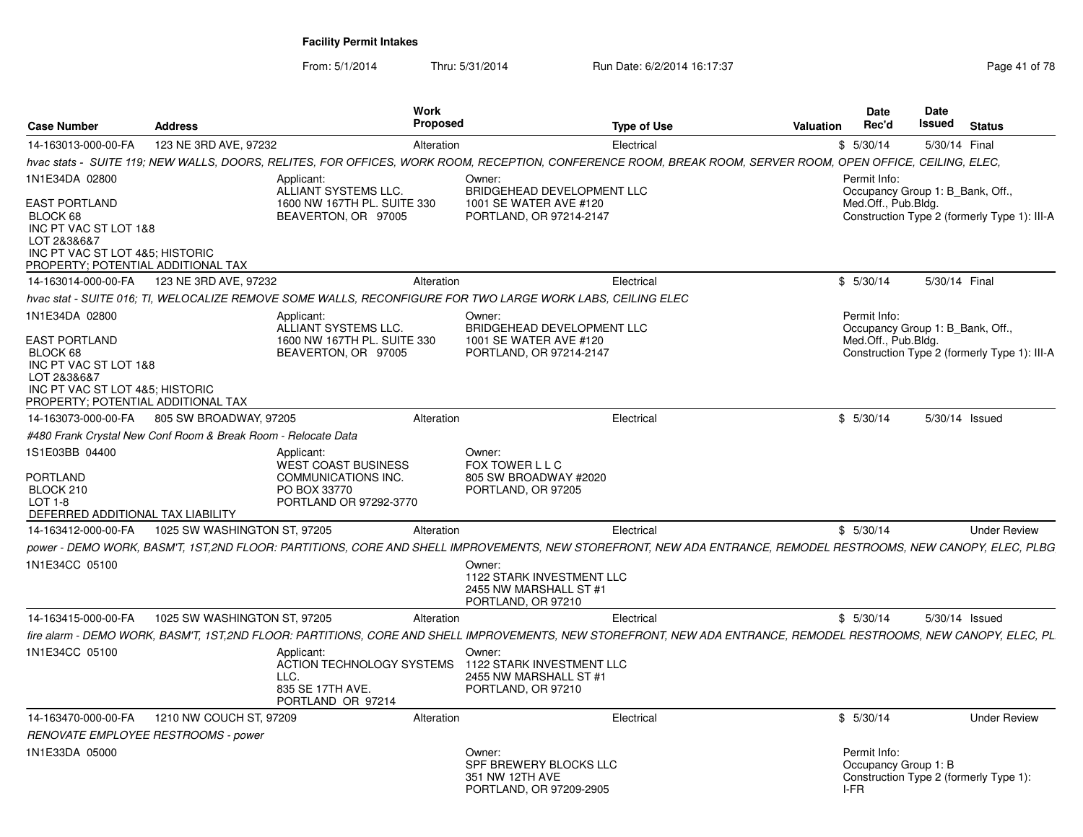| <b>Case Number</b>                                                                                                                                                  | <b>Address</b>                                                | <b>Work</b><br>Proposed                                                                                                                                           |                                                                                           | <b>Type of Use</b> | <b>Valuation</b> | <b>Date</b><br>Rec'd                                                    | Date<br>Issued | <b>Status</b>                                |
|---------------------------------------------------------------------------------------------------------------------------------------------------------------------|---------------------------------------------------------------|-------------------------------------------------------------------------------------------------------------------------------------------------------------------|-------------------------------------------------------------------------------------------|--------------------|------------------|-------------------------------------------------------------------------|----------------|----------------------------------------------|
| 14-163013-000-00-FA                                                                                                                                                 | 123 NE 3RD AVE, 97232                                         | Alteration                                                                                                                                                        |                                                                                           | Electrical         |                  | \$5/30/14                                                               | 5/30/14 Final  |                                              |
|                                                                                                                                                                     |                                                               | hvac stats - SUITE 119; NEW WALLS, DOORS, RELITES, FOR OFFICES, WORK ROOM, RECEPTION, CONFERENCE ROOM, BREAK ROOM, SERVER ROOM, OPEN OFFICE, CEILING, ELEC,       |                                                                                           |                    |                  |                                                                         |                |                                              |
| 1N1E34DA 02800                                                                                                                                                      |                                                               | Applicant:<br>ALLIANT SYSTEMS LLC.                                                                                                                                | Owner:<br>BRIDGEHEAD DEVELOPMENT LLC                                                      |                    |                  | Permit Info:<br>Occupancy Group 1: B Bank, Off.,                        |                |                                              |
| EAST PORTLAND<br>BLOCK 68<br>INC PT VAC ST LOT 1&8<br>LOT 2&3&6&7<br>INC PT VAC ST LOT 4&5; HISTORIC<br>PROPERTY; POTENTIAL ADDITIONAL TAX                          |                                                               | 1600 NW 167TH PL. SUITE 330<br>BEAVERTON, OR 97005                                                                                                                | 1001 SE WATER AVE #120<br>PORTLAND, OR 97214-2147                                         |                    |                  | Med.Off., Pub.Bldg.                                                     |                | Construction Type 2 (formerly Type 1): III-A |
| 14-163014-000-00-FA                                                                                                                                                 | 123 NE 3RD AVE, 97232                                         | Alteration                                                                                                                                                        |                                                                                           | Electrical         |                  | \$5/30/14                                                               | 5/30/14 Final  |                                              |
|                                                                                                                                                                     |                                                               | hvac stat - SUITE 016; TI, WELOCALIZE REMOVE SOME WALLS, RECONFIGURE FOR TWO LARGE WORK LABS, CEILING ELEC                                                        |                                                                                           |                    |                  |                                                                         |                |                                              |
| 1N1E34DA 02800<br><b>EAST PORTLAND</b><br>BLOCK 68<br>INC PT VAC ST LOT 1&8<br>LOT 2&3&6&7<br>INC PT VAC ST LOT 4&5; HISTORIC<br>PROPERTY; POTENTIAL ADDITIONAL TAX |                                                               | Applicant:<br>ALLIANT SYSTEMS LLC.<br>1600 NW 167TH PL. SUITE 330<br>BEAVERTON, OR 97005                                                                          | Owner:<br>BRIDGEHEAD DEVELOPMENT LLC<br>1001 SE WATER AVE #120<br>PORTLAND, OR 97214-2147 |                    |                  | Permit Info:<br>Occupancy Group 1: B_Bank, Off.,<br>Med.Off., Pub.Bldg. |                | Construction Type 2 (formerly Type 1): III-A |
| 14-163073-000-00-FA                                                                                                                                                 | 805 SW BROADWAY, 97205                                        | Alteration                                                                                                                                                        |                                                                                           | Electrical         |                  | \$5/30/14                                                               |                | 5/30/14 Issued                               |
|                                                                                                                                                                     | #480 Frank Crystal New Conf Room & Break Room - Relocate Data |                                                                                                                                                                   |                                                                                           |                    |                  |                                                                         |                |                                              |
| 1S1E03BB 04400<br>PORTLAND<br>BLOCK 210<br>LOT 1-8<br>DEFERRED ADDITIONAL TAX LIABILITY                                                                             |                                                               | Applicant:<br>WEST COAST BUSINESS<br>COMMUNICATIONS INC.<br>PO BOX 33770<br>PORTLAND OR 97292-3770                                                                | Owner:<br>FOX TOWER L L C<br>805 SW BROADWAY #2020<br>PORTLAND, OR 97205                  |                    |                  |                                                                         |                |                                              |
| 14-163412-000-00-FA                                                                                                                                                 | 1025 SW WASHINGTON ST, 97205                                  | Alteration                                                                                                                                                        |                                                                                           | Electrical         |                  | \$5/30/14                                                               |                | <b>Under Review</b>                          |
|                                                                                                                                                                     |                                                               | power - DEMO WORK. BASM'T. 1ST.2ND FLOOR: PARTITIONS. CORE AND SHELL IMPROVEMENTS. NEW STOREFRONT. NEW ADA ENTRANCE. REMODEL RESTROOMS. NEW CANOPY. ELEC. PLBG    |                                                                                           |                    |                  |                                                                         |                |                                              |
| 1N1E34CC 05100                                                                                                                                                      |                                                               |                                                                                                                                                                   | Owner:<br>1122 STARK INVESTMENT LLC<br>2455 NW MARSHALL ST #1<br>PORTLAND, OR 97210       |                    |                  |                                                                         |                |                                              |
| 14-163415-000-00-FA                                                                                                                                                 | 1025 SW WASHINGTON ST, 97205                                  | Alteration                                                                                                                                                        |                                                                                           | Electrical         |                  | \$5/30/14                                                               |                | 5/30/14 Issued                               |
|                                                                                                                                                                     |                                                               | fire alarm - DEMO WORK, BASM'T, 1ST,2ND FLOOR: PARTITIONS, CORE AND SHELL IMPROVEMENTS, NEW STOREFRONT, NEW ADA ENTRANCE, REMODEL RESTROOMS, NEW CANOPY, ELEC, PL |                                                                                           |                    |                  |                                                                         |                |                                              |
| 1N1E34CC 05100                                                                                                                                                      |                                                               | Applicant:<br>ACTION TECHNOLOGY SYSTEMS<br>LLC.<br>835 SE 17TH AVE.<br>PORTLAND OR 97214                                                                          | Owner:<br>1122 STARK INVESTMENT LLC<br>2455 NW MARSHALL ST #1<br>PORTLAND, OR 97210       |                    |                  |                                                                         |                |                                              |
| 14-163470-000-00-FA                                                                                                                                                 | 1210 NW COUCH ST, 97209                                       | Alteration                                                                                                                                                        |                                                                                           | Electrical         |                  | \$5/30/14                                                               |                | <b>Under Review</b>                          |
| RENOVATE EMPLOYEE RESTROOMS - power                                                                                                                                 |                                                               |                                                                                                                                                                   |                                                                                           |                    |                  |                                                                         |                |                                              |
| 1N1E33DA 05000                                                                                                                                                      |                                                               |                                                                                                                                                                   | Owner:<br>SPF BREWERY BLOCKS LLC<br>351 NW 12TH AVE<br>PORTLAND, OR 97209-2905            |                    |                  | Permit Info:<br>Occupancy Group 1: B<br>I-FR                            |                | Construction Type 2 (formerly Type 1):       |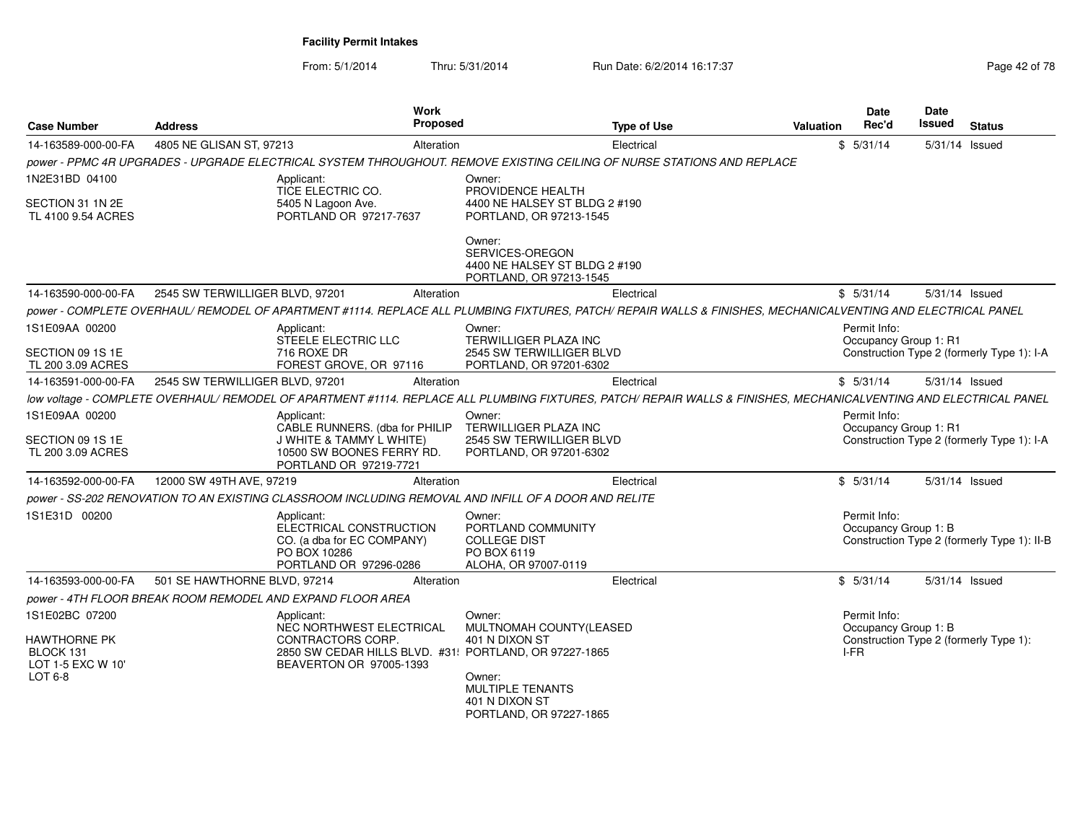| <b>Case Number</b>                                    | <b>Address</b>                                                                                                                                                     | <b>Work</b><br>Proposed                                                         |                                                                                            | <b>Type of Use</b> | <b>Valuation</b> | <b>Date</b><br>Rec'd                  | Date<br>Issued | <b>Status</b>                               |
|-------------------------------------------------------|--------------------------------------------------------------------------------------------------------------------------------------------------------------------|---------------------------------------------------------------------------------|--------------------------------------------------------------------------------------------|--------------------|------------------|---------------------------------------|----------------|---------------------------------------------|
| 14-163589-000-00-FA                                   | 4805 NE GLISAN ST, 97213                                                                                                                                           | Alteration                                                                      |                                                                                            | Electrical         |                  | \$5/31/14                             | 5/31/14 Issued |                                             |
|                                                       | power - PPMC 4R UPGRADES - UPGRADE ELECTRICAL SYSTEM THROUGHOUT. REMOVE EXISTING CEILING OF NURSE STATIONS AND REPLACE                                             |                                                                                 |                                                                                            |                    |                  |                                       |                |                                             |
| 1N2E31BD 04100                                        | Applicant:<br>TICE ELECTRIC CO.                                                                                                                                    |                                                                                 | Owner:<br>PROVIDENCE HEALTH                                                                |                    |                  |                                       |                |                                             |
| SECTION 31 1N 2E<br>TL 4100 9.54 ACRES                | 5405 N Lagoon Ave.                                                                                                                                                 | PORTLAND OR 97217-7637                                                          | 4400 NE HALSEY ST BLDG 2 #190<br>PORTLAND, OR 97213-1545                                   |                    |                  |                                       |                |                                             |
|                                                       |                                                                                                                                                                    |                                                                                 | Owner:<br>SERVICES-OREGON<br>4400 NE HALSEY ST BLDG 2 #190<br>PORTLAND, OR 97213-1545      |                    |                  |                                       |                |                                             |
| 14-163590-000-00-FA                                   | 2545 SW TERWILLIGER BLVD, 97201                                                                                                                                    | Alteration                                                                      |                                                                                            | Electrical         |                  | \$5/31/14                             | 5/31/14 Issued |                                             |
|                                                       | power - COMPLETE OVERHAUL/ REMODEL OF APARTMENT #1114. REPLACE ALL PLUMBING FIXTURES, PATCH/ REPAIR WALLS & FINISHES, MECHANICALVENTING AND ELECTRICAL PANEL       |                                                                                 |                                                                                            |                    |                  |                                       |                |                                             |
| 1S1E09AA 00200                                        | Applicant:                                                                                                                                                         | STEELE ELECTRIC LLC                                                             | Owner:<br><b>TERWILLIGER PLAZA INC</b>                                                     |                    |                  | Permit Info:<br>Occupancy Group 1: R1 |                |                                             |
| SECTION 09 1S 1E<br>TL 200 3.09 ACRES                 | 716 ROXE DR                                                                                                                                                        | FOREST GROVE, OR 97116                                                          | 2545 SW TERWILLIGER BLVD<br>PORTLAND, OR 97201-6302                                        |                    |                  |                                       |                | Construction Type 2 (formerly Type 1): I-A  |
| 14-163591-000-00-FA                                   | 2545 SW TERWILLIGER BLVD, 97201                                                                                                                                    | Alteration                                                                      |                                                                                            | Electrical         |                  | \$5/31/14                             | 5/31/14 Issued |                                             |
|                                                       | low voltage - COMPLETE OVERHAUL/ REMODEL OF APARTMENT #1114. REPLACE ALL PLUMBING FIXTURES, PATCH/ REPAIR WALLS & FINISHES, MECHANICALVENTING AND ELECTRICAL PANEL |                                                                                 |                                                                                            |                    |                  |                                       |                |                                             |
| 1S1E09AA 00200                                        | Applicant:                                                                                                                                                         | CABLE RUNNERS. (dba for PHILIP                                                  | Owner:<br>TERWILLIGER PLAZA INC                                                            |                    |                  | Permit Info:<br>Occupancy Group 1: R1 |                |                                             |
| SECTION 09 1S 1E<br>TL 200 3.09 ACRES                 |                                                                                                                                                                    | J WHITE & TAMMY L WHITE)<br>10500 SW BOONES FERRY RD.<br>PORTLAND OR 97219-7721 | 2545 SW TERWILLIGER BLVD<br>PORTLAND, OR 97201-6302                                        |                    |                  |                                       |                | Construction Type 2 (formerly Type 1): I-A  |
| 14-163592-000-00-FA                                   | 12000 SW 49TH AVE, 97219                                                                                                                                           | Alteration                                                                      |                                                                                            | Electrical         |                  | \$5/31/14                             | 5/31/14 Issued |                                             |
|                                                       | power - SS-202 RENOVATION TO AN EXISTING CLASSROOM INCLUDING REMOVAL AND INFILL OF A DOOR AND RELITE                                                               |                                                                                 |                                                                                            |                    |                  |                                       |                |                                             |
| 1S1E31D 00200                                         | Applicant:<br>PO BOX 10286                                                                                                                                         | ELECTRICAL CONSTRUCTION<br>CO. (a dba for EC COMPANY)<br>PORTLAND OR 97296-0286 | Owner:<br>PORTLAND COMMUNITY<br><b>COLLEGE DIST</b><br>PO BOX 6119<br>ALOHA, OR 97007-0119 |                    |                  | Permit Info:<br>Occupancy Group 1: B  |                | Construction Type 2 (formerly Type 1): II-B |
| 14-163593-000-00-FA                                   | 501 SE HAWTHORNE BLVD, 97214                                                                                                                                       | Alteration                                                                      |                                                                                            | Electrical         |                  | \$5/31/14                             | 5/31/14 Issued |                                             |
|                                                       | power - 4TH FLOOR BREAK ROOM REMODEL AND EXPAND FLOOR AREA                                                                                                         |                                                                                 |                                                                                            |                    |                  |                                       |                |                                             |
| 1S1E02BC 07200                                        | Applicant:                                                                                                                                                         | NEC NORTHWEST ELECTRICAL                                                        | Owner:<br>MULTNOMAH COUNTY(LEASED                                                          |                    |                  | Permit Info:<br>Occupancy Group 1: B  |                |                                             |
| <b>HAWTHORNE PK</b><br>BLOCK 131<br>LOT 1-5 EXC W 10' |                                                                                                                                                                    | CONTRACTORS CORP.<br>BEAVERTON OR 97005-1393                                    | 401 N DIXON ST<br>2850 SW CEDAR HILLS BLVD. #31! PORTLAND, OR 97227-1865                   |                    |                  | I-FR                                  |                | Construction Type 2 (formerly Type 1):      |
| $LOT6-8$                                              |                                                                                                                                                                    |                                                                                 | Owner:<br><b>MULTIPLE TENANTS</b><br>401 N DIXON ST<br>PORTLAND, OR 97227-1865             |                    |                  |                                       |                |                                             |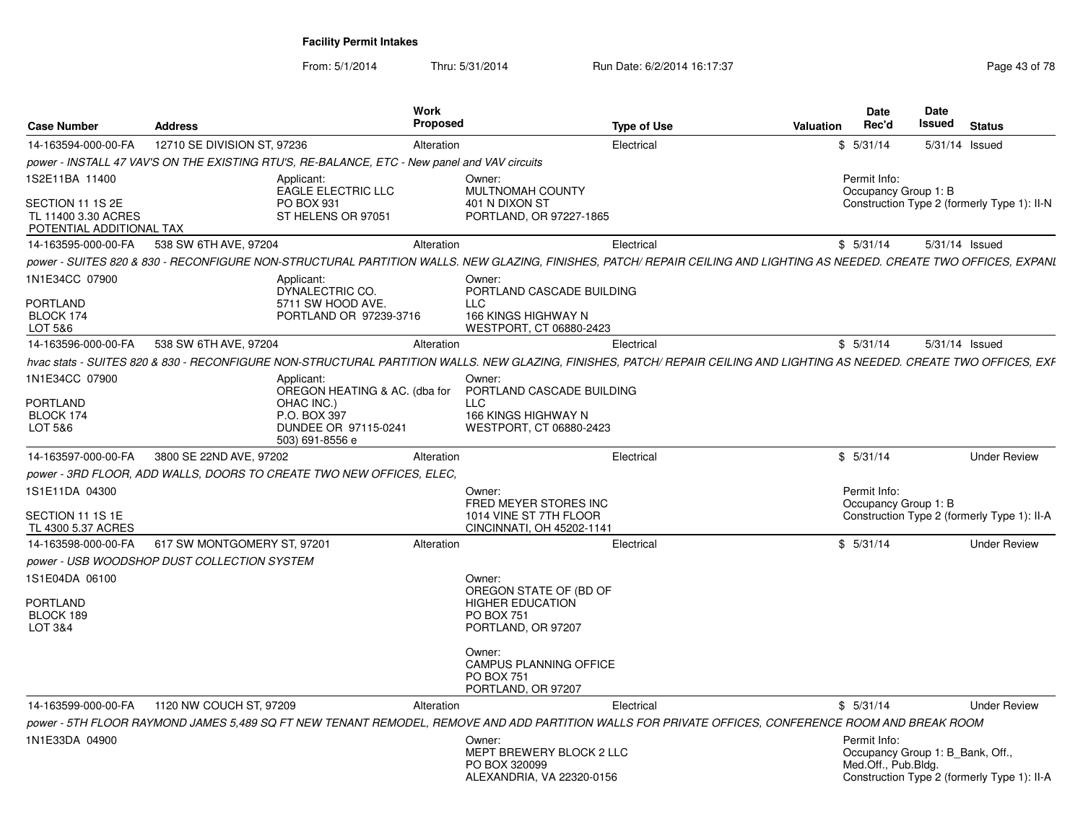From: 5/1/2014Thru: 5/31/2014 Run Date: 6/2/2014 16:17:37 Rege 43 of 78

| <b>Case Number</b>                                                  | <b>Address</b>                              | <b>Work</b><br><b>Proposed</b>                                                                                                                                           |                                                                                                     | <b>Type of Use</b> | Valuation | <b>Date</b><br>Rec'd                 | Date<br>Issued                   | <b>Status</b>                               |
|---------------------------------------------------------------------|---------------------------------------------|--------------------------------------------------------------------------------------------------------------------------------------------------------------------------|-----------------------------------------------------------------------------------------------------|--------------------|-----------|--------------------------------------|----------------------------------|---------------------------------------------|
| 14-163594-000-00-FA                                                 | 12710 SE DIVISION ST, 97236                 | Alteration                                                                                                                                                               |                                                                                                     | Electrical         |           | \$5/31/14                            | 5/31/14                          | Issued                                      |
|                                                                     |                                             | power - INSTALL 47 VAV'S ON THE EXISTING RTU'S, RE-BALANCE, ETC - New panel and VAV circuits                                                                             |                                                                                                     |                    |           |                                      |                                  |                                             |
| 1S2E11BA 11400                                                      |                                             | Applicant:<br><b>EAGLE ELECTRIC LLC</b>                                                                                                                                  | Owner:<br><b>MULTNOMAH COUNTY</b>                                                                   |                    |           | Permit Info:<br>Occupancy Group 1: B |                                  |                                             |
| SECTION 11 1S 2E<br>TL 11400 3.30 ACRES<br>POTENTIAL ADDITIONAL TAX |                                             | PO BOX 931<br>ST HELENS OR 97051                                                                                                                                         | 401 N DIXON ST<br>PORTLAND, OR 97227-1865                                                           |                    |           |                                      |                                  | Construction Type 2 (formerly Type 1): II-N |
| 14-163595-000-00-FA                                                 | 538 SW 6TH AVE, 97204                       | Alteration                                                                                                                                                               |                                                                                                     | Electrical         |           | \$5/31/14                            |                                  | 5/31/14 Issued                              |
|                                                                     |                                             | power - SUITES 820 & 830 - RECONFIGURE NON-STRUCTURAL PARTITION WALLS. NEW GLAZING, FINISHES, PATCH/ REPAIR CEILING AND LIGHTING AS NEEDED. CREATE TWO OFFICES, EXPANI   |                                                                                                     |                    |           |                                      |                                  |                                             |
| 1N1E34CC 07900<br>PORTLAND<br>BLOCK 174<br>LOT 5&6                  |                                             | Applicant:<br>DYNALECTRIC CO.<br>5711 SW HOOD AVE.<br>PORTLAND OR 97239-3716                                                                                             | Owner:<br>PORTLAND CASCADE BUILDING<br><b>LLC</b><br>166 KINGS HIGHWAY N<br>WESTPORT, CT 06880-2423 |                    |           |                                      |                                  |                                             |
| 14-163596-000-00-FA                                                 | 538 SW 6TH AVE, 97204                       | Alteration                                                                                                                                                               |                                                                                                     | Electrical         |           | \$5/31/14                            |                                  | 5/31/14 Issued                              |
|                                                                     |                                             | hvac stats - SUITES 820 & 830 - RECONFIGURE NON-STRUCTURAL PARTITION WALLS. NEW GLAZING, FINISHES, PATCH/ REPAIR CEILING AND LIGHTING AS NEEDED. CREATE TWO OFFICES, EXF |                                                                                                     |                    |           |                                      |                                  |                                             |
| 1N1E34CC 07900                                                      |                                             | Applicant:<br>OREGON HEATING & AC. (dba for                                                                                                                              | Owner:<br>PORTLAND CASCADE BUILDING                                                                 |                    |           |                                      |                                  |                                             |
| <b>PORTLAND</b><br>BLOCK 174                                        |                                             | OHAC INC.)<br>P.O. BOX 397                                                                                                                                               | <b>LLC</b><br>166 KINGS HIGHWAY N                                                                   |                    |           |                                      |                                  |                                             |
| LOT 5&6                                                             |                                             | DUNDEE OR 97115-0241<br>503) 691-8556 e                                                                                                                                  | WESTPORT, CT 06880-2423                                                                             |                    |           |                                      |                                  |                                             |
| 14-163597-000-00-FA                                                 | 3800 SE 22ND AVE, 97202                     | Alteration                                                                                                                                                               |                                                                                                     | Electrical         |           | \$5/31/14                            |                                  | <b>Under Review</b>                         |
|                                                                     |                                             | power - 3RD FLOOR, ADD WALLS, DOORS TO CREATE TWO NEW OFFICES, ELEC.                                                                                                     |                                                                                                     |                    |           |                                      |                                  |                                             |
| 1S1E11DA 04300                                                      |                                             |                                                                                                                                                                          | Owner:                                                                                              |                    |           | Permit Info:                         |                                  |                                             |
| SECTION 11 1S 1E<br>TL 4300 5.37 ACRES                              |                                             |                                                                                                                                                                          | FRED MEYER STORES INC<br>1014 VINE ST 7TH FLOOR<br>CINCINNATI, OH 45202-1141                        |                    |           | Occupancy Group 1: B                 |                                  | Construction Type 2 (formerly Type 1): II-A |
| 14-163598-000-00-FA                                                 | 617 SW MONTGOMERY ST, 97201                 | Alteration                                                                                                                                                               |                                                                                                     | Electrical         |           | \$5/31/14                            |                                  | <b>Under Review</b>                         |
|                                                                     | power - USB WOODSHOP DUST COLLECTION SYSTEM |                                                                                                                                                                          |                                                                                                     |                    |           |                                      |                                  |                                             |
| 1S1E04DA 06100                                                      |                                             |                                                                                                                                                                          | Owner:<br>OREGON STATE OF (BD OF                                                                    |                    |           |                                      |                                  |                                             |
| PORTLAND<br>BLOCK 189                                               |                                             |                                                                                                                                                                          | <b>HIGHER EDUCATION</b><br><b>PO BOX 751</b>                                                        |                    |           |                                      |                                  |                                             |
| LOT 3&4                                                             |                                             |                                                                                                                                                                          | PORTLAND, OR 97207                                                                                  |                    |           |                                      |                                  |                                             |
|                                                                     |                                             |                                                                                                                                                                          | Owner:<br><b>CAMPUS PLANNING OFFICE</b><br><b>PO BOX 751</b><br>PORTLAND, OR 97207                  |                    |           |                                      |                                  |                                             |
| 14-163599-000-00-FA                                                 | 1120 NW COUCH ST, 97209                     | Alteration                                                                                                                                                               |                                                                                                     | Electrical         |           | \$5/31/14                            |                                  | <b>Under Review</b>                         |
|                                                                     |                                             | power - 5TH FLOOR RAYMOND JAMES 5.489 SQ FT NEW TENANT REMODEL, REMOVE AND ADD PARTITION WALLS FOR PRIVATE OFFICES, CONFERENCE ROOM AND BREAK ROOM                       |                                                                                                     |                    |           |                                      |                                  |                                             |
| 1N1E33DA 04900                                                      |                                             |                                                                                                                                                                          | Owner:<br>MEPT BREWERY BLOCK 2 LLC<br>PO BOX 320099<br>ALEXANDRIA, VA 22320-0156                    |                    |           | Permit Info:<br>Med.Off., Pub.Bldg.  | Occupancy Group 1: B Bank, Off., | Construction Type 2 (formerly Type 1): II-A |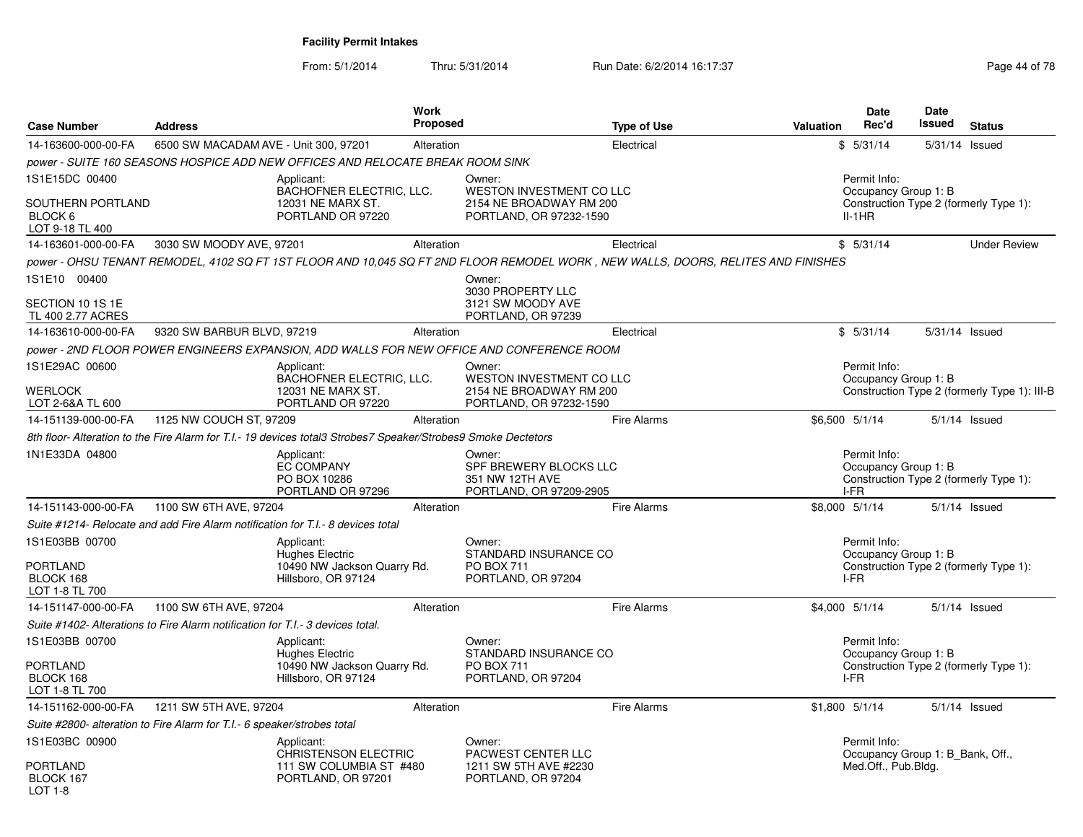| <b>Case Number</b>                                                            | <b>Address</b>                        | Work<br>Proposed                                                                                                                   |                                                                                          | <b>Type of Use</b> | <b>Valuation</b> | Date<br>Rec'd                                    | <b>Date</b><br><b>Issued</b> | <b>Status</b>                                |
|-------------------------------------------------------------------------------|---------------------------------------|------------------------------------------------------------------------------------------------------------------------------------|------------------------------------------------------------------------------------------|--------------------|------------------|--------------------------------------------------|------------------------------|----------------------------------------------|
| 14-163600-000-00-FA                                                           | 6500 SW MACADAM AVE - Unit 300, 97201 | Alteration                                                                                                                         |                                                                                          | Electrical         |                  | \$5/31/14                                        |                              | 5/31/14 Issued                               |
|                                                                               |                                       | power - SUITE 160 SEASONS HOSPICE ADD NEW OFFICES AND RELOCATE BREAK ROOM SINK                                                     |                                                                                          |                    |                  |                                                  |                              |                                              |
| 1S1E15DC 00400<br>SOUTHERN PORTLAND<br>BLOCK 6<br>LOT 9-18 TL 400             |                                       | Applicant:<br>BACHOFNER ELECTRIC, LLC.<br>12031 NE MARX ST.<br>PORTLAND OR 97220                                                   | Owner:<br>WESTON INVESTMENT CO LLC<br>2154 NE BROADWAY RM 200<br>PORTLAND, OR 97232-1590 |                    |                  | Permit Info:<br>Occupancy Group 1: B<br>$II-1HR$ |                              | Construction Type 2 (formerly Type 1):       |
| 14-163601-000-00-FA                                                           | 3030 SW MOODY AVE, 97201              | Alteration                                                                                                                         |                                                                                          | Electrical         |                  | \$5/31/14                                        |                              | <b>Under Review</b>                          |
|                                                                               |                                       | power - OHSU TENANT REMODEL, 4102 SQ FT 1ST FLOOR AND 10,045 SQ FT 2ND FLOOR REMODEL WORK , NEW WALLS, DOORS, RELITES AND FINISHES |                                                                                          |                    |                  |                                                  |                              |                                              |
| 1S1E10 00400                                                                  |                                       |                                                                                                                                    | Owner:<br>3030 PROPERTY LLC                                                              |                    |                  |                                                  |                              |                                              |
| SECTION 10 1S 1E<br>TL 400 2.77 ACRES                                         |                                       |                                                                                                                                    | 3121 SW MOODY AVE<br>PORTLAND, OR 97239                                                  |                    |                  |                                                  |                              |                                              |
| 14-163610-000-00-FA                                                           | 9320 SW BARBUR BLVD, 97219            | Alteration                                                                                                                         |                                                                                          | Electrical         |                  | \$5/31/14                                        |                              | 5/31/14 Issued                               |
|                                                                               |                                       | power - 2ND FLOOR POWER ENGINEERS EXPANSION, ADD WALLS FOR NEW OFFICE AND CONFERENCE ROOM                                          |                                                                                          |                    |                  |                                                  |                              |                                              |
| 1S1E29AC 00600<br><b>WERLOCK</b>                                              |                                       | Applicant:<br>BACHOFNER ELECTRIC, LLC.<br>12031 NE MARX ST.                                                                        | Owner:<br>WESTON INVESTMENT CO LLC<br>2154 NE BROADWAY RM 200                            |                    |                  | Permit Info:<br>Occupancy Group 1: B             |                              | Construction Type 2 (formerly Type 1): III-B |
| LOT 2-6&A TL 600                                                              |                                       | PORTLAND OR 97220                                                                                                                  | PORTLAND, OR 97232-1590                                                                  |                    |                  |                                                  |                              |                                              |
| 14-151139-000-00-FA                                                           | 1125 NW COUCH ST, 97209               | Alteration                                                                                                                         |                                                                                          | <b>Fire Alarms</b> |                  | \$6,500 5/1/14                                   |                              | $5/1/14$ Issued                              |
|                                                                               |                                       | 8th floor- Alteration to the Fire Alarm for T.I.- 19 devices total3 Strobes7 Speaker/Strobes9 Smoke Dectetors                      |                                                                                          |                    |                  |                                                  |                              |                                              |
| 1N1E33DA 04800                                                                |                                       | Applicant:<br><b>EC COMPANY</b><br>PO BOX 10286<br>PORTLAND OR 97296                                                               | Owner:<br>SPF BREWERY BLOCKS LLC<br>351 NW 12TH AVE<br>PORTLAND, OR 97209-2905           |                    |                  | Permit Info:<br>Occupancy Group 1: B<br>I-FR     |                              | Construction Type 2 (formerly Type 1):       |
| 14-151143-000-00-FA                                                           | 1100 SW 6TH AVE, 97204                | Alteration                                                                                                                         |                                                                                          | <b>Fire Alarms</b> |                  | \$8,000 5/1/14                                   |                              | 5/1/14 Issued                                |
|                                                                               |                                       | Suite #1214- Relocate and add Fire Alarm notification for T.I.- 8 devices total                                                    |                                                                                          |                    |                  |                                                  |                              |                                              |
| 1S1E03BB 00700<br><b>PORTLAND</b><br>BLOCK 168<br>LOT 1-8 TL 700              |                                       | Applicant:<br>Hughes Electric<br>10490 NW Jackson Quarry Rd.<br>Hillsboro, OR 97124                                                | Owner:<br>STANDARD INSURANCE CO<br><b>PO BOX 711</b><br>PORTLAND, OR 97204               |                    |                  | Permit Info:<br>Occupancy Group 1: B<br>I-FR     |                              | Construction Type 2 (formerly Type 1):       |
| 14-151147-000-00-FA                                                           | 1100 SW 6TH AVE, 97204                | Alteration                                                                                                                         |                                                                                          | Fire Alarms        |                  | \$4,000 5/1/14                                   |                              | $5/1/14$ Issued                              |
| Suite #1402- Alterations to Fire Alarm notification for T.I.-3 devices total. |                                       |                                                                                                                                    |                                                                                          |                    |                  |                                                  |                              |                                              |
| 1S1E03BB 00700                                                                |                                       | Applicant:<br><b>Hughes Electric</b>                                                                                               | Owner:<br>STANDARD INSURANCE CO                                                          |                    |                  | Permit Info:<br>Occupancy Group 1: B             |                              |                                              |
| <b>PORTLAND</b><br>BLOCK 168<br>LOT 1-8 TL 700                                |                                       | 10490 NW Jackson Quarry Rd.<br>Hillsboro, OR 97124                                                                                 | <b>PO BOX 711</b><br>PORTLAND, OR 97204                                                  |                    |                  | I-FR                                             |                              | Construction Type 2 (formerly Type 1):       |
| 14-151162-000-00-FA                                                           | 1211 SW 5TH AVE, 97204                | Alteration                                                                                                                         |                                                                                          | Fire Alarms        |                  | $$1,800$ $5/1/14$                                |                              | $5/1/14$ Issued                              |
| Suite #2800- alteration to Fire Alarm for T.I.- 6 speaker/strobes total       |                                       |                                                                                                                                    |                                                                                          |                    |                  |                                                  |                              |                                              |
| 1S1E03BC 00900                                                                |                                       | Applicant:<br><b>CHRISTENSON ELECTRIC</b>                                                                                          | Owner:<br>PACWEST CENTER LLC                                                             |                    |                  | Permit Info:<br>Occupancy Group 1: B Bank, Off., |                              |                                              |
| PORTLAND<br>BLOCK 167<br><b>LOT 1-8</b>                                       |                                       | 111 SW COLUMBIA ST #480<br>PORTLAND, OR 97201                                                                                      | 1211 SW 5TH AVE #2230<br>PORTLAND, OR 97204                                              |                    |                  | Med.Off., Pub.Bldg.                              |                              |                                              |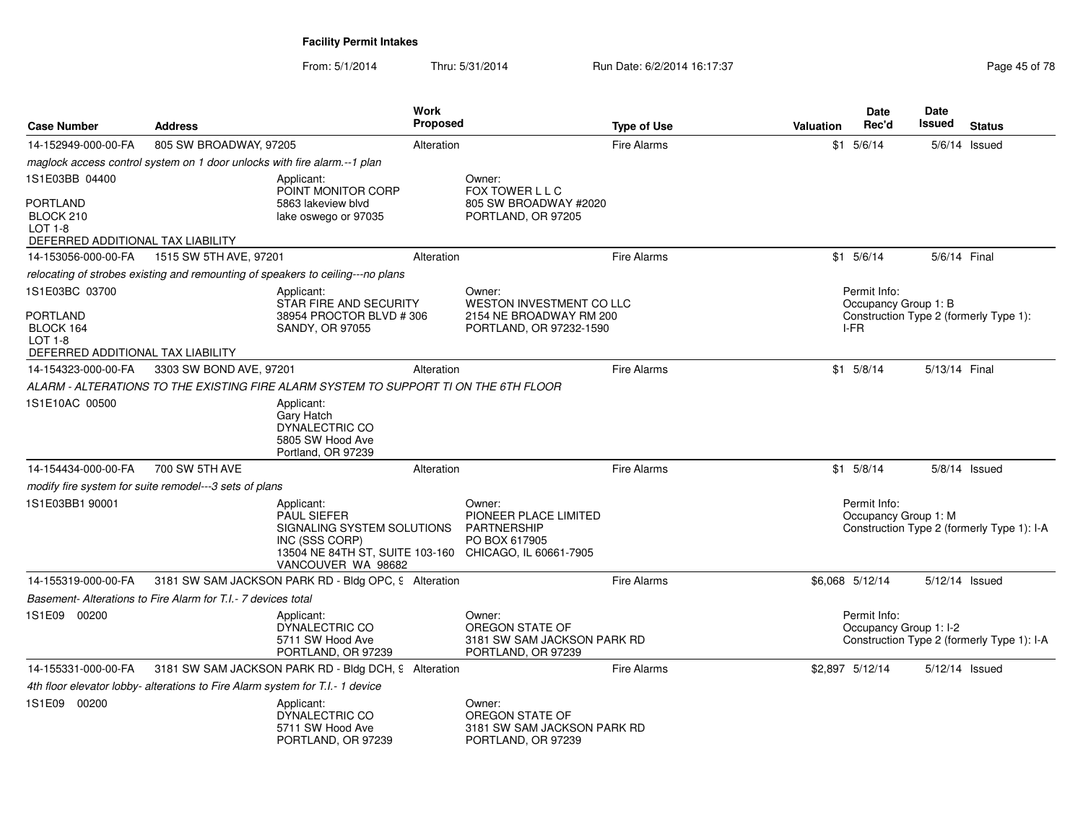From: 5/1/2014Thru: 5/31/2014 Run Date: 6/2/2014 16:17:37 Rege 45 of 78

| <b>Case Number</b>                                                                  | <b>Address</b>                                                                  |                                                                                                                                                                  | <b>Work</b><br><b>Proposed</b> |                                                                                | <b>Type of Use</b> | Valuation | <b>Date</b><br>Rec'd                   | <b>Date</b><br>Issued | <b>Status</b>                              |
|-------------------------------------------------------------------------------------|---------------------------------------------------------------------------------|------------------------------------------------------------------------------------------------------------------------------------------------------------------|--------------------------------|--------------------------------------------------------------------------------|--------------------|-----------|----------------------------------------|-----------------------|--------------------------------------------|
| 14-152949-000-00-FA                                                                 | 805 SW BROADWAY, 97205                                                          |                                                                                                                                                                  | Alteration                     |                                                                                | <b>Fire Alarms</b> |           | $$1$ 5/6/14                            |                       | $5/6/14$ Issued                            |
|                                                                                     | maglock access control system on 1 door unlocks with fire alarm.--1 plan        |                                                                                                                                                                  |                                |                                                                                |                    |           |                                        |                       |                                            |
| 1S1E03BB 04400                                                                      |                                                                                 | Applicant:<br>POINT MONITOR CORP                                                                                                                                 |                                | Owner:<br>FOX TOWER L L C                                                      |                    |           |                                        |                       |                                            |
| <b>PORTLAND</b><br>BLOCK 210<br><b>LOT 1-8</b><br>DEFERRED ADDITIONAL TAX LIABILITY |                                                                                 | 5863 lakeview blyd<br>lake oswego or 97035                                                                                                                       |                                | 805 SW BROADWAY #2020<br>PORTLAND, OR 97205                                    |                    |           |                                        |                       |                                            |
| 14-153056-000-00-FA                                                                 | 1515 SW 5TH AVE, 97201                                                          |                                                                                                                                                                  | Alteration                     |                                                                                | <b>Fire Alarms</b> |           | $$1$ $5/6/14$                          | 5/6/14 Final          |                                            |
|                                                                                     |                                                                                 | relocating of strobes existing and remounting of speakers to ceiling---no plans                                                                                  |                                |                                                                                |                    |           |                                        |                       |                                            |
| 1S1E03BC 03700                                                                      |                                                                                 | Applicant:<br>STAR FIRE AND SECURITY                                                                                                                             |                                | Owner:<br><b>WESTON INVESTMENT CO LLC</b>                                      |                    |           | Permit Info:<br>Occupancy Group 1: B   |                       |                                            |
| <b>PORTLAND</b><br>BLOCK 164<br><b>LOT 1-8</b>                                      | 38954 PROCTOR BLVD #306<br>SANDY, OR 97055<br>DEFERRED ADDITIONAL TAX LIABILITY |                                                                                                                                                                  |                                | 2154 NE BROADWAY RM 200<br>PORTLAND, OR 97232-1590                             |                    |           | I-FR                                   |                       | Construction Type 2 (formerly Type 1):     |
| 14-154323-000-00-FA                                                                 | 3303 SW BOND AVE, 97201                                                         |                                                                                                                                                                  | Alteration                     |                                                                                | <b>Fire Alarms</b> |           | $$1$ 5/8/14                            | 5/13/14 Final         |                                            |
|                                                                                     |                                                                                 | ALARM - ALTERATIONS TO THE EXISTING FIRE ALARM SYSTEM TO SUPPORT TI ON THE 6TH FLOOR                                                                             |                                |                                                                                |                    |           |                                        |                       |                                            |
| 1S1E10AC 00500                                                                      |                                                                                 | Applicant:<br>Gary Hatch<br>DYNALECTRIC CO<br>5805 SW Hood Ave<br>Portland, OR 97239                                                                             |                                |                                                                                |                    |           |                                        |                       |                                            |
| 14-154434-000-00-FA                                                                 | 700 SW 5TH AVE                                                                  |                                                                                                                                                                  | Alteration                     |                                                                                | <b>Fire Alarms</b> |           | $$1$ 5/8/14                            |                       | $5/8/14$ Issued                            |
|                                                                                     | modify fire system for suite remodel---3 sets of plans                          |                                                                                                                                                                  |                                |                                                                                |                    |           |                                        |                       |                                            |
| 1S1E03BB1 90001                                                                     |                                                                                 | Applicant:<br><b>PAUL SIEFER</b><br>SIGNALING SYSTEM SOLUTIONS<br>INC (SSS CORP)<br>13504 NE 84TH ST, SUITE 103-160 CHICAGO, IL 60661-7905<br>VANCOUVER WA 98682 |                                | Owner:<br>PIONEER PLACE LIMITED<br>PARTNERSHIP<br>PO BOX 617905                |                    |           | Permit Info:<br>Occupancy Group 1: M   |                       | Construction Type 2 (formerly Type 1): I-A |
| 14-155319-000-00-FA                                                                 |                                                                                 | 3181 SW SAM JACKSON PARK RD - Bldg OPC, 9 Alteration                                                                                                             |                                |                                                                                | <b>Fire Alarms</b> |           | \$6,068 5/12/14                        | 5/12/14 Issued        |                                            |
|                                                                                     | Basement-Alterations to Fire Alarm for T.I.- 7 devices total                    |                                                                                                                                                                  |                                |                                                                                |                    |           |                                        |                       |                                            |
| 1S1E09 00200                                                                        |                                                                                 | Applicant:<br>DYNALECTRIC CO<br>5711 SW Hood Ave<br>PORTLAND, OR 97239                                                                                           |                                | Owner:<br>OREGON STATE OF<br>3181 SW SAM JACKSON PARK RD<br>PORTLAND, OR 97239 |                    |           | Permit Info:<br>Occupancy Group 1: I-2 |                       | Construction Type 2 (formerly Type 1): I-A |
| 14-155331-000-00-FA                                                                 |                                                                                 | 3181 SW SAM JACKSON PARK RD - Bldg DCH, 9 Alteration                                                                                                             |                                |                                                                                | <b>Fire Alarms</b> |           | \$2,897 5/12/14                        | 5/12/14 Issued        |                                            |
|                                                                                     | 4th floor elevator lobby- alterations to Fire Alarm system for T.I.- 1 device   |                                                                                                                                                                  |                                |                                                                                |                    |           |                                        |                       |                                            |
| 1S1E09 00200                                                                        |                                                                                 | Applicant:<br>DYNALECTRIC CO<br>5711 SW Hood Ave<br>PORTLAND, OR 97239                                                                                           |                                | Owner:<br>OREGON STATE OF<br>3181 SW SAM JACKSON PARK RD<br>PORTLAND, OR 97239 |                    |           |                                        |                       |                                            |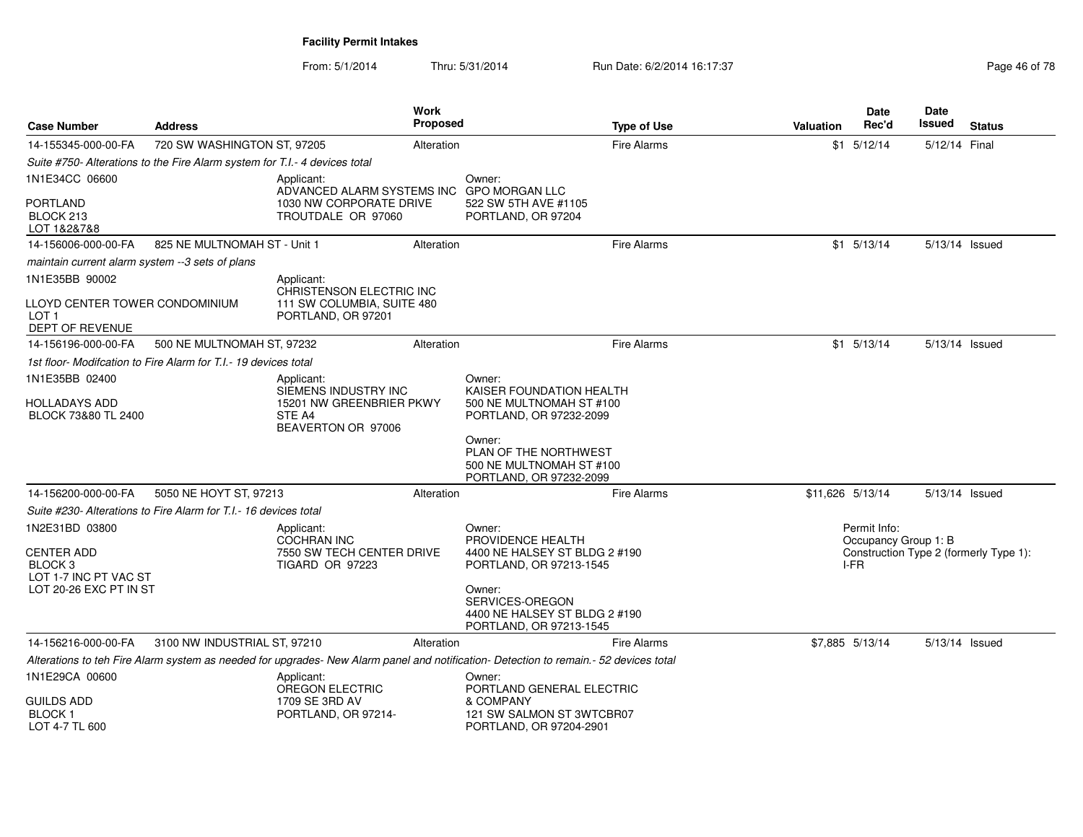| <b>Case Number</b>                                                                         | <b>Address</b>                                                             |                                                                                  | <b>Work</b><br>Proposed |                                                                                                                                       | <b>Type of Use</b> | <b>Valuation</b> | <b>Date</b><br>Rec'd                 | Date<br><b>Issued</b> | <b>Status</b>                          |
|--------------------------------------------------------------------------------------------|----------------------------------------------------------------------------|----------------------------------------------------------------------------------|-------------------------|---------------------------------------------------------------------------------------------------------------------------------------|--------------------|------------------|--------------------------------------|-----------------------|----------------------------------------|
| 14-155345-000-00-FA                                                                        | 720 SW WASHINGTON ST, 97205                                                |                                                                                  | Alteration              |                                                                                                                                       | <b>Fire Alarms</b> |                  | $$1$ $5/12/14$                       | 5/12/14 Final         |                                        |
|                                                                                            | Suite #750- Alterations to the Fire Alarm system for T.I.- 4 devices total |                                                                                  |                         |                                                                                                                                       |                    |                  |                                      |                       |                                        |
| 1N1E34CC 06600                                                                             |                                                                            | Applicant:<br>ADVANCED ALARM SYSTEMS INC GPO MORGAN LLC                          |                         | Owner:                                                                                                                                |                    |                  |                                      |                       |                                        |
| <b>PORTLAND</b><br>BLOCK 213<br>LOT 1&2&7&8                                                |                                                                            | 1030 NW CORPORATE DRIVE<br>TROUTDALE OR 97060                                    |                         | 522 SW 5TH AVE #1105<br>PORTLAND, OR 97204                                                                                            |                    |                  |                                      |                       |                                        |
| 14-156006-000-00-FA                                                                        | 825 NE MULTNOMAH ST - Unit 1                                               |                                                                                  | Alteration              |                                                                                                                                       | <b>Fire Alarms</b> |                  | $$1$ $5/13/14$                       | 5/13/14 Issued        |                                        |
| maintain current alarm system --3 sets of plans                                            |                                                                            |                                                                                  |                         |                                                                                                                                       |                    |                  |                                      |                       |                                        |
| 1N1E35BB 90002                                                                             |                                                                            | Applicant:                                                                       |                         |                                                                                                                                       |                    |                  |                                      |                       |                                        |
| LLOYD CENTER TOWER CONDOMINIUM<br>LOT <sub>1</sub><br>DEPT OF REVENUE                      |                                                                            | CHRISTENSON ELECTRIC INC<br>111 SW COLUMBIA, SUITE 480<br>PORTLAND, OR 97201     |                         |                                                                                                                                       |                    |                  |                                      |                       |                                        |
| 14-156196-000-00-FA                                                                        | 500 NE MULTNOMAH ST, 97232                                                 |                                                                                  | Alteration              |                                                                                                                                       | <b>Fire Alarms</b> |                  | $$1 \quad 5/13/14$                   | 5/13/14 Issued        |                                        |
|                                                                                            | 1st floor- Modifcation to Fire Alarm for T.I.- 19 devices total            |                                                                                  |                         |                                                                                                                                       |                    |                  |                                      |                       |                                        |
| 1N1E35BB 02400                                                                             |                                                                            | Applicant:                                                                       |                         | Owner:                                                                                                                                |                    |                  |                                      |                       |                                        |
| <b>HOLLADAYS ADD</b><br>BLOCK 73&80 TL 2400                                                |                                                                            | SIEMENS INDUSTRY INC<br>15201 NW GREENBRIER PKWY<br>STE A4<br>BEAVERTON OR 97006 |                         | KAISER FOUNDATION HEALTH<br>500 NE MULTNOMAH ST #100<br>PORTLAND, OR 97232-2099                                                       |                    |                  |                                      |                       |                                        |
|                                                                                            |                                                                            |                                                                                  |                         | Owner:<br>PLAN OF THE NORTHWEST<br>500 NE MULTNOMAH ST #100<br>PORTLAND, OR 97232-2099                                                |                    |                  |                                      |                       |                                        |
| 14-156200-000-00-FA                                                                        | 5050 NE HOYT ST, 97213                                                     |                                                                                  | Alteration              |                                                                                                                                       | <b>Fire Alarms</b> |                  | \$11,626 5/13/14                     | 5/13/14 Issued        |                                        |
|                                                                                            | Suite #230- Alterations to Fire Alarm for T.I.- 16 devices total           |                                                                                  |                         |                                                                                                                                       |                    |                  |                                      |                       |                                        |
| 1N2E31BD 03800                                                                             |                                                                            | Applicant:<br><b>COCHRAN INC</b>                                                 |                         | Owner:<br>PROVIDENCE HEALTH                                                                                                           |                    |                  | Permit Info:<br>Occupancy Group 1: B |                       |                                        |
| <b>CENTER ADD</b><br>BLOCK <sub>3</sub><br>LOT 1-7 INC PT VAC ST<br>LOT 20-26 EXC PT IN ST |                                                                            | 7550 SW TECH CENTER DRIVE<br><b>TIGARD OR 97223</b>                              |                         | 4400 NE HALSEY ST BLDG 2 #190<br>PORTLAND, OR 97213-1545<br>Owner:                                                                    |                    |                  | I-FR                                 |                       | Construction Type 2 (formerly Type 1): |
|                                                                                            |                                                                            |                                                                                  |                         | SERVICES-OREGON<br>4400 NE HALSEY ST BLDG 2 #190<br>PORTLAND, OR 97213-1545                                                           |                    |                  |                                      |                       |                                        |
| 14-156216-000-00-FA                                                                        | 3100 NW INDUSTRIAL ST, 97210                                               |                                                                                  | Alteration              |                                                                                                                                       | <b>Fire Alarms</b> |                  | \$7,885 5/13/14                      | 5/13/14 Issued        |                                        |
|                                                                                            |                                                                            |                                                                                  |                         | Alterations to teh Fire Alarm system as needed for upgrades- New Alarm panel and notification- Detection to remain.- 52 devices total |                    |                  |                                      |                       |                                        |
| 1N1E29CA 00600<br><b>GUILDS ADD</b><br><b>BLOCK1</b>                                       |                                                                            | Applicant:<br>OREGON ELECTRIC<br>1709 SE 3RD AV<br>PORTLAND, OR 97214-           |                         | Owner:<br>PORTLAND GENERAL ELECTRIC<br>& COMPANY<br>121 SW SALMON ST 3WTCBR07                                                         |                    |                  |                                      |                       |                                        |
| LOT 4-7 TL 600                                                                             |                                                                            |                                                                                  |                         | PORTLAND, OR 97204-2901                                                                                                               |                    |                  |                                      |                       |                                        |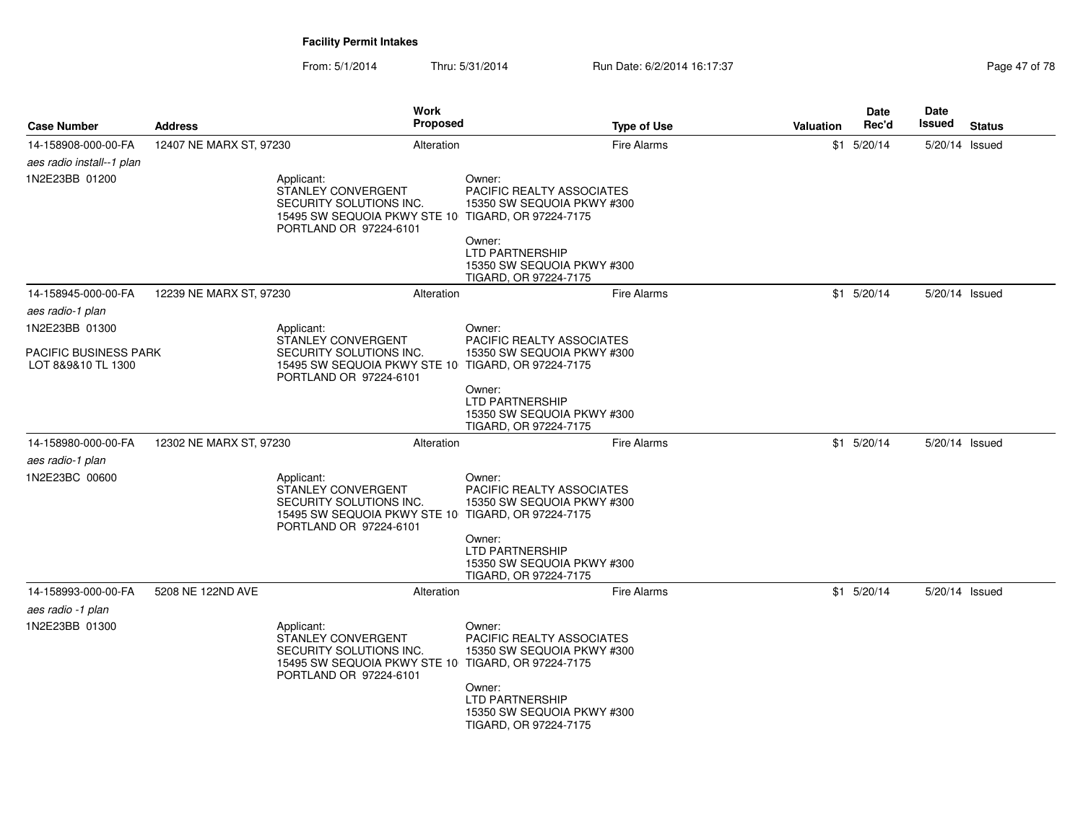From: 5/1/2014Thru: 5/31/2014 Run Date: 6/2/2014 16:17:37 Rege 47 of 78

| <b>Case Number</b>                          | <b>Address</b>          | Work                                                                                                                  | Proposed   |                                                                                                                                                                                              | <b>Type of Use</b> | <b>Valuation</b> | <b>Date</b><br>Rec'd | <b>Date</b><br>Issued | <b>Status</b> |
|---------------------------------------------|-------------------------|-----------------------------------------------------------------------------------------------------------------------|------------|----------------------------------------------------------------------------------------------------------------------------------------------------------------------------------------------|--------------------|------------------|----------------------|-----------------------|---------------|
| 14-158908-000-00-FA                         | 12407 NE MARX ST, 97230 |                                                                                                                       | Alteration |                                                                                                                                                                                              | <b>Fire Alarms</b> |                  | $$1$ 5/20/14         | 5/20/14 Issued        |               |
| aes radio install--1 plan                   |                         |                                                                                                                       |            |                                                                                                                                                                                              |                    |                  |                      |                       |               |
| 1N2E23BB 01200                              |                         | Applicant:<br>STANLEY CONVERGENT<br>SECURITY SOLUTIONS INC.<br>15495 SW SEQUOIA PKWY STE 10<br>PORTLAND OR 97224-6101 |            | Owner:<br>PACIFIC REALTY ASSOCIATES<br>15350 SW SEQUOIA PKWY #300<br>TIGARD, OR 97224-7175<br>Owner:<br>LTD PARTNERSHIP<br>15350 SW SEQUOIA PKWY #300<br>TIGARD, OR 97224-7175               |                    |                  |                      |                       |               |
| 14-158945-000-00-FA                         | 12239 NE MARX ST, 97230 |                                                                                                                       | Alteration |                                                                                                                                                                                              | Fire Alarms        |                  | $$1$ 5/20/14         | 5/20/14 Issued        |               |
| aes radio-1 plan                            |                         |                                                                                                                       |            |                                                                                                                                                                                              |                    |                  |                      |                       |               |
| 1N2E23BB 01300                              |                         | Applicant:                                                                                                            |            | Owner:                                                                                                                                                                                       |                    |                  |                      |                       |               |
| PACIFIC BUSINESS PARK<br>LOT 8&9&10 TL 1300 |                         | STANLEY CONVERGENT<br>SECURITY SOLUTIONS INC.<br>15495 SW SEQUOIA PKWY STE 10<br>PORTLAND OR 97224-6101               |            | <b>PACIFIC REALTY ASSOCIATES</b><br>15350 SW SEQUOIA PKWY #300<br>TIGARD, OR 97224-7175                                                                                                      |                    |                  |                      |                       |               |
|                                             |                         |                                                                                                                       |            | Owner:<br>LTD PARTNERSHIP<br>15350 SW SEQUOIA PKWY #300<br>TIGARD, OR 97224-7175                                                                                                             |                    |                  |                      |                       |               |
| 14-158980-000-00-FA                         | 12302 NE MARX ST, 97230 |                                                                                                                       | Alteration |                                                                                                                                                                                              | <b>Fire Alarms</b> |                  | $$1$ 5/20/14         | 5/20/14 Issued        |               |
| aes radio-1 plan<br>1N2E23BC 00600          |                         | Applicant:<br>STANLEY CONVERGENT<br>SECURITY SOLUTIONS INC.<br>15495 SW SEQUOIA PKWY STE 10<br>PORTLAND OR 97224-6101 |            | Owner:<br><b>PACIFIC REALTY ASSOCIATES</b><br>15350 SW SEQUOIA PKWY #300<br>TIGARD, OR 97224-7175<br>Owner:<br><b>LTD PARTNERSHIP</b><br>15350 SW SEQUOIA PKWY #300                          |                    |                  |                      |                       |               |
| 14-158993-000-00-FA                         | 5208 NE 122ND AVE       |                                                                                                                       | Alteration | TIGARD, OR 97224-7175                                                                                                                                                                        | <b>Fire Alarms</b> |                  | $$1$ 5/20/14         | 5/20/14 Issued        |               |
| aes radio -1 plan                           |                         |                                                                                                                       |            |                                                                                                                                                                                              |                    |                  |                      |                       |               |
| 1N2E23BB 01300                              |                         | Applicant:<br>STANLEY CONVERGENT<br>SECURITY SOLUTIONS INC.<br>15495 SW SEQUOIA PKWY STE 10<br>PORTLAND OR 97224-6101 |            | Owner:<br><b>PACIFIC REALTY ASSOCIATES</b><br>15350 SW SEQUOIA PKWY #300<br>TIGARD, OR 97224-7175<br>Owner:<br><b>LTD PARTNERSHIP</b><br>15350 SW SEQUOIA PKWY #300<br>TIGARD, OR 97224-7175 |                    |                  |                      |                       |               |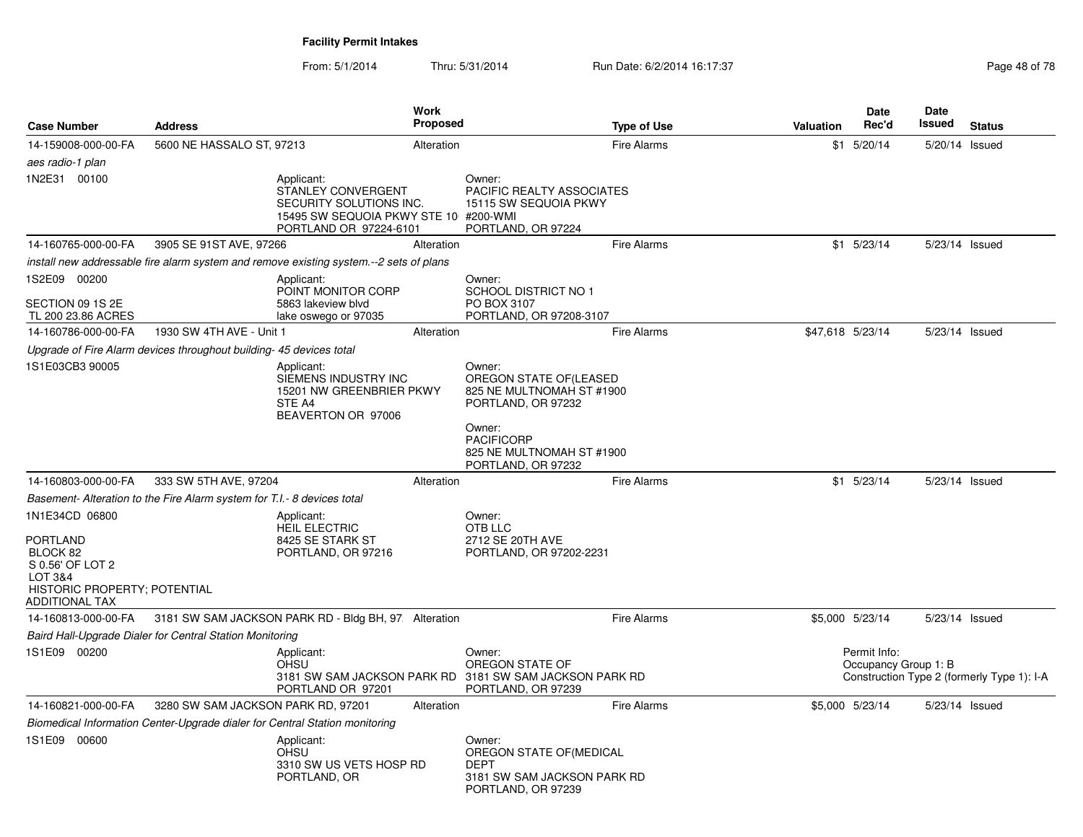| <b>Case Number</b>                                                                                    | <b>Address</b>                                                          |                                                                                                                                | <b>Work</b><br><b>Proposed</b> |                                                                                                                                                                        | <b>Type of Use</b> | <b>Valuation</b> | <b>Date</b><br>Rec'd                 | Date<br>Issued | <b>Status</b>                              |
|-------------------------------------------------------------------------------------------------------|-------------------------------------------------------------------------|--------------------------------------------------------------------------------------------------------------------------------|--------------------------------|------------------------------------------------------------------------------------------------------------------------------------------------------------------------|--------------------|------------------|--------------------------------------|----------------|--------------------------------------------|
| 14-159008-000-00-FA                                                                                   | 5600 NE HASSALO ST, 97213                                               |                                                                                                                                | Alteration                     |                                                                                                                                                                        | <b>Fire Alarms</b> |                  | $$1$ 5/20/14                         | 5/20/14 Issued |                                            |
| aes radio-1 plan                                                                                      |                                                                         |                                                                                                                                |                                |                                                                                                                                                                        |                    |                  |                                      |                |                                            |
| 1N2E31 00100                                                                                          |                                                                         | Applicant:<br>STANLEY CONVERGENT<br>SECURITY SOLUTIONS INC.<br>15495 SW SEQUOIA PKWY STE 10 #200-WMI<br>PORTLAND OR 97224-6101 |                                | Owner:<br><b>PACIFIC REALTY ASSOCIATES</b><br>15115 SW SEQUOIA PKWY<br>PORTLAND, OR 97224                                                                              |                    |                  |                                      |                |                                            |
| 14-160765-000-00-FA                                                                                   | 3905 SE 91ST AVE, 97266                                                 |                                                                                                                                | Alteration                     |                                                                                                                                                                        | <b>Fire Alarms</b> |                  | $$1$ 5/23/14                         | 5/23/14 Issued |                                            |
|                                                                                                       |                                                                         | install new addressable fire alarm system and remove existing system.--2 sets of plans                                         |                                |                                                                                                                                                                        |                    |                  |                                      |                |                                            |
| 1S2E09 00200                                                                                          |                                                                         | Applicant:<br>POINT MONITOR CORP                                                                                               |                                | Owner:<br><b>SCHOOL DISTRICT NO 1</b>                                                                                                                                  |                    |                  |                                      |                |                                            |
| SECTION 09 1S 2E<br>TL 200 23.86 ACRES                                                                |                                                                         | 5863 lakeview blvd<br>lake oswego or 97035                                                                                     |                                | PO BOX 3107<br>PORTLAND, OR 97208-3107                                                                                                                                 |                    |                  |                                      |                |                                            |
| 14-160786-000-00-FA                                                                                   | 1930 SW 4TH AVE - Unit 1                                                |                                                                                                                                | Alteration                     |                                                                                                                                                                        | <b>Fire Alarms</b> | \$47,618 5/23/14 |                                      | 5/23/14 Issued |                                            |
|                                                                                                       | Upgrade of Fire Alarm devices throughout building-45 devices total      |                                                                                                                                |                                |                                                                                                                                                                        |                    |                  |                                      |                |                                            |
| 1S1E03CB3 90005                                                                                       |                                                                         | Applicant:<br>SIEMENS INDUSTRY INC<br>15201 NW GREENBRIER PKWY<br>STE A4<br>BEAVERTON OR 97006                                 |                                | Owner:<br>OREGON STATE OF (LEASED<br>825 NE MULTNOMAH ST #1900<br>PORTLAND, OR 97232<br>Owner:<br><b>PACIFICORP</b><br>825 NE MULTNOMAH ST #1900<br>PORTLAND, OR 97232 |                    |                  |                                      |                |                                            |
| 14-160803-000-00-FA                                                                                   | 333 SW 5TH AVE, 97204                                                   |                                                                                                                                | Alteration                     |                                                                                                                                                                        | <b>Fire Alarms</b> |                  | $$1$ 5/23/14                         | 5/23/14 Issued |                                            |
|                                                                                                       | Basement- Alteration to the Fire Alarm system for T.I.- 8 devices total |                                                                                                                                |                                |                                                                                                                                                                        |                    |                  |                                      |                |                                            |
| 1N1E34CD 06800                                                                                        |                                                                         | Applicant:<br><b>HEIL ELECTRIC</b>                                                                                             |                                | Owner:<br>OTB LLC                                                                                                                                                      |                    |                  |                                      |                |                                            |
| PORTLAND<br>BLOCK 82<br>S 0.56' OF LOT 2<br>LOT 3&4<br>HISTORIC PROPERTY; POTENTIAL<br>ADDITIONAL TAX |                                                                         | 8425 SE STARK ST<br>PORTLAND, OR 97216                                                                                         |                                | 2712 SE 20TH AVE<br>PORTLAND, OR 97202-2231                                                                                                                            |                    |                  |                                      |                |                                            |
| 14-160813-000-00-FA                                                                                   |                                                                         | 3181 SW SAM JACKSON PARK RD - Bldg BH, 97: Alteration                                                                          |                                |                                                                                                                                                                        | <b>Fire Alarms</b> |                  | \$5,000 5/23/14                      | 5/23/14 Issued |                                            |
|                                                                                                       | Baird Hall-Upgrade Dialer for Central Station Monitoring                |                                                                                                                                |                                |                                                                                                                                                                        |                    |                  |                                      |                |                                            |
| 1S1E09 00200                                                                                          |                                                                         | Applicant:<br><b>OHSU</b><br>PORTLAND OR 97201                                                                                 |                                | Owner:<br>OREGON STATE OF<br>3181 SW SAM JACKSON PARK RD 3181 SW SAM JACKSON PARK RD<br>PORTLAND, OR 97239                                                             |                    |                  | Permit Info:<br>Occupancy Group 1: B |                | Construction Type 2 (formerly Type 1): I-A |
| 14-160821-000-00-FA                                                                                   | 3280 SW SAM JACKSON PARK RD, 97201                                      |                                                                                                                                | Alteration                     |                                                                                                                                                                        | <b>Fire Alarms</b> |                  | \$5,000 5/23/14                      | 5/23/14 Issued |                                            |
|                                                                                                       |                                                                         | Biomedical Information Center-Upgrade dialer for Central Station monitoring                                                    |                                |                                                                                                                                                                        |                    |                  |                                      |                |                                            |
| 1S1E09 00600                                                                                          |                                                                         | Applicant:<br><b>OHSU</b><br>3310 SW US VETS HOSP RD<br>PORTLAND, OR                                                           |                                | Owner:<br>OREGON STATE OF (MEDICAL<br><b>DEPT</b><br>3181 SW SAM JACKSON PARK RD<br>PORTLAND, OR 97239                                                                 |                    |                  |                                      |                |                                            |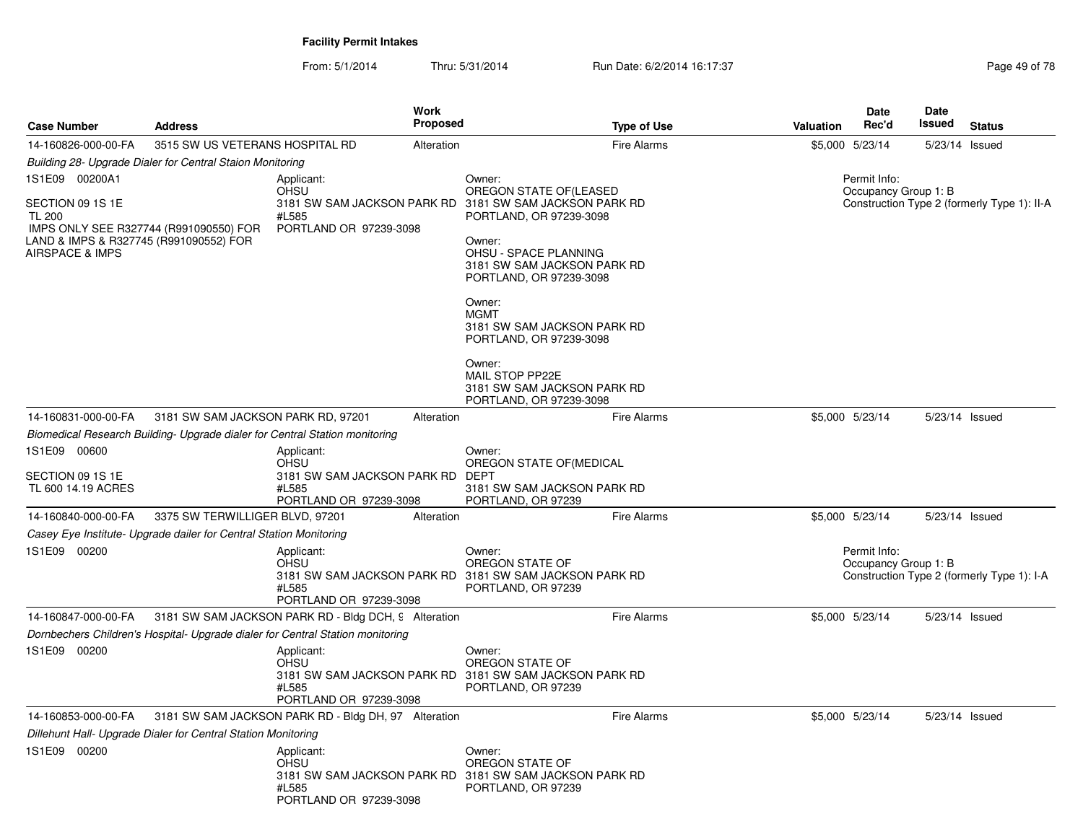From: 5/1/2014Thru: 5/31/2014 Run Date: 6/2/2014 16:17:37 Rege 49 of 78

| <b>Case Number</b>                                                                                               | <b>Address</b>                                                     | Work<br>Proposed                                                                                                        | <b>Type of Use</b>                                                                                                                                                                       | <b>Valuation</b>                                                                    | Date<br>Rec'd                        | <b>Date</b><br>Issued | <b>Status</b>                              |  |  |
|------------------------------------------------------------------------------------------------------------------|--------------------------------------------------------------------|-------------------------------------------------------------------------------------------------------------------------|------------------------------------------------------------------------------------------------------------------------------------------------------------------------------------------|-------------------------------------------------------------------------------------|--------------------------------------|-----------------------|--------------------------------------------|--|--|
| 14-160826-000-00-FA                                                                                              | 3515 SW US VETERANS HOSPITAL RD                                    | Alteration                                                                                                              | <b>Fire Alarms</b>                                                                                                                                                                       |                                                                                     | \$5,000 5/23/14                      | 5/23/14 Issued        |                                            |  |  |
|                                                                                                                  | Building 28- Upgrade Dialer for Central Staion Monitoring          |                                                                                                                         |                                                                                                                                                                                          |                                                                                     |                                      |                       |                                            |  |  |
| 1S1E09 00200A1<br>SECTION 09 1S 1E<br><b>TL 200</b><br>LAND & IMPS & R327745 (R991090552) FOR<br>AIRSPACE & IMPS | IMPS ONLY SEE R327744 (R991090550) FOR                             | Applicant:<br><b>OHSU</b><br>3181 SW SAM JACKSON PARK RD<br>#L585<br>PORTLAND OR 97239-3098                             | Owner:<br>OREGON STATE OF (LEASED<br>3181 SW SAM JACKSON PARK RD<br>PORTLAND, OR 97239-3098<br>Owner:<br>OHSU - SPACE PLANNING<br>3181 SW SAM JACKSON PARK RD<br>PORTLAND, OR 97239-3098 | Permit Info:<br>Occupancy Group 1: B<br>Construction Type 2 (formerly Type 1): II-A |                                      |                       |                                            |  |  |
|                                                                                                                  |                                                                    |                                                                                                                         | Owner:<br><b>MGMT</b><br>3181 SW SAM JACKSON PARK RD<br>PORTLAND, OR 97239-3098<br>Owner:<br>MAIL STOP PP22E<br>3181 SW SAM JACKSON PARK RD<br>PORTLAND, OR 97239-3098                   |                                                                                     |                                      |                       |                                            |  |  |
| 14-160831-000-00-FA                                                                                              | 3181 SW SAM JACKSON PARK RD, 97201                                 | Alteration                                                                                                              | <b>Fire Alarms</b>                                                                                                                                                                       |                                                                                     | \$5,000 5/23/14                      | 5/23/14 Issued        |                                            |  |  |
|                                                                                                                  |                                                                    | Biomedical Research Building- Upgrade dialer for Central Station monitoring                                             |                                                                                                                                                                                          |                                                                                     |                                      |                       |                                            |  |  |
| 1S1E09 00600<br>SECTION 09 1S 1E<br>TL 600 14.19 ACRES                                                           |                                                                    | Applicant:<br>OHSU<br>3181 SW SAM JACKSON PARK RD<br>#L585<br>PORTLAND OR 97239-3098                                    | Owner:<br>OREGON STATE OF (MEDICAL<br>DEPT<br>3181 SW SAM JACKSON PARK RD<br>PORTLAND, OR 97239                                                                                          |                                                                                     |                                      |                       |                                            |  |  |
| 14-160840-000-00-FA                                                                                              | 3375 SW TERWILLIGER BLVD, 97201                                    | Alteration                                                                                                              | <b>Fire Alarms</b>                                                                                                                                                                       |                                                                                     | \$5,000 5/23/14                      | 5/23/14 Issued        |                                            |  |  |
|                                                                                                                  | Casey Eye Institute- Upgrade dailer for Central Station Monitoring |                                                                                                                         |                                                                                                                                                                                          |                                                                                     |                                      |                       |                                            |  |  |
| 1S1E09 00200                                                                                                     |                                                                    | Applicant:<br><b>OHSU</b><br>3181 SW SAM JACKSON PARK RD 3181 SW SAM JACKSON PARK RD<br>#L585<br>PORTLAND OR 97239-3098 | Owner:<br>OREGON STATE OF<br>PORTLAND, OR 97239                                                                                                                                          |                                                                                     | Permit Info:<br>Occupancy Group 1: B |                       | Construction Type 2 (formerly Type 1): I-A |  |  |
| 14-160847-000-00-FA                                                                                              |                                                                    | 3181 SW SAM JACKSON PARK RD - Bldg DCH, 9 Alteration                                                                    | <b>Fire Alarms</b>                                                                                                                                                                       |                                                                                     | \$5,000 5/23/14                      | 5/23/14 Issued        |                                            |  |  |
|                                                                                                                  |                                                                    | Dornbechers Children's Hospital- Upgrade dialer for Central Station monitoring                                          |                                                                                                                                                                                          |                                                                                     |                                      |                       |                                            |  |  |
| 1S1E09 00200                                                                                                     |                                                                    | Applicant:<br><b>OHSU</b><br>3181 SW SAM JACKSON PARK RD 3181 SW SAM JACKSON PARK RD<br>#L585<br>PORTLAND OR 97239-3098 | Owner:<br>OREGON STATE OF<br>PORTLAND, OR 97239                                                                                                                                          |                                                                                     |                                      |                       |                                            |  |  |
| 14-160853-000-00-FA                                                                                              |                                                                    | 3181 SW SAM JACKSON PARK RD - Bldg DH, 97 Alteration                                                                    | <b>Fire Alarms</b>                                                                                                                                                                       |                                                                                     | \$5,000 5/23/14                      | 5/23/14 Issued        |                                            |  |  |
|                                                                                                                  | Dillehunt Hall- Upgrade Dialer for Central Station Monitoring      |                                                                                                                         |                                                                                                                                                                                          |                                                                                     |                                      |                       |                                            |  |  |
| 1S1E09 00200                                                                                                     |                                                                    | Applicant:<br><b>OHSU</b><br>3181 SW SAM JACKSON PARK RD 3181 SW SAM JACKSON PARK RD<br>#L585<br>PORTLAND OR 97239-3098 | Owner:<br>OREGON STATE OF<br>PORTLAND, OR 97239                                                                                                                                          |                                                                                     |                                      |                       |                                            |  |  |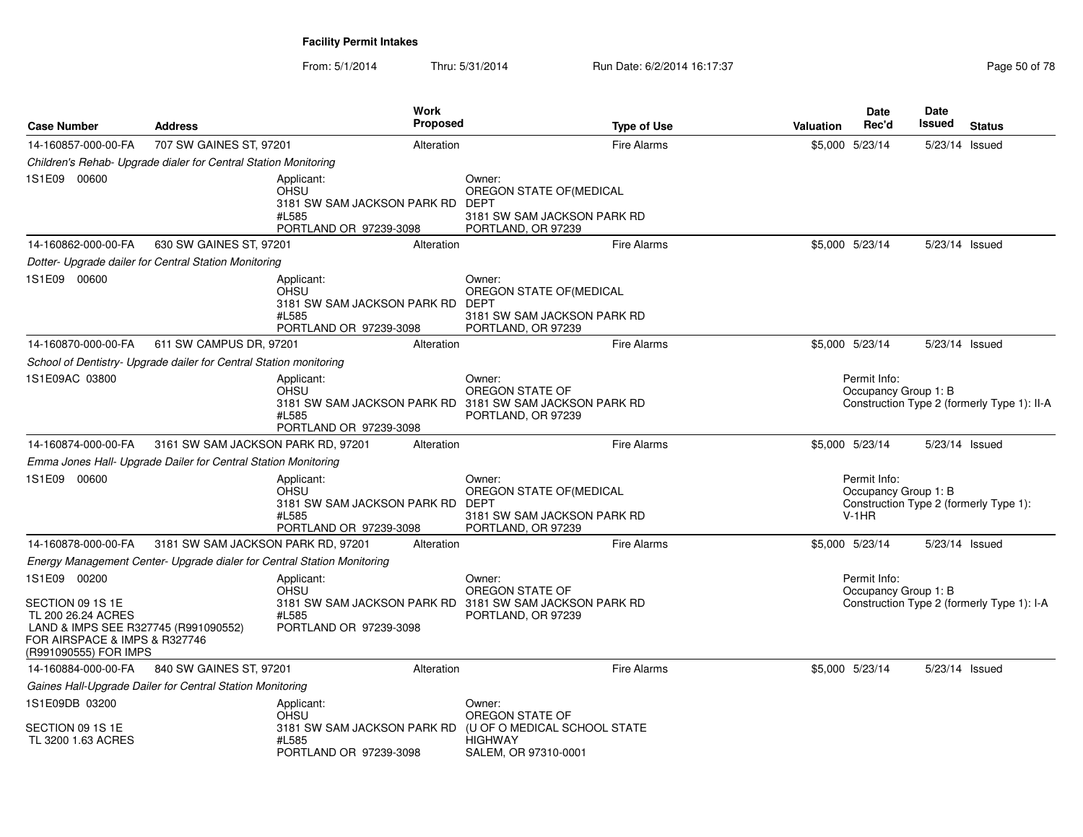| <b>Case Number</b>                                                                                                                                       | <b>Address</b>                                                          | <b>Work</b><br><b>Proposed</b>                                                                   | <b>Type of Use</b>                                                                                         | <b>Valuation</b> | Date<br>Rec'd                                                                             | <b>Date</b><br>Issued | <b>Status</b>                               |
|----------------------------------------------------------------------------------------------------------------------------------------------------------|-------------------------------------------------------------------------|--------------------------------------------------------------------------------------------------|------------------------------------------------------------------------------------------------------------|------------------|-------------------------------------------------------------------------------------------|-----------------------|---------------------------------------------|
| 14-160857-000-00-FA                                                                                                                                      | 707 SW GAINES ST, 97201                                                 | Alteration                                                                                       | <b>Fire Alarms</b>                                                                                         |                  | \$5,000 5/23/14                                                                           | 5/23/14 Issued        |                                             |
|                                                                                                                                                          | Children's Rehab- Upgrade dialer for Central Station Monitoring         |                                                                                                  |                                                                                                            |                  |                                                                                           |                       |                                             |
| 1S1E09 00600                                                                                                                                             |                                                                         | Applicant:<br>OHSU<br>3181 SW SAM JACKSON PARK RD DEPT<br>#L585<br>PORTLAND OR 97239-3098        | Owner:<br>OREGON STATE OF(MEDICAL<br>3181 SW SAM JACKSON PARK RD<br>PORTLAND, OR 97239                     |                  |                                                                                           |                       |                                             |
| 14-160862-000-00-FA                                                                                                                                      | 630 SW GAINES ST, 97201                                                 | Alteration                                                                                       | Fire Alarms                                                                                                |                  | \$5,000 5/23/14                                                                           | 5/23/14 Issued        |                                             |
|                                                                                                                                                          | Dotter- Upgrade dailer for Central Station Monitoring                   |                                                                                                  |                                                                                                            |                  |                                                                                           |                       |                                             |
| 1S1E09 00600                                                                                                                                             |                                                                         | Applicant:<br><b>OHSU</b><br>3181 SW SAM JACKSON PARK RD<br>#L585<br>PORTLAND OR 97239-3098      | Owner:<br>OREGON STATE OF (MEDICAL<br>DEPT<br>3181 SW SAM JACKSON PARK RD<br>PORTLAND, OR 97239            |                  |                                                                                           |                       |                                             |
| 14-160870-000-00-FA                                                                                                                                      | 611 SW CAMPUS DR, 97201                                                 | Alteration                                                                                       | <b>Fire Alarms</b>                                                                                         |                  | \$5,000 5/23/14                                                                           | 5/23/14 Issued        |                                             |
|                                                                                                                                                          | School of Dentistry- Upgrade dailer for Central Station monitoring      |                                                                                                  |                                                                                                            |                  |                                                                                           |                       |                                             |
| 1S1E09AC 03800                                                                                                                                           |                                                                         | Applicant:<br>OHSU<br>#L585<br>PORTLAND OR 97239-3098                                            | Owner:<br>OREGON STATE OF<br>3181 SW SAM JACKSON PARK RD 3181 SW SAM JACKSON PARK RD<br>PORTLAND, OR 97239 |                  | Permit Info:<br>Occupancy Group 1: B                                                      |                       | Construction Type 2 (formerly Type 1): II-A |
| 14-160874-000-00-FA                                                                                                                                      | 3161 SW SAM JACKSON PARK RD, 97201                                      | Alteration                                                                                       | <b>Fire Alarms</b>                                                                                         |                  | \$5,000 5/23/14                                                                           | 5/23/14 Issued        |                                             |
|                                                                                                                                                          | Emma Jones Hall- Upgrade Dailer for Central Station Monitoring          |                                                                                                  |                                                                                                            |                  |                                                                                           |                       |                                             |
| 1S1E09 00600                                                                                                                                             |                                                                         | Applicant:<br><b>OHSU</b><br>3181 SW SAM JACKSON PARK RD DEPT<br>#L585<br>PORTLAND OR 97239-3098 | Owner:<br>OREGON STATE OF(MEDICAL<br>3181 SW SAM JACKSON PARK RD<br>PORTLAND, OR 97239                     |                  | Permit Info:<br>Occupancy Group 1: B<br>Construction Type 2 (formerly Type 1):<br>$V-1HR$ |                       |                                             |
| 14-160878-000-00-FA                                                                                                                                      | 3181 SW SAM JACKSON PARK RD, 97201                                      | Alteration                                                                                       | <b>Fire Alarms</b>                                                                                         |                  | \$5,000 5/23/14                                                                           | 5/23/14 Issued        |                                             |
|                                                                                                                                                          | Energy Management Center- Upgrade dialer for Central Station Monitoring |                                                                                                  |                                                                                                            |                  |                                                                                           |                       |                                             |
| 1S1E09 00200<br>SECTION 09 1S 1E<br>TL 200 26.24 ACRES<br>LAND & IMPS SEE R327745 (R991090552)<br>FOR AIRSPACE & IMPS & R327746<br>(R991090555) FOR IMPS |                                                                         | Applicant:<br><b>OHSU</b><br>#L585<br>PORTLAND OR 97239-3098                                     | Owner:<br>OREGON STATE OF<br>3181 SW SAM JACKSON PARK RD 3181 SW SAM JACKSON PARK RD<br>PORTLAND, OR 97239 |                  | Permit Info:<br>Occupancy Group 1: B                                                      |                       | Construction Type 2 (formerly Type 1): I-A  |
| 14-160884-000-00-FA                                                                                                                                      | 840 SW GAINES ST, 97201                                                 | Alteration                                                                                       | <b>Fire Alarms</b>                                                                                         |                  | \$5,000 5/23/14                                                                           | 5/23/14 Issued        |                                             |
|                                                                                                                                                          | Gaines Hall-Upgrade Dailer for Central Station Monitoring               |                                                                                                  |                                                                                                            |                  |                                                                                           |                       |                                             |
| 1S1E09DB 03200<br>SECTION 09 1S 1E<br>TL 3200 1.63 ACRES                                                                                                 |                                                                         | Applicant:<br><b>OHSU</b><br>3181 SW SAM JACKSON PARK RD<br>#L585<br>PORTLAND OR 97239-3098      | Owner:<br>OREGON STATE OF<br>(U OF O MEDICAL SCHOOL STATE<br><b>HIGHWAY</b><br>SALEM, OR 97310-0001        |                  |                                                                                           |                       |                                             |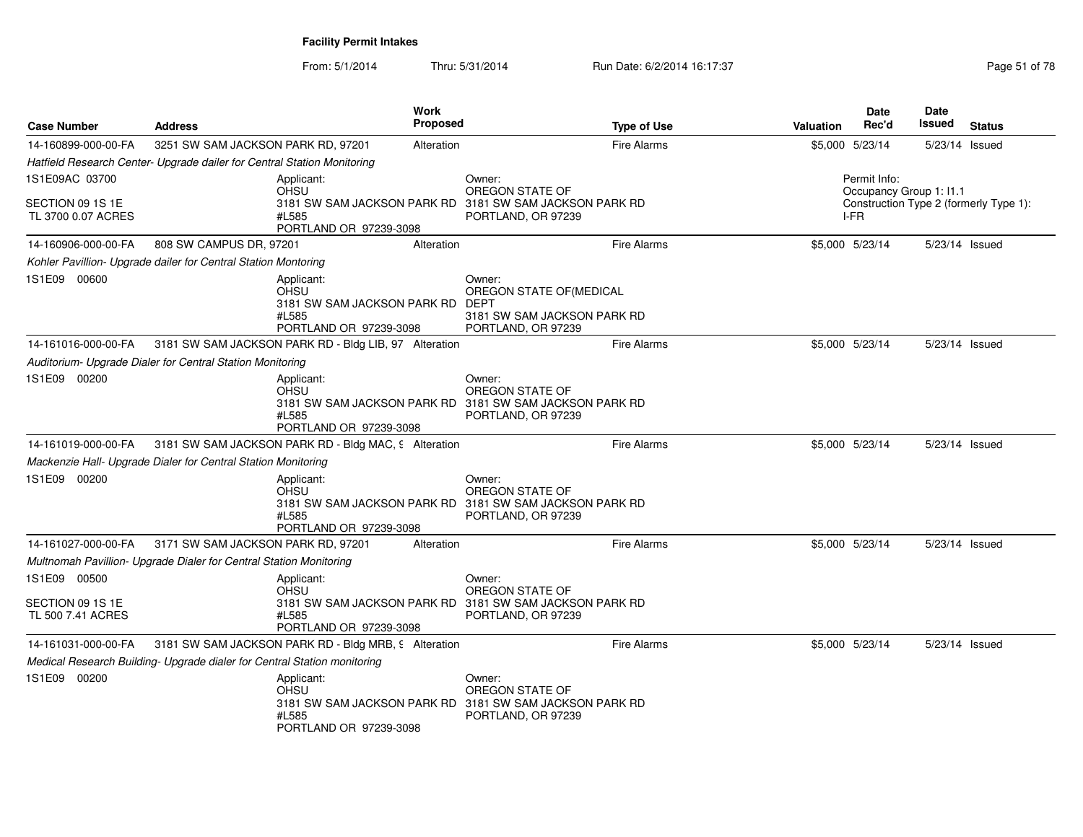| <b>Case Number</b>                     | <b>Address</b>                                                                              | Work<br><b>Proposed</b> | <b>Type of Use</b>                                                                                         | <b>Valuation</b> | <b>Date</b><br>Rec'd                    | <b>Date</b><br>Issued | <b>Status</b>                          |
|----------------------------------------|---------------------------------------------------------------------------------------------|-------------------------|------------------------------------------------------------------------------------------------------------|------------------|-----------------------------------------|-----------------------|----------------------------------------|
| 14-160899-000-00-FA                    | 3251 SW SAM JACKSON PARK RD, 97201                                                          | Alteration              | <b>Fire Alarms</b>                                                                                         |                  | \$5,000 5/23/14                         | 5/23/14 Issued        |                                        |
|                                        | Hatfield Research Center- Upgrade dailer for Central Station Monitoring                     |                         |                                                                                                            |                  |                                         |                       |                                        |
| 1S1E09AC 03700                         | Applicant:<br>OHSU                                                                          |                         | Owner:<br>OREGON STATE OF                                                                                  |                  | Permit Info:<br>Occupancy Group 1: I1.1 |                       |                                        |
| SECTION 09 1S 1E<br>TL 3700 0.07 ACRES | 3181 SW SAM JACKSON PARK RD<br>#L585<br>PORTLAND OR 97239-3098                              |                         | 3181 SW SAM JACKSON PARK RD<br>PORTLAND, OR 97239                                                          |                  | I-FR                                    |                       | Construction Type 2 (formerly Type 1): |
| 14-160906-000-00-FA                    | 808 SW CAMPUS DR, 97201                                                                     | Alteration              | <b>Fire Alarms</b>                                                                                         |                  | \$5,000 5/23/14                         | 5/23/14 Issued        |                                        |
|                                        | Kohler Pavillion- Upgrade dailer for Central Station Montoring                              |                         |                                                                                                            |                  |                                         |                       |                                        |
| 1S1E09 00600                           | Applicant:<br><b>OHSU</b><br>3181 SW SAM JACKSON PARK RD<br>#L585<br>PORTLAND OR 97239-3098 |                         | Owner:<br>OREGON STATE OF (MEDICAL<br>DEPT<br>3181 SW SAM JACKSON PARK RD<br>PORTLAND, OR 97239            |                  |                                         |                       |                                        |
| 14-161016-000-00-FA                    | 3181 SW SAM JACKSON PARK RD - Bldg LIB, 97 Alteration                                       |                         | <b>Fire Alarms</b>                                                                                         |                  | \$5,000 5/23/14                         | 5/23/14 Issued        |                                        |
|                                        | Auditorium- Upgrade Dialer for Central Station Monitoring                                   |                         |                                                                                                            |                  |                                         |                       |                                        |
| 1S1E09 00200                           | Applicant:<br>OHSU<br>#L585<br>PORTLAND OR 97239-3098                                       |                         | Owner:<br>OREGON STATE OF<br>3181 SW SAM JACKSON PARK RD 3181 SW SAM JACKSON PARK RD<br>PORTLAND, OR 97239 |                  |                                         |                       |                                        |
| 14-161019-000-00-FA                    | 3181 SW SAM JACKSON PARK RD - Bldg MAC, 9 Alteration                                        |                         | <b>Fire Alarms</b>                                                                                         |                  | \$5,000 5/23/14                         | 5/23/14 Issued        |                                        |
|                                        | Mackenzie Hall- Upgrade Dialer for Central Station Monitoring                               |                         |                                                                                                            |                  |                                         |                       |                                        |
| 1S1E09 00200                           | Applicant:<br>OHSU<br>#L585<br>PORTLAND OR 97239-3098                                       |                         | Owner:<br>OREGON STATE OF<br>3181 SW SAM JACKSON PARK RD 3181 SW SAM JACKSON PARK RD<br>PORTLAND, OR 97239 |                  |                                         |                       |                                        |
| 14-161027-000-00-FA                    | 3171 SW SAM JACKSON PARK RD, 97201                                                          | Alteration              | <b>Fire Alarms</b>                                                                                         |                  | \$5,000 5/23/14                         | 5/23/14 Issued        |                                        |
|                                        | Multnomah Pavillion- Upgrade Dialer for Central Station Monitoring                          |                         |                                                                                                            |                  |                                         |                       |                                        |
| 1S1E09 00500                           | Applicant:<br>OHSU                                                                          |                         | Owner:<br>OREGON STATE OF                                                                                  |                  |                                         |                       |                                        |
| SECTION 09 1S 1E<br>TL 500 7.41 ACRES  | #L585<br>PORTLAND OR 97239-3098                                                             |                         | 3181 SW SAM JACKSON PARK RD 3181 SW SAM JACKSON PARK RD<br>PORTLAND, OR 97239                              |                  |                                         |                       |                                        |
| 14-161031-000-00-FA                    | 3181 SW SAM JACKSON PARK RD - Bldg MRB, 9 Alteration                                        |                         | <b>Fire Alarms</b>                                                                                         |                  | \$5,000 5/23/14                         | 5/23/14 Issued        |                                        |
|                                        | Medical Research Building- Upgrade dialer for Central Station monitoring                    |                         |                                                                                                            |                  |                                         |                       |                                        |
| 1S1E09 00200                           | Applicant:<br><b>OHSU</b><br>3181 SW SAM JACKSON PARK RD<br>#L585<br>PORTLAND OR 97239-3098 |                         | Owner:<br>OREGON STATE OF<br>3181 SW SAM JACKSON PARK RD<br>PORTLAND, OR 97239                             |                  |                                         |                       |                                        |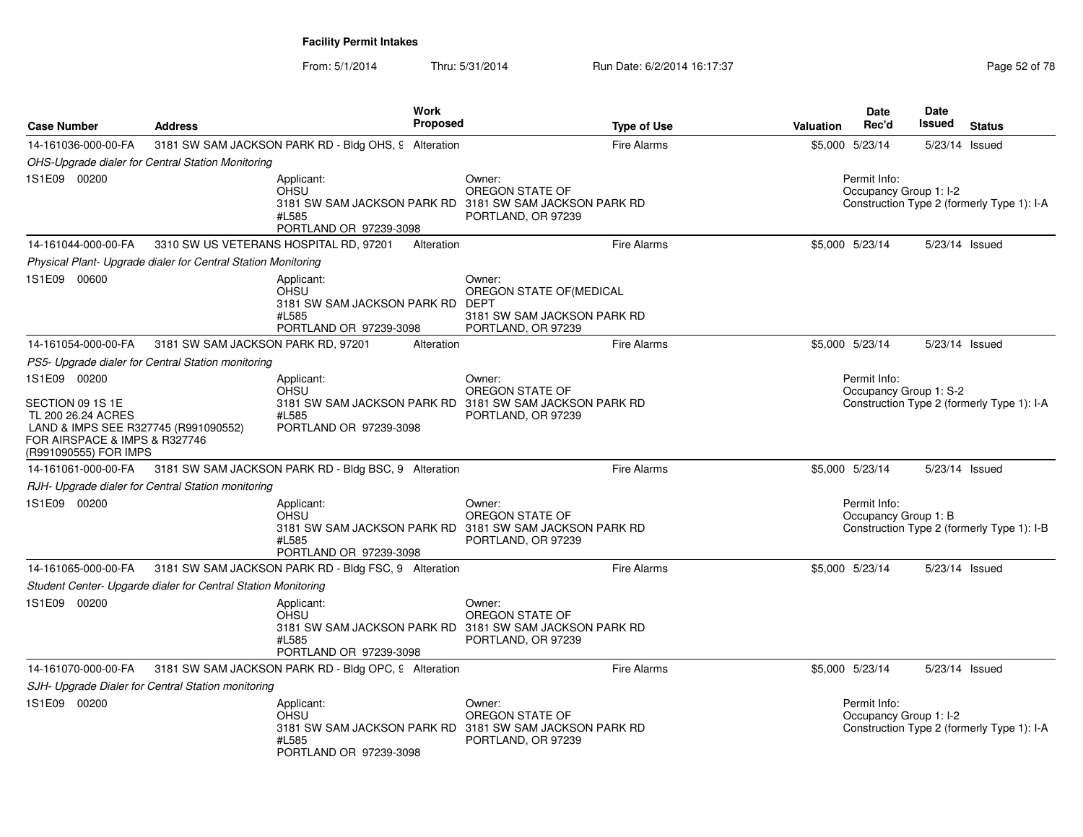| <b>Case Number</b>                                                                                                                       | <b>Address</b>                                                | Work<br><b>Proposed</b>                                                                                                 |                                                                                                       | <b>Type of Use</b> | <b>Valuation</b> | <b>Date</b><br>Rec'd                   | Date<br>Issued | <b>Status</b>                              |
|------------------------------------------------------------------------------------------------------------------------------------------|---------------------------------------------------------------|-------------------------------------------------------------------------------------------------------------------------|-------------------------------------------------------------------------------------------------------|--------------------|------------------|----------------------------------------|----------------|--------------------------------------------|
| 14-161036-000-00-FA                                                                                                                      |                                                               | 3181 SW SAM JACKSON PARK RD - Bldg OHS, 9 Alteration                                                                    |                                                                                                       | <b>Fire Alarms</b> |                  | \$5,000 5/23/14                        | 5/23/14 Issued |                                            |
|                                                                                                                                          | OHS-Upgrade dialer for Central Station Monitoring             |                                                                                                                         |                                                                                                       |                    |                  |                                        |                |                                            |
| 1S1E09 00200                                                                                                                             |                                                               | Applicant:<br><b>OHSU</b><br>3181 SW SAM JACKSON PARK RD 3181 SW SAM JACKSON PARK RD<br>#L585<br>PORTLAND OR 97239-3098 | Owner:<br>OREGON STATE OF<br>PORTLAND, OR 97239                                                       |                    |                  | Permit Info:<br>Occupancy Group 1: I-2 |                | Construction Type 2 (formerly Type 1): I-A |
| 14-161044-000-00-FA                                                                                                                      |                                                               | 3310 SW US VETERANS HOSPITAL RD, 97201<br>Alteration                                                                    |                                                                                                       | <b>Fire Alarms</b> |                  | \$5,000 5/23/14                        |                | 5/23/14 Issued                             |
|                                                                                                                                          | Physical Plant- Upgrade dialer for Central Station Monitoring |                                                                                                                         |                                                                                                       |                    |                  |                                        |                |                                            |
| 1S1E09 00600                                                                                                                             |                                                               | Applicant:<br><b>OHSU</b><br>3181 SW SAM JACKSON PARK RD<br>#L585<br>PORTLAND OR 97239-3098                             | Owner:<br>OREGON STATE OF(MEDICAL<br><b>DEPT</b><br>3181 SW SAM JACKSON PARK RD<br>PORTLAND, OR 97239 |                    |                  |                                        |                |                                            |
| 14-161054-000-00-FA                                                                                                                      | 3181 SW SAM JACKSON PARK RD, 97201                            | Alteration                                                                                                              |                                                                                                       | <b>Fire Alarms</b> |                  | \$5,000 5/23/14                        | 5/23/14 Issued |                                            |
|                                                                                                                                          | PS5- Upgrade dialer for Central Station monitoring            |                                                                                                                         |                                                                                                       |                    |                  |                                        |                |                                            |
| 1S1E09 00200                                                                                                                             |                                                               | Applicant:<br><b>OHSU</b>                                                                                               | Owner:<br>OREGON STATE OF                                                                             |                    |                  | Permit Info:<br>Occupancy Group 1: S-2 |                |                                            |
| SECTION 09 1S 1E<br>TL 200 26.24 ACRES<br>LAND & IMPS SEE R327745 (R991090552)<br>FOR AIRSPACE & IMPS & R327746<br>(R991090555) FOR IMPS |                                                               | 3181 SW SAM JACKSON PARK RD 3181 SW SAM JACKSON PARK RD<br>#L585<br>PORTLAND OR 97239-3098                              | PORTLAND, OR 97239                                                                                    |                    |                  |                                        |                | Construction Type 2 (formerly Type 1): I-A |
| 14-161061-000-00-FA                                                                                                                      |                                                               | 3181 SW SAM JACKSON PARK RD - Bldg BSC, 9 Alteration                                                                    |                                                                                                       | <b>Fire Alarms</b> |                  | \$5,000 5/23/14                        | 5/23/14 Issued |                                            |
|                                                                                                                                          | RJH- Upgrade dialer for Central Station monitoring            |                                                                                                                         |                                                                                                       |                    |                  |                                        |                |                                            |
| 1S1E09 00200                                                                                                                             |                                                               | Applicant:<br><b>OHSU</b><br>3181 SW SAM JACKSON PARK RD 3181 SW SAM JACKSON PARK RD<br>#L585<br>PORTLAND OR 97239-3098 | Owner:<br>OREGON STATE OF<br>PORTLAND, OR 97239                                                       |                    |                  | Permit Info:<br>Occupancy Group 1: B   |                | Construction Type 2 (formerly Type 1): I-B |
| 14-161065-000-00-FA                                                                                                                      |                                                               | 3181 SW SAM JACKSON PARK RD - Bldg FSC, 9 Alteration                                                                    |                                                                                                       | <b>Fire Alarms</b> |                  | \$5,000 5/23/14                        | 5/23/14 Issued |                                            |
|                                                                                                                                          | Student Center- Upgarde dialer for Central Station Monitoring |                                                                                                                         |                                                                                                       |                    |                  |                                        |                |                                            |
| 1S1E09 00200                                                                                                                             |                                                               | Applicant:<br><b>OHSU</b><br>3181 SW SAM JACKSON PARK RD 3181 SW SAM JACKSON PARK RD<br>#L585<br>PORTLAND OR 97239-3098 | Owner:<br>OREGON STATE OF<br>PORTLAND, OR 97239                                                       |                    |                  |                                        |                |                                            |
| 14-161070-000-00-FA                                                                                                                      |                                                               | 3181 SW SAM JACKSON PARK RD - Bldg OPC, 9 Alteration                                                                    |                                                                                                       | <b>Fire Alarms</b> |                  | \$5,000 5/23/14                        |                | 5/23/14 Issued                             |
|                                                                                                                                          | SJH- Upgrade Dialer for Central Station monitoring            |                                                                                                                         |                                                                                                       |                    |                  |                                        |                |                                            |
| 1S1E09 00200                                                                                                                             |                                                               | Applicant:<br><b>OHSU</b><br>3181 SW SAM JACKSON PARK RD 3181 SW SAM JACKSON PARK RD<br>#L585<br>PORTLAND OR 97239-3098 | Owner:<br>OREGON STATE OF<br>PORTLAND, OR 97239                                                       |                    |                  | Permit Info:<br>Occupancy Group 1: I-2 |                | Construction Type 2 (formerly Type 1): I-A |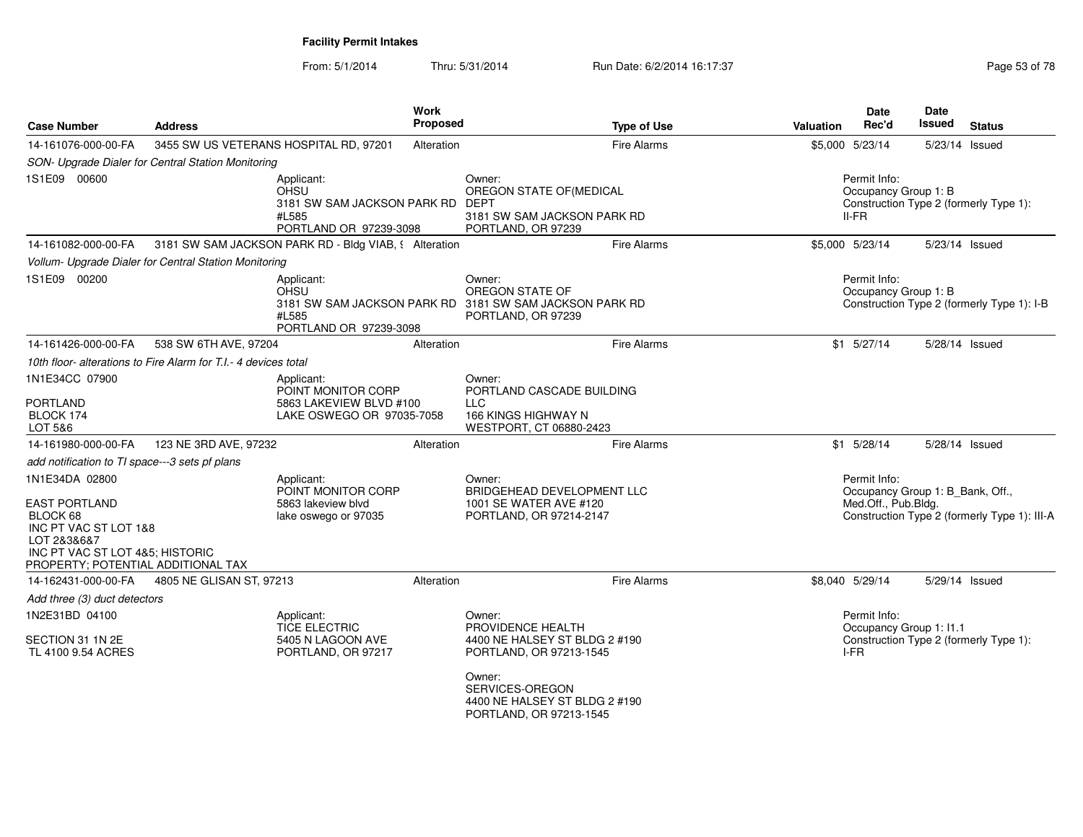From: 5/1/2014Thru: 5/31/2014 Run Date: 6/2/2014 16:17:37 Rege 53 of 78

| <b>Case Number</b>                                                                                                                                                  | <b>Address</b>                                                  | Work                                                                                        | <b>Proposed</b>                                                                                            | <b>Type of Use</b>                                                                                                                                                               | <b>Valuation</b>                     | Date<br>Rec'd                                 | Date<br>Issued                             | <b>Status</b>                                |
|---------------------------------------------------------------------------------------------------------------------------------------------------------------------|-----------------------------------------------------------------|---------------------------------------------------------------------------------------------|------------------------------------------------------------------------------------------------------------|----------------------------------------------------------------------------------------------------------------------------------------------------------------------------------|--------------------------------------|-----------------------------------------------|--------------------------------------------|----------------------------------------------|
| 14-161076-000-00-FA                                                                                                                                                 | 3455 SW US VETERANS HOSPITAL RD, 97201                          |                                                                                             | Alteration                                                                                                 | <b>Fire Alarms</b>                                                                                                                                                               |                                      | \$5,000 5/23/14                               | 5/23/14 Issued                             |                                              |
|                                                                                                                                                                     | SON- Upgrade Dialer for Central Station Monitoring              |                                                                                             |                                                                                                            |                                                                                                                                                                                  |                                      |                                               |                                            |                                              |
| 1S1E09 00600                                                                                                                                                        |                                                                 | Applicant:<br><b>OHSU</b><br>3181 SW SAM JACKSON PARK RD<br>#L585<br>PORTLAND OR 97239-3098 |                                                                                                            | Owner:<br>OREGON STATE OF (MEDICAL<br>DEPT<br>3181 SW SAM JACKSON PARK RD<br>PORTLAND, OR 97239                                                                                  |                                      | Permit Info:<br>Occupancy Group 1: B<br>II-FR |                                            | Construction Type 2 (formerly Type 1):       |
| 14-161082-000-00-FA                                                                                                                                                 |                                                                 | 3181 SW SAM JACKSON PARK RD - Bldg VIAB, § Alteration                                       |                                                                                                            | <b>Fire Alarms</b>                                                                                                                                                               |                                      | \$5,000 5/23/14                               | 5/23/14 Issued                             |                                              |
|                                                                                                                                                                     | Vollum- Upgrade Dialer for Central Station Monitoring           |                                                                                             |                                                                                                            |                                                                                                                                                                                  |                                      |                                               |                                            |                                              |
| 1S1E09 00200                                                                                                                                                        |                                                                 | Applicant:<br>OHSU<br>#L585<br>PORTLAND OR 97239-3098                                       | Owner:<br>OREGON STATE OF<br>3181 SW SAM JACKSON PARK RD 3181 SW SAM JACKSON PARK RD<br>PORTLAND, OR 97239 |                                                                                                                                                                                  | Permit Info:<br>Occupancy Group 1: B |                                               | Construction Type 2 (formerly Type 1): I-B |                                              |
| 14-161426-000-00-FA                                                                                                                                                 | 538 SW 6TH AVE, 97204                                           |                                                                                             | Alteration                                                                                                 | <b>Fire Alarms</b>                                                                                                                                                               |                                      | $$1$ 5/27/14                                  | 5/28/14 Issued                             |                                              |
|                                                                                                                                                                     | 10th floor- alterations to Fire Alarm for T.I.- 4 devices total |                                                                                             |                                                                                                            |                                                                                                                                                                                  |                                      |                                               |                                            |                                              |
| 1N1E34CC 07900                                                                                                                                                      |                                                                 | Applicant:                                                                                  |                                                                                                            | Owner:                                                                                                                                                                           |                                      |                                               |                                            |                                              |
| <b>PORTLAND</b><br>BLOCK 174<br>LOT 5&6                                                                                                                             |                                                                 | POINT MONITOR CORP<br>5863 LAKEVIEW BLVD #100<br>LAKE OSWEGO OR 97035-7058                  |                                                                                                            | PORTLAND CASCADE BUILDING<br><b>LLC</b><br><b>166 KINGS HIGHWAY N</b><br>WESTPORT, CT 06880-2423                                                                                 |                                      |                                               |                                            |                                              |
| 14-161980-000-00-FA                                                                                                                                                 | 123 NE 3RD AVE, 97232                                           |                                                                                             | Alteration                                                                                                 | <b>Fire Alarms</b>                                                                                                                                                               |                                      | $$1$ 5/28/14                                  | 5/28/14 Issued                             |                                              |
| add notification to TI space---3 sets pf plans                                                                                                                      |                                                                 |                                                                                             |                                                                                                            |                                                                                                                                                                                  |                                      |                                               |                                            |                                              |
| 1N1E34DA 02800<br><b>EAST PORTLAND</b><br>BLOCK 68<br>INC PT VAC ST LOT 1&8<br>LOT 2&3&6&7<br>INC PT VAC ST LOT 4&5; HISTORIC<br>PROPERTY; POTENTIAL ADDITIONAL TAX |                                                                 | Applicant:<br>POINT MONITOR CORP<br>5863 lakeview blvd<br>lake oswego or 97035              |                                                                                                            | Owner:<br>BRIDGEHEAD DEVELOPMENT LLC<br>1001 SE WATER AVE #120<br>PORTLAND, OR 97214-2147                                                                                        |                                      | Permit Info:<br>Med.Off., Pub.Bldg.           | Occupancy Group 1: B_Bank, Off.,           | Construction Type 2 (formerly Type 1): III-A |
| 14-162431-000-00-FA                                                                                                                                                 | 4805 NE GLISAN ST, 97213                                        |                                                                                             | Alteration                                                                                                 | <b>Fire Alarms</b>                                                                                                                                                               |                                      | \$8,040 5/29/14                               | 5/29/14 Issued                             |                                              |
| Add three (3) duct detectors                                                                                                                                        |                                                                 |                                                                                             |                                                                                                            |                                                                                                                                                                                  |                                      |                                               |                                            |                                              |
| 1N2E31BD 04100<br>SECTION 31 1N 2E<br>TL 4100 9.54 ACRES                                                                                                            |                                                                 | Applicant:<br><b>TICE ELECTRIC</b><br>5405 N LAGOON AVE<br>PORTLAND, OR 97217               |                                                                                                            | Owner:<br>PROVIDENCE HEALTH<br>4400 NE HALSEY ST BLDG 2 #190<br>PORTLAND, OR 97213-1545<br>Owner:<br>SERVICES-OREGON<br>4400 NE HALSEY ST BLDG 2 #190<br>PORTLAND, OR 97213-1545 |                                      | Permit Info:<br>I-FR                          | Occupancy Group 1: I1.1                    | Construction Type 2 (formerly Type 1):       |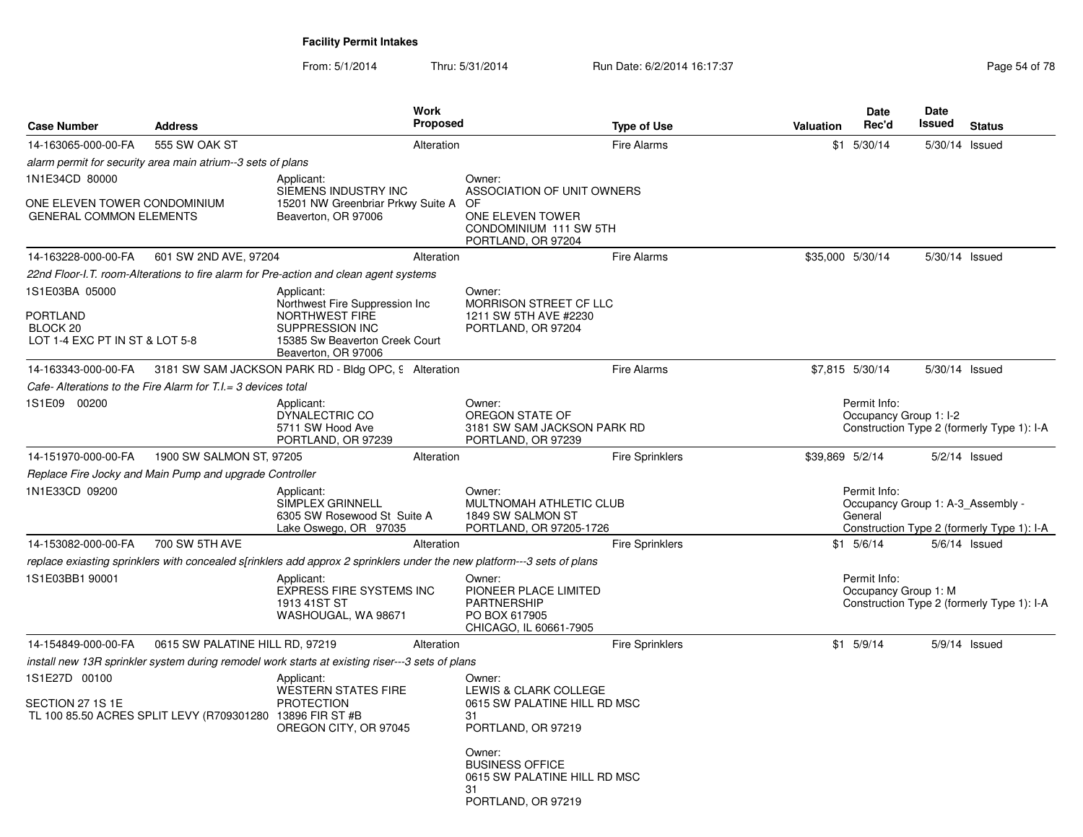| <b>Case Number</b>                                             | <b>Address</b>                                                 | <b>Work</b><br><b>Proposed</b>                                                                                                              |                                                                                                      | <b>Type of Use</b>     | Valuation                                                                                                  | <b>Date</b><br>Rec'd                   | Date<br><b>Issued</b> | <b>Status</b>                              |
|----------------------------------------------------------------|----------------------------------------------------------------|---------------------------------------------------------------------------------------------------------------------------------------------|------------------------------------------------------------------------------------------------------|------------------------|------------------------------------------------------------------------------------------------------------|----------------------------------------|-----------------------|--------------------------------------------|
| 14-163065-000-00-FA                                            | 555 SW OAK ST                                                  | Alteration                                                                                                                                  |                                                                                                      | <b>Fire Alarms</b>     |                                                                                                            | $$1$ 5/30/14                           | 5/30/14 Issued        |                                            |
|                                                                | alarm permit for security area main atrium--3 sets of plans    |                                                                                                                                             |                                                                                                      |                        |                                                                                                            |                                        |                       |                                            |
| 1N1E34CD 80000                                                 |                                                                | Applicant:                                                                                                                                  | Owner:                                                                                               |                        |                                                                                                            |                                        |                       |                                            |
| ONE ELEVEN TOWER CONDOMINIUM<br><b>GENERAL COMMON ELEMENTS</b> |                                                                | SIEMENS INDUSTRY INC<br>15201 NW Greenbriar Prkwy Suite A<br>Beaverton, OR 97006                                                            | ASSOCIATION OF UNIT OWNERS<br>OF<br>ONE ELEVEN TOWER<br>CONDOMINIUM 111 SW 5TH<br>PORTLAND, OR 97204 |                        |                                                                                                            |                                        |                       |                                            |
| 14-163228-000-00-FA                                            | 601 SW 2ND AVE, 97204                                          | Alteration                                                                                                                                  |                                                                                                      | <b>Fire Alarms</b>     |                                                                                                            | \$35,000 5/30/14                       | 5/30/14 Issued        |                                            |
|                                                                |                                                                | 22nd Floor-I.T. room-Alterations to fire alarm for Pre-action and clean agent systems                                                       |                                                                                                      |                        |                                                                                                            |                                        |                       |                                            |
| 1S1E03BA 05000<br><b>PORTLAND</b><br>BLOCK <sub>20</sub>       |                                                                | Applicant:<br>Northwest Fire Suppression Inc<br>NORTHWEST FIRE<br>SUPPRESSION INC                                                           | Owner:<br>MORRISON STREET CF LLC<br>1211 SW 5TH AVE #2230<br>PORTLAND, OR 97204                      |                        |                                                                                                            |                                        |                       |                                            |
| LOT 1-4 EXC PT IN ST & LOT 5-8                                 |                                                                | 15385 Sw Beaverton Creek Court<br>Beaverton, OR 97006                                                                                       |                                                                                                      |                        |                                                                                                            |                                        |                       |                                            |
| 14-163343-000-00-FA                                            |                                                                | 3181 SW SAM JACKSON PARK RD - Bldg OPC, 9 Alteration                                                                                        |                                                                                                      | <b>Fire Alarms</b>     |                                                                                                            | \$7,815 5/30/14                        | 5/30/14 Issued        |                                            |
|                                                                | Cafe- Alterations to the Fire Alarm for T.I. = 3 devices total |                                                                                                                                             |                                                                                                      |                        |                                                                                                            |                                        |                       |                                            |
| 1S1E09 00200                                                   |                                                                | Applicant:<br>DYNALECTRIC CO<br>5711 SW Hood Ave<br>PORTLAND, OR 97239                                                                      | Owner:<br>OREGON STATE OF<br>3181 SW SAM JACKSON PARK RD<br>PORTLAND, OR 97239                       |                        |                                                                                                            | Permit Info:<br>Occupancy Group 1: I-2 |                       | Construction Type 2 (formerly Type 1): I-A |
| 14-151970-000-00-FA                                            | 1900 SW SALMON ST, 97205                                       | Alteration                                                                                                                                  |                                                                                                      | <b>Fire Sprinklers</b> | \$39,869 5/2/14                                                                                            |                                        |                       | $5/2/14$ Issued                            |
|                                                                | Replace Fire Jocky and Main Pump and upgrade Controller        |                                                                                                                                             |                                                                                                      |                        |                                                                                                            |                                        |                       |                                            |
| 1N1E33CD 09200                                                 |                                                                | Applicant:<br>SIMPLEX GRINNELL<br>6305 SW Rosewood St Suite A<br>Lake Oswego, OR 97035                                                      | Owner:<br>MULTNOMAH ATHLETIC CLUB<br>1849 SW SALMON ST<br>PORTLAND, OR 97205-1726                    |                        | Permit Info:<br>Occupancy Group 1: A-3_Assembly -<br>General<br>Construction Type 2 (formerly Type 1): I-A |                                        |                       |                                            |
| 14-153082-000-00-FA                                            | 700 SW 5TH AVE                                                 | Alteration                                                                                                                                  |                                                                                                      | <b>Fire Sprinklers</b> |                                                                                                            | $$1$ 5/6/14                            |                       | $5/6/14$ Issued                            |
|                                                                |                                                                | replace exiasting sprinklers with concealed s[rinklers add approx 2 sprinklers under the new platform---3 sets of plans                     |                                                                                                      |                        |                                                                                                            |                                        |                       |                                            |
| 1S1E03BB1 90001                                                |                                                                | Applicant:<br>EXPRESS FIRE SYSTEMS INC<br>1913 41ST ST<br>WASHOUGAL, WA 98671                                                               | Owner:<br>PIONEER PLACE LIMITED<br><b>PARTNERSHIP</b><br>PO BOX 617905<br>CHICAGO, IL 60661-7905     |                        |                                                                                                            | Permit Info:<br>Occupancy Group 1: M   |                       | Construction Type 2 (formerly Type 1): I-A |
| 14-154849-000-00-FA                                            | 0615 SW PALATINE HILL RD, 97219                                | Alteration                                                                                                                                  |                                                                                                      | <b>Fire Sprinklers</b> |                                                                                                            | $$1$ 5/9/14                            |                       | 5/9/14 Issued                              |
| 1S1E27D 00100                                                  |                                                                | install new 13R sprinkler system during remodel work starts at existing riser---3 sets of plans<br>Applicant:<br><b>WESTERN STATES FIRE</b> | Owner:<br>LEWIS & CLARK COLLEGE                                                                      |                        |                                                                                                            |                                        |                       |                                            |
| SECTION 27 1S 1E                                               | TL 100 85.50 ACRES SPLIT LEVY (R709301280 13896 FIR ST #B      | <b>PROTECTION</b><br>OREGON CITY, OR 97045                                                                                                  | 0615 SW PALATINE HILL RD MSC<br>31<br>PORTLAND, OR 97219                                             |                        |                                                                                                            |                                        |                       |                                            |
|                                                                |                                                                |                                                                                                                                             | Owner:<br><b>BUSINESS OFFICE</b><br>0615 SW PALATINE HILL RD MSC<br>31<br>PORTLAND, OR 97219         |                        |                                                                                                            |                                        |                       |                                            |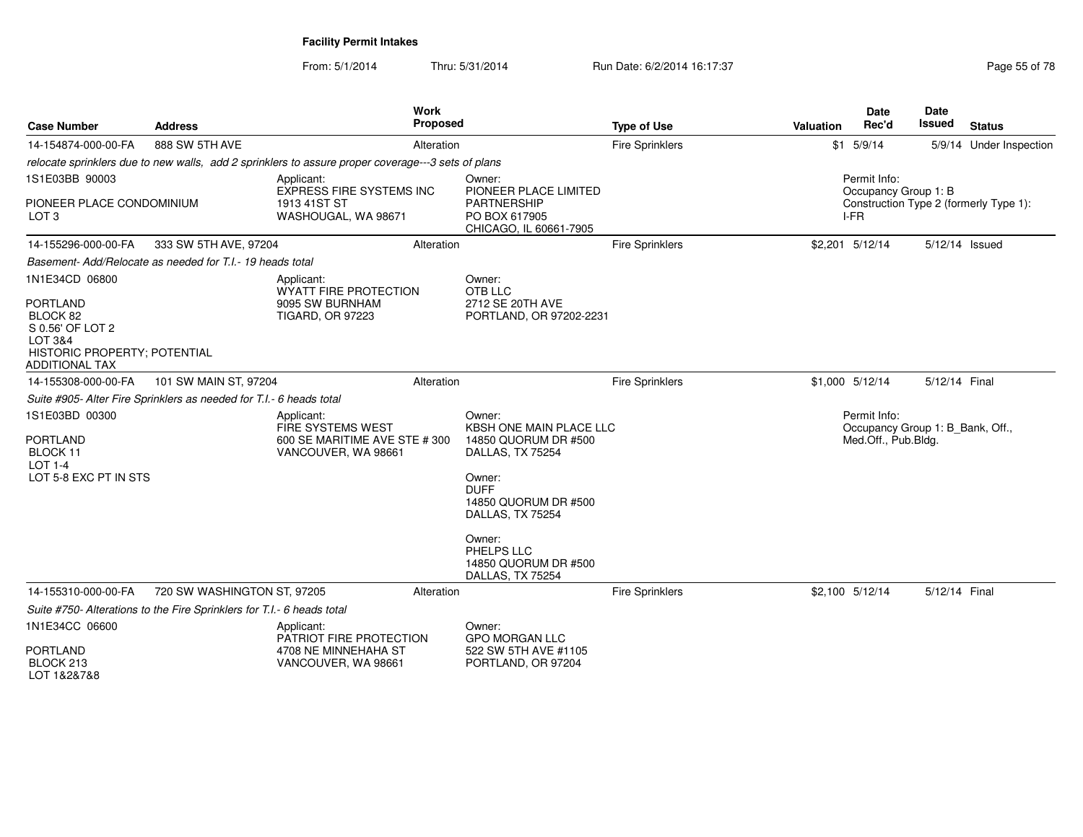From: 5/1/2014Thru: 5/31/2014 Run Date: 6/2/2014 16:17:37 Rege 55 of 78

| <b>Case Number</b>                                                                                                                    | <b>Address</b>                                                         | <b>Work</b><br><b>Proposed</b>                                                                     |                                                                                                                                                                                   | <b>Type of Use</b>     | <b>Valuation</b> | <b>Date</b><br>Rec'd                                                    | Date<br>Issued | <b>Status</b>                          |
|---------------------------------------------------------------------------------------------------------------------------------------|------------------------------------------------------------------------|----------------------------------------------------------------------------------------------------|-----------------------------------------------------------------------------------------------------------------------------------------------------------------------------------|------------------------|------------------|-------------------------------------------------------------------------|----------------|----------------------------------------|
| 14-154874-000-00-FA                                                                                                                   | 888 SW 5TH AVE                                                         | Alteration                                                                                         |                                                                                                                                                                                   | <b>Fire Sprinklers</b> |                  | $$1$ 5/9/14                                                             |                | 5/9/14 Under Inspection                |
|                                                                                                                                       |                                                                        | relocate sprinklers due to new walls, add 2 sprinklers to assure proper coverage---3 sets of plans |                                                                                                                                                                                   |                        |                  |                                                                         |                |                                        |
| 1S1E03BB 90003<br>PIONEER PLACE CONDOMINIUM<br>LOT <sub>3</sub>                                                                       |                                                                        | Applicant:<br>EXPRESS FIRE SYSTEMS INC<br>1913 41ST ST<br>WASHOUGAL, WA 98671                      | Owner:<br>PIONEER PLACE LIMITED<br><b>PARTNERSHIP</b><br>PO BOX 617905<br>CHICAGO, IL 60661-7905                                                                                  |                        |                  | Permit Info:<br>Occupancy Group 1: B<br>I-FR                            |                | Construction Type 2 (formerly Type 1): |
| 14-155296-000-00-FA                                                                                                                   | 333 SW 5TH AVE, 97204                                                  | Alteration                                                                                         |                                                                                                                                                                                   | <b>Fire Sprinklers</b> |                  | \$2,201 5/12/14                                                         |                | 5/12/14 Issued                         |
|                                                                                                                                       | Basement-Add/Relocate as needed for T.I.- 19 heads total               |                                                                                                    |                                                                                                                                                                                   |                        |                  |                                                                         |                |                                        |
| 1N1E34CD 06800<br><b>PORTLAND</b><br>BLOCK 82<br>S 0.56' OF LOT 2<br>LOT 3&4<br>HISTORIC PROPERTY; POTENTIAL<br><b>ADDITIONAL TAX</b> |                                                                        | Applicant:<br><b>WYATT FIRE PROTECTION</b><br>9095 SW BURNHAM<br><b>TIGARD, OR 97223</b>           | Owner:<br>OTB LLC<br>2712 SE 20TH AVE<br>PORTLAND, OR 97202-2231                                                                                                                  |                        |                  |                                                                         |                |                                        |
| 14-155308-000-00-FA                                                                                                                   | 101 SW MAIN ST, 97204                                                  | Alteration                                                                                         |                                                                                                                                                                                   | Fire Sprinklers        |                  | \$1,000 5/12/14                                                         | 5/12/14 Final  |                                        |
|                                                                                                                                       | Suite #905- Alter Fire Sprinklers as needed for T.I.- 6 heads total    |                                                                                                    |                                                                                                                                                                                   |                        |                  |                                                                         |                |                                        |
| 1S1E03BD 00300<br><b>PORTLAND</b><br>BLOCK 11<br><b>LOT 1-4</b><br>LOT 5-8 EXC PT IN STS                                              |                                                                        | Applicant:<br>FIRE SYSTEMS WEST<br>600 SE MARITIME AVE STE # 300<br>VANCOUVER, WA 98661            | Owner:<br><b>KBSH ONE MAIN PLACE LLC</b><br>14850 QUORUM DR #500<br>DALLAS, TX 75254<br>Owner:<br><b>DUFF</b><br>14850 QUORUM DR #500<br>DALLAS, TX 75254<br>Owner:<br>PHELPS LLC |                        |                  | Permit Info:<br>Occupancy Group 1: B_Bank, Off.,<br>Med.Off., Pub.Bldg. |                |                                        |
|                                                                                                                                       |                                                                        |                                                                                                    | 14850 QUORUM DR #500<br>DALLAS, TX 75254                                                                                                                                          |                        |                  |                                                                         |                |                                        |
| 14-155310-000-00-FA                                                                                                                   | 720 SW WASHINGTON ST, 97205                                            | Alteration                                                                                         |                                                                                                                                                                                   | <b>Fire Sprinklers</b> |                  | \$2,100 5/12/14                                                         | 5/12/14 Final  |                                        |
|                                                                                                                                       | Suite #750- Alterations to the Fire Sprinklers for T.I.- 6 heads total |                                                                                                    |                                                                                                                                                                                   |                        |                  |                                                                         |                |                                        |
| 1N1E34CC 06600<br><b>PORTLAND</b><br>BLOCK <sub>213</sub><br>LOT 1&2&7&8                                                              |                                                                        | Applicant:<br>PATRIOT FIRE PROTECTION<br>4708 NE MINNEHAHA ST<br>VANCOUVER, WA 98661               | Owner:<br><b>GPO MORGAN LLC</b><br>522 SW 5TH AVE #1105<br>PORTLAND, OR 97204                                                                                                     |                        |                  |                                                                         |                |                                        |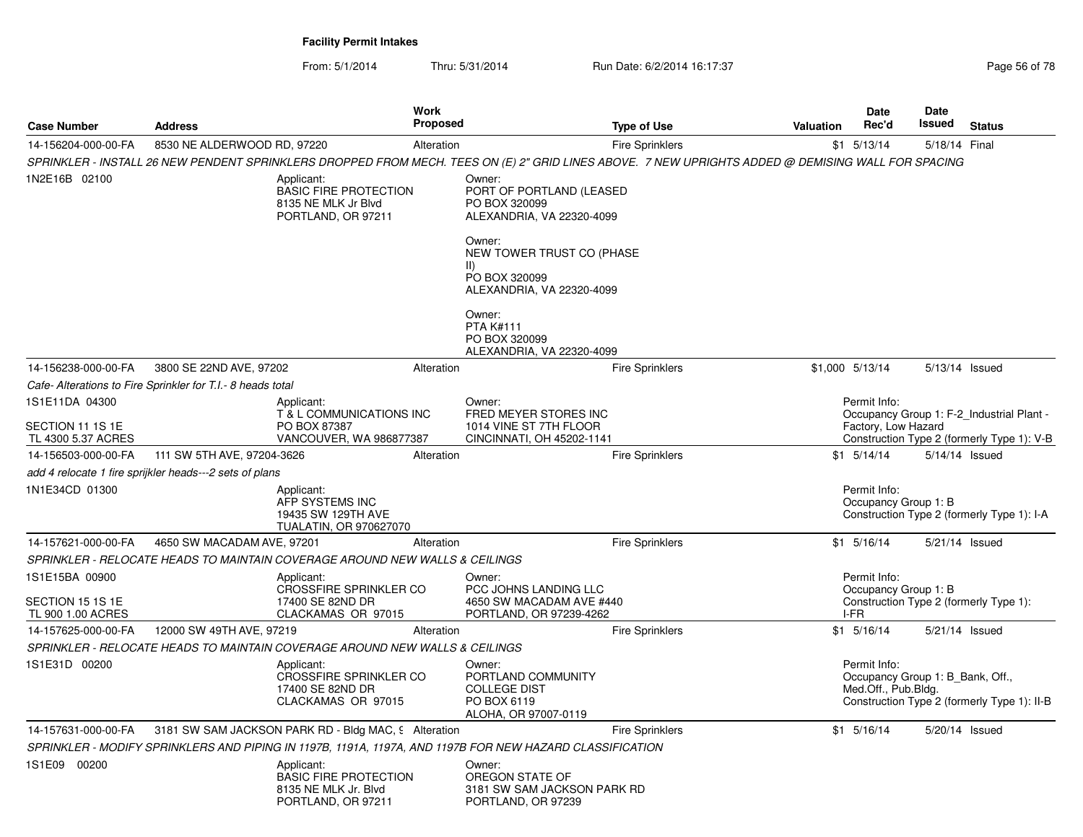| <b>Case Number</b>                       | <b>Address</b>                                              |                                                                                          | Work<br>Proposed | <b>Type of Use</b>                                                                                                                                 | Valuation | Date<br>Rec'd                                           | Date<br>Issued | <b>Status</b>                               |
|------------------------------------------|-------------------------------------------------------------|------------------------------------------------------------------------------------------|------------------|----------------------------------------------------------------------------------------------------------------------------------------------------|-----------|---------------------------------------------------------|----------------|---------------------------------------------|
| 14-156204-000-00-FA                      | 8530 NE ALDERWOOD RD, 97220                                 |                                                                                          | Alteration       | <b>Fire Sprinklers</b>                                                                                                                             |           | $$1$ 5/13/14                                            | 5/18/14 Final  |                                             |
|                                          |                                                             |                                                                                          |                  | SPRINKLER - INSTALL 26 NEW PENDENT SPRINKLERS DROPPED FROM MECH. TEES ON (E) 2" GRID LINES ABOVE. 7 NEW UPRIGHTS ADDED @ DEMISING WALL FOR SPACING |           |                                                         |                |                                             |
| 1N2E16B 02100                            |                                                             | Applicant:<br><b>BASIC FIRE PROTECTION</b><br>8135 NE MLK Jr Blvd<br>PORTLAND, OR 97211  |                  | Owner:<br>PORT OF PORTLAND (LEASED<br>PO BOX 320099<br>ALEXANDRIA, VA 22320-4099                                                                   |           |                                                         |                |                                             |
|                                          |                                                             |                                                                                          |                  | Owner:<br>NEW TOWER TRUST CO (PHASE<br>$\vert \vert$<br>PO BOX 320099<br>ALEXANDRIA, VA 22320-4099                                                 |           |                                                         |                |                                             |
|                                          |                                                             |                                                                                          |                  | Owner:<br><b>PTA K#111</b><br>PO BOX 320099<br>ALEXANDRIA, VA 22320-4099                                                                           |           |                                                         |                |                                             |
| 14-156238-000-00-FA                      | 3800 SE 22ND AVE, 97202                                     |                                                                                          | Alteration       | <b>Fire Sprinklers</b>                                                                                                                             |           | \$1,000 5/13/14                                         |                | 5/13/14 Issued                              |
|                                          | Cafe- Alterations to Fire Sprinkler for T.I.- 8 heads total |                                                                                          |                  |                                                                                                                                                    |           |                                                         |                |                                             |
| 1S1E11DA 04300<br>SECTION 11 1S 1E       |                                                             | Applicant:<br>T & L COMMUNICATIONS INC<br>PO BOX 87387                                   |                  | Owner:<br>FRED MEYER STORES INC<br>1014 VINE ST 7TH FLOOR                                                                                          |           | Permit Info:<br>Factory, Low Hazard                     |                | Occupancy Group 1: F-2 Industrial Plant -   |
| TL 4300 5.37 ACRES                       |                                                             | VANCOUVER, WA 986877387                                                                  |                  | CINCINNATI, OH 45202-1141                                                                                                                          |           |                                                         |                | Construction Type 2 (formerly Type 1): V-B  |
| 14-156503-000-00-FA                      | 111 SW 5TH AVE, 97204-3626                                  |                                                                                          | Alteration       | Fire Sprinklers                                                                                                                                    |           | $$1 \quad 5/14/14$                                      |                | 5/14/14 Issued                              |
|                                          | add 4 relocate 1 fire sprijkler heads---2 sets of plans     |                                                                                          |                  |                                                                                                                                                    |           |                                                         |                |                                             |
| 1N1E34CD 01300                           |                                                             | Applicant:<br>AFP SYSTEMS INC<br>19435 SW 129TH AVE<br><b>TUALATIN, OR 970627070</b>     |                  |                                                                                                                                                    |           | Permit Info:<br>Occupancy Group 1: B                    |                | Construction Type 2 (formerly Type 1): I-A  |
| 14-157621-000-00-FA                      | 4650 SW MACADAM AVE, 97201                                  |                                                                                          | Alteration       | <b>Fire Sprinklers</b>                                                                                                                             |           | $$1$ 5/16/14                                            |                | 5/21/14 Issued                              |
|                                          |                                                             | SPRINKLER - RELOCATE HEADS TO MAINTAIN COVERAGE AROUND NEW WALLS & CEILINGS              |                  |                                                                                                                                                    |           |                                                         |                |                                             |
| 1S1E15BA 00900<br>SECTION 15 1S 1E       |                                                             | Applicant:<br><b>CROSSFIRE SPRINKLER CO</b><br>17400 SE 82ND DR                          |                  | Owner:<br>PCC JOHNS LANDING LLC<br>4650 SW MACADAM AVE #440                                                                                        |           | Permit Info:<br>Occupancy Group 1: B                    |                | Construction Type 2 (formerly Type 1):      |
| TL 900 1.00 ACRES<br>14-157625-000-00-FA | 12000 SW 49TH AVE, 97219                                    | CLACKAMAS OR 97015                                                                       | Alteration       | PORTLAND, OR 97239-4262<br><b>Fire Sprinklers</b>                                                                                                  |           | I-FR<br>$$1$ 5/16/14                                    |                | 5/21/14 Issued                              |
|                                          |                                                             | SPRINKLER - RELOCATE HEADS TO MAINTAIN COVERAGE AROUND NEW WALLS & CEILINGS              |                  |                                                                                                                                                    |           |                                                         |                |                                             |
| 1S1E31D 00200                            |                                                             | Applicant:                                                                               |                  | Owner:                                                                                                                                             |           | Permit Info:                                            |                |                                             |
|                                          |                                                             | CROSSFIRE SPRINKLER CO<br>17400 SE 82ND DR<br>CLACKAMAS OR 97015                         |                  | PORTLAND COMMUNITY<br><b>COLLEGE DIST</b><br>PO BOX 6119<br>ALOHA, OR 97007-0119                                                                   |           | Occupancy Group 1: B Bank, Off.,<br>Med.Off., Pub.Bldg. |                | Construction Type 2 (formerly Type 1): II-B |
| 14-157631-000-00-FA                      |                                                             | 3181 SW SAM JACKSON PARK RD - Bldg MAC, 9 Alteration                                     |                  | <b>Fire Sprinklers</b>                                                                                                                             |           | $$1$ 5/16/14                                            |                | 5/20/14 Issued                              |
|                                          |                                                             |                                                                                          |                  | SPRINKLER - MODIFY SPRINKLERS AND PIPING IN 1197B, 1191A, 1197A, AND 1197B FOR NEW HAZARD CLASSIFICATION                                           |           |                                                         |                |                                             |
| 1S1E09 00200                             |                                                             | Applicant:<br><b>BASIC FIRE PROTECTION</b><br>8135 NE MLK Jr. Blvd<br>PORTLAND, OR 97211 |                  | Owner:<br>OREGON STATE OF<br>3181 SW SAM JACKSON PARK RD<br>PORTLAND, OR 97239                                                                     |           |                                                         |                |                                             |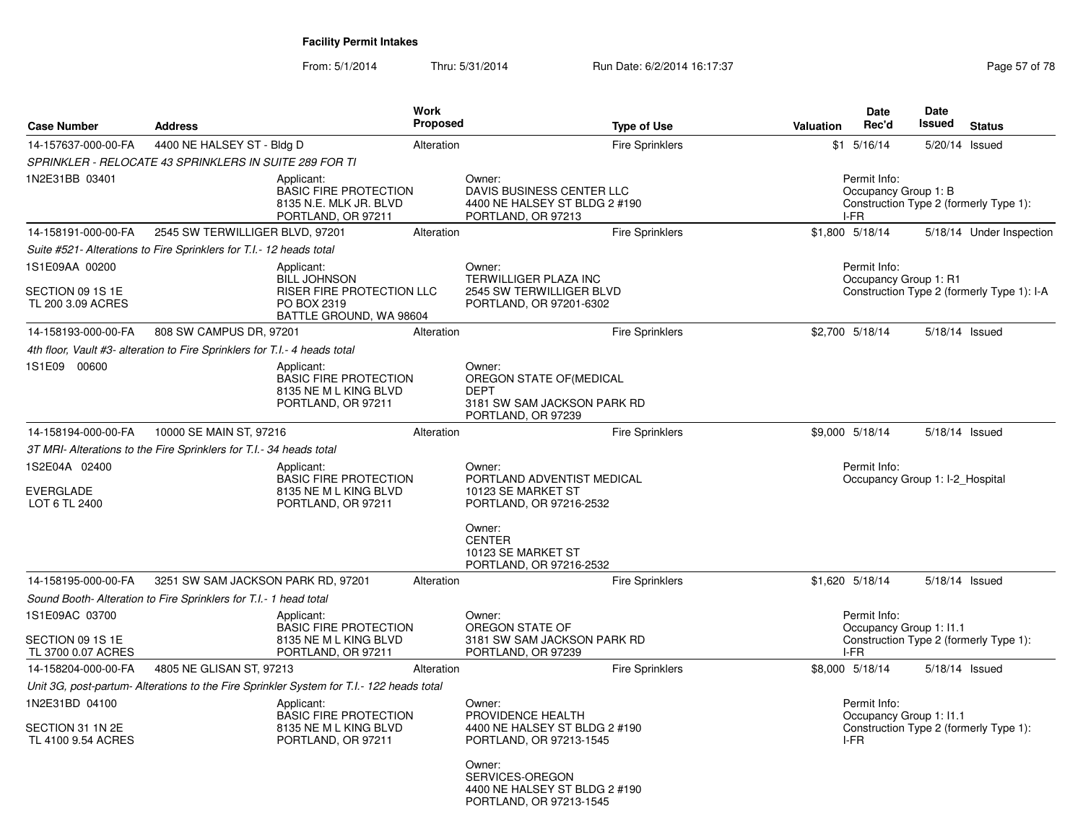From: 5/1/2014Thru: 5/31/2014 Run Date: 6/2/2014 16:17:37 Rege 57 of 78

| 4400 NE HALSEY ST - Bldg D<br>SPRINKLER - RELOCATE 43 SPRINKLERS IN SUITE 289 FOR TI<br>Applicant:<br><b>BASIC FIRE PROTECTION</b><br>8135 N.E. MLK JR. BLVD<br>PORTLAND, OR 97211<br>2545 SW TERWILLIGER BLVD, 97201<br>Suite #521- Alterations to Fire Sprinklers for T.I.- 12 heads total<br>Applicant:<br><b>BILL JOHNSON</b><br>RISER FIRE PROTECTION LLC | Alteration<br>Alteration | <b>Fire Sprinklers</b><br>Owner:<br>DAVIS BUSINESS CENTER LLC<br>4400 NE HALSEY ST BLDG 2 #190<br>PORTLAND, OR 97213<br><b>Fire Sprinklers</b>                                                                                                                      |                                                                                           | $$1$ $5/16/14$<br>Permit Info:        | 5/20/14 Issued                                                             |                                                                                                                                                                                                                                                    |
|----------------------------------------------------------------------------------------------------------------------------------------------------------------------------------------------------------------------------------------------------------------------------------------------------------------------------------------------------------------|--------------------------|---------------------------------------------------------------------------------------------------------------------------------------------------------------------------------------------------------------------------------------------------------------------|-------------------------------------------------------------------------------------------|---------------------------------------|----------------------------------------------------------------------------|----------------------------------------------------------------------------------------------------------------------------------------------------------------------------------------------------------------------------------------------------|
|                                                                                                                                                                                                                                                                                                                                                                |                          |                                                                                                                                                                                                                                                                     |                                                                                           |                                       |                                                                            |                                                                                                                                                                                                                                                    |
|                                                                                                                                                                                                                                                                                                                                                                |                          |                                                                                                                                                                                                                                                                     |                                                                                           |                                       |                                                                            |                                                                                                                                                                                                                                                    |
|                                                                                                                                                                                                                                                                                                                                                                |                          |                                                                                                                                                                                                                                                                     | Occupancy Group 1: B<br>Construction Type 2 (formerly Type 1):<br>I-FR<br>\$1,800 5/18/14 |                                       |                                                                            |                                                                                                                                                                                                                                                    |
|                                                                                                                                                                                                                                                                                                                                                                |                          |                                                                                                                                                                                                                                                                     |                                                                                           |                                       |                                                                            | 5/18/14 Under Inspection                                                                                                                                                                                                                           |
|                                                                                                                                                                                                                                                                                                                                                                |                          |                                                                                                                                                                                                                                                                     |                                                                                           |                                       |                                                                            |                                                                                                                                                                                                                                                    |
| PO BOX 2319<br>BATTLE GROUND, WA 98604                                                                                                                                                                                                                                                                                                                         |                          | Owner:<br>TERWILLIGER PLAZA INC<br>2545 SW TERWILLIGER BLVD<br>PORTLAND, OR 97201-6302                                                                                                                                                                              |                                                                                           | Permit Info:<br>Occupancy Group 1: R1 |                                                                            | Construction Type 2 (formerly Type 1): I-A                                                                                                                                                                                                         |
| 808 SW CAMPUS DR, 97201                                                                                                                                                                                                                                                                                                                                        | Alteration               | Fire Sprinklers                                                                                                                                                                                                                                                     |                                                                                           | \$2,700 5/18/14                       | 5/18/14 Issued                                                             |                                                                                                                                                                                                                                                    |
| 4th floor, Vault #3- alteration to Fire Sprinklers for T.I.- 4 heads total                                                                                                                                                                                                                                                                                     |                          |                                                                                                                                                                                                                                                                     |                                                                                           |                                       |                                                                            |                                                                                                                                                                                                                                                    |
| Applicant:<br><b>BASIC FIRE PROTECTION</b><br>8135 NE M L KING BLVD<br>PORTLAND, OR 97211                                                                                                                                                                                                                                                                      |                          | Owner:<br>OREGON STATE OF (MEDICAL<br><b>DEPT</b><br>3181 SW SAM JACKSON PARK RD<br>PORTLAND, OR 97239                                                                                                                                                              |                                                                                           |                                       |                                                                            |                                                                                                                                                                                                                                                    |
| 10000 SE MAIN ST, 97216                                                                                                                                                                                                                                                                                                                                        | Alteration               | <b>Fire Sprinklers</b>                                                                                                                                                                                                                                              |                                                                                           | \$9,000 5/18/14                       | 5/18/14 Issued                                                             |                                                                                                                                                                                                                                                    |
| 3T MRI- Alterations to the Fire Sprinklers for T.I.- 34 heads total                                                                                                                                                                                                                                                                                            |                          |                                                                                                                                                                                                                                                                     |                                                                                           |                                       |                                                                            |                                                                                                                                                                                                                                                    |
| Applicant:<br>PORTLAND, OR 97211                                                                                                                                                                                                                                                                                                                               |                          | Owner:<br>PORTLAND ADVENTIST MEDICAL<br>10123 SE MARKET ST<br>PORTLAND, OR 97216-2532                                                                                                                                                                               |                                                                                           | Permit Info:                          |                                                                            |                                                                                                                                                                                                                                                    |
|                                                                                                                                                                                                                                                                                                                                                                |                          | Owner:<br><b>CENTER</b><br>10123 SE MARKET ST<br>PORTLAND, OR 97216-2532                                                                                                                                                                                            |                                                                                           |                                       |                                                                            |                                                                                                                                                                                                                                                    |
| 3251 SW SAM JACKSON PARK RD, 97201                                                                                                                                                                                                                                                                                                                             | Alteration               | <b>Fire Sprinklers</b>                                                                                                                                                                                                                                              |                                                                                           |                                       |                                                                            |                                                                                                                                                                                                                                                    |
| Sound Booth- Alteration to Fire Sprinklers for T.I.- 1 head total                                                                                                                                                                                                                                                                                              |                          |                                                                                                                                                                                                                                                                     |                                                                                           |                                       |                                                                            |                                                                                                                                                                                                                                                    |
| Applicant:<br>PORTLAND, OR 97211                                                                                                                                                                                                                                                                                                                               |                          | Owner:<br>OREGON STATE OF<br>3181 SW SAM JACKSON PARK RD<br>PORTLAND, OR 97239                                                                                                                                                                                      |                                                                                           |                                       |                                                                            |                                                                                                                                                                                                                                                    |
| 4805 NE GLISAN ST, 97213                                                                                                                                                                                                                                                                                                                                       | Alteration               | <b>Fire Sprinklers</b>                                                                                                                                                                                                                                              |                                                                                           |                                       |                                                                            |                                                                                                                                                                                                                                                    |
|                                                                                                                                                                                                                                                                                                                                                                |                          |                                                                                                                                                                                                                                                                     |                                                                                           |                                       |                                                                            |                                                                                                                                                                                                                                                    |
| Applicant:                                                                                                                                                                                                                                                                                                                                                     |                          | Owner:<br>PROVIDENCE HEALTH<br>4400 NE HALSEY ST BLDG 2 #190                                                                                                                                                                                                        |                                                                                           |                                       |                                                                            |                                                                                                                                                                                                                                                    |
|                                                                                                                                                                                                                                                                                                                                                                | PORTLAND, OR 97211       | <b>BASIC FIRE PROTECTION</b><br>8135 NE M L KING BLVD<br><b>BASIC FIRE PROTECTION</b><br>8135 NE M L KING BLVD<br>Unit 3G, post-partum- Alterations to the Fire Sprinkler System for T.I.- 122 heads total<br><b>BASIC FIRE PROTECTION</b><br>8135 NE M L KING BLVD |                                                                                           |                                       | \$1,620 5/18/14<br>Permit Info:<br>I-FR<br>\$8,000 5/18/14<br>Permit Info: | Occupancy Group 1: I-2 Hospital<br>5/18/14 Issued<br>Occupancy Group 1: 11.1<br>Construction Type 2 (formerly Type 1):<br>5/18/14 Issued<br>Occupancy Group 1: I1.1<br>Construction Type 2 (formerly Type 1):<br>$I-FR$<br>PORTLAND, OR 97213-1545 |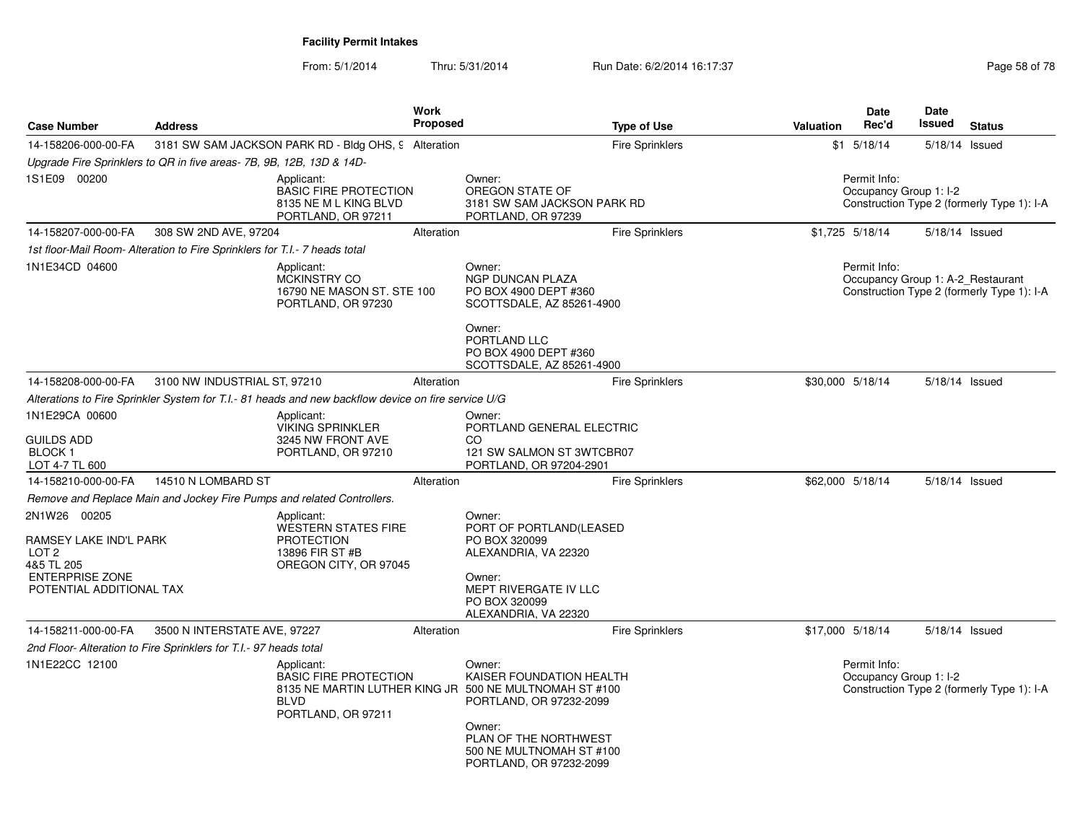| <b>Case Number</b>                                                                                                             | <b>Address</b>                                                             |                                                                                                                                           | <b>Work</b><br><b>Proposed</b> |                                                                                                                                                         | <b>Type of Use</b>     | <b>Valuation</b> | Date<br>Rec'd                          | <b>Date</b><br>Issued | <b>Status</b>                                                                   |
|--------------------------------------------------------------------------------------------------------------------------------|----------------------------------------------------------------------------|-------------------------------------------------------------------------------------------------------------------------------------------|--------------------------------|---------------------------------------------------------------------------------------------------------------------------------------------------------|------------------------|------------------|----------------------------------------|-----------------------|---------------------------------------------------------------------------------|
| 14-158206-000-00-FA                                                                                                            |                                                                            | 3181 SW SAM JACKSON PARK RD - Bldg OHS, 9 Alteration                                                                                      |                                |                                                                                                                                                         | <b>Fire Sprinklers</b> |                  | $$1$ 5/18/14                           |                       | 5/18/14 Issued                                                                  |
|                                                                                                                                | Upgrade Fire Sprinklers to QR in five areas- 7B, 9B, 12B, 13D & 14D-       |                                                                                                                                           |                                |                                                                                                                                                         |                        |                  |                                        |                       |                                                                                 |
| 1S1E09 00200                                                                                                                   |                                                                            | Applicant:<br><b>BASIC FIRE PROTECTION</b><br>8135 NE M L KING BLVD<br>PORTLAND, OR 97211                                                 |                                | Owner:<br>OREGON STATE OF<br>3181 SW SAM JACKSON PARK RD<br>PORTLAND, OR 97239                                                                          |                        |                  | Permit Info:<br>Occupancy Group 1: I-2 |                       | Construction Type 2 (formerly Type 1): I-A                                      |
| 14-158207-000-00-FA                                                                                                            | 308 SW 2ND AVE, 97204                                                      |                                                                                                                                           | Alteration                     |                                                                                                                                                         | <b>Fire Sprinklers</b> |                  | $$1,725$ 5/18/14                       |                       | 5/18/14 Issued                                                                  |
|                                                                                                                                | 1st floor-Mail Room- Alteration to Fire Sprinklers for T.I.- 7 heads total |                                                                                                                                           |                                |                                                                                                                                                         |                        |                  |                                        |                       |                                                                                 |
| 1N1E34CD 04600                                                                                                                 |                                                                            | Applicant:<br>MCKINSTRY CO<br>16790 NE MASON ST. STE 100<br>PORTLAND, OR 97230                                                            |                                | Owner:<br><b>NGP DUNCAN PLAZA</b><br>PO BOX 4900 DEPT #360<br>SCOTTSDALE, AZ 85261-4900                                                                 |                        |                  | Permit Info:                           |                       | Occupancy Group 1: A-2_Restaurant<br>Construction Type 2 (formerly Type 1): I-A |
|                                                                                                                                |                                                                            |                                                                                                                                           |                                | Owner:<br>PORTLAND LLC<br>PO BOX 4900 DEPT #360<br>SCOTTSDALE, AZ 85261-4900                                                                            |                        |                  |                                        |                       |                                                                                 |
| 14-158208-000-00-FA                                                                                                            | 3100 NW INDUSTRIAL ST, 97210                                               |                                                                                                                                           | Alteration                     |                                                                                                                                                         | Fire Sprinklers        |                  | \$30,000 5/18/14                       |                       | 5/18/14 Issued                                                                  |
|                                                                                                                                |                                                                            | Alterations to Fire Sprinkler System for T.I.- 81 heads and new backflow device on fire service U/G                                       |                                |                                                                                                                                                         |                        |                  |                                        |                       |                                                                                 |
| 1N1E29CA 00600<br><b>GUILDS ADD</b><br><b>BLOCK1</b><br>LOT 4-7 TL 600                                                         |                                                                            | Applicant:<br><b>VIKING SPRINKLER</b><br>3245 NW FRONT AVE<br>PORTLAND, OR 97210                                                          |                                | Owner:<br>PORTLAND GENERAL ELECTRIC<br>CO<br>121 SW SALMON ST 3WTCBR07<br>PORTLAND, OR 97204-2901                                                       |                        |                  |                                        |                       |                                                                                 |
| 14-158210-000-00-FA                                                                                                            | 14510 N LOMBARD ST                                                         |                                                                                                                                           | Alteration                     |                                                                                                                                                         | <b>Fire Sprinklers</b> |                  | \$62,000 5/18/14                       |                       | 5/18/14 Issued                                                                  |
|                                                                                                                                |                                                                            | Remove and Replace Main and Jockey Fire Pumps and related Controllers.                                                                    |                                |                                                                                                                                                         |                        |                  |                                        |                       |                                                                                 |
| 2N1W26 00205<br>RAMSEY LAKE IND'L PARK<br>LOT <sub>2</sub><br>4&5 TL 205<br><b>ENTERPRISE ZONE</b><br>POTENTIAL ADDITIONAL TAX |                                                                            | Applicant:<br><b>WESTERN STATES FIRE</b><br><b>PROTECTION</b><br>13896 FIR ST #B<br>OREGON CITY, OR 97045                                 |                                | Owner:<br>PORT OF PORTLAND(LEASED<br>PO BOX 320099<br>ALEXANDRIA, VA 22320<br>Owner:<br>MEPT RIVERGATE IV LLC<br>PO BOX 320099<br>ALEXANDRIA, VA 22320  |                        |                  |                                        |                       |                                                                                 |
| 14-158211-000-00-FA                                                                                                            | 3500 N INTERSTATE AVE, 97227                                               |                                                                                                                                           | Alteration                     |                                                                                                                                                         | Fire Sprinklers        |                  | \$17,000 5/18/14                       |                       | 5/18/14 Issued                                                                  |
|                                                                                                                                | 2nd Floor- Alteration to Fire Sprinklers for T.I.- 97 heads total          |                                                                                                                                           |                                |                                                                                                                                                         |                        |                  |                                        |                       |                                                                                 |
| 1N1E22CC 12100                                                                                                                 |                                                                            | Applicant:<br><b>BASIC FIRE PROTECTION</b><br>8135 NE MARTIN LUTHER KING JR 500 NE MULTNOMAH ST #100<br><b>BLVD</b><br>PORTLAND, OR 97211 |                                | Owner:<br>KAISER FOUNDATION HEALTH<br>PORTLAND, OR 97232-2099<br>Owner:<br>PLAN OF THE NORTHWEST<br>500 NE MULTNOMAH ST #100<br>PORTLAND, OR 97232-2099 |                        |                  | Permit Info:<br>Occupancy Group 1: I-2 |                       | Construction Type 2 (formerly Type 1): I-A                                      |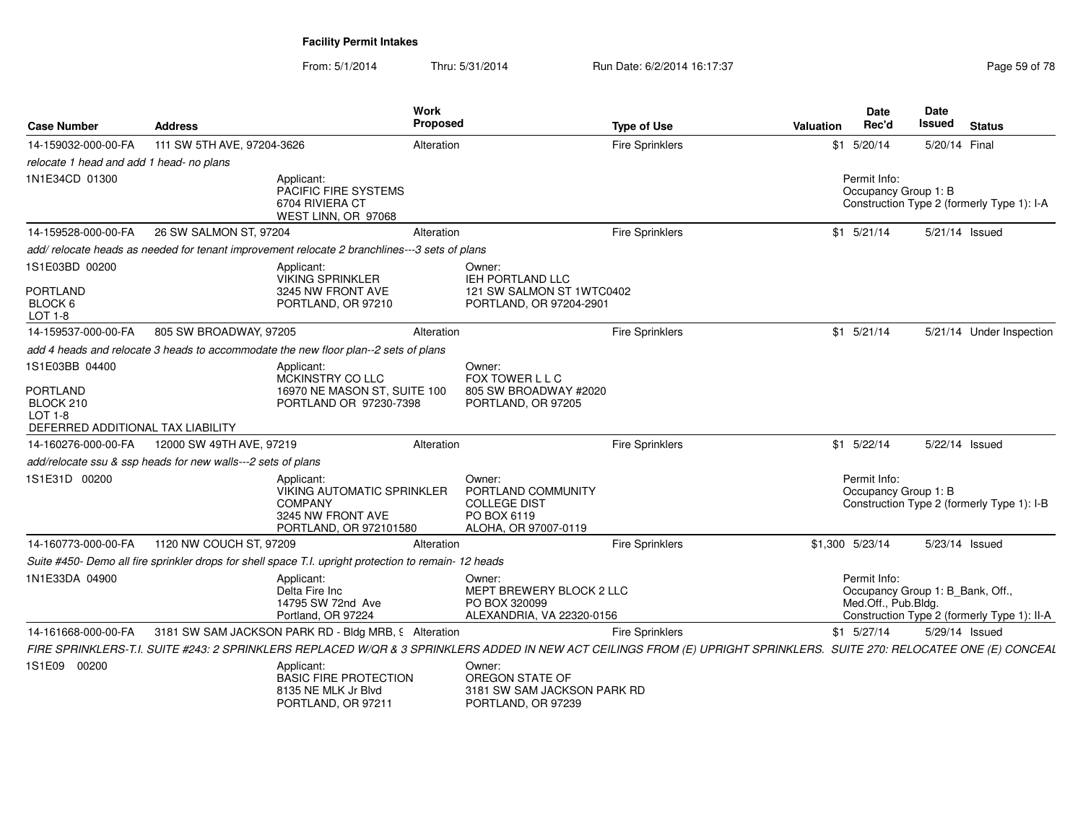From: 5/1/2014Thru: 5/31/2014 Run Date: 6/2/2014 16:17:37 Rege 59 of 78

| <b>Case Number</b>                                                                      | <b>Address</b>                                                                                                                                                         | <b>Work</b><br><b>Proposed</b>                                                   |                                                                                            | <b>Type of Use</b>     | Valuation | Date<br>Rec'd                                                           | Date<br>Issued | <b>Status</b>                               |
|-----------------------------------------------------------------------------------------|------------------------------------------------------------------------------------------------------------------------------------------------------------------------|----------------------------------------------------------------------------------|--------------------------------------------------------------------------------------------|------------------------|-----------|-------------------------------------------------------------------------|----------------|---------------------------------------------|
| 14-159032-000-00-FA                                                                     | 111 SW 5TH AVE, 97204-3626                                                                                                                                             | Alteration                                                                       |                                                                                            | <b>Fire Sprinklers</b> |           | $$1$ 5/20/14                                                            | 5/20/14 Final  |                                             |
| relocate 1 head and add 1 head- no plans                                                |                                                                                                                                                                        |                                                                                  |                                                                                            |                        |           |                                                                         |                |                                             |
| 1N1E34CD 01300                                                                          | Applicant:                                                                                                                                                             | PACIFIC FIRE SYSTEMS<br>6704 RIVIERA CT<br>WEST LINN, OR 97068                   |                                                                                            |                        |           | Permit Info:<br>Occupancy Group 1: B                                    |                | Construction Type 2 (formerly Type 1): I-A  |
| 14-159528-000-00-FA                                                                     | 26 SW SALMON ST, 97204                                                                                                                                                 | Alteration                                                                       |                                                                                            | Fire Sprinklers        |           | $$1$ $5/21/14$                                                          |                | 5/21/14 Issued                              |
|                                                                                         | add/relocate heads as needed for tenant improvement relocate 2 branchlines---3 sets of plans                                                                           |                                                                                  |                                                                                            |                        |           |                                                                         |                |                                             |
| 1S1E03BD 00200<br>PORTLAND<br>BLOCK 6<br>LOT 1-8                                        | Applicant:                                                                                                                                                             | <b>VIKING SPRINKLER</b><br>3245 NW FRONT AVE<br>PORTLAND, OR 97210               | Owner:<br>IEH PORTLAND LLC<br>121 SW SALMON ST 1WTC0402<br>PORTLAND, OR 97204-2901         |                        |           |                                                                         |                |                                             |
| 14-159537-000-00-FA                                                                     | 805 SW BROADWAY, 97205                                                                                                                                                 | Alteration                                                                       |                                                                                            | Fire Sprinklers        |           | $$1$ 5/21/14                                                            |                | 5/21/14 Under Inspection                    |
|                                                                                         | add 4 heads and relocate 3 heads to accommodate the new floor plan--2 sets of plans                                                                                    |                                                                                  |                                                                                            |                        |           |                                                                         |                |                                             |
| 1S1E03BB 04400<br>PORTLAND<br>BLOCK 210<br>LOT 1-8<br>DEFERRED ADDITIONAL TAX LIABILITY | Applicant:                                                                                                                                                             | MCKINSTRY CO LLC<br>16970 NE MASON ST, SUITE 100<br>PORTLAND OR 97230-7398       | Owner:<br>FOX TOWER L L C<br>805 SW BROADWAY #2020<br>PORTLAND, OR 97205                   |                        |           |                                                                         |                |                                             |
| 14-160276-000-00-FA                                                                     | 12000 SW 49TH AVE, 97219                                                                                                                                               | Alteration                                                                       |                                                                                            | Fire Sprinklers        |           | $$1$ 5/22/14                                                            |                | 5/22/14 Issued                              |
|                                                                                         | add/relocate ssu & ssp heads for new walls---2 sets of plans                                                                                                           |                                                                                  |                                                                                            |                        |           |                                                                         |                |                                             |
| 1S1E31D 00200                                                                           | Applicant:<br><b>COMPANY</b>                                                                                                                                           | <b>VIKING AUTOMATIC SPRINKLER</b><br>3245 NW FRONT AVE<br>PORTLAND, OR 972101580 | Owner:<br>PORTLAND COMMUNITY<br><b>COLLEGE DIST</b><br>PO BOX 6119<br>ALOHA, OR 97007-0119 |                        |           | Permit Info:<br>Occupancy Group 1: B                                    |                | Construction Type 2 (formerly Type 1): I-B  |
| 14-160773-000-00-FA                                                                     | 1120 NW COUCH ST, 97209                                                                                                                                                | Alteration                                                                       |                                                                                            | <b>Fire Sprinklers</b> |           | \$1,300 5/23/14                                                         |                | 5/23/14 Issued                              |
|                                                                                         | Suite #450- Demo all fire sprinkler drops for shell space T.I. upright protection to remain- 12 heads                                                                  |                                                                                  |                                                                                            |                        |           |                                                                         |                |                                             |
| 1N1E33DA 04900                                                                          | Applicant:<br>Delta Fire Inc.                                                                                                                                          | 14795 SW 72nd Ave<br>Portland, OR 97224                                          | Owner:<br>MEPT BREWERY BLOCK 2 LLC<br>PO BOX 320099<br>ALEXANDRIA, VA 22320-0156           |                        |           | Permit Info:<br>Occupancy Group 1: B_Bank, Off.,<br>Med.Off., Pub.Bldg. |                | Construction Type 2 (formerly Type 1): II-A |
| 14-161668-000-00-FA                                                                     | 3181 SW SAM JACKSON PARK RD - Bldg MRB, 9 Alteration                                                                                                                   |                                                                                  |                                                                                            | <b>Fire Sprinklers</b> |           | $$1$ 5/27/14                                                            |                | 5/29/14 Issued                              |
|                                                                                         | FIRE SPRINKLERS-T.I. SUITE #243: 2 SPRINKLERS REPLACED W/QR & 3 SPRINKLERS ADDED IN NEW ACT CEILINGS FROM (E) UPRIGHT SPRINKLERS. SUITE 270: RELOCATEE ONE (E) CONCEAL |                                                                                  |                                                                                            |                        |           |                                                                         |                |                                             |
| 1S1E09 00200                                                                            | Applicant:                                                                                                                                                             | <b>BASIC FIRE PROTECTION</b><br>8135 NE MLK Jr Blvd<br>PORTLAND, OR 97211        | Owner:<br>OREGON STATE OF<br>3181 SW SAM JACKSON PARK RD<br>PORTLAND, OR 97239             |                        |           |                                                                         |                |                                             |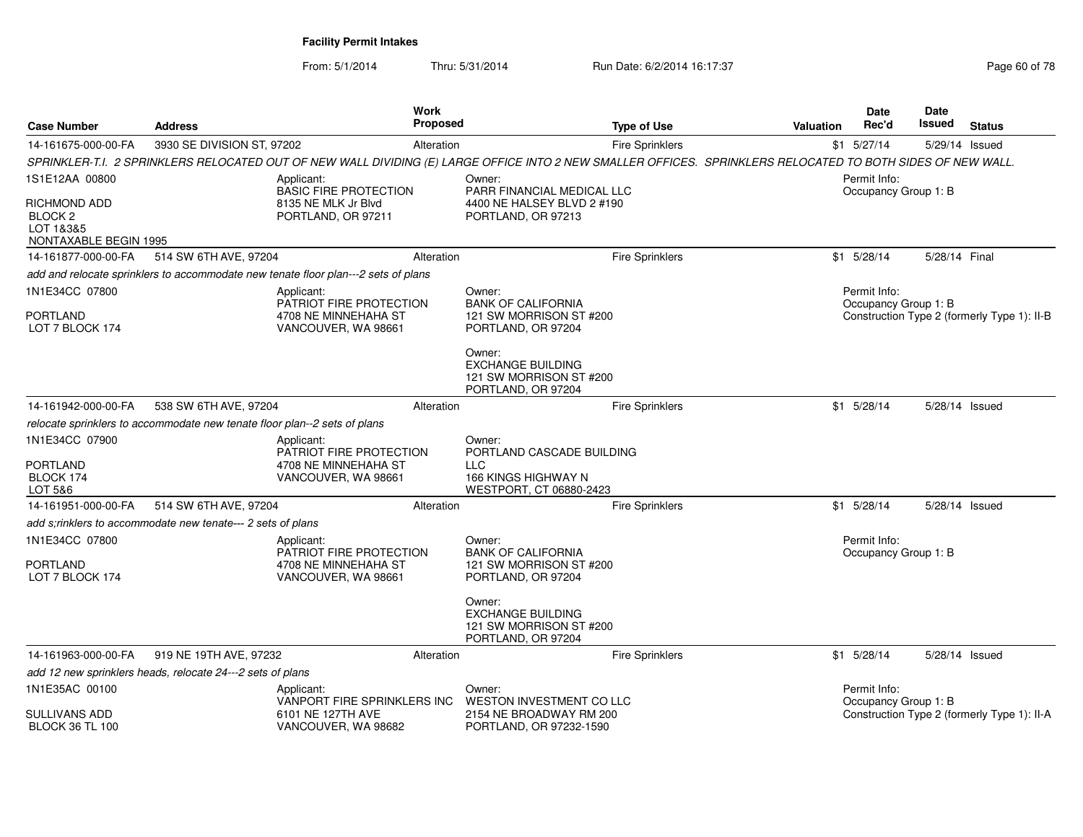| <b>Case Number</b>                                                       | <b>Address</b>                                                            |                                                                                    | Work<br>Proposed |                                                                                                                                                             | <b>Type of Use</b>     | <b>Valuation</b> | <b>Date</b><br>Rec'd                 | <b>Date</b><br>Issued | <b>Status</b>                               |
|--------------------------------------------------------------------------|---------------------------------------------------------------------------|------------------------------------------------------------------------------------|------------------|-------------------------------------------------------------------------------------------------------------------------------------------------------------|------------------------|------------------|--------------------------------------|-----------------------|---------------------------------------------|
| 14-161675-000-00-FA                                                      | 3930 SE DIVISION ST, 97202                                                |                                                                                    | Alteration       |                                                                                                                                                             | <b>Fire Sprinklers</b> |                  | $$1$ 5/27/14                         |                       | 5/29/14 Issued                              |
|                                                                          |                                                                           |                                                                                    |                  | SPRINKLER-T.I. 2 SPRINKLERS RELOCATED OUT OF NEW WALL DIVIDING (E) LARGE OFFICE INTO 2 NEW SMALLER OFFICES. SPRINKLERS RELOCATED TO BOTH SIDES OF NEW WALL. |                        |                  |                                      |                       |                                             |
| 1S1E12AA 00800                                                           |                                                                           | Applicant:<br><b>BASIC FIRE PROTECTION</b>                                         |                  | Owner:<br>PARR FINANCIAL MEDICAL LLC                                                                                                                        |                        |                  | Permit Info:<br>Occupancy Group 1: B |                       |                                             |
| RICHMOND ADD<br>BLOCK <sub>2</sub><br>LOT 1&3&5<br>NONTAXABLE BEGIN 1995 |                                                                           | 8135 NE MLK Jr Blvd<br>PORTLAND, OR 97211                                          |                  | 4400 NE HALSEY BLVD 2 #190<br>PORTLAND, OR 97213                                                                                                            |                        |                  |                                      |                       |                                             |
| 14-161877-000-00-FA                                                      | 514 SW 6TH AVE, 97204                                                     |                                                                                    | Alteration       |                                                                                                                                                             | <b>Fire Sprinklers</b> |                  | $$1$ 5/28/14                         | 5/28/14 Final         |                                             |
|                                                                          |                                                                           | add and relocate sprinklers to accommodate new tenate floor plan---2 sets of plans |                  |                                                                                                                                                             |                        |                  |                                      |                       |                                             |
| 1N1E34CC 07800                                                           |                                                                           | Applicant:<br>PATRIOT FIRE PROTECTION                                              |                  | Owner:<br><b>BANK OF CALIFORNIA</b>                                                                                                                         |                        |                  | Permit Info:<br>Occupancy Group 1: B |                       |                                             |
| PORTLAND<br>LOT 7 BLOCK 174                                              |                                                                           | 4708 NE MINNEHAHA ST<br>VANCOUVER, WA 98661                                        |                  | 121 SW MORRISON ST #200<br>PORTLAND, OR 97204                                                                                                               |                        |                  |                                      |                       | Construction Type 2 (formerly Type 1): II-B |
|                                                                          |                                                                           |                                                                                    |                  | Owner:<br><b>EXCHANGE BUILDING</b><br>121 SW MORRISON ST #200<br>PORTLAND, OR 97204                                                                         |                        |                  |                                      |                       |                                             |
| 14-161942-000-00-FA                                                      | 538 SW 6TH AVE, 97204                                                     |                                                                                    | Alteration       |                                                                                                                                                             | <b>Fire Sprinklers</b> |                  | $$1$ 5/28/14                         |                       | 5/28/14 Issued                              |
|                                                                          | relocate sprinklers to accommodate new tenate floor plan--2 sets of plans |                                                                                    |                  |                                                                                                                                                             |                        |                  |                                      |                       |                                             |
| 1N1E34CC 07900                                                           |                                                                           | Applicant:<br>PATRIOT FIRE PROTECTION                                              |                  | Owner:<br>PORTLAND CASCADE BUILDING                                                                                                                         |                        |                  |                                      |                       |                                             |
| PORTLAND<br>BLOCK 174<br>LOT 5&6                                         |                                                                           | 4708 NE MINNEHAHA ST<br>VANCOUVER, WA 98661                                        |                  | LLC<br>166 KINGS HIGHWAY N<br>WESTPORT, CT 06880-2423                                                                                                       |                        |                  |                                      |                       |                                             |
| 14-161951-000-00-FA                                                      | 514 SW 6TH AVE, 97204                                                     |                                                                                    | Alteration       |                                                                                                                                                             | <b>Fire Sprinklers</b> |                  | $$1$ 5/28/14                         |                       | 5/28/14 Issued                              |
|                                                                          | add s:rinklers to accommodate new tenate--- 2 sets of plans               |                                                                                    |                  |                                                                                                                                                             |                        |                  |                                      |                       |                                             |
| 1N1E34CC 07800                                                           |                                                                           | Applicant:                                                                         |                  | Owner:                                                                                                                                                      |                        |                  | Permit Info:                         |                       |                                             |
| PORTLAND<br>LOT 7 BLOCK 174                                              |                                                                           | PATRIOT FIRE PROTECTION<br>4708 NE MINNEHAHA ST<br>VANCOUVER, WA 98661             |                  | <b>BANK OF CALIFORNIA</b><br>121 SW MORRISON ST #200<br>PORTLAND, OR 97204                                                                                  |                        |                  | Occupancy Group 1: B                 |                       |                                             |
|                                                                          |                                                                           |                                                                                    |                  | Owner:<br><b>EXCHANGE BUILDING</b><br>121 SW MORRISON ST #200<br>PORTLAND, OR 97204                                                                         |                        |                  |                                      |                       |                                             |
| 14-161963-000-00-FA                                                      | 919 NE 19TH AVE, 97232                                                    |                                                                                    | Alteration       |                                                                                                                                                             | <b>Fire Sprinklers</b> |                  | $$1$ 5/28/14                         |                       | 5/28/14 Issued                              |
|                                                                          | add 12 new sprinklers heads, relocate 24---2 sets of plans                |                                                                                    |                  |                                                                                                                                                             |                        |                  |                                      |                       |                                             |
| 1N1E35AC 00100                                                           |                                                                           | Applicant:<br>VANPORT FIRE SPRINKLERS INC                                          |                  | Owner:<br>WESTON INVESTMENT CO LLC                                                                                                                          |                        |                  | Permit Info:<br>Occupancy Group 1: B |                       |                                             |
| SULLIVANS ADD<br><b>BLOCK 36 TL 100</b>                                  |                                                                           | 6101 NE 127TH AVE<br>VANCOUVER, WA 98682                                           |                  | 2154 NE BROADWAY RM 200<br>PORTLAND, OR 97232-1590                                                                                                          |                        |                  |                                      |                       | Construction Type 2 (formerly Type 1): II-A |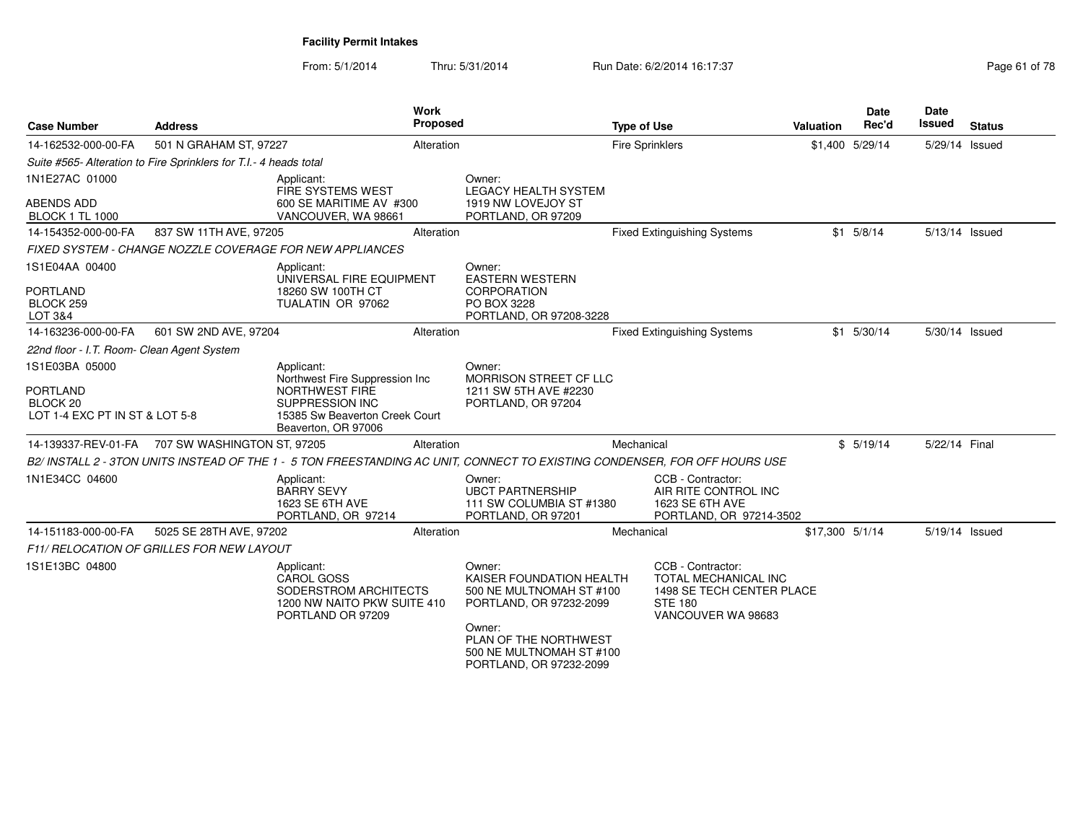From: 5/1/2014Thru: 5/31/2014 Run Date: 6/2/2014 16:17:37

| <b>Case Number</b>                                                                         | <b>Address</b>                                                    |                                                                                                                                                          | Work<br><b>Proposed</b> |                                                                                                                                                                                     | <b>Type of Use</b>     |                                                                                                                | Valuation       | <b>Date</b><br>Rec'd | Date<br>Issued | <b>Status</b> |
|--------------------------------------------------------------------------------------------|-------------------------------------------------------------------|----------------------------------------------------------------------------------------------------------------------------------------------------------|-------------------------|-------------------------------------------------------------------------------------------------------------------------------------------------------------------------------------|------------------------|----------------------------------------------------------------------------------------------------------------|-----------------|----------------------|----------------|---------------|
| 14-162532-000-00-FA                                                                        | 501 N GRAHAM ST, 97227                                            |                                                                                                                                                          | Alteration              |                                                                                                                                                                                     | <b>Fire Sprinklers</b> |                                                                                                                |                 | \$1,400 5/29/14      | 5/29/14 Issued |               |
|                                                                                            | Suite #565- Alteration to Fire Sprinklers for T.I.- 4 heads total |                                                                                                                                                          |                         |                                                                                                                                                                                     |                        |                                                                                                                |                 |                      |                |               |
| 1N1E27AC 01000<br><b>ABENDS ADD</b><br><b>BLOCK 1 TL 1000</b>                              |                                                                   | Applicant:<br>FIRE SYSTEMS WEST<br>600 SE MARITIME AV #300<br>VANCOUVER, WA 98661                                                                        |                         | Owner:<br><b>LEGACY HEALTH SYSTEM</b><br>1919 NW LOVEJOY ST<br>PORTLAND, OR 97209                                                                                                   |                        |                                                                                                                |                 |                      |                |               |
| 14-154352-000-00-FA                                                                        | 837 SW 11TH AVE, 97205                                            |                                                                                                                                                          | Alteration              |                                                                                                                                                                                     |                        | <b>Fixed Extinguishing Systems</b>                                                                             |                 | $$1$ 5/8/14          | 5/13/14 Issued |               |
|                                                                                            |                                                                   | FIXED SYSTEM - CHANGE NOZZLE COVERAGE FOR NEW APPLIANCES                                                                                                 |                         |                                                                                                                                                                                     |                        |                                                                                                                |                 |                      |                |               |
| 1S1E04AA 00400<br><b>PORTLAND</b><br>BLOCK 259<br>LOT 3&4                                  |                                                                   | Applicant:<br>UNIVERSAL FIRE EQUIPMENT<br>18260 SW 100TH CT<br>TUALATIN OR 97062                                                                         |                         | Owner:<br><b>EASTERN WESTERN</b><br><b>CORPORATION</b><br>PO BOX 3228<br>PORTLAND, OR 97208-3228                                                                                    |                        |                                                                                                                |                 |                      |                |               |
| 14-163236-000-00-FA                                                                        | 601 SW 2ND AVE, 97204                                             |                                                                                                                                                          | Alteration              |                                                                                                                                                                                     |                        | <b>Fixed Extinguishing Systems</b>                                                                             |                 | $$1$ 5/30/14         | 5/30/14 Issued |               |
| 22nd floor - I.T. Room- Clean Agent System                                                 |                                                                   |                                                                                                                                                          |                         |                                                                                                                                                                                     |                        |                                                                                                                |                 |                      |                |               |
| 1S1E03BA 05000<br><b>PORTLAND</b><br>BLOCK <sub>20</sub><br>LOT 1-4 EXC PT IN ST & LOT 5-8 |                                                                   | Applicant:<br>Northwest Fire Suppression Inc<br><b>NORTHWEST FIRE</b><br><b>SUPPRESSION INC</b><br>15385 Sw Beaverton Creek Court<br>Beaverton, OR 97006 |                         | Owner:<br>MORRISON STREET CF LLC<br>1211 SW 5TH AVE #2230<br>PORTLAND, OR 97204                                                                                                     |                        |                                                                                                                |                 |                      |                |               |
|                                                                                            | 14-139337-REV-01-FA  707 SW WASHINGTON ST, 97205                  |                                                                                                                                                          | Alteration              |                                                                                                                                                                                     | Mechanical             |                                                                                                                |                 | \$5/19/14            | 5/22/14 Final  |               |
|                                                                                            |                                                                   | B2/ INSTALL 2 - 3TON UNITS INSTEAD OF THE 1 - 5 TON FREESTANDING AC UNIT, CONNECT TO EXISTING CONDENSER, FOR OFF HOURS USE                               |                         |                                                                                                                                                                                     |                        |                                                                                                                |                 |                      |                |               |
| 1N1E34CC 04600                                                                             |                                                                   | Applicant:<br><b>BARRY SEVY</b><br>1623 SE 6TH AVE<br>PORTLAND, OR 97214                                                                                 |                         | Owner:<br><b>UBCT PARTNERSHIP</b><br>111 SW COLUMBIA ST #1380<br>PORTLAND, OR 97201                                                                                                 |                        | CCB - Contractor:<br>AIR RITE CONTROL INC<br>1623 SE 6TH AVE<br>PORTLAND, OR 97214-3502                        |                 |                      |                |               |
| 14-151183-000-00-FA                                                                        | 5025 SE 28TH AVE, 97202                                           |                                                                                                                                                          | Alteration              |                                                                                                                                                                                     | Mechanical             |                                                                                                                | \$17,300 5/1/14 |                      | 5/19/14 Issued |               |
|                                                                                            | <b>F11/ RELOCATION OF GRILLES FOR NEW LAYOUT</b>                  |                                                                                                                                                          |                         |                                                                                                                                                                                     |                        |                                                                                                                |                 |                      |                |               |
| 1S1E13BC 04800                                                                             |                                                                   | Applicant:<br><b>CAROL GOSS</b><br>SODERSTROM ARCHITECTS<br>1200 NW NAITO PKW SUITE 410<br>PORTLAND OR 97209                                             |                         | Owner:<br>KAISER FOUNDATION HEALTH<br>500 NE MULTNOMAH ST #100<br>PORTLAND, OR 97232-2099<br>Owner:<br>PLAN OF THE NORTHWEST<br>500 NE MULTNOMAH ST #100<br>PORTLAND, OR 97232-2099 |                        | CCB - Contractor:<br>TOTAL MECHANICAL INC<br>1498 SE TECH CENTER PLACE<br><b>STE 180</b><br>VANCOUVER WA 98683 |                 |                      |                |               |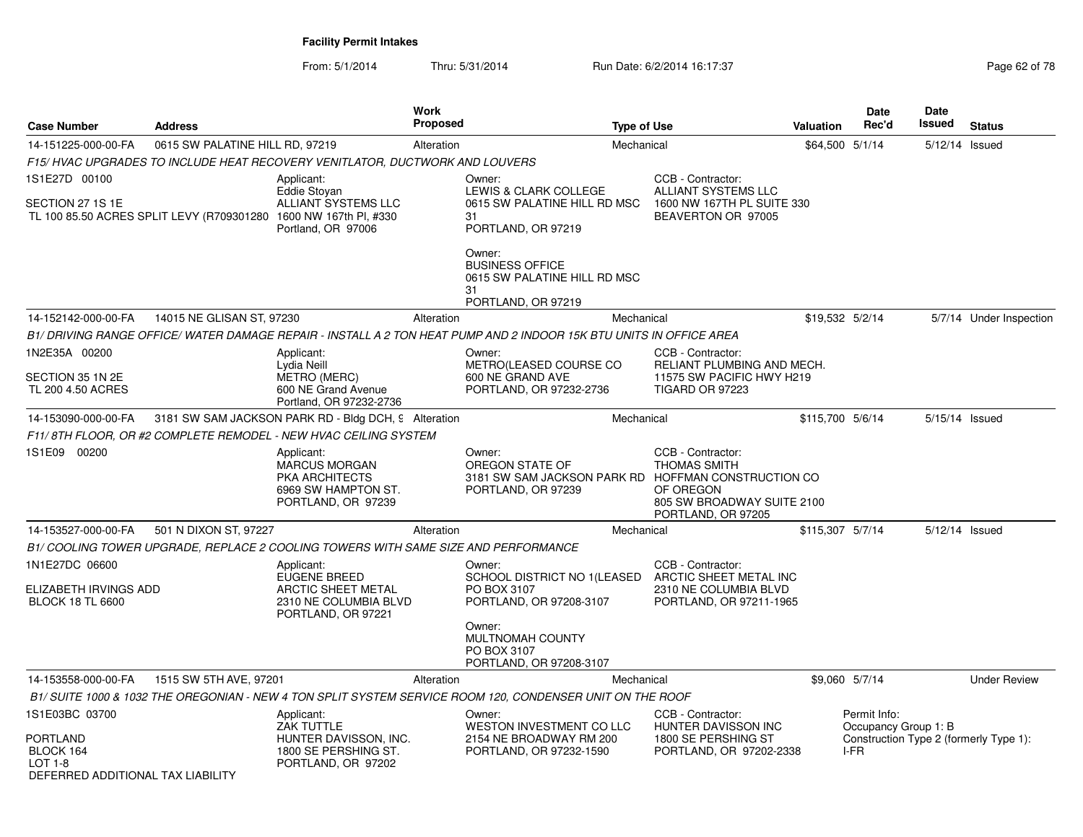|                                                                                                  |                                           |                                                                                                    | Proposed   |                                                                                                                               | <b>Type of Use</b>                                                                                        | Valuation        | Rec'd                                        | Issued         | <b>Status</b>                          |
|--------------------------------------------------------------------------------------------------|-------------------------------------------|----------------------------------------------------------------------------------------------------|------------|-------------------------------------------------------------------------------------------------------------------------------|-----------------------------------------------------------------------------------------------------------|------------------|----------------------------------------------|----------------|----------------------------------------|
| 14-151225-000-00-FA                                                                              | 0615 SW PALATINE HILL RD, 97219           |                                                                                                    | Alteration |                                                                                                                               | Mechanical                                                                                                | \$64,500 5/1/14  |                                              | 5/12/14 Issued |                                        |
|                                                                                                  |                                           | F15/ HVAC UPGRADES TO INCLUDE HEAT RECOVERY VENITLATOR, DUCTWORK AND LOUVERS                       |            |                                                                                                                               |                                                                                                           |                  |                                              |                |                                        |
| 1S1E27D 00100                                                                                    |                                           | Applicant:                                                                                         |            | Owner:                                                                                                                        | CCB - Contractor:                                                                                         |                  |                                              |                |                                        |
| SECTION 27 1S 1E                                                                                 | TL 100 85.50 ACRES SPLIT LEVY (R709301280 | Eddie Stoyan<br><b>ALLIANT SYSTEMS LLC</b><br>1600 NW 167th Pl, #330<br>Portland, OR 97006         |            | LEWIS & CLARK COLLEGE<br>0615 SW PALATINE HILL RD MSC<br>31<br>PORTLAND, OR 97219                                             | ALLIANT SYSTEMS LLC<br>1600 NW 167TH PL SUITE 330<br>BEAVERTON OR 97005                                   |                  |                                              |                |                                        |
|                                                                                                  |                                           |                                                                                                    |            | Owner:<br><b>BUSINESS OFFICE</b><br>0615 SW PALATINE HILL RD MSC<br>31                                                        |                                                                                                           |                  |                                              |                |                                        |
|                                                                                                  |                                           |                                                                                                    |            | PORTLAND, OR 97219                                                                                                            |                                                                                                           |                  |                                              |                |                                        |
| 14-152142-000-00-FA                                                                              | 14015 NE GLISAN ST, 97230                 |                                                                                                    | Alteration |                                                                                                                               | Mechanical                                                                                                | \$19.532 5/2/14  |                                              |                | 5/7/14 Under Inspection                |
| 1N2E35A 00200                                                                                    |                                           |                                                                                                    |            | B1/ DRIVING RANGE OFFICE/ WATER DAMAGE REPAIR - INSTALL A 2 TON HEAT PUMP AND 2 INDOOR 15K BTU UNITS IN OFFICE AREA<br>Owner: | CCB - Contractor:                                                                                         |                  |                                              |                |                                        |
| SECTION 35 1N 2E<br>TL 200 4.50 ACRES                                                            |                                           | Applicant:<br>Lydia Neill<br><b>METRO (MERC)</b><br>600 NE Grand Avenue<br>Portland, OR 97232-2736 |            | METRO(LEASED COURSE CO<br>600 NE GRAND AVE<br>PORTLAND, OR 97232-2736                                                         | RELIANT PLUMBING AND MECH.<br>11575 SW PACIFIC HWY H219<br><b>TIGARD OR 97223</b>                         |                  |                                              |                |                                        |
| 14-153090-000-00-FA                                                                              |                                           | 3181 SW SAM JACKSON PARK RD - Bldg DCH, 9 Alteration                                               |            |                                                                                                                               | Mechanical                                                                                                | \$115,700 5/6/14 |                                              | 5/15/14 Issued |                                        |
|                                                                                                  |                                           | F11/8TH FLOOR, OR #2 COMPLETE REMODEL - NEW HVAC CEILING SYSTEM                                    |            |                                                                                                                               |                                                                                                           |                  |                                              |                |                                        |
| 1S1E09 00200                                                                                     |                                           | Applicant:<br>MARCUS MORGAN<br>PKA ARCHITECTS<br>6969 SW HAMPTON ST.<br>PORTLAND, OR 97239         |            | Owner:<br>OREGON STATE OF<br>3181 SW SAM JACKSON PARK RD HOFFMAN CONSTRUCTION CO<br>PORTLAND, OR 97239                        | CCB - Contractor:<br><b>THOMAS SMITH</b><br>OF OREGON<br>805 SW BROADWAY SUITE 2100<br>PORTLAND, OR 97205 |                  |                                              |                |                                        |
| 14-153527-000-00-FA                                                                              | 501 N DIXON ST, 97227                     |                                                                                                    | Alteration |                                                                                                                               | Mechanical                                                                                                | \$115,307 5/7/14 |                                              | 5/12/14 Issued |                                        |
|                                                                                                  |                                           | B1/ COOLING TOWER UPGRADE, REPLACE 2 COOLING TOWERS WITH SAME SIZE AND PERFORMANCE                 |            |                                                                                                                               |                                                                                                           |                  |                                              |                |                                        |
| 1N1E27DC 06600                                                                                   |                                           | Applicant:                                                                                         |            | Owner:                                                                                                                        | CCB - Contractor:                                                                                         |                  |                                              |                |                                        |
| ELIZABETH IRVINGS ADD<br><b>BLOCK 18 TL 6600</b>                                                 |                                           | EUGENE BREED<br>ARCTIC SHEET METAL<br>2310 NE COLUMBIA BLVD<br>PORTLAND, OR 97221                  |            | SCHOOL DISTRICT NO 1(LEASED<br>PO BOX 3107<br>PORTLAND, OR 97208-3107                                                         | ARCTIC SHEET METAL INC<br>2310 NE COLUMBIA BLVD<br>PORTLAND, OR 97211-1965                                |                  |                                              |                |                                        |
|                                                                                                  |                                           |                                                                                                    |            | Owner:<br><b>MULTNOMAH COUNTY</b><br>PO BOX 3107<br>PORTLAND, OR 97208-3107                                                   |                                                                                                           |                  |                                              |                |                                        |
| 14-153558-000-00-FA                                                                              | 1515 SW 5TH AVE, 97201                    |                                                                                                    | Alteration |                                                                                                                               | Mechanical                                                                                                |                  | \$9,060 5/7/14                               |                | <b>Under Review</b>                    |
|                                                                                                  |                                           |                                                                                                    |            | B1/ SUITE 1000 & 1032 THE OREGONIAN - NEW 4 TON SPLIT SYSTEM SERVICE ROOM 120, CONDENSER UNIT ON THE ROOF                     |                                                                                                           |                  |                                              |                |                                        |
| 1S1E03BC 03700<br><b>PORTLAND</b><br>BLOCK 164<br>LOT $1-8$<br>DEFERRED ADDITIONAL TAX LIABILITY |                                           | Applicant:<br>ZAK TUTTLE<br>HUNTER DAVISSON, INC.<br>1800 SE PERSHING ST.<br>PORTLAND, OR 97202    |            | Owner:<br>WESTON INVESTMENT CO LLC<br>2154 NE BROADWAY RM 200<br>PORTLAND, OR 97232-1590                                      | CCB - Contractor:<br>HUNTER DAVISSON INC<br>1800 SE PERSHING ST<br>PORTLAND, OR 97202-2338                |                  | Permit Info:<br>Occupancy Group 1: B<br>I-FR |                | Construction Type 2 (formerly Type 1): |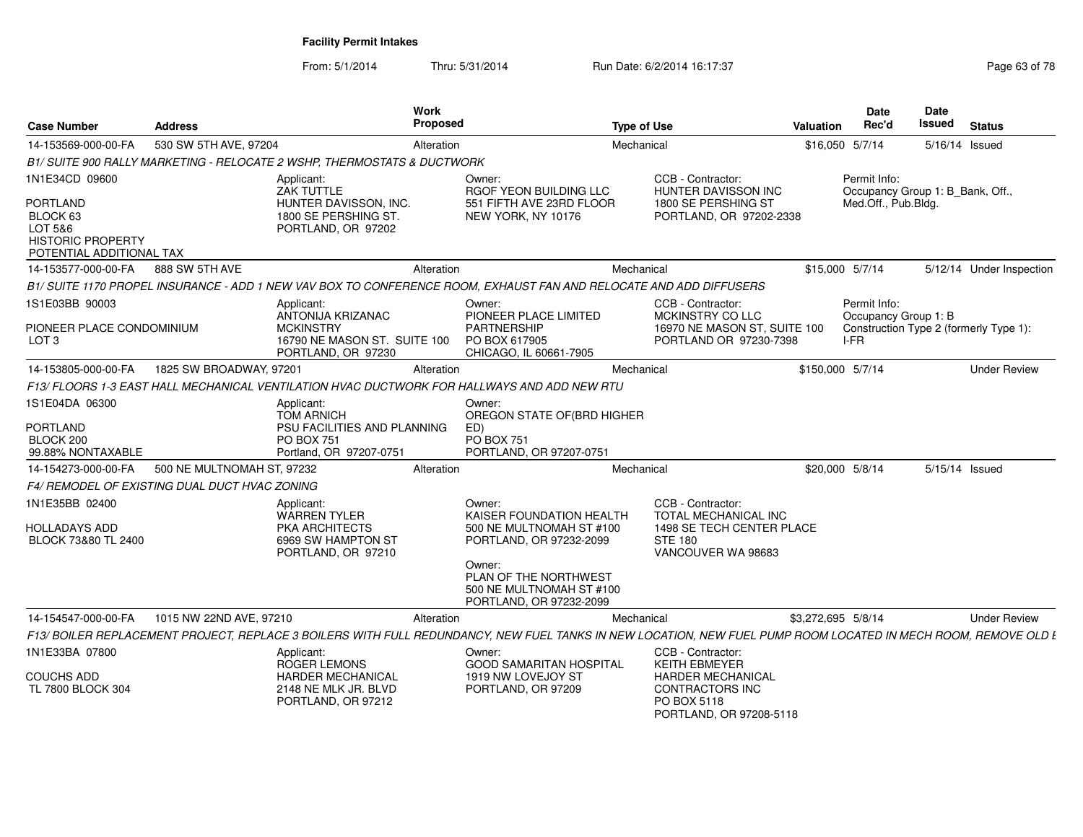From: 5/1/2014Thru: 5/31/2014 Run Date: 6/2/2014 16:17:37 Rege 63 of 78

| <b>Case Number</b>                                                                                               | <b>Address</b>                                | Work<br>Proposed                                                                                                                                               |                                                                                                                                                                                     | <b>Type of Use</b>                                                                                                                        | <b>Valuation</b>   | Date<br>Rec'd                                                           | <b>Date</b><br>Issued | <b>Status</b>                          |
|------------------------------------------------------------------------------------------------------------------|-----------------------------------------------|----------------------------------------------------------------------------------------------------------------------------------------------------------------|-------------------------------------------------------------------------------------------------------------------------------------------------------------------------------------|-------------------------------------------------------------------------------------------------------------------------------------------|--------------------|-------------------------------------------------------------------------|-----------------------|----------------------------------------|
| 14-153569-000-00-FA                                                                                              | 530 SW 5TH AVE, 97204                         | Alteration                                                                                                                                                     |                                                                                                                                                                                     | Mechanical                                                                                                                                |                    | \$16,050 5/7/14                                                         | 5/16/14 Issued        |                                        |
|                                                                                                                  |                                               | B1/ SUITE 900 RALLY MARKETING - RELOCATE 2 WSHP, THERMOSTATS & DUCTWORK                                                                                        |                                                                                                                                                                                     |                                                                                                                                           |                    |                                                                         |                       |                                        |
| 1N1E34CD 09600<br><b>PORTLAND</b><br>BLOCK 63<br>LOT 5&6<br><b>HISTORIC PROPERTY</b><br>POTENTIAL ADDITIONAL TAX |                                               | Applicant:<br><b>ZAK TUTTLE</b><br>HUNTER DAVISSON, INC.<br>1800 SE PERSHING ST.<br>PORTLAND, OR 97202                                                         | Owner:<br>RGOF YEON BUILDING LLC<br>551 FIFTH AVE 23RD FLOOR<br>NEW YORK, NY 10176                                                                                                  | CCB - Contractor:<br><b>HUNTER DAVISSON INC</b><br>1800 SE PERSHING ST<br>PORTLAND, OR 97202-2338                                         |                    | Permit Info:<br>Occupancy Group 1: B_Bank, Off.,<br>Med.Off., Pub.Bldg. |                       |                                        |
| 14-153577-000-00-FA                                                                                              | 888 SW 5TH AVE                                | Alteration                                                                                                                                                     |                                                                                                                                                                                     | Mechanical                                                                                                                                |                    | \$15,000 5/7/14                                                         |                       | 5/12/14 Under Inspection               |
|                                                                                                                  |                                               | B1/ SUITE 1170 PROPEL INSURANCE - ADD 1 NEW VAV BOX TO CONFERENCE ROOM, EXHAUST FAN AND RELOCATE AND ADD DIFFUSERS                                             |                                                                                                                                                                                     |                                                                                                                                           |                    |                                                                         |                       |                                        |
| 1S1E03BB 90003<br>PIONEER PLACE CONDOMINIUM<br>LOT <sub>3</sub>                                                  |                                               | Applicant:<br>ANTONIJA KRIZANAC<br><b>MCKINSTRY</b><br>16790 NE MASON ST. SUITE 100<br>PORTLAND, OR 97230                                                      | Owner:<br>PIONEER PLACE LIMITED<br><b>PARTNERSHIP</b><br>PO BOX 617905<br>CHICAGO, IL 60661-7905                                                                                    | CCB - Contractor:<br>MCKINSTRY CO LLC<br>16970 NE MASON ST. SUITE 100<br>PORTLAND OR 97230-7398                                           |                    | Permit Info:<br>Occupancy Group 1: B<br>I-FR                            |                       | Construction Type 2 (formerly Type 1): |
| 14-153805-000-00-FA                                                                                              | 1825 SW BROADWAY, 97201                       | Alteration                                                                                                                                                     |                                                                                                                                                                                     | Mechanical                                                                                                                                | \$150,000 5/7/14   |                                                                         |                       | <b>Under Review</b>                    |
|                                                                                                                  |                                               | F13/ FLOORS 1-3 EAST HALL MECHANICAL VENTILATION HVAC DUCTWORK FOR HALLWAYS AND ADD NEW RTU                                                                    |                                                                                                                                                                                     |                                                                                                                                           |                    |                                                                         |                       |                                        |
| 1S1E04DA 06300<br><b>PORTLAND</b><br>BLOCK 200<br>99.88% NONTAXABLE                                              |                                               | Applicant:<br><b>TOM ARNICH</b><br>PSU FACILITIES AND PLANNING<br><b>PO BOX 751</b><br>Portland, OR 97207-0751                                                 | Owner:<br>OREGON STATE OF(BRD HIGHER<br>ED)<br><b>PO BOX 751</b><br>PORTLAND, OR 97207-0751                                                                                         |                                                                                                                                           |                    |                                                                         |                       |                                        |
| 14-154273-000-00-FA                                                                                              | 500 NE MULTNOMAH ST, 97232                    | Alteration                                                                                                                                                     |                                                                                                                                                                                     | Mechanical                                                                                                                                |                    | \$20,000 5/8/14                                                         |                       | 5/15/14 Issued                         |
|                                                                                                                  | F4/ REMODEL OF EXISTING DUAL DUCT HVAC ZONING |                                                                                                                                                                |                                                                                                                                                                                     |                                                                                                                                           |                    |                                                                         |                       |                                        |
| 1N1E35BB 02400<br>HOLLADAYS ADD<br>BLOCK 73&80 TL 2400                                                           |                                               | Applicant:<br><b>WARREN TYLER</b><br><b>PKA ARCHITECTS</b><br>6969 SW HAMPTON ST<br>PORTLAND, OR 97210                                                         | Owner:<br>KAISER FOUNDATION HEALTH<br>500 NE MULTNOMAH ST #100<br>PORTLAND, OR 97232-2099<br>Owner:<br>PLAN OF THE NORTHWEST<br>500 NE MULTNOMAH ST #100<br>PORTLAND, OR 97232-2099 | CCB - Contractor:<br>TOTAL MECHANICAL INC<br>1498 SE TECH CENTER PLACE<br><b>STE 180</b><br>VANCOUVER WA 98683                            |                    |                                                                         |                       |                                        |
| 14-154547-000-00-FA                                                                                              | 1015 NW 22ND AVE, 97210                       | Alteration                                                                                                                                                     |                                                                                                                                                                                     | Mechanical                                                                                                                                | \$3,272,695 5/8/14 |                                                                         |                       | <b>Under Review</b>                    |
|                                                                                                                  |                                               | F13/ BOILER REPLACEMENT PROJECT, REPLACE 3 BOILERS WITH FULL REDUNDANCY, NEW FUEL TANKS IN NEW LOCATION, NEW FUEL PUMP ROOM LOCATED IN MECH ROOM, REMOVE OLD L |                                                                                                                                                                                     |                                                                                                                                           |                    |                                                                         |                       |                                        |
| 1N1E33BA 07800<br><b>COUCHS ADD</b><br>TL 7800 BLOCK 304                                                         |                                               | Applicant:<br><b>ROGER LEMONS</b><br><b>HARDER MECHANICAL</b><br>2148 NE MLK JR. BLVD<br>PORTLAND, OR 97212                                                    | Owner:<br><b>GOOD SAMARITAN HOSPITAL</b><br>1919 NW LOVEJOY ST<br>PORTLAND, OR 97209                                                                                                | CCB - Contractor:<br><b>KEITH EBMEYER</b><br><b>HARDER MECHANICAL</b><br><b>CONTRACTORS INC</b><br>PO BOX 5118<br>PORTLAND, OR 97208-5118 |                    |                                                                         |                       |                                        |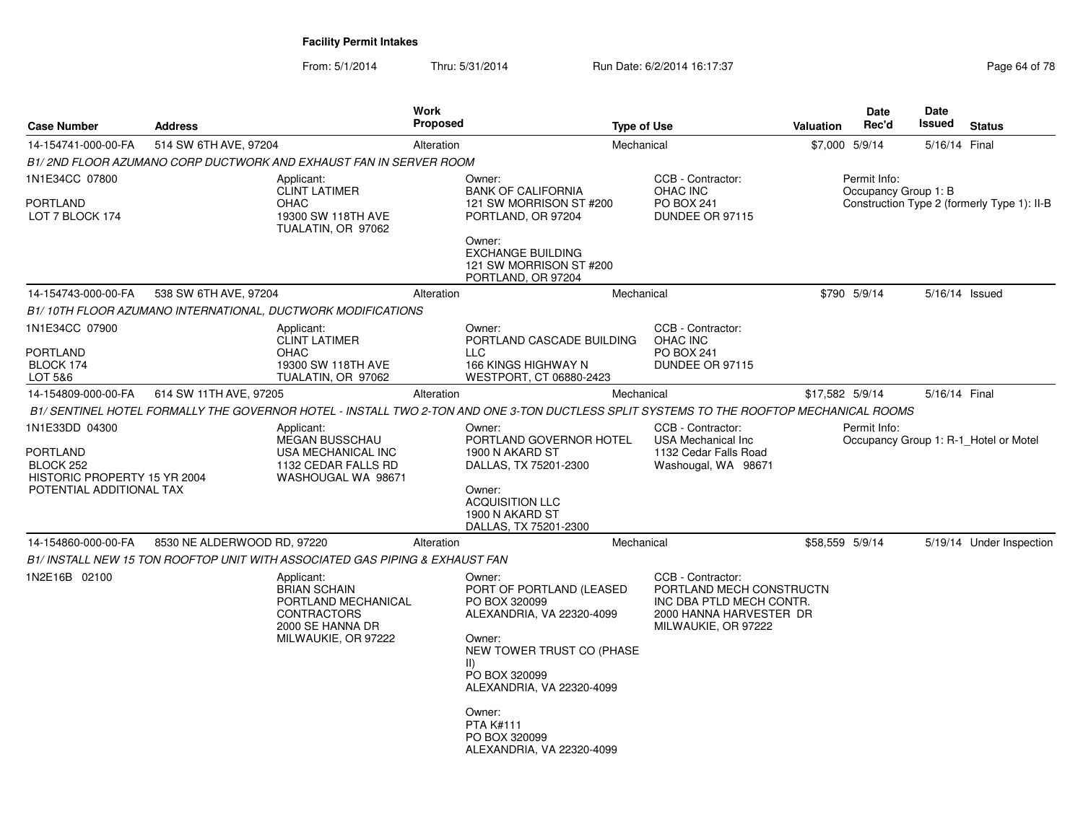| <b>Case Number</b>                                                                                  | <b>Address</b>              |                                                                                                                    | <b>Work</b><br><b>Proposed</b> | <b>Type of Use</b>                                                                                                                                                                                                                                               |                                                                                                                             | <b>Valuation</b> | Date<br>Rec'd                        | Date<br><b>Issued</b> | <b>Status</b>                               |
|-----------------------------------------------------------------------------------------------------|-----------------------------|--------------------------------------------------------------------------------------------------------------------|--------------------------------|------------------------------------------------------------------------------------------------------------------------------------------------------------------------------------------------------------------------------------------------------------------|-----------------------------------------------------------------------------------------------------------------------------|------------------|--------------------------------------|-----------------------|---------------------------------------------|
| 14-154741-000-00-FA                                                                                 | 514 SW 6TH AVE, 97204       |                                                                                                                    | Alteration                     | Mechanical                                                                                                                                                                                                                                                       |                                                                                                                             | \$7,000 5/9/14   |                                      | 5/16/14 Final         |                                             |
|                                                                                                     |                             | B1/2ND FLOOR AZUMANO CORP DUCTWORK AND EXHAUST FAN IN SERVER ROOM                                                  |                                |                                                                                                                                                                                                                                                                  |                                                                                                                             |                  |                                      |                       |                                             |
| 1N1E34CC 07800<br><b>PORTLAND</b><br>LOT 7 BLOCK 174                                                |                             | Applicant:<br><b>CLINT LATIMER</b><br><b>OHAC</b><br>19300 SW 118TH AVE<br>TUALATIN, OR 97062                      |                                | Owner:<br><b>BANK OF CALIFORNIA</b><br>121 SW MORRISON ST #200<br>PORTLAND, OR 97204<br>Owner:<br><b>EXCHANGE BUILDING</b><br>121 SW MORRISON ST #200<br>PORTLAND, OR 97204                                                                                      | CCB - Contractor:<br>OHAC INC<br>PO BOX 241<br>DUNDEE OR 97115                                                              |                  | Permit Info:<br>Occupancy Group 1: B |                       | Construction Type 2 (formerly Type 1): II-B |
| 14-154743-000-00-FA                                                                                 | 538 SW 6TH AVE, 97204       |                                                                                                                    | Alteration                     | Mechanical                                                                                                                                                                                                                                                       |                                                                                                                             |                  | \$790 5/9/14                         |                       | 5/16/14 Issued                              |
|                                                                                                     |                             | B1/ 10TH FLOOR AZUMANO INTERNATIONAL, DUCTWORK MODIFICATIONS                                                       |                                |                                                                                                                                                                                                                                                                  |                                                                                                                             |                  |                                      |                       |                                             |
| 1N1E34CC 07900<br>PORTLAND<br>BLOCK 174<br>LOT 5&6                                                  |                             | Applicant:<br><b>CLINT LATIMER</b><br><b>OHAC</b><br>19300 SW 118TH AVE<br>TUALATIN, OR 97062                      |                                | Owner:<br>PORTLAND CASCADE BUILDING<br><b>LLC</b><br>166 KINGS HIGHWAY N<br>WESTPORT, CT 06880-2423                                                                                                                                                              | CCB - Contractor:<br>OHAC INC<br>PO BOX 241<br>DUNDEE OR 97115                                                              |                  |                                      |                       |                                             |
| 14-154809-000-00-FA                                                                                 | 614 SW 11TH AVE, 97205      |                                                                                                                    | Alteration                     | Mechanical                                                                                                                                                                                                                                                       |                                                                                                                             | \$17,582 5/9/14  |                                      | 5/16/14 Final         |                                             |
|                                                                                                     |                             |                                                                                                                    |                                | B1/ SENTINEL HOTEL FORMALLY THE GOVERNOR HOTEL - INSTALL TWO 2-TON AND ONE 3-TON DUCTLESS SPLIT SYSTEMS TO THE ROOFTOP MECHANICAL ROOMS                                                                                                                          |                                                                                                                             |                  |                                      |                       |                                             |
| 1N1E33DD 04300<br>PORTLAND<br>BLOCK 252<br>HISTORIC PROPERTY 15 YR 2004<br>POTENTIAL ADDITIONAL TAX |                             | Applicant:<br><b>MEGAN BUSSCHAU</b><br>USA MECHANICAL INC<br>1132 CEDAR FALLS RD<br>WASHOUGAL WA 98671             |                                | Owner:<br>PORTLAND GOVERNOR HOTEL<br>1900 N AKARD ST<br>DALLAS, TX 75201-2300<br>Owner:<br><b>ACQUISITION LLC</b><br>1900 N AKARD ST<br>DALLAS, TX 75201-2300                                                                                                    | CCB - Contractor:<br><b>USA Mechanical Inc</b><br>1132 Cedar Falls Road<br>Washougal, WA 98671                              |                  | Permit Info:                         |                       | Occupancy Group 1: R-1 Hotel or Motel       |
| 14-154860-000-00-FA                                                                                 | 8530 NE ALDERWOOD RD, 97220 |                                                                                                                    | Alteration                     | Mechanical                                                                                                                                                                                                                                                       |                                                                                                                             | \$58,559 5/9/14  |                                      |                       | 5/19/14 Under Inspection                    |
|                                                                                                     |                             | B1/ INSTALL NEW 15 TON ROOFTOP UNIT WITH ASSOCIATED GAS PIPING & EXHAUST FAN                                       |                                |                                                                                                                                                                                                                                                                  |                                                                                                                             |                  |                                      |                       |                                             |
| 1N2E16B 02100                                                                                       |                             | Applicant:<br><b>BRIAN SCHAIN</b><br>PORTLAND MECHANICAL<br>CONTRACTORS<br>2000 SE HANNA DR<br>MILWAUKIE, OR 97222 |                                | Owner:<br>PORT OF PORTLAND (LEASED<br>PO BOX 320099<br>ALEXANDRIA, VA 22320-4099<br>Owner:<br>NEW TOWER TRUST CO (PHASE<br>$\parallel$<br>PO BOX 320099<br>ALEXANDRIA, VA 22320-4099<br>Owner:<br><b>PTA K#111</b><br>PO BOX 320099<br>ALEXANDRIA, VA 22320-4099 | CCB - Contractor:<br>PORTLAND MECH CONSTRUCTN<br>INC DBA PTLD MECH CONTR.<br>2000 HANNA HARVESTER DR<br>MILWAUKIE, OR 97222 |                  |                                      |                       |                                             |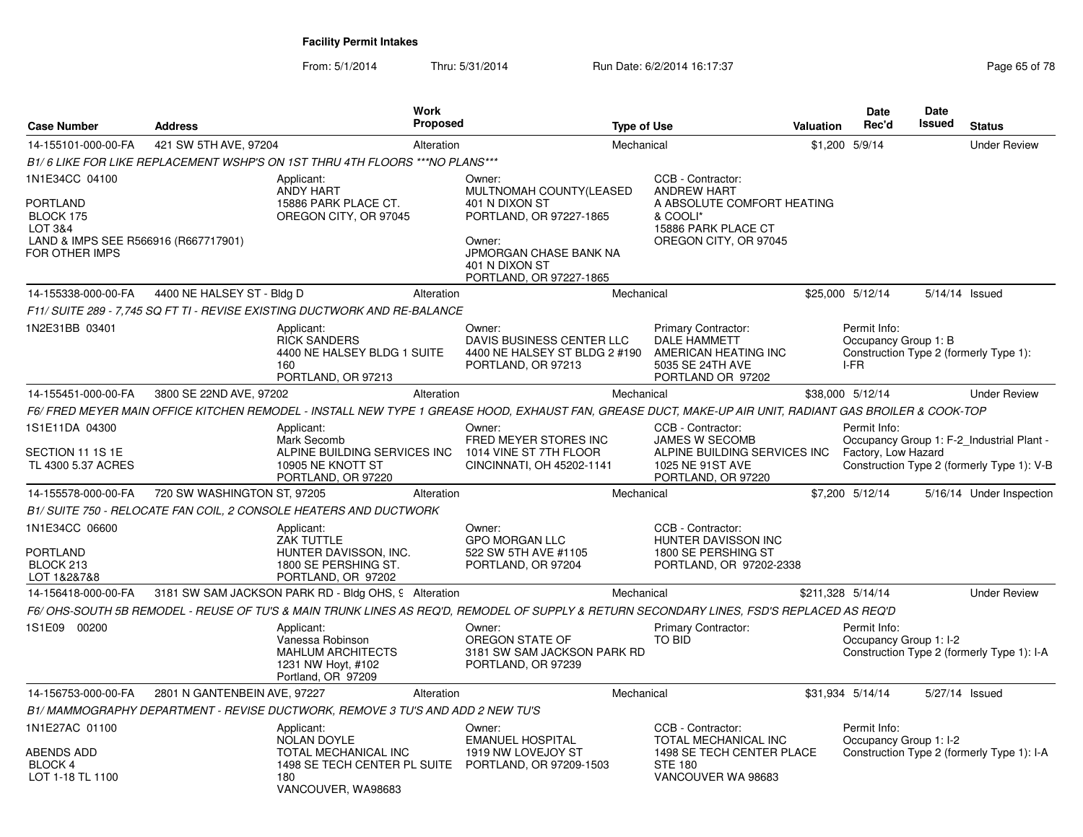| <b>Case Number</b>                                                                         | <b>Address</b>               | <b>Work</b><br>Proposed                                                                                   | <b>Type of Use</b>                                                                                                                                      |                                                                                                               | Valuation | <b>Date</b><br>Rec'd                         | <b>Date</b><br><b>Issued</b> | <b>Status</b>                                                                           |
|--------------------------------------------------------------------------------------------|------------------------------|-----------------------------------------------------------------------------------------------------------|---------------------------------------------------------------------------------------------------------------------------------------------------------|---------------------------------------------------------------------------------------------------------------|-----------|----------------------------------------------|------------------------------|-----------------------------------------------------------------------------------------|
| 14-155101-000-00-FA                                                                        | 421 SW 5TH AVE, 97204        | Alteration                                                                                                | Mechanical                                                                                                                                              |                                                                                                               |           | \$1,200 5/9/14                               |                              | <b>Under Review</b>                                                                     |
|                                                                                            |                              | B1/6 LIKE FOR LIKE REPLACEMENT WSHP'S ON 1ST THRU 4TH FLOORS *** NO PLANS***                              |                                                                                                                                                         |                                                                                                               |           |                                              |                              |                                                                                         |
| 1N1E34CC 04100                                                                             |                              | Applicant:<br>ANDY HART                                                                                   | Owner:<br>MULTNOMAH COUNTY(LEASED                                                                                                                       | CCB - Contractor:<br><b>ANDREW HART</b>                                                                       |           |                                              |                              |                                                                                         |
| PORTLAND<br>BLOCK 175<br>LOT 3&4<br>LAND & IMPS SEE R566916 (R667717901)<br>FOR OTHER IMPS |                              | 15886 PARK PLACE CT.<br>OREGON CITY, OR 97045                                                             | 401 N DIXON ST<br>PORTLAND, OR 97227-1865<br>Owner:<br>JPMORGAN CHASE BANK NA<br>401 N DIXON ST<br>PORTLAND, OR 97227-1865                              | A ABSOLUTE COMFORT HEATING<br>& COOLI*<br>15886 PARK PLACE CT<br>OREGON CITY, OR 97045                        |           |                                              |                              |                                                                                         |
| 14-155338-000-00-FA                                                                        | 4400 NE HALSEY ST - Bldg D   | Alteration                                                                                                | Mechanical                                                                                                                                              |                                                                                                               |           | \$25,000 5/12/14                             | 5/14/14 Issued               |                                                                                         |
|                                                                                            |                              | F11/ SUITE 289 - 7,745 SQ FT TI - REVISE EXISTING DUCTWORK AND RE-BALANCE                                 |                                                                                                                                                         |                                                                                                               |           |                                              |                              |                                                                                         |
| 1N2E31BB 03401                                                                             |                              | Applicant:<br><b>RICK SANDERS</b><br>4400 NE HALSEY BLDG 1 SUITE<br>160<br>PORTLAND, OR 97213             | Owner:<br>DAVIS BUSINESS CENTER LLC<br>4400 NE HALSEY ST BLDG 2 #190<br>PORTLAND, OR 97213                                                              | Primary Contractor:<br><b>DALE HAMMETT</b><br>AMERICAN HEATING INC<br>5035 SE 24TH AVE<br>PORTLAND OR 97202   |           | Permit Info:<br>Occupancy Group 1: B<br>I-FR |                              | Construction Type 2 (formerly Type 1):                                                  |
| 14-155451-000-00-FA                                                                        | 3800 SE 22ND AVE, 97202      | Alteration                                                                                                | Mechanical                                                                                                                                              |                                                                                                               |           | \$38,000 5/12/14                             |                              | <b>Under Review</b>                                                                     |
|                                                                                            |                              |                                                                                                           | F6/ FRED MEYER MAIN OFFICE KITCHEN REMODEL - INSTALL NEW TYPE 1 GREASE HOOD, EXHAUST FAN, GREASE DUCT, MAKE-UP AIR UNIT, RADIANT GAS BROILER & COOK-TOP |                                                                                                               |           |                                              |                              |                                                                                         |
| 1S1E11DA 04300<br>SECTION 11 1S 1E<br>TL 4300 5.37 ACRES                                   |                              | Applicant:<br>Mark Secomb<br>ALPINE BUILDING SERVICES INC<br>10905 NE KNOTT ST<br>PORTLAND, OR 97220      | Owner:<br>FRED MEYER STORES INC<br>1014 VINE ST 7TH FLOOR<br>CINCINNATI, OH 45202-1141                                                                  | CCB - Contractor:<br>JAMES W SECOMB<br>ALPINE BUILDING SERVICES INC<br>1025 NE 91ST AVE<br>PORTLAND, OR 97220 |           | Permit Info:<br>Factory, Low Hazard          |                              | Occupancy Group 1: F-2 Industrial Plant -<br>Construction Type 2 (formerly Type 1): V-B |
| 14-155578-000-00-FA                                                                        | 720 SW WASHINGTON ST, 97205  | Alteration                                                                                                | Mechanical                                                                                                                                              |                                                                                                               |           | \$7,200 5/12/14                              |                              | 5/16/14 Under Inspection                                                                |
|                                                                                            |                              | B1/ SUITE 750 - RELOCATE FAN COIL, 2 CONSOLE HEATERS AND DUCTWORK                                         |                                                                                                                                                         |                                                                                                               |           |                                              |                              |                                                                                         |
| 1N1E34CC 06600<br>PORTLAND<br>BLOCK 213<br>LOT 1&2&7&8                                     |                              | Applicant:<br>ZAK TUTTLE<br>HUNTER DAVISSON, INC.<br>1800 SE PERSHING ST.<br>PORTLAND, OR 97202           | Owner:<br><b>GPO MORGAN LLC</b><br>522 SW 5TH AVE #1105<br>PORTLAND, OR 97204                                                                           | CCB - Contractor:<br>HUNTER DAVISSON INC<br>1800 SE PERSHING ST<br>PORTLAND, OR 97202-2338                    |           |                                              |                              |                                                                                         |
| 14-156418-000-00-FA                                                                        |                              | 3181 SW SAM JACKSON PARK RD - Bldg OHS, 9 Alteration                                                      | Mechanical                                                                                                                                              |                                                                                                               |           | \$211,328 5/14/14                            |                              | <b>Under Review</b>                                                                     |
|                                                                                            |                              |                                                                                                           | F6/ OHS-SOUTH 5B REMODEL - REUSE OF TU'S & MAIN TRUNK LINES AS REQ'D. REMODEL OF SUPPLY & RETURN SECONDARY LINES. FSD'S REPLACED AS REQ'D               |                                                                                                               |           |                                              |                              |                                                                                         |
| 1S1E09 00200                                                                               |                              | Applicant:<br>Vanessa Robinson<br><b>MAHLUM ARCHITECTS</b><br>1231 NW Hoyt, #102<br>Portland, OR 97209    | Owner:<br>OREGON STATE OF<br>3181 SW SAM JACKSON PARK RD<br>PORTLAND, OR 97239                                                                          | Primary Contractor:<br><b>TO BID</b>                                                                          |           | Permit Info:<br>Occupancy Group 1: I-2       |                              | Construction Type 2 (formerly Type 1): I-A                                              |
| 14-156753-000-00-FA                                                                        | 2801 N GANTENBEIN AVE, 97227 | Alteration                                                                                                | Mechanical                                                                                                                                              |                                                                                                               |           | \$31,934 5/14/14                             | 5/27/14 Issued               |                                                                                         |
|                                                                                            |                              | B1/ MAMMOGRAPHY DEPARTMENT - REVISE DUCTWORK, REMOVE 3 TU'S AND ADD 2 NEW TU'S                            |                                                                                                                                                         |                                                                                                               |           |                                              |                              |                                                                                         |
| 1N1E27AC 01100                                                                             |                              | Applicant:<br><b>NOLAN DOYLE</b>                                                                          | Owner:<br><b>EMANUEL HOSPITAL</b>                                                                                                                       | CCB - Contractor:<br>TOTAL MECHANICAL INC                                                                     |           | Permit Info:<br>Occupancy Group 1: I-2       |                              |                                                                                         |
| ABENDS ADD<br><b>BLOCK 4</b><br>LOT 1-18 TL 1100                                           |                              | TOTAL MECHANICAL INC<br>1498 SE TECH CENTER PL SUITE PORTLAND, OR 97209-1503<br>180<br>VANCOUVER, WA98683 | 1919 NW LOVEJOY ST                                                                                                                                      | 1498 SE TECH CENTER PLACE<br><b>STE 180</b><br>VANCOUVER WA 98683                                             |           |                                              |                              | Construction Type 2 (formerly Type 1): I-A                                              |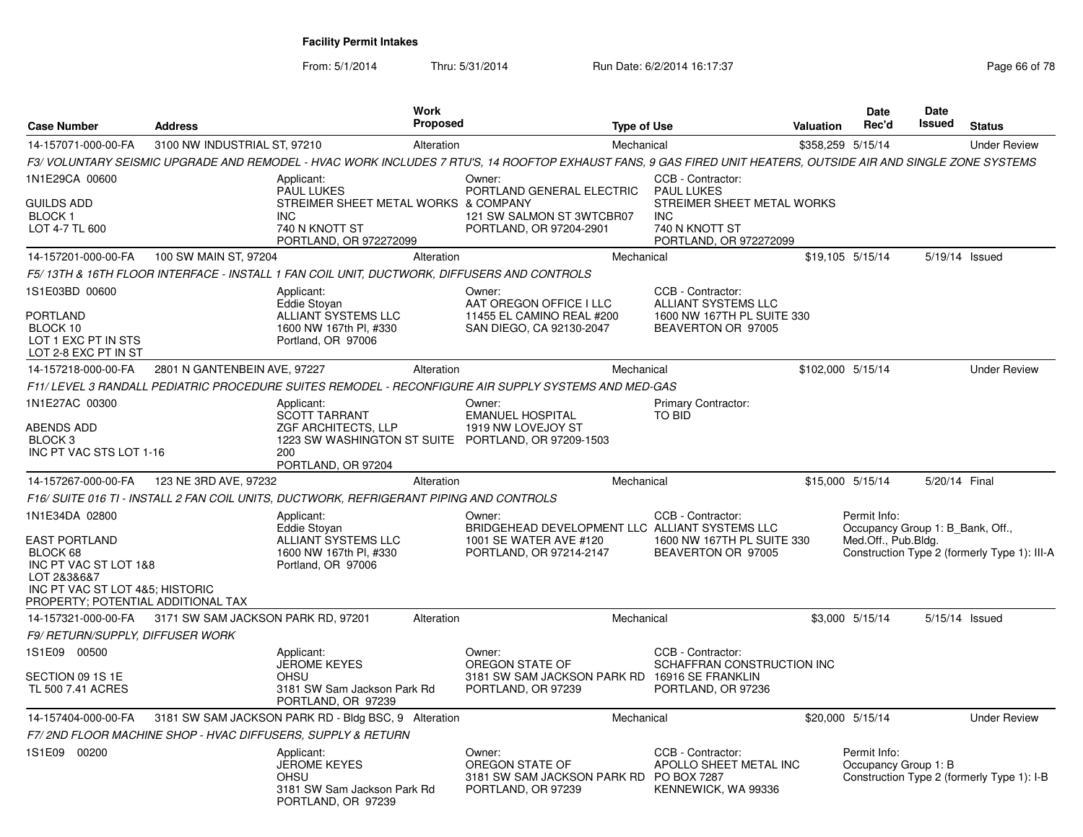| <b>Case Number</b>                                                                                                                                                  | <b>Address</b>                     |                                                                                                                                   | Work<br><b>Proposed</b> |                                                                                                                                                                | <b>Type of Use</b>                                                                                                             | <b>Valuation</b> | Date<br>Rec'd                                                           | <b>Date</b><br>Issued | <b>Status</b>                                |
|---------------------------------------------------------------------------------------------------------------------------------------------------------------------|------------------------------------|-----------------------------------------------------------------------------------------------------------------------------------|-------------------------|----------------------------------------------------------------------------------------------------------------------------------------------------------------|--------------------------------------------------------------------------------------------------------------------------------|------------------|-------------------------------------------------------------------------|-----------------------|----------------------------------------------|
| 14-157071-000-00-FA                                                                                                                                                 | 3100 NW INDUSTRIAL ST, 97210       |                                                                                                                                   | Alteration              | Mechanical                                                                                                                                                     |                                                                                                                                |                  | \$358,259 5/15/14                                                       |                       | <b>Under Review</b>                          |
|                                                                                                                                                                     |                                    |                                                                                                                                   |                         | F3/ VOLUNTARY SEISMIC UPGRADE AND REMODEL - HVAC WORK INCLUDES 7 RTU'S, 14 ROOFTOP EXHAUST FANS, 9 GAS FIRED UNIT HEATERS, OUTSIDE AIR AND SINGLE ZONE SYSTEMS |                                                                                                                                |                  |                                                                         |                       |                                              |
| 1N1E29CA 00600<br><b>GUILDS ADD</b><br><b>BLOCK1</b><br>LOT 4-7 TL 600                                                                                              |                                    | Applicant:<br><b>PAUL LUKES</b><br>STREIMER SHEET METAL WORKS & COMPANY<br><b>INC</b><br>740 N KNOTT ST<br>PORTLAND, OR 972272099 |                         | Owner:<br>PORTLAND GENERAL ELECTRIC<br>121 SW SALMON ST 3WTCBR07<br>PORTLAND, OR 97204-2901                                                                    | CCB - Contractor:<br><b>PAUL LUKES</b><br>STREIMER SHEET METAL WORKS<br><b>INC</b><br>740 N KNOTT ST<br>PORTLAND, OR 972272099 |                  |                                                                         |                       |                                              |
| 14-157201-000-00-FA                                                                                                                                                 | 100 SW MAIN ST, 97204              |                                                                                                                                   | Alteration              | Mechanical                                                                                                                                                     |                                                                                                                                |                  | \$19,105 5/15/14                                                        |                       | 5/19/14 Issued                               |
|                                                                                                                                                                     |                                    | F5/ 13TH & 16TH FLOOR INTERFACE - INSTALL 1 FAN COIL UNIT, DUCTWORK, DIFFUSERS AND CONTROLS                                       |                         |                                                                                                                                                                |                                                                                                                                |                  |                                                                         |                       |                                              |
| 1S1E03BD 00600<br>PORTLAND<br>BLOCK 10<br>LOT 1 EXC PT IN STS<br>LOT 2-8 EXC PT IN ST                                                                               |                                    | Applicant:<br>Eddie Stoyan<br>ALLIANT SYSTEMS LLC<br>1600 NW 167th Pl, #330<br>Portland, OR 97006                                 |                         | Owner:<br>AAT OREGON OFFICE I LLC<br>11455 EL CAMINO REAL #200<br>SAN DIEGO, CA 92130-2047                                                                     | CCB - Contractor:<br>ALLIANT SYSTEMS LLC<br>1600 NW 167TH PL SUITE 330<br>BEAVERTON OR 97005                                   |                  |                                                                         |                       |                                              |
| 14-157218-000-00-FA                                                                                                                                                 | 2801 N GANTENBEIN AVE, 97227       |                                                                                                                                   | Alteration              | Mechanical                                                                                                                                                     |                                                                                                                                |                  | \$102,000 5/15/14                                                       |                       | <b>Under Review</b>                          |
|                                                                                                                                                                     |                                    |                                                                                                                                   |                         | F11/ LEVEL 3 RANDALL PEDIATRIC PROCEDURE SUITES REMODEL - RECONFIGURE AIR SUPPLY SYSTEMS AND MED-GAS                                                           |                                                                                                                                |                  |                                                                         |                       |                                              |
| 1N1E27AC 00300<br>ABENDS ADD                                                                                                                                        |                                    | Applicant:<br><b>SCOTT TARRANT</b>                                                                                                |                         | Owner:<br><b>EMANUEL HOSPITAL</b><br>1919 NW LOVEJOY ST                                                                                                        | Primary Contractor:<br><b>TO BID</b>                                                                                           |                  |                                                                         |                       |                                              |
| BLOCK <sub>3</sub><br>INC PT VAC STS LOT 1-16                                                                                                                       |                                    | ZGF ARCHITECTS, LLP<br>200<br>PORTLAND, OR 97204                                                                                  |                         | 1223 SW WASHINGTON ST SUITE PORTLAND, OR 97209-1503                                                                                                            |                                                                                                                                |                  |                                                                         |                       |                                              |
| 14-157267-000-00-FA                                                                                                                                                 | 123 NE 3RD AVE, 97232              |                                                                                                                                   | Alteration              | Mechanical                                                                                                                                                     |                                                                                                                                |                  | \$15,000 5/15/14                                                        | 5/20/14 Final         |                                              |
|                                                                                                                                                                     |                                    | F16/ SUITE 016 TI - INSTALL 2 FAN COIL UNITS, DUCTWORK, REFRIGERANT PIPING AND CONTROLS                                           |                         |                                                                                                                                                                |                                                                                                                                |                  |                                                                         |                       |                                              |
| 1N1E34DA 02800<br><b>EAST PORTLAND</b><br>BLOCK 68<br>INC PT VAC ST LOT 1&8<br>LOT 2&3&6&7<br>INC PT VAC ST LOT 4&5; HISTORIC<br>PROPERTY; POTENTIAL ADDITIONAL TAX |                                    | Applicant:<br>Eddie Stovan<br>ALLIANT SYSTEMS LLC<br>1600 NW 167th Pl, #330<br>Portland, OR 97006                                 |                         | Owner:<br>BRIDGEHEAD DEVELOPMENT LLC ALLIANT SYSTEMS LLC<br>1001 SE WATER AVE #120<br>PORTLAND, OR 97214-2147                                                  | CCB - Contractor:<br>1600 NW 167TH PL SUITE 330<br>BEAVERTON OR 97005                                                          |                  | Permit Info:<br>Occupancy Group 1: B_Bank, Off.,<br>Med.Off., Pub.Bldg. |                       | Construction Type 2 (formerly Type 1): III-A |
| 14-157321-000-00-FA                                                                                                                                                 | 3171 SW SAM JACKSON PARK RD, 97201 |                                                                                                                                   | Alteration              | Mechanical                                                                                                                                                     |                                                                                                                                |                  | \$3,000 5/15/14                                                         |                       | 5/15/14 Issued                               |
| F9/ RETURN/SUPPLY, DIFFUSER WORK                                                                                                                                    |                                    |                                                                                                                                   |                         |                                                                                                                                                                |                                                                                                                                |                  |                                                                         |                       |                                              |
| 1S1E09 00500<br>SECTION 09 1S 1E<br>TL 500 7.41 ACRES                                                                                                               |                                    | Applicant:<br><b>JEROME KEYES</b><br>OHSU<br>3181 SW Sam Jackson Park Rd<br>PORTLAND, OR 97239                                    |                         | Owner:<br>OREGON STATE OF<br>3181 SW SAM JACKSON PARK RD<br>PORTLAND, OR 97239                                                                                 | CCB - Contractor:<br>SCHAFFRAN CONSTRUCTION INC<br>16916 SE FRANKLIN<br>PORTLAND, OR 97236                                     |                  |                                                                         |                       |                                              |
| 14-157404-000-00-FA                                                                                                                                                 |                                    | 3181 SW SAM JACKSON PARK RD - Bldg BSC, 9 Alteration                                                                              |                         | Mechanical                                                                                                                                                     |                                                                                                                                |                  | \$20,000 5/15/14                                                        |                       | <b>Under Review</b>                          |
|                                                                                                                                                                     |                                    | F7/2ND FLOOR MACHINE SHOP - HVAC DIFFUSERS, SUPPLY & RETURN                                                                       |                         |                                                                                                                                                                |                                                                                                                                |                  |                                                                         |                       |                                              |
| 1S1E09 00200                                                                                                                                                        |                                    | Applicant:<br>JEROME KEYES<br><b>OHSU</b><br>3181 SW Sam Jackson Park Rd<br>PORTLAND, OR 97239                                    |                         | Owner:<br>OREGON STATE OF<br>3181 SW SAM JACKSON PARK RD PO BOX 7287<br>PORTLAND, OR 97239                                                                     | CCB - Contractor:<br>APOLLO SHEET METAL INC<br>KENNEWICK, WA 99336                                                             |                  | Permit Info:<br>Occupancy Group 1: B                                    |                       | Construction Type 2 (formerly Type 1): I-B   |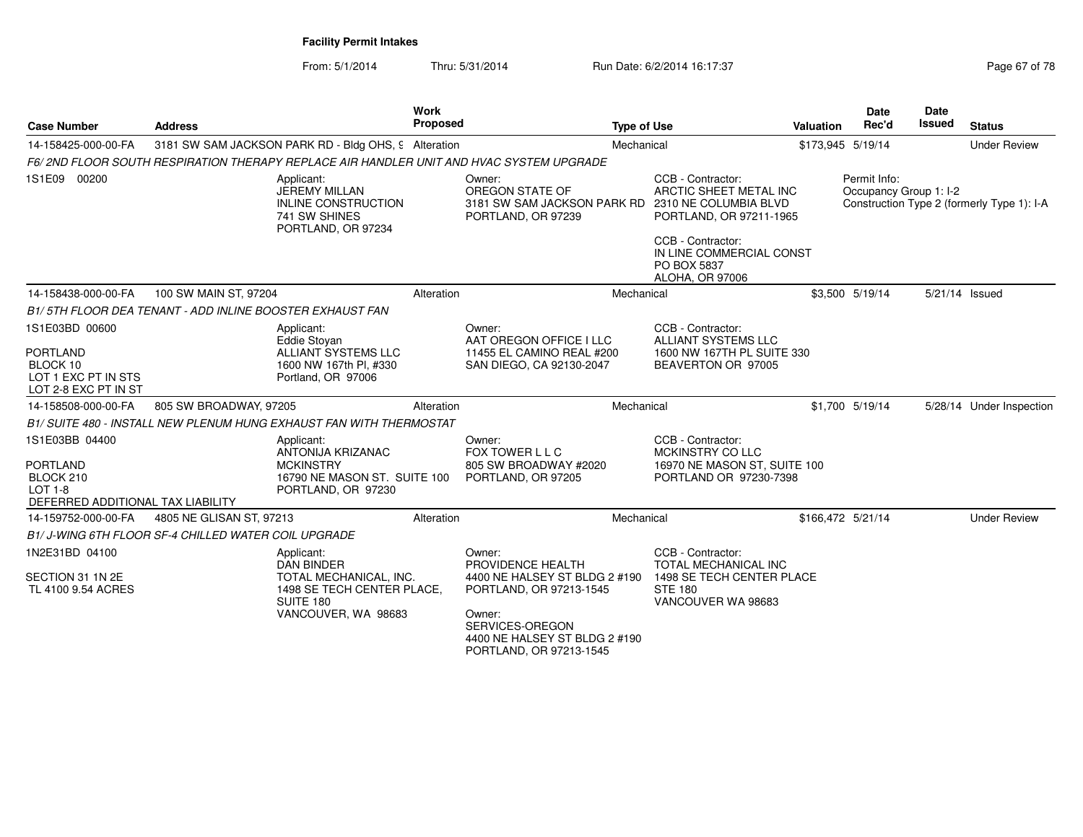From: 5/1/2014Thru: 5/31/2014 Run Date: 6/2/2014 16:17:37 Rege 67 of 78

| <b>Case Number</b>                                                                                    | <b>Address</b>                                                  |                                                                                                                                    | Work<br><b>Proposed</b> |                                                                                                                                                                                  | <b>Type of Use</b>                                                                                                   | Valuation | <b>Date</b><br>Rec'd                   | Date<br>Issued | <b>Status</b>                              |
|-------------------------------------------------------------------------------------------------------|-----------------------------------------------------------------|------------------------------------------------------------------------------------------------------------------------------------|-------------------------|----------------------------------------------------------------------------------------------------------------------------------------------------------------------------------|----------------------------------------------------------------------------------------------------------------------|-----------|----------------------------------------|----------------|--------------------------------------------|
| 14-158425-000-00-FA                                                                                   |                                                                 | 3181 SW SAM JACKSON PARK RD - Bldg OHS, 9 Alteration                                                                               |                         |                                                                                                                                                                                  | Mechanical                                                                                                           |           | \$173,945 5/19/14                      |                | <b>Under Review</b>                        |
|                                                                                                       |                                                                 |                                                                                                                                    |                         | F6/2ND FLOOR SOUTH RESPIRATION THERAPY REPLACE AIR HANDLER UNIT AND HVAC SYSTEM UPGRADE                                                                                          |                                                                                                                      |           |                                        |                |                                            |
| 1S1E09 00200                                                                                          |                                                                 | Applicant:<br>JEREMY MILLAN<br>INLINE CONSTRUCTION<br>741 SW SHINES<br>PORTLAND, OR 97234                                          |                         | Owner:<br>OREGON STATE OF<br>3181 SW SAM JACKSON PARK RD<br>PORTLAND, OR 97239                                                                                                   | CCB - Contractor:<br>ARCTIC SHEET METAL INC<br>2310 NE COLUMBIA BLVD<br>PORTLAND, OR 97211-1965<br>CCB - Contractor: |           | Permit Info:<br>Occupancy Group 1: I-2 |                | Construction Type 2 (formerly Type 1): I-A |
|                                                                                                       |                                                                 |                                                                                                                                    |                         |                                                                                                                                                                                  | IN LINE COMMERCIAL CONST<br>PO BOX 5837<br>ALOHA, OR 97006                                                           |           |                                        |                |                                            |
| 14-158438-000-00-FA                                                                                   | 100 SW MAIN ST, 97204                                           |                                                                                                                                    | Alteration              |                                                                                                                                                                                  | Mechanical                                                                                                           |           | \$3,500 5/19/14                        | 5/21/14 Issued |                                            |
|                                                                                                       | <b>B1/5TH FLOOR DEA TENANT - ADD INLINE BOOSTER EXHAUST FAN</b> |                                                                                                                                    |                         |                                                                                                                                                                                  |                                                                                                                      |           |                                        |                |                                            |
| 1S1E03BD 00600                                                                                        |                                                                 | Applicant:                                                                                                                         |                         | Owner:<br>AAT OREGON OFFICE I LLC                                                                                                                                                | CCB - Contractor:<br><b>ALLIANT SYSTEMS LLC</b>                                                                      |           |                                        |                |                                            |
| <b>PORTLAND</b><br>BLOCK 10<br>LOT 1 EXC PT IN STS<br>LOT 2-8 EXC PT IN ST                            |                                                                 | <b>Eddie Stovan</b><br>ALLIANT SYSTEMS LLC<br>1600 NW 167th Pl, #330<br>Portland, OR 97006                                         |                         | 11455 EL CAMINO REAL #200<br>SAN DIEGO, CA 92130-2047                                                                                                                            | 1600 NW 167TH PL SUITE 330<br>BEAVERTON OR 97005                                                                     |           |                                        |                |                                            |
| 14-158508-000-00-FA                                                                                   | 805 SW BROADWAY, 97205                                          |                                                                                                                                    | Alteration              |                                                                                                                                                                                  | Mechanical                                                                                                           |           | \$1,700 5/19/14                        |                | 5/28/14 Under Inspection                   |
|                                                                                                       |                                                                 | B1/ SUITE 480 - INSTALL NEW PLENUM HUNG EXHAUST FAN WITH THERMOSTAT                                                                |                         |                                                                                                                                                                                  |                                                                                                                      |           |                                        |                |                                            |
| 1S1E03BB 04400<br><b>PORTLAND</b><br>BLOCK 210<br><b>LOT 1-8</b><br>DEFERRED ADDITIONAL TAX LIABILITY |                                                                 | Applicant:<br>ANTONIJA KRIZANAC<br><b>MCKINSTRY</b><br>16790 NE MASON ST. SUITE 100<br>PORTLAND, OR 97230                          |                         | Owner:<br>FOX TOWER L L C<br>805 SW BROADWAY #2020<br>PORTLAND, OR 97205                                                                                                         | CCB - Contractor:<br>MCKINSTRY CO LLC<br>16970 NE MASON ST, SUITE 100<br>PORTLAND OR 97230-7398                      |           |                                        |                |                                            |
| 14-159752-000-00-FA                                                                                   | 4805 NE GLISAN ST, 97213                                        |                                                                                                                                    | Alteration              |                                                                                                                                                                                  | Mechanical                                                                                                           |           | \$166,472 5/21/14                      |                | <b>Under Review</b>                        |
|                                                                                                       | B1/J-WING 6TH FLOOR SF-4 CHILLED WATER COIL UPGRADE             |                                                                                                                                    |                         |                                                                                                                                                                                  |                                                                                                                      |           |                                        |                |                                            |
| 1N2E31BD 04100<br>SECTION 31 1N 2E<br>TL 4100 9.54 ACRES                                              |                                                                 | Applicant:<br><b>DAN BINDER</b><br>TOTAL MECHANICAL, INC.<br>1498 SE TECH CENTER PLACE,<br><b>SUITE 180</b><br>VANCOUVER, WA 98683 |                         | Owner:<br>PROVIDENCE HEALTH<br>4400 NE HALSEY ST BLDG 2 #190<br>PORTLAND, OR 97213-1545<br>Owner:<br>SERVICES-OREGON<br>4400 NE HALSEY ST BLDG 2 #190<br>PORTLAND, OR 97213-1545 | CCB - Contractor:<br>TOTAL MECHANICAL INC<br>1498 SE TECH CENTER PLACE<br><b>STE 180</b><br>VANCOUVER WA 98683       |           |                                        |                |                                            |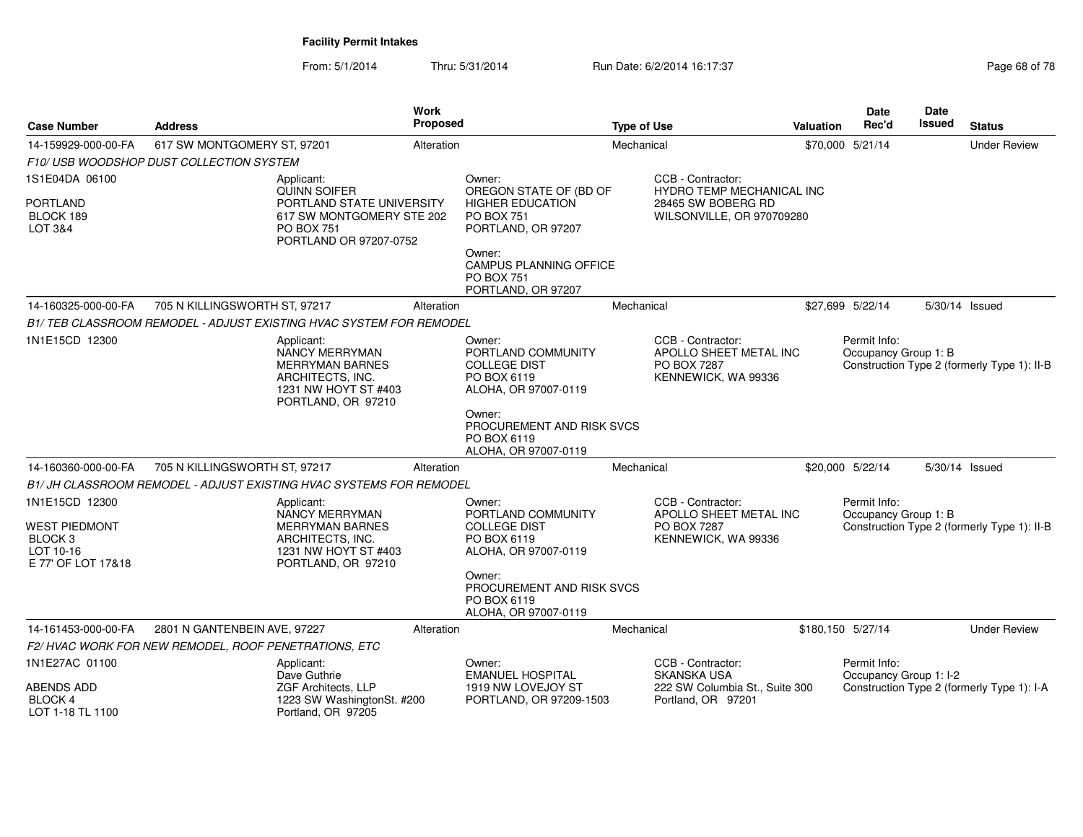| <b>Case Number</b>                                                                              | <b>Address</b>                                                                                                                  | <b>Work</b><br>Proposed |                                                                                            | <b>Type of Use</b>                                                                | Valuation | Date<br>Rec'd                          | Date<br>Issued | <b>Status</b>                               |
|-------------------------------------------------------------------------------------------------|---------------------------------------------------------------------------------------------------------------------------------|-------------------------|--------------------------------------------------------------------------------------------|-----------------------------------------------------------------------------------|-----------|----------------------------------------|----------------|---------------------------------------------|
| 14-159929-000-00-FA                                                                             | 617 SW MONTGOMERY ST, 97201                                                                                                     | Alteration              |                                                                                            | Mechanical                                                                        |           | \$70,000 5/21/14                       |                | <b>Under Review</b>                         |
|                                                                                                 | F10/USB WOODSHOP DUST COLLECTION SYSTEM                                                                                         |                         |                                                                                            |                                                                                   |           |                                        |                |                                             |
| 1S1E04DA 06100                                                                                  | Applicant:<br><b>QUINN SOIFER</b>                                                                                               |                         | Owner:<br>OREGON STATE OF (BD OF                                                           | CCB - Contractor:<br><b>HYDRO TEMP MECHANICAL INC</b>                             |           |                                        |                |                                             |
| <b>PORTLAND</b><br>BLOCK 189<br>LOT 3&4                                                         | PORTLAND STATE UNIVERSITY<br>617 SW MONTGOMERY STE 202<br><b>PO BOX 751</b><br>PORTLAND OR 97207-0752                           |                         | <b>HIGHER EDUCATION</b><br><b>PO BOX 751</b><br>PORTLAND, OR 97207                         | 28465 SW BOBERG RD<br>WILSONVILLE, OR 970709280                                   |           |                                        |                |                                             |
|                                                                                                 |                                                                                                                                 |                         | Owner:<br><b>CAMPUS PLANNING OFFICE</b><br><b>PO BOX 751</b><br>PORTLAND, OR 97207         |                                                                                   |           |                                        |                |                                             |
| 14-160325-000-00-FA                                                                             | 705 N KILLINGSWORTH ST, 97217                                                                                                   | Alteration              |                                                                                            | Mechanical                                                                        |           | \$27,699 5/22/14                       | 5/30/14 Issued |                                             |
|                                                                                                 | B1/ TEB CLASSROOM REMODEL - ADJUST EXISTING HVAC SYSTEM FOR REMODEL                                                             |                         |                                                                                            |                                                                                   |           |                                        |                |                                             |
| 1N1E15CD 12300                                                                                  | Applicant:<br><b>NANCY MERRYMAN</b><br><b>MERRYMAN BARNES</b><br>ARCHITECTS, INC.<br>1231 NW HOYT ST #403<br>PORTLAND, OR 97210 |                         | Owner:<br>PORTLAND COMMUNITY<br><b>COLLEGE DIST</b><br>PO BOX 6119<br>ALOHA, OR 97007-0119 | CCB - Contractor:<br>APOLLO SHEET METAL INC<br>PO BOX 7287<br>KENNEWICK, WA 99336 |           | Permit Info:<br>Occupancy Group 1: B   |                | Construction Type 2 (formerly Type 1): II-B |
|                                                                                                 |                                                                                                                                 |                         | Owner:<br>PROCUREMENT AND RISK SVCS<br>PO BOX 6119<br>ALOHA, OR 97007-0119                 |                                                                                   |           |                                        |                |                                             |
| 14-160360-000-00-FA                                                                             | 705 N KILLINGSWORTH ST, 97217                                                                                                   | Alteration              |                                                                                            | Mechanical                                                                        |           | \$20,000 5/22/14                       | 5/30/14 Issued |                                             |
|                                                                                                 | B1/ JH CLASSROOM REMODEL - ADJUST EXISTING HVAC SYSTEMS FOR REMODEL                                                             |                         |                                                                                            |                                                                                   |           |                                        |                |                                             |
| 1N1E15CD 12300<br><b>WEST PIEDMONT</b><br>BLOCK <sub>3</sub><br>LOT 10-16<br>E 77' OF LOT 17&18 | Applicant:<br>NANCY MERRYMAN<br>MERRYMAN BARNES<br>ARCHITECTS, INC.<br>1231 NW HOYT ST #403<br>PORTLAND, OR 97210               |                         | Owner:<br>PORTLAND COMMUNITY<br><b>COLLEGE DIST</b><br>PO BOX 6119<br>ALOHA, OR 97007-0119 | CCB - Contractor:<br>APOLLO SHEET METAL INC<br>PO BOX 7287<br>KENNEWICK, WA 99336 |           | Permit Info:<br>Occupancy Group 1: B   |                | Construction Type 2 (formerly Type 1): II-B |
|                                                                                                 |                                                                                                                                 |                         | Owner:<br>PROCUREMENT AND RISK SVCS<br>PO BOX 6119<br>ALOHA, OR 97007-0119                 |                                                                                   |           |                                        |                |                                             |
| 14-161453-000-00-FA                                                                             | 2801 N GANTENBEIN AVE, 97227                                                                                                    | Alteration              |                                                                                            | Mechanical                                                                        |           | \$180,150 5/27/14                      |                | <b>Under Review</b>                         |
|                                                                                                 | F2/HVAC WORK FOR NEW REMODEL, ROOF PENETRATIONS, ETC                                                                            |                         |                                                                                            |                                                                                   |           |                                        |                |                                             |
| 1N1E27AC 01100                                                                                  | Applicant:<br>Dave Guthrie                                                                                                      |                         | Owner:<br><b>EMANUEL HOSPITAL</b>                                                          | CCB - Contractor:<br><b>SKANSKA USA</b>                                           |           | Permit Info:<br>Occupancy Group 1: I-2 |                |                                             |
| <b>ABENDS ADD</b><br>BLOCK 4<br>LOT 1-18 TL 1100                                                | ZGF Architects, LLP<br>1223 SW WashingtonSt. #200<br>Portland, OR 97205                                                         |                         | 1919 NW LOVEJOY ST<br>PORTLAND, OR 97209-1503                                              | 222 SW Columbia St., Suite 300<br>Portland, OR 97201                              |           |                                        |                | Construction Type 2 (formerly Type 1): I-A  |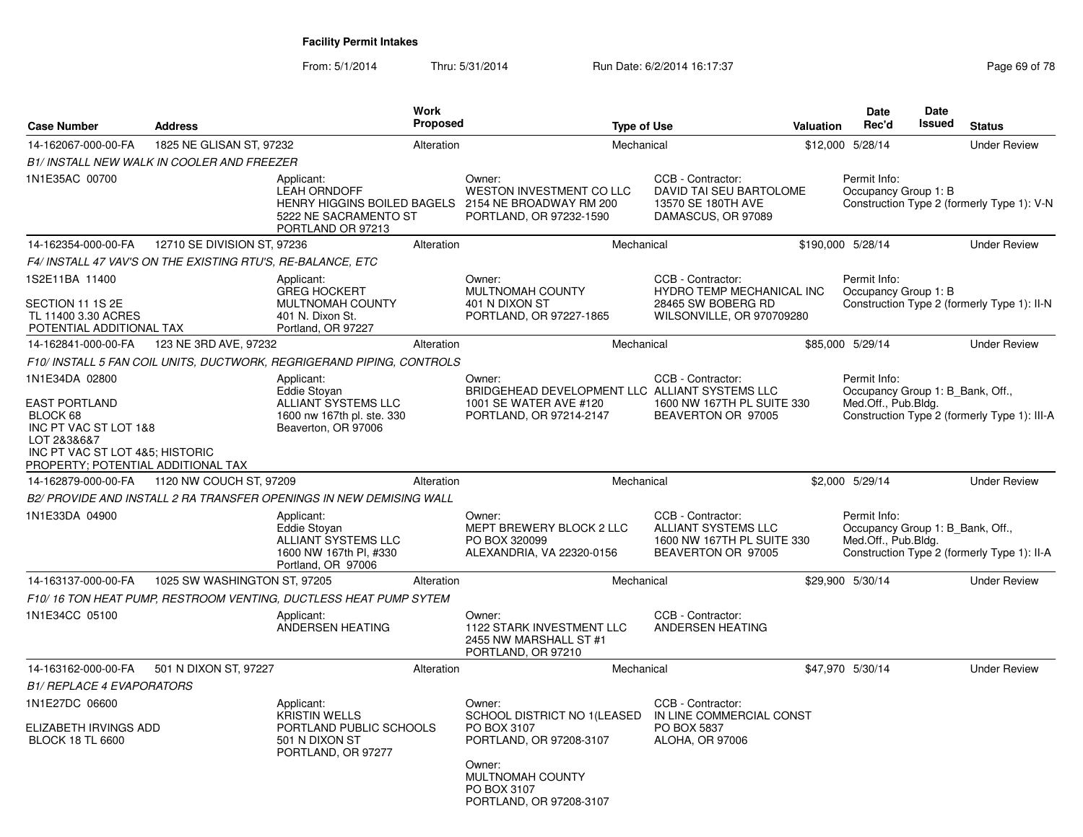| <b>Case Number</b>                                                                                                        | <b>Address</b>               |                                                                                                                | <b>Work</b><br><b>Proposed</b> |                                                                                          | <b>Type of Use</b>                                                                                | <b>Valuation</b> | Date<br>Rec'd                                                           | <b>Date</b><br>Issued | <b>Status</b>                                |
|---------------------------------------------------------------------------------------------------------------------------|------------------------------|----------------------------------------------------------------------------------------------------------------|--------------------------------|------------------------------------------------------------------------------------------|---------------------------------------------------------------------------------------------------|------------------|-------------------------------------------------------------------------|-----------------------|----------------------------------------------|
| 14-162067-000-00-FA                                                                                                       | 1825 NE GLISAN ST, 97232     |                                                                                                                | Alteration                     | Mechanical                                                                               |                                                                                                   |                  | \$12,000 5/28/14                                                        |                       | <b>Under Review</b>                          |
| B1/ INSTALL NEW WALK IN COOLER AND FREEZER                                                                                |                              |                                                                                                                |                                |                                                                                          |                                                                                                   |                  |                                                                         |                       |                                              |
| 1N1E35AC 00700                                                                                                            |                              | Applicant:<br><b>LEAH ORNDOFF</b><br>HENRY HIGGINS BOILED BAGELS<br>5222 NE SACRAMENTO ST<br>PORTLAND OR 97213 |                                | Owner:<br>WESTON INVESTMENT CO LLC<br>2154 NE BROADWAY RM 200<br>PORTLAND, OR 97232-1590 | CCB - Contractor:<br>DAVID TAI SEU BARTOLOME<br>13570 SE 180TH AVE<br>DAMASCUS, OR 97089          |                  | Permit Info:<br>Occupancy Group 1: B                                    |                       | Construction Type 2 (formerly Type 1): V-N   |
| 14-162354-000-00-FA                                                                                                       | 12710 SE DIVISION ST, 97236  |                                                                                                                | Alteration                     | Mechanical                                                                               |                                                                                                   |                  | \$190,000 5/28/14                                                       |                       | <b>Under Review</b>                          |
| F4/ INSTALL 47 VAV'S ON THE EXISTING RTU'S, RE-BALANCE, ETC                                                               |                              |                                                                                                                |                                |                                                                                          |                                                                                                   |                  |                                                                         |                       |                                              |
| 1S2E11BA 11400<br>SECTION 11 1S 2E<br>TL 11400 3.30 ACRES<br>POTENTIAL ADDITIONAL TAX                                     |                              | Applicant:<br><b>GREG HOCKERT</b><br>MULTNOMAH COUNTY<br>401 N. Dixon St.<br>Portland, OR 97227                |                                | Owner:<br>MULTNOMAH COUNTY<br>401 N DIXON ST<br>PORTLAND, OR 97227-1865                  | CCB - Contractor:<br>HYDRO TEMP MECHANICAL INC<br>28465 SW BOBERG RD<br>WILSONVILLE, OR 970709280 |                  | Permit Info:<br>Occupancy Group 1: B                                    |                       | Construction Type 2 (formerly Type 1): II-N  |
| 14-162841-000-00-FA                                                                                                       | 123 NE 3RD AVE, 97232        |                                                                                                                | Alteration                     | Mechanical                                                                               |                                                                                                   |                  | \$85,000 5/29/14                                                        |                       | <b>Under Review</b>                          |
|                                                                                                                           |                              | F10/ INSTALL 5 FAN COIL UNITS. DUCTWORK. REGRIGERAND PIPING. CONTROLS                                          |                                |                                                                                          |                                                                                                   |                  |                                                                         |                       |                                              |
| 1N1E34DA 02800<br><b>EAST PORTLAND</b>                                                                                    |                              | Applicant:<br>Eddie Stoyan<br>ALLIANT SYSTEMS LLC                                                              |                                | Owner:<br>BRIDGEHEAD DEVELOPMENT LLC ALLIANT SYSTEMS LLC<br>1001 SE WATER AVE #120       | CCB - Contractor:<br>1600 NW 167TH PL SUITE 330                                                   |                  | Permit Info:<br>Occupancy Group 1: B_Bank, Off.,<br>Med.Off., Pub.Bldg. |                       |                                              |
| BLOCK 68<br>INC PT VAC ST LOT 1&8<br>LOT 2&3&6&7<br>INC PT VAC ST LOT 4&5; HISTORIC<br>PROPERTY; POTENTIAL ADDITIONAL TAX |                              | 1600 nw 167th pl. ste. 330<br>Beaverton, OR 97006                                                              |                                | PORTLAND, OR 97214-2147                                                                  | BEAVERTON OR 97005                                                                                |                  |                                                                         |                       | Construction Type 2 (formerly Type 1): III-A |
| 14-162879-000-00-FA                                                                                                       | 1120 NW COUCH ST, 97209      |                                                                                                                | Alteration                     | Mechanical                                                                               |                                                                                                   |                  | \$2,000 5/29/14                                                         |                       | <b>Under Review</b>                          |
|                                                                                                                           |                              | B2/ PROVIDE AND INSTALL 2 RA TRANSFER OPENINGS IN NEW DEMISING WALL                                            |                                |                                                                                          |                                                                                                   |                  |                                                                         |                       |                                              |
| 1N1E33DA 04900                                                                                                            |                              | Applicant:<br>Eddie Stovan<br>ALLIANT SYSTEMS LLC<br>1600 NW 167th Pl, #330<br>Portland, OR 97006              |                                | Owner:<br>MEPT BREWERY BLOCK 2 LLC<br>PO BOX 320099<br>ALEXANDRIA, VA 22320-0156         | CCB - Contractor:<br>ALLIANT SYSTEMS LLC<br>1600 NW 167TH PL SUITE 330<br>BEAVERTON OR 97005      |                  | Permit Info:<br>Occupancy Group 1: B Bank, Off.,<br>Med.Off., Pub.Bldg. |                       | Construction Type 2 (formerly Type 1): II-A  |
| 14-163137-000-00-FA                                                                                                       | 1025 SW WASHINGTON ST, 97205 |                                                                                                                | Alteration                     | Mechanical                                                                               |                                                                                                   |                  | \$29,900 5/30/14                                                        |                       | <b>Under Review</b>                          |
|                                                                                                                           |                              | F10/16 TON HEAT PUMP, RESTROOM VENTING, DUCTLESS HEAT PUMP SYTEM                                               |                                |                                                                                          |                                                                                                   |                  |                                                                         |                       |                                              |
| 1N1E34CC 05100                                                                                                            |                              | Applicant:<br>ANDERSEN HEATING                                                                                 |                                | Owner:<br>1122 STARK INVESTMENT LLC<br>2455 NW MARSHALL ST #1<br>PORTLAND, OR 97210      | CCB - Contractor:<br>ANDERSEN HEATING                                                             |                  |                                                                         |                       |                                              |
| 14-163162-000-00-FA                                                                                                       | 501 N DIXON ST, 97227        |                                                                                                                | Alteration                     | Mechanical                                                                               |                                                                                                   |                  | \$47,970 5/30/14                                                        |                       | <b>Under Review</b>                          |
| <b>B1/ REPLACE 4 EVAPORATORS</b>                                                                                          |                              |                                                                                                                |                                |                                                                                          |                                                                                                   |                  |                                                                         |                       |                                              |
| 1N1E27DC 06600                                                                                                            |                              | Applicant:                                                                                                     |                                | Owner:                                                                                   | CCB - Contractor:                                                                                 |                  |                                                                         |                       |                                              |
| ELIZABETH IRVINGS ADD<br><b>BLOCK 18 TL 6600</b>                                                                          |                              | <b>KRISTIN WELLS</b><br>PORTLAND PUBLIC SCHOOLS<br>501 N DIXON ST<br>PORTLAND, OR 97277                        |                                | SCHOOL DISTRICT NO 1(LEASED<br>PO BOX 3107<br>PORTLAND, OR 97208-3107                    | IN LINE COMMERCIAL CONST<br>PO BOX 5837<br>ALOHA, OR 97006                                        |                  |                                                                         |                       |                                              |
|                                                                                                                           |                              |                                                                                                                |                                | Owner:<br>MULTNOMAH COUNTY<br>PO BOX 3107<br>PORTLAND, OR 97208-3107                     |                                                                                                   |                  |                                                                         |                       |                                              |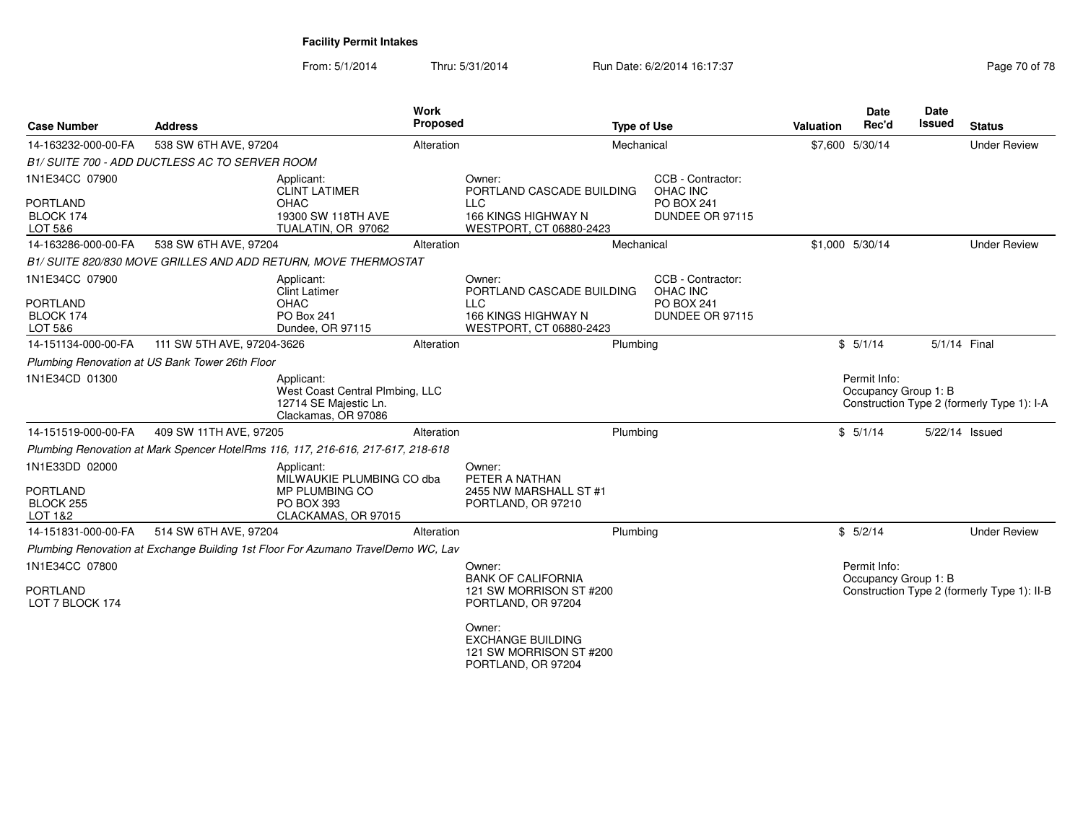| <b>Case Number</b>                                        | <b>Address</b>                                                                   |                                                                                                       | <b>Proposed</b>                                                                                     | <b>Type of Use</b> |                                                                       | <b>Valuation</b> | Date<br>Rec'd                        | <b>Date</b><br>Issued | <b>Status</b>                               |
|-----------------------------------------------------------|----------------------------------------------------------------------------------|-------------------------------------------------------------------------------------------------------|-----------------------------------------------------------------------------------------------------|--------------------|-----------------------------------------------------------------------|------------------|--------------------------------------|-----------------------|---------------------------------------------|
| 14-163232-000-00-FA                                       | 538 SW 6TH AVE, 97204                                                            | Alteration                                                                                            |                                                                                                     | Mechanical         |                                                                       |                  | \$7,600 5/30/14                      |                       | <b>Under Review</b>                         |
|                                                           | B1/ SUITE 700 - ADD DUCTLESS AC TO SERVER ROOM                                   |                                                                                                       |                                                                                                     |                    |                                                                       |                  |                                      |                       |                                             |
| 1N1E34CC 07900<br><b>PORTLAND</b><br>BLOCK 174<br>LOT 5&6 | OHAC                                                                             | Applicant:<br><b>CLINT LATIMER</b><br>19300 SW 118TH AVE<br>TUALATIN, OR 97062                        | Owner:<br>PORTLAND CASCADE BUILDING<br><b>LLC</b><br>166 KINGS HIGHWAY N<br>WESTPORT, CT 06880-2423 |                    | CCB - Contractor:<br>OHAC INC<br><b>PO BOX 241</b><br>DUNDEE OR 97115 |                  |                                      |                       |                                             |
| 14-163286-000-00-FA                                       | 538 SW 6TH AVE, 97204                                                            | Alteration                                                                                            |                                                                                                     | Mechanical         |                                                                       |                  | \$1,000 5/30/14                      |                       | <b>Under Review</b>                         |
|                                                           | B1/ SUITE 820/830 MOVE GRILLES AND ADD RETURN, MOVE THERMOSTAT                   |                                                                                                       |                                                                                                     |                    |                                                                       |                  |                                      |                       |                                             |
| 1N1E34CC 07900<br><b>PORTLAND</b><br>BLOCK 174<br>LOT 5&6 | <b>OHAC</b>                                                                      | Applicant:<br><b>Clint Latimer</b><br>PO Box 241<br>Dundee, OR 97115                                  | Owner:<br>PORTLAND CASCADE BUILDING<br><b>LLC</b><br>166 KINGS HIGHWAY N<br>WESTPORT, CT 06880-2423 |                    | CCB - Contractor:<br>OHAC INC<br><b>PO BOX 241</b><br>DUNDEE OR 97115 |                  |                                      |                       |                                             |
| 14-151134-000-00-FA                                       | 111 SW 5TH AVE, 97204-3626                                                       | Alteration                                                                                            |                                                                                                     | Plumbing           |                                                                       |                  | \$5/1/14                             | 5/1/14 Final          |                                             |
|                                                           | Plumbing Renovation at US Bank Tower 26th Floor                                  |                                                                                                       |                                                                                                     |                    |                                                                       |                  |                                      |                       |                                             |
| 1N1E34CD 01300                                            |                                                                                  | Applicant:<br>West Coast Central Plmbing, LLC<br>12714 SE Majestic Ln.<br>Clackamas, OR 97086         |                                                                                                     |                    |                                                                       |                  | Permit Info:<br>Occupancy Group 1: B |                       | Construction Type 2 (formerly Type 1): I-A  |
| 14-151519-000-00-FA                                       | 409 SW 11TH AVE, 97205                                                           | Alteration                                                                                            |                                                                                                     | Plumbing           |                                                                       |                  | \$5/1/14                             | 5/22/14 Issued        |                                             |
|                                                           | Plumbing Renovation at Mark Spencer HotelRms 116, 117, 216-616, 217-617, 218-618 |                                                                                                       |                                                                                                     |                    |                                                                       |                  |                                      |                       |                                             |
| 1N1E33DD 02000<br><b>PORTLAND</b><br>BLOCK 255<br>LOT 1&2 |                                                                                  | Applicant:<br>MILWAUKIE PLUMBING CO dba<br>MP PLUMBING CO<br><b>PO BOX 393</b><br>CLACKAMAS, OR 97015 | Owner:<br>PETER A NATHAN<br>2455 NW MARSHALL ST #1<br>PORTLAND, OR 97210                            |                    |                                                                       |                  |                                      |                       |                                             |
| 14-151831-000-00-FA                                       | 514 SW 6TH AVE, 97204                                                            | Alteration                                                                                            |                                                                                                     | Plumbing           |                                                                       |                  | \$5/2/14                             |                       | <b>Under Review</b>                         |
|                                                           |                                                                                  | Plumbing Renovation at Exchange Building 1st Floor For Azumano TravelDemo WC, Lav                     |                                                                                                     |                    |                                                                       |                  |                                      |                       |                                             |
| 1N1E34CC 07800<br><b>PORTLAND</b><br>LOT 7 BLOCK 174      |                                                                                  |                                                                                                       | Owner:<br><b>BANK OF CALIFORNIA</b><br>121 SW MORRISON ST #200<br>PORTLAND, OR 97204                |                    |                                                                       |                  | Permit Info:<br>Occupancy Group 1: B |                       | Construction Type 2 (formerly Type 1): II-B |
|                                                           |                                                                                  |                                                                                                       | Owner:<br><b>EXCHANGE BUILDING</b><br>121 SW MORRISON ST #200<br>PORTLAND, OR 97204                 |                    |                                                                       |                  |                                      |                       |                                             |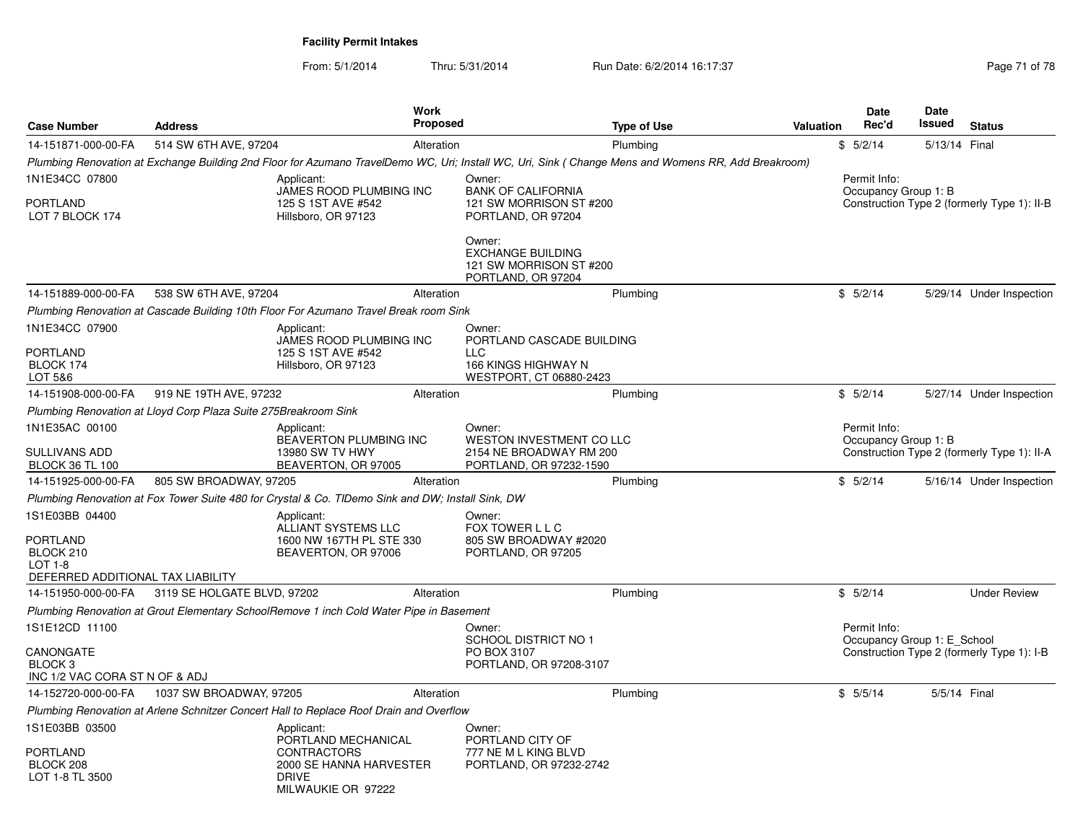|                                                                   |                                                                                    |                                                                                                            | <b>Work</b>     |                                                                                                     |                                                                                                                                                     |                                      | <b>Date</b>                                 | <b>Date</b>   |                                             |
|-------------------------------------------------------------------|------------------------------------------------------------------------------------|------------------------------------------------------------------------------------------------------------|-----------------|-----------------------------------------------------------------------------------------------------|-----------------------------------------------------------------------------------------------------------------------------------------------------|--------------------------------------|---------------------------------------------|---------------|---------------------------------------------|
| <b>Case Number</b>                                                | <b>Address</b>                                                                     |                                                                                                            | <b>Proposed</b> |                                                                                                     | <b>Type of Use</b>                                                                                                                                  | Valuation                            | Rec'd                                       | Issued        | <b>Status</b>                               |
| 14-151871-000-00-FA                                               | 514 SW 6TH AVE, 97204                                                              |                                                                                                            | Alteration      |                                                                                                     | Plumbing                                                                                                                                            |                                      | \$5/2/14                                    | 5/13/14 Final |                                             |
|                                                                   |                                                                                    |                                                                                                            |                 |                                                                                                     | Plumbing Renovation at Exchange Building 2nd Floor for Azumano TravelDemo WC, Uri; Install WC, Uri, Sink (Change Mens and Womens RR, Add Breakroom) |                                      |                                             |               |                                             |
| 1N1E34CC 07800<br>PORTLAND<br>LOT 7 BLOCK 174                     | Applicant:<br>JAMES ROOD PLUMBING INC<br>125 S 1ST AVE #542<br>Hillsboro, OR 97123 |                                                                                                            |                 | Owner:<br><b>BANK OF CALIFORNIA</b><br>121 SW MORRISON ST #200<br>PORTLAND, OR 97204                |                                                                                                                                                     | Permit Info:<br>Occupancy Group 1: B |                                             |               | Construction Type 2 (formerly Type 1): II-B |
|                                                                   |                                                                                    |                                                                                                            |                 | Owner:<br><b>EXCHANGE BUILDING</b><br>121 SW MORRISON ST #200<br>PORTLAND, OR 97204                 |                                                                                                                                                     |                                      |                                             |               |                                             |
| 14-151889-000-00-FA                                               | 538 SW 6TH AVE, 97204                                                              |                                                                                                            | Alteration      |                                                                                                     | Plumbing                                                                                                                                            |                                      | \$5/2/14                                    |               | 5/29/14 Under Inspection                    |
|                                                                   |                                                                                    | Plumbing Renovation at Cascade Building 10th Floor For Azumano Travel Break room Sink                      |                 |                                                                                                     |                                                                                                                                                     |                                      |                                             |               |                                             |
| 1N1E34CC 07900<br>PORTLAND<br>BLOCK 174<br>LOT 5&6                |                                                                                    | Applicant:<br>JAMES ROOD PLUMBING INC<br>125 S 1ST AVE #542<br>Hillsboro, OR 97123                         |                 | Owner:<br>PORTLAND CASCADE BUILDING<br><b>LLC</b><br>166 KINGS HIGHWAY N<br>WESTPORT, CT 06880-2423 |                                                                                                                                                     |                                      |                                             |               |                                             |
| 14-151908-000-00-FA                                               | 919 NE 19TH AVE, 97232                                                             |                                                                                                            | Alteration      |                                                                                                     | Plumbing                                                                                                                                            |                                      | \$5/2/14                                    |               | 5/27/14 Under Inspection                    |
|                                                                   | Plumbing Renovation at Lloyd Corp Plaza Suite 275Breakroom Sink                    |                                                                                                            |                 |                                                                                                     |                                                                                                                                                     |                                      |                                             |               |                                             |
| 1N1E35AC 00100                                                    |                                                                                    | Applicant:<br><b>BEAVERTON PLUMBING INC</b>                                                                |                 | Owner:<br>WESTON INVESTMENT CO LLC                                                                  |                                                                                                                                                     |                                      | Permit Info:<br>Occupancy Group 1: B        |               |                                             |
| SULLIVANS ADD<br><b>BLOCK 36 TL 100</b>                           |                                                                                    | 13980 SW TV HWY<br>BEAVERTON, OR 97005                                                                     |                 | 2154 NE BROADWAY RM 200<br>PORTLAND, OR 97232-1590                                                  |                                                                                                                                                     |                                      |                                             |               | Construction Type 2 (formerly Type 1): II-A |
| 14-151925-000-00-FA                                               | 805 SW BROADWAY, 97205                                                             |                                                                                                            | Alteration      |                                                                                                     | Plumbing                                                                                                                                            |                                      | \$5/2/14                                    |               | 5/16/14 Under Inspection                    |
|                                                                   |                                                                                    | Plumbing Renovation at Fox Tower Suite 480 for Crystal & Co. TIDemo Sink and DW; Install Sink, DW          |                 |                                                                                                     |                                                                                                                                                     |                                      |                                             |               |                                             |
| 1S1E03BB 04400<br>PORTLAND                                        |                                                                                    | Applicant:<br>ALLIANT SYSTEMS LLC<br>1600 NW 167TH PL STE 330                                              |                 | Owner:<br>FOX TOWER L L C<br>805 SW BROADWAY #2020                                                  |                                                                                                                                                     |                                      |                                             |               |                                             |
| BLOCK 210<br>LOT 1-8<br>DEFERRED ADDITIONAL TAX LIABILITY         |                                                                                    | BEAVERTON, OR 97006                                                                                        |                 | PORTLAND, OR 97205                                                                                  |                                                                                                                                                     |                                      |                                             |               |                                             |
| 14-151950-000-00-FA                                               | 3119 SE HOLGATE BLVD, 97202                                                        |                                                                                                            | Alteration      |                                                                                                     | Plumbing                                                                                                                                            |                                      | \$5/2/14                                    |               | <b>Under Review</b>                         |
|                                                                   |                                                                                    | Plumbing Renovation at Grout Elementary SchoolRemove 1 inch Cold Water Pipe in Basement                    |                 |                                                                                                     |                                                                                                                                                     |                                      |                                             |               |                                             |
| 1S1E12CD 11100                                                    |                                                                                    |                                                                                                            |                 | Owner:<br><b>SCHOOL DISTRICT NO 1</b>                                                               |                                                                                                                                                     |                                      | Permit Info:<br>Occupancy Group 1: E_School |               |                                             |
| CANONGATE<br>BLOCK <sub>3</sub><br>INC 1/2 VAC CORA ST N OF & ADJ |                                                                                    |                                                                                                            |                 | PO BOX 3107<br>PORTLAND, OR 97208-3107                                                              |                                                                                                                                                     |                                      |                                             |               | Construction Type 2 (formerly Type 1): I-B  |
| 14-152720-000-00-FA                                               | 1037 SW BROADWAY, 97205                                                            |                                                                                                            | Alteration      |                                                                                                     | Plumbing                                                                                                                                            |                                      | \$5/5/14                                    | 5/5/14 Final  |                                             |
|                                                                   |                                                                                    | Plumbing Renovation at Arlene Schnitzer Concert Hall to Replace Roof Drain and Overflow                    |                 |                                                                                                     |                                                                                                                                                     |                                      |                                             |               |                                             |
| 1S1E03BB 03500                                                    |                                                                                    | Applicant:                                                                                                 |                 | Owner:                                                                                              |                                                                                                                                                     |                                      |                                             |               |                                             |
| PORTLAND<br>BLOCK 208<br>LOT 1-8 TL 3500                          |                                                                                    | PORTLAND MECHANICAL<br><b>CONTRACTORS</b><br>2000 SE HANNA HARVESTER<br><b>DRIVE</b><br>MILWAUKIE OR 97222 |                 | PORTLAND CITY OF<br>777 NE M L KING BLVD<br>PORTLAND, OR 97232-2742                                 |                                                                                                                                                     |                                      |                                             |               |                                             |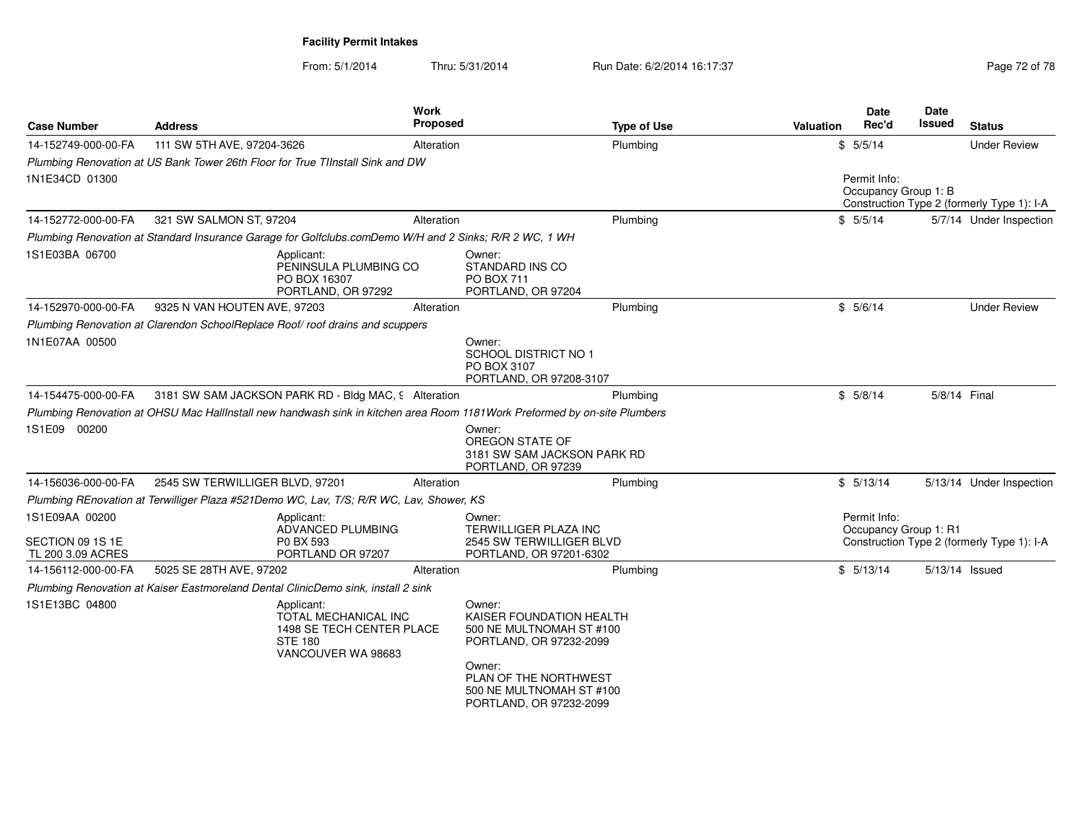| 111 SW 5TH AVE, 97204-3626<br>Plumbing Renovation at US Bank Tower 26th Floor for True TIInstall Sink and DW | Alteration        |                                                                                                                                                                                                                                                                                                         | Plumbing                                                                                                                                                                                                                                                                                                                                                                                                  |                                                                                                                                                                                                                                                                                                                                                               |                                      |                                                            |                                                                     |
|--------------------------------------------------------------------------------------------------------------|-------------------|---------------------------------------------------------------------------------------------------------------------------------------------------------------------------------------------------------------------------------------------------------------------------------------------------------|-----------------------------------------------------------------------------------------------------------------------------------------------------------------------------------------------------------------------------------------------------------------------------------------------------------------------------------------------------------------------------------------------------------|---------------------------------------------------------------------------------------------------------------------------------------------------------------------------------------------------------------------------------------------------------------------------------------------------------------------------------------------------------------|--------------------------------------|------------------------------------------------------------|---------------------------------------------------------------------|
|                                                                                                              |                   |                                                                                                                                                                                                                                                                                                         |                                                                                                                                                                                                                                                                                                                                                                                                           |                                                                                                                                                                                                                                                                                                                                                               | \$5/5/14                             |                                                            | <b>Under Review</b>                                                 |
|                                                                                                              |                   |                                                                                                                                                                                                                                                                                                         |                                                                                                                                                                                                                                                                                                                                                                                                           |                                                                                                                                                                                                                                                                                                                                                               |                                      |                                                            |                                                                     |
|                                                                                                              |                   |                                                                                                                                                                                                                                                                                                         |                                                                                                                                                                                                                                                                                                                                                                                                           |                                                                                                                                                                                                                                                                                                                                                               | Permit Info:<br>Occupancy Group 1: B |                                                            | Construction Type 2 (formerly Type 1): I-A                          |
| 321 SW SALMON ST, 97204                                                                                      | Alteration        |                                                                                                                                                                                                                                                                                                         |                                                                                                                                                                                                                                                                                                                                                                                                           |                                                                                                                                                                                                                                                                                                                                                               |                                      |                                                            | 5/7/14 Under Inspection                                             |
|                                                                                                              |                   |                                                                                                                                                                                                                                                                                                         |                                                                                                                                                                                                                                                                                                                                                                                                           |                                                                                                                                                                                                                                                                                                                                                               |                                      |                                                            |                                                                     |
| Applicant:<br>PO BOX 16307<br>PORTLAND, OR 97292                                                             |                   | Owner:<br><b>PO BOX 711</b>                                                                                                                                                                                                                                                                             |                                                                                                                                                                                                                                                                                                                                                                                                           |                                                                                                                                                                                                                                                                                                                                                               |                                      |                                                            |                                                                     |
| 9325 N VAN HOUTEN AVE, 97203                                                                                 | Alteration        |                                                                                                                                                                                                                                                                                                         |                                                                                                                                                                                                                                                                                                                                                                                                           |                                                                                                                                                                                                                                                                                                                                                               |                                      |                                                            | <b>Under Review</b>                                                 |
|                                                                                                              |                   |                                                                                                                                                                                                                                                                                                         |                                                                                                                                                                                                                                                                                                                                                                                                           |                                                                                                                                                                                                                                                                                                                                                               |                                      |                                                            |                                                                     |
|                                                                                                              |                   | Owner:<br><b>SCHOOL DISTRICT NO 1</b><br>PO BOX 3107                                                                                                                                                                                                                                                    |                                                                                                                                                                                                                                                                                                                                                                                                           |                                                                                                                                                                                                                                                                                                                                                               |                                      |                                                            |                                                                     |
|                                                                                                              |                   |                                                                                                                                                                                                                                                                                                         |                                                                                                                                                                                                                                                                                                                                                                                                           |                                                                                                                                                                                                                                                                                                                                                               |                                      | 5/8/14 Final                                               |                                                                     |
|                                                                                                              |                   |                                                                                                                                                                                                                                                                                                         |                                                                                                                                                                                                                                                                                                                                                                                                           |                                                                                                                                                                                                                                                                                                                                                               |                                      |                                                            |                                                                     |
|                                                                                                              |                   | Owner:<br>PORTLAND, OR 97239                                                                                                                                                                                                                                                                            |                                                                                                                                                                                                                                                                                                                                                                                                           |                                                                                                                                                                                                                                                                                                                                                               |                                      |                                                            |                                                                     |
| 2545 SW TERWILLIGER BLVD, 97201                                                                              | Alteration        |                                                                                                                                                                                                                                                                                                         |                                                                                                                                                                                                                                                                                                                                                                                                           |                                                                                                                                                                                                                                                                                                                                                               |                                      |                                                            | 5/13/14 Under Inspection                                            |
|                                                                                                              |                   |                                                                                                                                                                                                                                                                                                         |                                                                                                                                                                                                                                                                                                                                                                                                           |                                                                                                                                                                                                                                                                                                                                                               |                                      |                                                            |                                                                     |
| Applicant:<br>ADVANCED PLUMBING<br>P0 BX 593                                                                 |                   | Owner:                                                                                                                                                                                                                                                                                                  |                                                                                                                                                                                                                                                                                                                                                                                                           |                                                                                                                                                                                                                                                                                                                                                               | Permit Info:                         |                                                            |                                                                     |
| 5025 SE 28TH AVE, 97202                                                                                      | Alteration        |                                                                                                                                                                                                                                                                                                         |                                                                                                                                                                                                                                                                                                                                                                                                           |                                                                                                                                                                                                                                                                                                                                                               |                                      | 5/13/14 Issued                                             |                                                                     |
|                                                                                                              |                   |                                                                                                                                                                                                                                                                                                         |                                                                                                                                                                                                                                                                                                                                                                                                           |                                                                                                                                                                                                                                                                                                                                                               |                                      |                                                            |                                                                     |
| Applicant:<br><b>STE 180</b><br>VANCOUVER WA 98683                                                           |                   | Owner:<br>Owner:                                                                                                                                                                                                                                                                                        |                                                                                                                                                                                                                                                                                                                                                                                                           |                                                                                                                                                                                                                                                                                                                                                               |                                      |                                                            |                                                                     |
|                                                                                                              | PORTLAND OR 97207 | PENINSULA PLUMBING CO<br>Plumbing Renovation at Clarendon SchoolReplace Roof/roof drains and scuppers<br>3181 SW SAM JACKSON PARK RD - Bldg MAC, 9 Alteration<br>Plumbing Renovation at Kaiser Eastmoreland Dental ClinicDemo sink, install 2 sink<br>TOTAL MECHANICAL INC<br>1498 SE TECH CENTER PLACE | Plumbing Renovation at Standard Insurance Garage for Golfclubs.comDemo W/H and 2 Sinks; R/R 2 WC, 1 WH<br>STANDARD INS CO<br>PORTLAND, OR 97204<br>PORTLAND, OR 97208-3107<br>OREGON STATE OF<br>Plumbing REnovation at Terwilliger Plaza #521Demo WC, Lav, T/S; R/R WC, Lav, Shower, KS<br><b>TERWILLIGER PLAZA INC</b><br>PORTLAND, OR 97201-6302<br>PORTLAND, OR 97232-2099<br>PORTLAND, OR 97232-2099 | Plumbing<br>Plumbing<br>Plumbing<br>Plumbing Renovation at OHSU Mac HallInstall new handwash sink in kitchen area Room 1181Work Preformed by on-site Plumbers<br>3181 SW SAM JACKSON PARK RD<br>Plumbing<br>2545 SW TERWILLIGER BLVD<br>Plumbing<br>KAISER FOUNDATION HEALTH<br>500 NE MULTNOMAH ST #100<br>PLAN OF THE NORTHWEST<br>500 NE MULTNOMAH ST #100 |                                      | \$5/5/14<br>\$5/6/14<br>\$5/8/14<br>\$5/13/14<br>\$5/13/14 | Occupancy Group 1: R1<br>Construction Type 2 (formerly Type 1): I-A |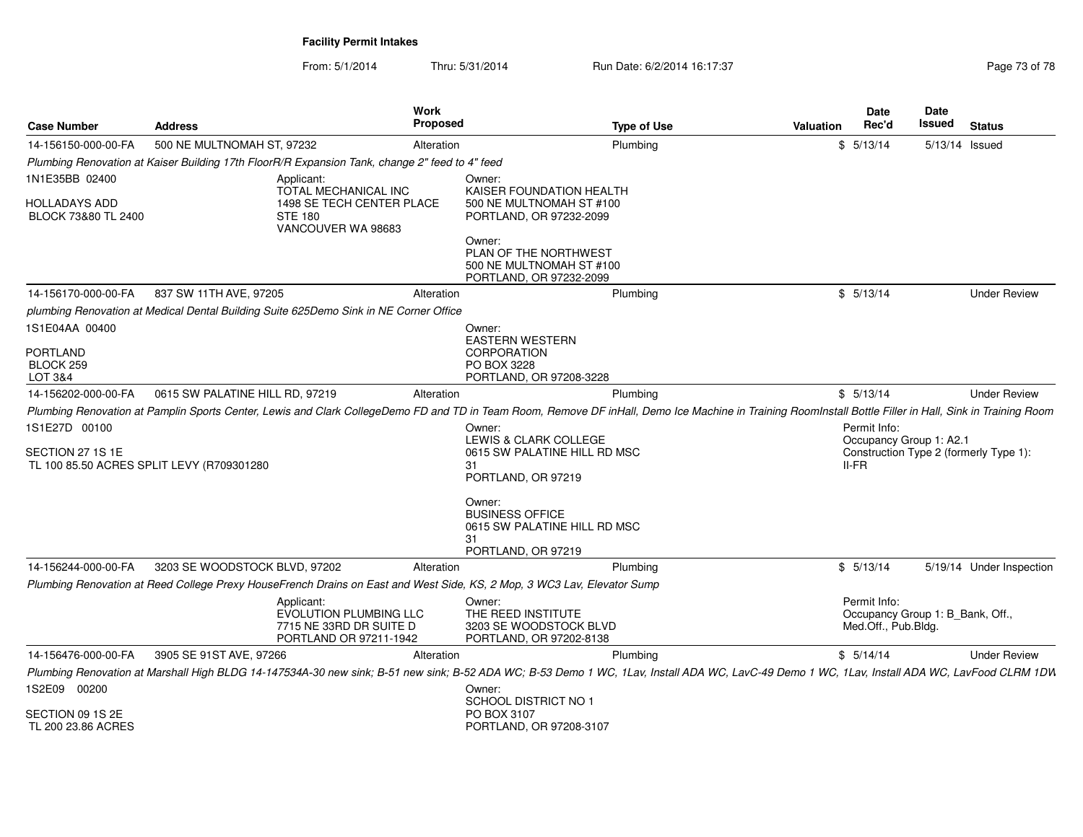| 500 NE MULTNOMAH ST, 97232<br>Plumbing<br>5/13/14<br>14-156150-000-00-FA<br>Alteration<br>\$                                                                                                              |                                                                         | 5/13/14 Issued           |
|-----------------------------------------------------------------------------------------------------------------------------------------------------------------------------------------------------------|-------------------------------------------------------------------------|--------------------------|
| Plumbing Renovation at Kaiser Building 17th FloorR/R Expansion Tank, change 2" feed to 4" feed                                                                                                            |                                                                         |                          |
| 1N1E35BB 02400<br>Applicant:<br>Owner:<br>TOTAL MECHANICAL INC<br>KAISER FOUNDATION HEALTH                                                                                                                |                                                                         |                          |
| HOLLADAYS ADD<br>1498 SE TECH CENTER PLACE<br>500 NE MULTNOMAH ST #100<br>BLOCK 73&80 TL 2400<br><b>STE 180</b><br>PORTLAND, OR 97232-2099<br>VANCOUVER WA 98683                                          |                                                                         |                          |
| Owner:<br>PLAN OF THE NORTHWEST<br>500 NE MULTNOMAH ST #100<br>PORTLAND, OR 97232-2099                                                                                                                    |                                                                         |                          |
| 837 SW 11TH AVE, 97205<br>14-156170-000-00-FA<br>\$5/13/14<br>Alteration<br>Plumbing                                                                                                                      |                                                                         | <b>Under Review</b>      |
| plumbing Renovation at Medical Dental Building Suite 625Demo Sink in NE Corner Office                                                                                                                     |                                                                         |                          |
| 1S1E04AA 00400<br>Owner:                                                                                                                                                                                  |                                                                         |                          |
| <b>EASTERN WESTERN</b><br>PORTLAND<br><b>CORPORATION</b><br>BLOCK 259<br>PO BOX 3228<br>LOT 3&4<br>PORTLAND, OR 97208-3228                                                                                |                                                                         |                          |
| 0615 SW PALATINE HILL RD, 97219<br>\$5/13/14<br>14-156202-000-00-FA<br>Alteration<br>Plumbing                                                                                                             |                                                                         | <b>Under Review</b>      |
| Plumbing Renovation at Pamplin Sports Center, Lewis and Clark CollegeDemo FD and TD in Team Room, Remove DF inHall, Demo Ice Machine in Training RoomInstall Bottle Filler in Hall, Sink in Training Room |                                                                         |                          |
| 1S1E27D 00100<br>Owner:                                                                                                                                                                                   | Permit Info:                                                            |                          |
| LEWIS & CLARK COLLEGE<br>SECTION 27 1S 1E<br>0615 SW PALATINE HILL RD MSC<br>TL 100 85.50 ACRES SPLIT LEVY (R709301280<br>II-FR<br>31<br>PORTLAND, OR 97219                                               | Occupancy Group 1: A2.1<br>Construction Type 2 (formerly Type 1):       |                          |
| Owner:<br><b>BUSINESS OFFICE</b><br>0615 SW PALATINE HILL RD MSC<br>31<br>PORTLAND, OR 97219                                                                                                              |                                                                         |                          |
| 14-156244-000-00-FA<br>3203 SE WOODSTOCK BLVD, 97202<br>\$5/13/14<br>Alteration<br>Plumbing                                                                                                               |                                                                         | 5/19/14 Under Inspection |
| Plumbing Renovation at Reed College Prexy HouseFrench Drains on East and West Side, KS, 2 Mop, 3 WC3 Lav, Elevator Sump                                                                                   |                                                                         |                          |
| Applicant:<br>Owner:<br>EVOLUTION PLUMBING LLC<br>THE REED INSTITUTE<br>7715 NE 33RD DR SUITE D<br>3203 SE WOODSTOCK BLVD<br>PORTLAND OR 97211-1942<br>PORTLAND, OR 97202-8138                            | Permit Info:<br>Occupancy Group 1: B_Bank, Off.,<br>Med.Off., Pub.Bldg. |                          |
| 14-156476-000-00-FA<br>3905 SE 91ST AVE, 97266<br>\$5/14/14<br>Alteration<br>Plumbing                                                                                                                     |                                                                         | <b>Under Review</b>      |
| Plumbing Renovation at Marshall High BLDG 14-147534A-30 new sink; B-51 new sink; B-52 ADA WC; B-53 Demo 1 WC, 1Lav, Install ADA WC, LavC-49 Demo 1 WC, 1Lav, Install ADA WC, LavCood CLRM 1DW             |                                                                         |                          |
| 1S2E09 00200<br>Owner:<br>SCHOOL DISTRICT NO 1                                                                                                                                                            |                                                                         |                          |
| SECTION 09 1S 2E<br>PO BOX 3107<br>TL 200 23.86 ACRES<br>PORTLAND, OR 97208-3107                                                                                                                          |                                                                         |                          |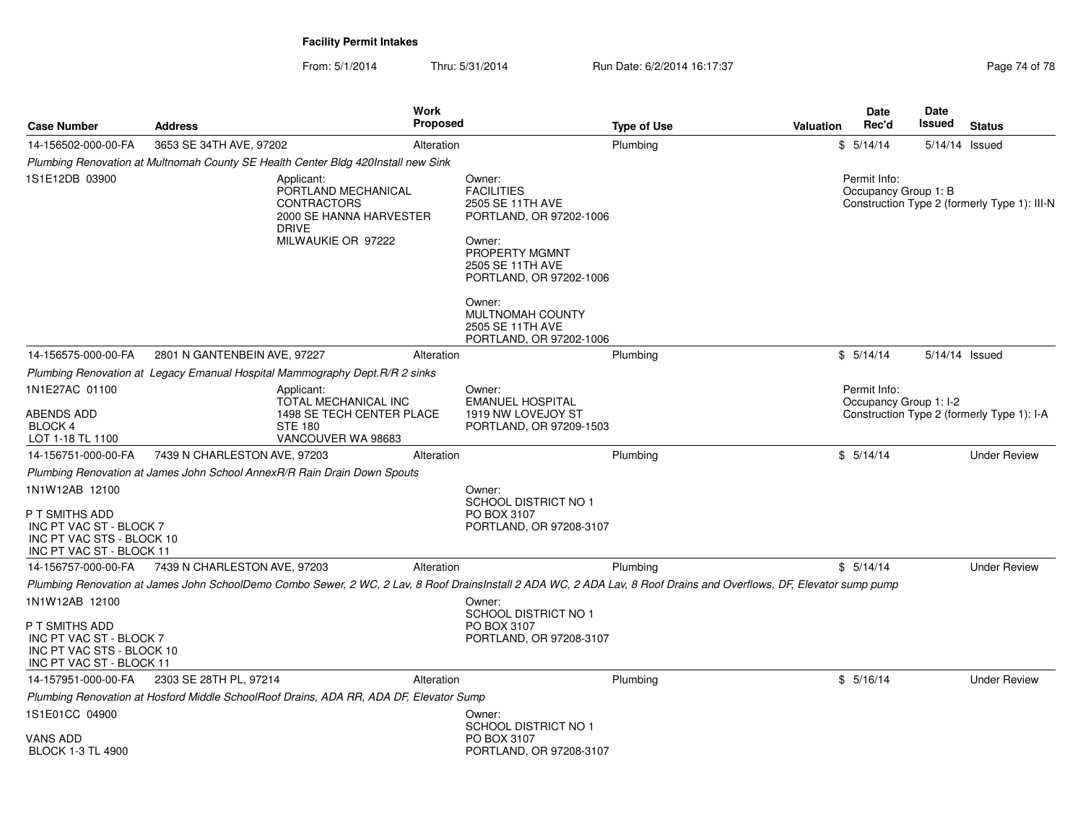| <b>Case Number</b>                                                                                                   | <b>Address</b>               |                                                                                                                          | Work<br><b>Proposed</b> |                                                                                                                                                                                                                                                         | <b>Type of Use</b> | <b>Valuation</b> | <b>Date</b><br>Rec'd                 | <b>Date</b><br>Issued | <b>Status</b>                                |
|----------------------------------------------------------------------------------------------------------------------|------------------------------|--------------------------------------------------------------------------------------------------------------------------|-------------------------|---------------------------------------------------------------------------------------------------------------------------------------------------------------------------------------------------------------------------------------------------------|--------------------|------------------|--------------------------------------|-----------------------|----------------------------------------------|
| 14-156502-000-00-FA                                                                                                  | 3653 SE 34TH AVE, 97202      |                                                                                                                          | Alteration              |                                                                                                                                                                                                                                                         | Plumbing           |                  | \$5/14/14                            |                       | $5/14/14$ Issued                             |
|                                                                                                                      |                              | Plumbing Renovation at Multnomah County SE Health Center Bldg 420Install new Sink                                        |                         |                                                                                                                                                                                                                                                         |                    |                  |                                      |                       |                                              |
| 1S1E12DB 03900                                                                                                       |                              | Applicant:<br>PORTLAND MECHANICAL<br><b>CONTRACTORS</b><br>2000 SE HANNA HARVESTER<br><b>DRIVE</b><br>MILWAUKIE OR 97222 |                         | Owner:<br><b>FACILITIES</b><br>2505 SE 11TH AVE<br>PORTLAND, OR 97202-1006<br>Owner:<br><b>PROPERTY MGMNT</b><br>2505 SE 11TH AVE<br>PORTLAND, OR 97202-1006<br>Owner:<br>MULTNOMAH COUNTY<br>2505 SE 11TH AVE<br>PORTLAND, OR 97202-1006               |                    |                  | Permit Info:<br>Occupancy Group 1: B |                       | Construction Type 2 (formerly Type 1): III-N |
| 14-156575-000-00-FA                                                                                                  | 2801 N GANTENBEIN AVE, 97227 |                                                                                                                          | Alteration              |                                                                                                                                                                                                                                                         | Plumbing           |                  | \$5/14/14                            | 5/14/14 Issued        |                                              |
|                                                                                                                      |                              | Plumbing Renovation at Legacy Emanual Hospital Mammography Dept. R/R 2 sinks                                             |                         |                                                                                                                                                                                                                                                         |                    |                  |                                      |                       |                                              |
| 1N1E27AC 01100                                                                                                       |                              | Applicant:                                                                                                               |                         | Owner:                                                                                                                                                                                                                                                  |                    |                  | Permit Info:                         |                       |                                              |
| ABENDS ADD<br><b>BLOCK 4</b><br>LOT 1-18 TL 1100                                                                     |                              | TOTAL MECHANICAL INC<br>1498 SE TECH CENTER PLACE<br><b>STE 180</b><br>VANCOUVER WA 98683                                |                         | <b>EMANUEL HOSPITAL</b><br>1919 NW LOVEJOY ST<br>PORTLAND, OR 97209-1503                                                                                                                                                                                |                    |                  | Occupancy Group 1: I-2               |                       | Construction Type 2 (formerly Type 1): I-A   |
| 14-156751-000-00-FA                                                                                                  | 7439 N CHARLESTON AVE, 97203 |                                                                                                                          | Alteration              |                                                                                                                                                                                                                                                         | Plumbing           |                  | \$5/14/14                            |                       | <b>Under Review</b>                          |
|                                                                                                                      |                              | Plumbing Renovation at James John School AnnexR/R Rain Drain Down Spouts                                                 |                         |                                                                                                                                                                                                                                                         |                    |                  |                                      |                       |                                              |
| 1N1W12AB 12100<br>P T SMITHS ADD<br>INC PT VAC ST - BLOCK 7<br>INC PT VAC STS - BLOCK 10<br>INC PT VAC ST - BLOCK 11 |                              |                                                                                                                          |                         | Owner:<br><b>SCHOOL DISTRICT NO 1</b><br>PO BOX 3107<br>PORTLAND, OR 97208-3107                                                                                                                                                                         |                    |                  |                                      |                       |                                              |
| 14-156757-000-00-FA                                                                                                  | 7439 N CHARLESTON AVE, 97203 |                                                                                                                          | Alteration              |                                                                                                                                                                                                                                                         | Plumbing           |                  | \$5/14/14                            |                       | <b>Under Review</b>                          |
| 1N1W12AB 12100<br>P T SMITHS ADD<br>INC PT VAC ST - BLOCK 7<br>INC PT VAC STS - BLOCK 10<br>INC PT VAC ST - BLOCK 11 |                              |                                                                                                                          |                         | Plumbing Renovation at James John SchoolDemo Combo Sewer, 2 WC, 2 Lav, 8 Roof DrainsInstall 2 ADA WC, 2 ADA Lav, 8 Roof Drains and Overflows, DF, Elevator sump pump<br>Owner:<br><b>SCHOOL DISTRICT NO 1</b><br>PO BOX 3107<br>PORTLAND, OR 97208-3107 |                    |                  |                                      |                       |                                              |
| 14-157951-000-00-FA                                                                                                  | 2303 SE 28TH PL, 97214       |                                                                                                                          | Alteration              |                                                                                                                                                                                                                                                         | Plumbing           |                  | \$5/16/14                            |                       | <b>Under Review</b>                          |
|                                                                                                                      |                              | Plumbing Renovation at Hosford Middle SchoolRoof Drains, ADA RR, ADA DF, Elevator Sump                                   |                         |                                                                                                                                                                                                                                                         |                    |                  |                                      |                       |                                              |
| 1S1E01CC 04900<br>VANS ADD<br><b>BLOCK 1-3 TL 4900</b>                                                               |                              |                                                                                                                          |                         | Owner:<br><b>SCHOOL DISTRICT NO 1</b><br>PO BOX 3107<br>PORTLAND, OR 97208-3107                                                                                                                                                                         |                    |                  |                                      |                       |                                              |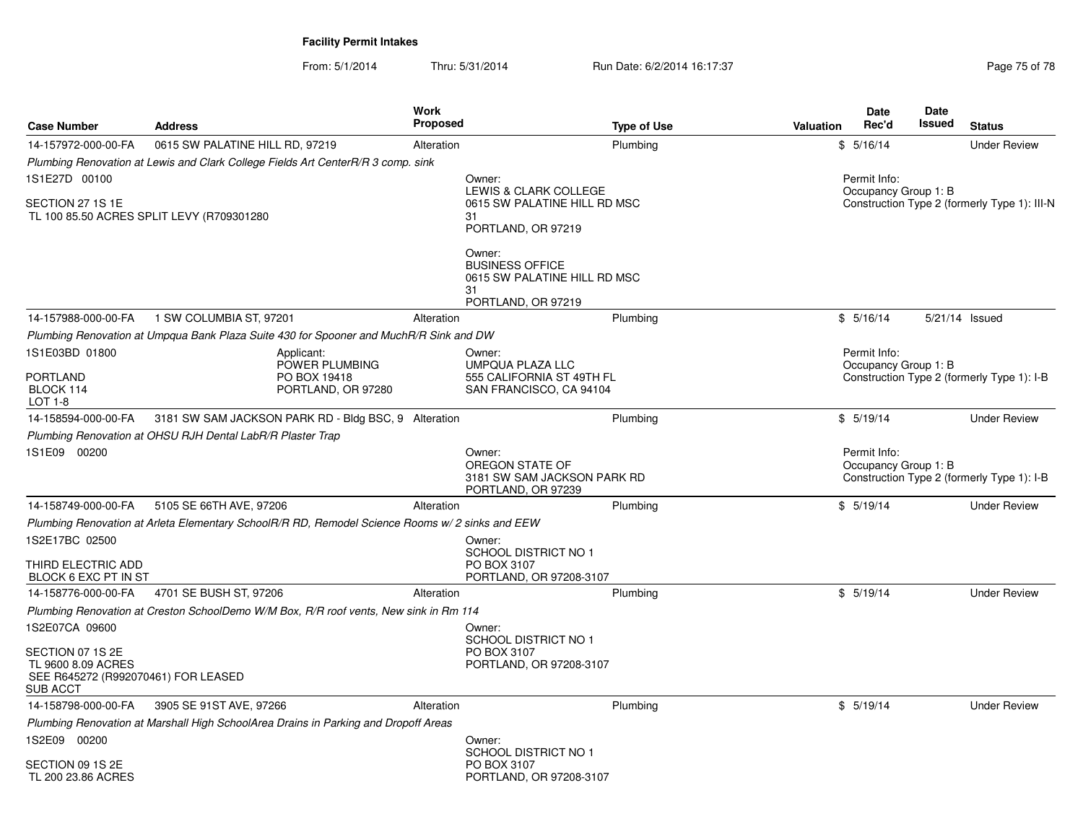| <b>Case Number</b>                                                                               | <b>Address</b>                                             |                                                                                                 | <b>Work</b><br><b>Proposed</b> |                                                                                              | <b>Type of Use</b> | Valuation | Date<br>Rec'd                        | Date<br>Issued | <b>Status</b>                                |
|--------------------------------------------------------------------------------------------------|------------------------------------------------------------|-------------------------------------------------------------------------------------------------|--------------------------------|----------------------------------------------------------------------------------------------|--------------------|-----------|--------------------------------------|----------------|----------------------------------------------|
| 14-157972-000-00-FA                                                                              | 0615 SW PALATINE HILL RD, 97219                            |                                                                                                 | Alteration                     |                                                                                              | Plumbing           |           | \$5/16/14                            |                | <b>Under Review</b>                          |
|                                                                                                  |                                                            | Plumbing Renovation at Lewis and Clark College Fields Art CenterR/R 3 comp. sink                |                                |                                                                                              |                    |           |                                      |                |                                              |
| 1S1E27D 00100                                                                                    |                                                            |                                                                                                 |                                | Owner:                                                                                       |                    |           | Permit Info:                         |                |                                              |
| SECTION 27 1S 1E                                                                                 | TL 100 85.50 ACRES SPLIT LEVY (R709301280                  |                                                                                                 |                                | LEWIS & CLARK COLLEGE<br>0615 SW PALATINE HILL RD MSC<br>31<br>PORTLAND, OR 97219            |                    |           | Occupancy Group 1: B                 |                | Construction Type 2 (formerly Type 1): III-N |
|                                                                                                  |                                                            |                                                                                                 |                                | Owner:<br><b>BUSINESS OFFICE</b><br>0615 SW PALATINE HILL RD MSC<br>31<br>PORTLAND, OR 97219 |                    |           |                                      |                |                                              |
| 14-157988-000-00-FA                                                                              | 1 SW COLUMBIA ST, 97201                                    |                                                                                                 | Alteration                     |                                                                                              | Plumbing           |           | \$5/16/14                            |                | 5/21/14 Issued                               |
|                                                                                                  |                                                            | Plumbing Renovation at Umpqua Bank Plaza Suite 430 for Spooner and MuchR/R Sink and DW          |                                |                                                                                              |                    |           |                                      |                |                                              |
| 1S1E03BD 01800                                                                                   |                                                            | Applicant:                                                                                      |                                | Owner:                                                                                       |                    |           | Permit Info:                         |                |                                              |
| PORTLAND<br>BLOCK 114<br>LOT 1-8                                                                 |                                                            | POWER PLUMBING<br>PO BOX 19418<br>PORTLAND, OR 97280                                            |                                | <b>UMPQUA PLAZA LLC</b><br>555 CALIFORNIA ST 49TH FL<br>SAN FRANCISCO, CA 94104              |                    |           | Occupancy Group 1: B                 |                | Construction Type 2 (formerly Type 1): I-B   |
| 14-158594-000-00-FA                                                                              |                                                            | 3181 SW SAM JACKSON PARK RD - Bldg BSC, 9 Alteration                                            |                                |                                                                                              | Plumbing           |           | \$5/19/14                            |                | <b>Under Review</b>                          |
|                                                                                                  | Plumbing Renovation at OHSU RJH Dental LabR/R Plaster Trap |                                                                                                 |                                |                                                                                              |                    |           |                                      |                |                                              |
| 1S1E09 00200                                                                                     |                                                            |                                                                                                 |                                | Owner:<br>OREGON STATE OF<br>3181 SW SAM JACKSON PARK RD<br>PORTLAND, OR 97239               |                    |           | Permit Info:<br>Occupancy Group 1: B |                | Construction Type 2 (formerly Type 1): I-B   |
| 14-158749-000-00-FA                                                                              | 5105 SE 66TH AVE, 97206                                    |                                                                                                 | Alteration                     |                                                                                              | Plumbing           |           | \$5/19/14                            |                | <b>Under Review</b>                          |
|                                                                                                  |                                                            | Plumbing Renovation at Arleta Elementary SchoolR/R RD, Remodel Science Rooms w/ 2 sinks and EEW |                                |                                                                                              |                    |           |                                      |                |                                              |
| 1S2E17BC 02500                                                                                   |                                                            |                                                                                                 |                                | Owner:<br>SCHOOL DISTRICT NO 1                                                               |                    |           |                                      |                |                                              |
| THIRD ELECTRIC ADD<br>BLOCK 6 EXC PT IN ST                                                       |                                                            |                                                                                                 |                                | PO BOX 3107<br>PORTLAND, OR 97208-3107                                                       |                    |           |                                      |                |                                              |
| 14-158776-000-00-FA                                                                              | 4701 SE BUSH ST, 97206                                     |                                                                                                 | Alteration                     |                                                                                              | Plumbing           |           | \$5/19/14                            |                | <b>Under Review</b>                          |
|                                                                                                  |                                                            | Plumbing Renovation at Creston SchoolDemo W/M Box, R/R roof vents, New sink in Rm 114           |                                |                                                                                              |                    |           |                                      |                |                                              |
| 1S2E07CA 09600                                                                                   |                                                            |                                                                                                 |                                | Owner:<br><b>SCHOOL DISTRICT NO 1</b>                                                        |                    |           |                                      |                |                                              |
| SECTION 07 1S 2E<br>TL 9600 8.09 ACRES<br>SEE R645272 (R992070461) FOR LEASED<br><b>SUB ACCT</b> |                                                            |                                                                                                 |                                | PO BOX 3107<br>PORTLAND, OR 97208-3107                                                       |                    |           |                                      |                |                                              |
| 14-158798-000-00-FA                                                                              | 3905 SE 91ST AVE, 97266                                    |                                                                                                 | Alteration                     |                                                                                              | Plumbing           |           | \$5/19/14                            |                | <b>Under Review</b>                          |
|                                                                                                  |                                                            | Plumbing Renovation at Marshall High SchoolArea Drains in Parking and Dropoff Areas             |                                |                                                                                              |                    |           |                                      |                |                                              |
| 1S2E09 00200                                                                                     |                                                            |                                                                                                 |                                | Owner:<br><b>SCHOOL DISTRICT NO 1</b>                                                        |                    |           |                                      |                |                                              |
| SECTION 09 1S 2E<br>TL 200 23.86 ACRES                                                           |                                                            |                                                                                                 |                                | PO BOX 3107<br>PORTLAND, OR 97208-3107                                                       |                    |           |                                      |                |                                              |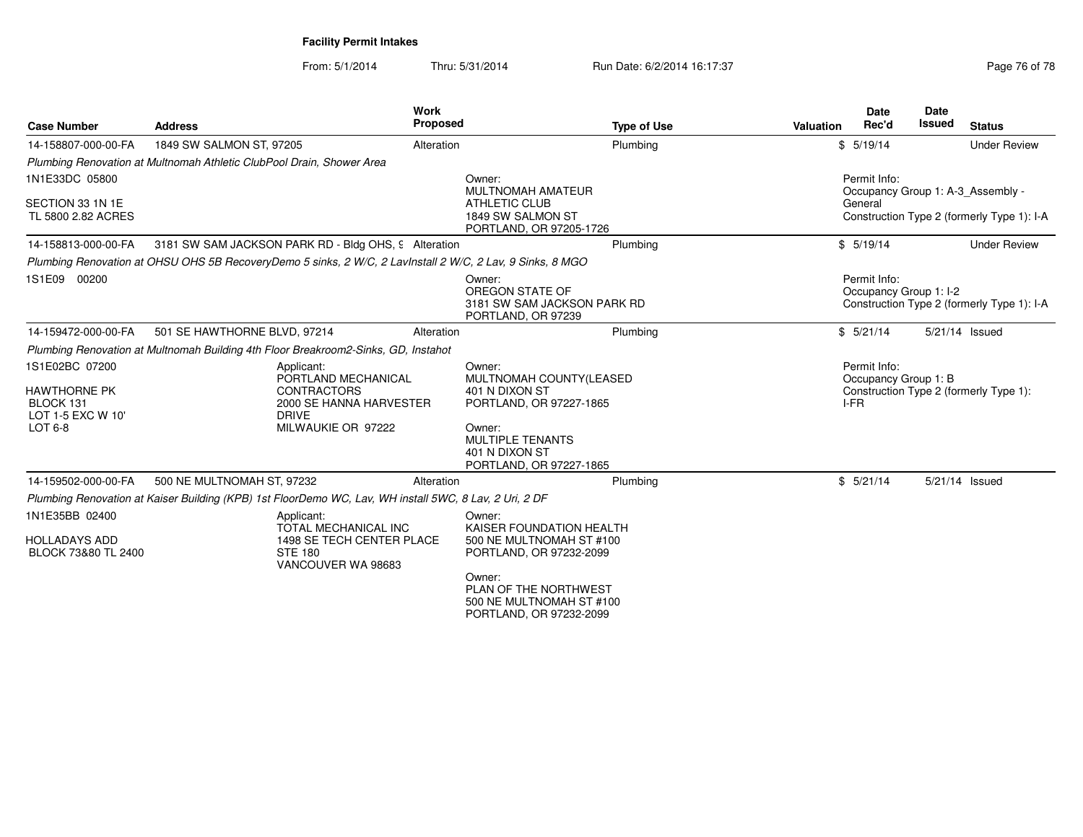From: 5/1/2014Thru: 5/31/2014 Run Date: 6/2/2014 16:17:37 Research 2010 178

| <b>Case Number</b>                                                                 | <b>Address</b>                                                                                                           | <b>Work</b><br><b>Proposed</b> | <b>Type of Use</b>                                                                        | <b>Valuation</b> | <b>Date</b><br>Rec'd                         | <b>Date</b><br><b>Issued</b> | <b>Status</b>                              |
|------------------------------------------------------------------------------------|--------------------------------------------------------------------------------------------------------------------------|--------------------------------|-------------------------------------------------------------------------------------------|------------------|----------------------------------------------|------------------------------|--------------------------------------------|
| 14-158807-000-00-FA                                                                | 1849 SW SALMON ST, 97205                                                                                                 | Alteration                     | Plumbing                                                                                  |                  | \$5/19/14                                    |                              | <b>Under Review</b>                        |
|                                                                                    | Plumbing Renovation at Multnomah Athletic ClubPool Drain, Shower Area                                                    |                                |                                                                                           |                  |                                              |                              |                                            |
| 1N1E33DC 05800                                                                     |                                                                                                                          |                                | Owner:<br>MULTNOMAH AMATEUR                                                               |                  | Permit Info:                                 |                              | Occupancy Group 1: A-3 Assembly -          |
| SECTION 33 1N 1E<br>TL 5800 2.82 ACRES                                             |                                                                                                                          |                                | ATHLETIC CLUB<br>1849 SW SALMON ST<br>PORTLAND, OR 97205-1726                             |                  | General                                      |                              | Construction Type 2 (formerly Type 1): I-A |
| 14-158813-000-00-FA                                                                | 3181 SW SAM JACKSON PARK RD - Bldg OHS, 9 Alteration                                                                     |                                | Plumbing                                                                                  |                  | \$5/19/14                                    |                              | <b>Under Review</b>                        |
|                                                                                    | Plumbing Renovation at OHSU OHS 5B RecoveryDemo 5 sinks, 2 W/C, 2 LavInstall 2 W/C, 2 Lav, 9 Sinks, 8 MGO                |                                |                                                                                           |                  |                                              |                              |                                            |
| 1S1E09 00200                                                                       |                                                                                                                          |                                | Owner:<br>OREGON STATE OF<br>3181 SW SAM JACKSON PARK RD<br>PORTLAND, OR 97239            |                  | Permit Info:<br>Occupancy Group 1: I-2       |                              | Construction Type 2 (formerly Type 1): I-A |
| 14-159472-000-00-FA                                                                | 501 SE HAWTHORNE BLVD, 97214                                                                                             | Alteration                     | Plumbing                                                                                  |                  | \$5/21/14                                    |                              | 5/21/14 Issued                             |
|                                                                                    | Plumbing Renovation at Multnomah Building 4th Floor Breakroom2-Sinks, GD, Instahot                                       |                                |                                                                                           |                  |                                              |                              |                                            |
| 1S1E02BC 07200<br><b>HAWTHORNE PK</b><br>BLOCK 131<br>LOT 1-5 EXC W 10'<br>LOT 6-8 | Applicant:<br>PORTLAND MECHANICAL<br><b>CONTRACTORS</b><br>2000 SE HANNA HARVESTER<br><b>DRIVE</b><br>MILWAUKIE OR 97222 |                                | Owner:<br>MULTNOMAH COUNTY(LEASED<br>401 N DIXON ST<br>PORTLAND, OR 97227-1865<br>Owner:  |                  | Permit Info:<br>Occupancy Group 1: B<br>I-FR |                              | Construction Type 2 (formerly Type 1):     |
|                                                                                    |                                                                                                                          |                                | MULTIPLE TENANTS<br>401 N DIXON ST<br>PORTLAND, OR 97227-1865                             |                  |                                              |                              |                                            |
| 14-159502-000-00-FA                                                                | 500 NE MULTNOMAH ST, 97232                                                                                               | Alteration                     | Plumbing                                                                                  |                  | \$5/21/14                                    |                              | 5/21/14 Issued                             |
|                                                                                    | Plumbing Renovation at Kaiser Building (KPB) 1st FloorDemo WC, Lav, WH install 5WC, 8 Lav, 2 Uri, 2 DF                   |                                |                                                                                           |                  |                                              |                              |                                            |
| 1N1E35BB 02400<br><b>HOLLADAYS ADD</b><br>BLOCK 73&80 TL 2400                      | Applicant:<br><b>TOTAL MECHANICAL INC</b><br>1498 SE TECH CENTER PLACE<br><b>STE 180</b><br>VANCOUVER WA 98683           |                                | Owner:<br>KAISER FOUNDATION HEALTH<br>500 NE MULTNOMAH ST #100<br>PORTLAND, OR 97232-2099 |                  |                                              |                              |                                            |
|                                                                                    |                                                                                                                          |                                | Owner:<br>PLAN OF THE NORTHWEST<br>500 NE MULTNOMAH ST #100                               |                  |                                              |                              |                                            |

PORTLAND, OR 97232-2099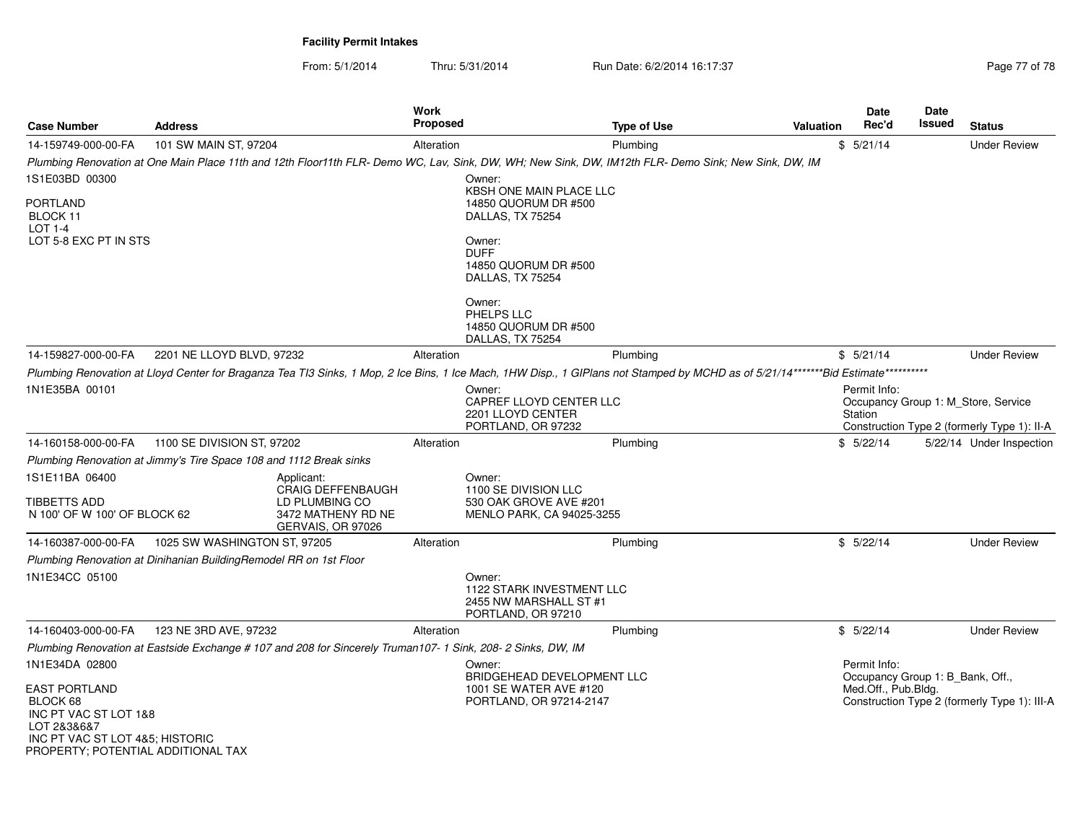| <b>Case Number</b>                                                                                                                                | <b>Address</b>                                                     |                                                                                                              | Work<br>Proposed |                                                                                                                                                                                     | <b>Type of Use</b> | Valuation | <b>Date</b><br>Rec'd                                    | <b>Date</b><br>Issued | <b>Status</b>                                                                      |
|---------------------------------------------------------------------------------------------------------------------------------------------------|--------------------------------------------------------------------|--------------------------------------------------------------------------------------------------------------|------------------|-------------------------------------------------------------------------------------------------------------------------------------------------------------------------------------|--------------------|-----------|---------------------------------------------------------|-----------------------|------------------------------------------------------------------------------------|
| 14-159749-000-00-FA                                                                                                                               | 101 SW MAIN ST, 97204                                              |                                                                                                              | Alteration       |                                                                                                                                                                                     | Plumbing           |           | \$5/21/14                                               |                       | <b>Under Review</b>                                                                |
|                                                                                                                                                   |                                                                    |                                                                                                              |                  | Plumbing Renovation at One Main Place 11th and 12th Floor11th FLR- Demo WC, Lav, Sink, DW, WH; New Sink, DW, IM12th FLR- Demo Sink; New Sink, DW, IM                                |                    |           |                                                         |                       |                                                                                    |
| 1S1E03BD 00300                                                                                                                                    |                                                                    |                                                                                                              |                  | Owner:                                                                                                                                                                              |                    |           |                                                         |                       |                                                                                    |
| <b>PORTLAND</b><br>BLOCK 11<br><b>LOT 1-4</b>                                                                                                     |                                                                    |                                                                                                              |                  | <b>KBSH ONE MAIN PLACE LLC</b><br>14850 QUORUM DR #500<br>DALLAS, TX 75254                                                                                                          |                    |           |                                                         |                       |                                                                                    |
| LOT 5-8 EXC PT IN STS                                                                                                                             |                                                                    |                                                                                                              |                  | Owner:<br><b>DUFF</b><br>14850 QUORUM DR #500<br>DALLAS, TX 75254                                                                                                                   |                    |           |                                                         |                       |                                                                                    |
|                                                                                                                                                   |                                                                    |                                                                                                              |                  | Owner:<br>PHELPS LLC<br>14850 QUORUM DR #500<br>DALLAS, TX 75254                                                                                                                    |                    |           |                                                         |                       |                                                                                    |
| 14-159827-000-00-FA                                                                                                                               | 2201 NE LLOYD BLVD, 97232                                          |                                                                                                              | Alteration       |                                                                                                                                                                                     | Plumbing           |           | \$5/21/14                                               |                       | <b>Under Review</b>                                                                |
|                                                                                                                                                   |                                                                    |                                                                                                              |                  | Plumbing Renovation at Lloyd Center for Braganza Tea TI3 Sinks, 1 Mop, 2 Ice Bins, 1 Ice Mach, 1HW Disp., 1 GIPlans not Stamped by MCHD as of 5/21/14*******Bid Estimate*********** |                    |           |                                                         |                       |                                                                                    |
| 1N1E35BA 00101                                                                                                                                    |                                                                    |                                                                                                              |                  | Owner:<br>CAPREF LLOYD CENTER LLC<br>2201 LLOYD CENTER<br>PORTLAND, OR 97232                                                                                                        |                    |           | Permit Info:<br>Station                                 |                       | Occupancy Group 1: M Store, Service<br>Construction Type 2 (formerly Type 1): II-A |
| 14-160158-000-00-FA                                                                                                                               | 1100 SE DIVISION ST, 97202                                         |                                                                                                              | Alteration       |                                                                                                                                                                                     | Plumbing           |           | \$5/22/14                                               |                       | 5/22/14 Under Inspection                                                           |
|                                                                                                                                                   | Plumbing Renovation at Jimmy's Tire Space 108 and 1112 Break sinks |                                                                                                              |                  |                                                                                                                                                                                     |                    |           |                                                         |                       |                                                                                    |
| 1S1E11BA 06400<br><b>TIBBETTS ADD</b><br>N 100' OF W 100' OF BLOCK 62                                                                             |                                                                    | Applicant:<br><b>CRAIG DEFFENBAUGH</b><br>LD PLUMBING CO<br>3472 MATHENY RD NE<br>GERVAIS, OR 97026          |                  | Owner:<br>1100 SE DIVISION LLC<br>530 OAK GROVE AVE #201<br>MENLO PARK, CA 94025-3255                                                                                               |                    |           |                                                         |                       |                                                                                    |
| 14-160387-000-00-FA                                                                                                                               | 1025 SW WASHINGTON ST, 97205                                       |                                                                                                              | Alteration       |                                                                                                                                                                                     | Plumbing           |           | \$5/22/14                                               |                       | <b>Under Review</b>                                                                |
|                                                                                                                                                   | Plumbing Renovation at Dinihanian BuildingRemodel RR on 1st Floor  |                                                                                                              |                  |                                                                                                                                                                                     |                    |           |                                                         |                       |                                                                                    |
| 1N1E34CC 05100                                                                                                                                    |                                                                    |                                                                                                              |                  | Owner:<br>1122 STARK INVESTMENT LLC<br>2455 NW MARSHALL ST #1<br>PORTLAND, OR 97210                                                                                                 |                    |           |                                                         |                       |                                                                                    |
| 14-160403-000-00-FA                                                                                                                               | 123 NE 3RD AVE, 97232                                              |                                                                                                              | Alteration       |                                                                                                                                                                                     | Plumbing           |           | \$5/22/14                                               |                       | <b>Under Review</b>                                                                |
|                                                                                                                                                   |                                                                    | Plumbing Renovation at Eastside Exchange # 107 and 208 for Sincerely Truman107- 1 Sink, 208- 2 Sinks, DW, IM |                  |                                                                                                                                                                                     |                    |           |                                                         |                       |                                                                                    |
| 1N1E34DA 02800                                                                                                                                    |                                                                    |                                                                                                              |                  | Owner:                                                                                                                                                                              |                    |           | Permit Info:                                            |                       |                                                                                    |
| <b>EAST PORTLAND</b><br>BLOCK 68<br>INC PT VAC ST LOT 1&8<br>LOT 2&3&6&7<br>INC PT VAC ST LOT 4&5; HISTORIC<br>PROPERTY; POTENTIAL ADDITIONAL TAX |                                                                    |                                                                                                              |                  | <b>BRIDGEHEAD DEVELOPMENT LLC</b><br>1001 SE WATER AVE #120<br>PORTLAND, OR 97214-2147                                                                                              |                    |           | Occupancy Group 1: B_Bank, Off.,<br>Med.Off., Pub.Bldg. |                       | Construction Type 2 (formerly Type 1): III-A                                       |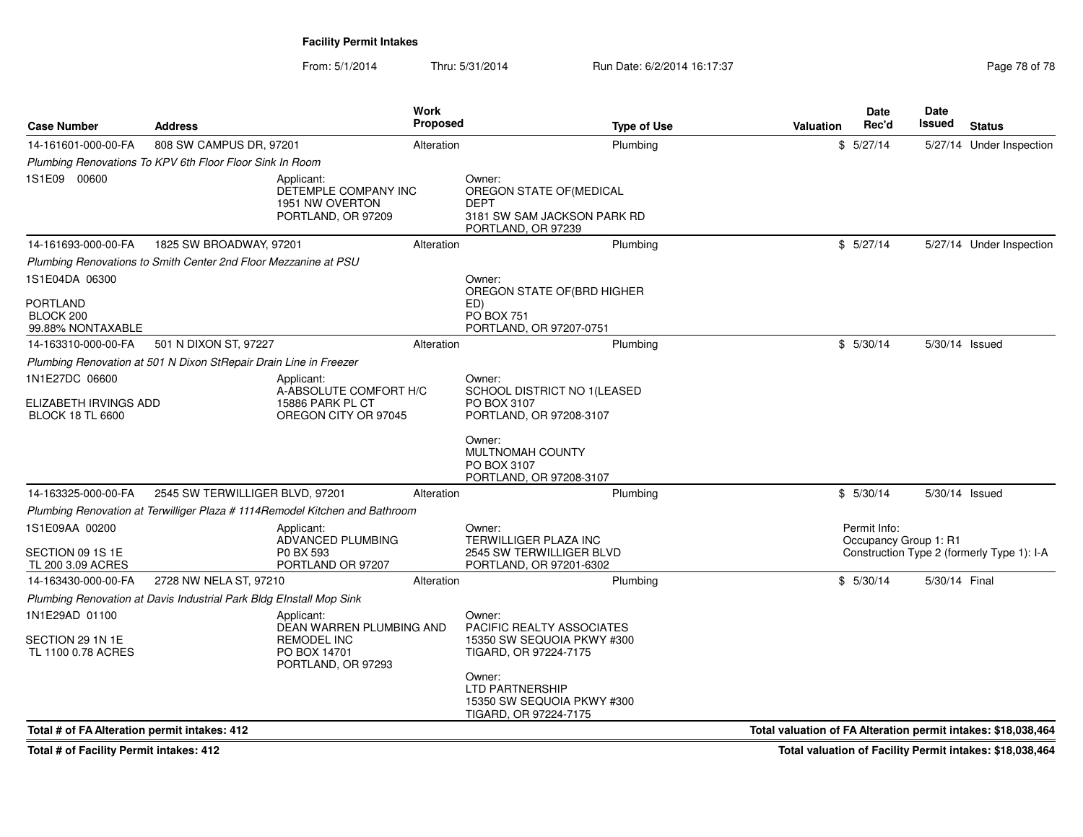From: 5/1/2014Thru: 5/31/2014 Run Date: 6/2/2014 16:17:37 Research 2010 18:00:00 Page 78 of 78

| <b>Case Number</b>                                                 | Address                                                             |                                                                                  | Work<br><b>Proposed</b> | <b>Type of Use</b>                                                                                               | Valuation                                                     | Date<br>Rec'd                         | <b>Date</b><br>Issued | <b>Status</b>                              |
|--------------------------------------------------------------------|---------------------------------------------------------------------|----------------------------------------------------------------------------------|-------------------------|------------------------------------------------------------------------------------------------------------------|---------------------------------------------------------------|---------------------------------------|-----------------------|--------------------------------------------|
| 14-161601-000-00-FA                                                | 808 SW CAMPUS DR, 97201                                             |                                                                                  | Alteration              | Plumbing                                                                                                         |                                                               | \$5/27/14                             |                       | 5/27/14 Under Inspection                   |
|                                                                    | Plumbing Renovations To KPV 6th Floor Floor Sink In Room            |                                                                                  |                         |                                                                                                                  |                                                               |                                       |                       |                                            |
| 1S1E09 00600                                                       |                                                                     | Applicant:<br>DETEMPLE COMPANY INC<br>1951 NW OVERTON<br>PORTLAND, OR 97209      |                         | Owner:<br>OREGON STATE OF (MEDICAL<br><b>DEPT</b><br>3181 SW SAM JACKSON PARK RD<br>PORTLAND, OR 97239           |                                                               |                                       |                       |                                            |
| 14-161693-000-00-FA                                                | 1825 SW BROADWAY, 97201                                             |                                                                                  | Alteration              | Plumbing                                                                                                         |                                                               | \$5/27/14                             |                       | 5/27/14 Under Inspection                   |
|                                                                    | Plumbing Renovations to Smith Center 2nd Floor Mezzanine at PSU     |                                                                                  |                         |                                                                                                                  |                                                               |                                       |                       |                                            |
| 1S1E04DA 06300                                                     |                                                                     |                                                                                  |                         | Owner:                                                                                                           |                                                               |                                       |                       |                                            |
| PORTLAND<br>BLOCK 200<br>99.88% NONTAXABLE                         |                                                                     |                                                                                  |                         | OREGON STATE OF (BRD HIGHER<br>ED)<br><b>PO BOX 751</b><br>PORTLAND, OR 97207-0751                               |                                                               |                                       |                       |                                            |
| 14-163310-000-00-FA                                                | 501 N DIXON ST, 97227                                               |                                                                                  | Alteration              | Plumbing                                                                                                         |                                                               | \$5/30/14                             | 5/30/14 Issued        |                                            |
|                                                                    | Plumbing Renovation at 501 N Dixon StRepair Drain Line in Freezer   |                                                                                  |                         |                                                                                                                  |                                                               |                                       |                       |                                            |
| 1N1E27DC 06600<br>ELIZABETH IRVINGS ADD<br><b>BLOCK 18 TL 6600</b> |                                                                     | Applicant:<br>A-ABSOLUTE COMFORT H/C<br>15886 PARK PL CT<br>OREGON CITY OR 97045 |                         | Owner:<br>SCHOOL DISTRICT NO 1(LEASED<br>PO BOX 3107<br>PORTLAND, OR 97208-3107                                  |                                                               |                                       |                       |                                            |
|                                                                    |                                                                     |                                                                                  |                         | Owner:<br>MULTNOMAH COUNTY<br>PO BOX 3107<br>PORTLAND, OR 97208-3107                                             |                                                               |                                       |                       |                                            |
| 14-163325-000-00-FA                                                | 2545 SW TERWILLIGER BLVD, 97201                                     |                                                                                  | Alteration              | Plumbing                                                                                                         |                                                               | \$5/30/14                             | 5/30/14 Issued        |                                            |
|                                                                    |                                                                     | Plumbing Renovation at Terwilliger Plaza # 1114Remodel Kitchen and Bathroom      |                         |                                                                                                                  |                                                               |                                       |                       |                                            |
| 1S1E09AA 00200<br>SECTION 09 1S 1E<br>TL 200 3.09 ACRES            |                                                                     | Applicant:<br>ADVANCED PLUMBING<br>P0 BX 593<br>PORTLAND OR 97207                |                         | Owner:<br>TERWILLIGER PLAZA INC<br>2545 SW TERWILLIGER BLVD<br>PORTLAND, OR 97201-6302                           |                                                               | Permit Info:<br>Occupancy Group 1: R1 |                       | Construction Type 2 (formerly Type 1): I-A |
| 14-163430-000-00-FA                                                | 2728 NW NELA ST, 97210                                              |                                                                                  | Alteration              | Plumbing                                                                                                         |                                                               | \$5/30/14                             | 5/30/14 Final         |                                            |
|                                                                    | Plumbing Renovation at Davis Industrial Park Bldg EInstall Mop Sink |                                                                                  |                         |                                                                                                                  |                                                               |                                       |                       |                                            |
| 1N1E29AD 01100<br>SECTION 29 1N 1E                                 |                                                                     | Applicant:<br>DEAN WARREN PLUMBING AND<br><b>REMODEL INC</b>                     |                         | Owner:<br>PACIFIC REALTY ASSOCIATES<br>15350 SW SEQUOIA PKWY #300                                                |                                                               |                                       |                       |                                            |
| TL 1100 0.78 ACRES                                                 |                                                                     | PO BOX 14701<br>PORTLAND, OR 97293                                               |                         | TIGARD, OR 97224-7175<br>Owner:<br><b>LTD PARTNERSHIP</b><br>15350 SW SEQUOIA PKWY #300<br>TIGARD, OR 97224-7175 |                                                               |                                       |                       |                                            |
| Total # of FA Alteration permit intakes: 412                       |                                                                     |                                                                                  |                         |                                                                                                                  | Total valuation of FA Alteration permit intakes: \$18,038,464 |                                       |                       |                                            |

**Total # of Facility Permit intakes: 412**

**Total valuation of Facility Permit intakes: \$18,038,464**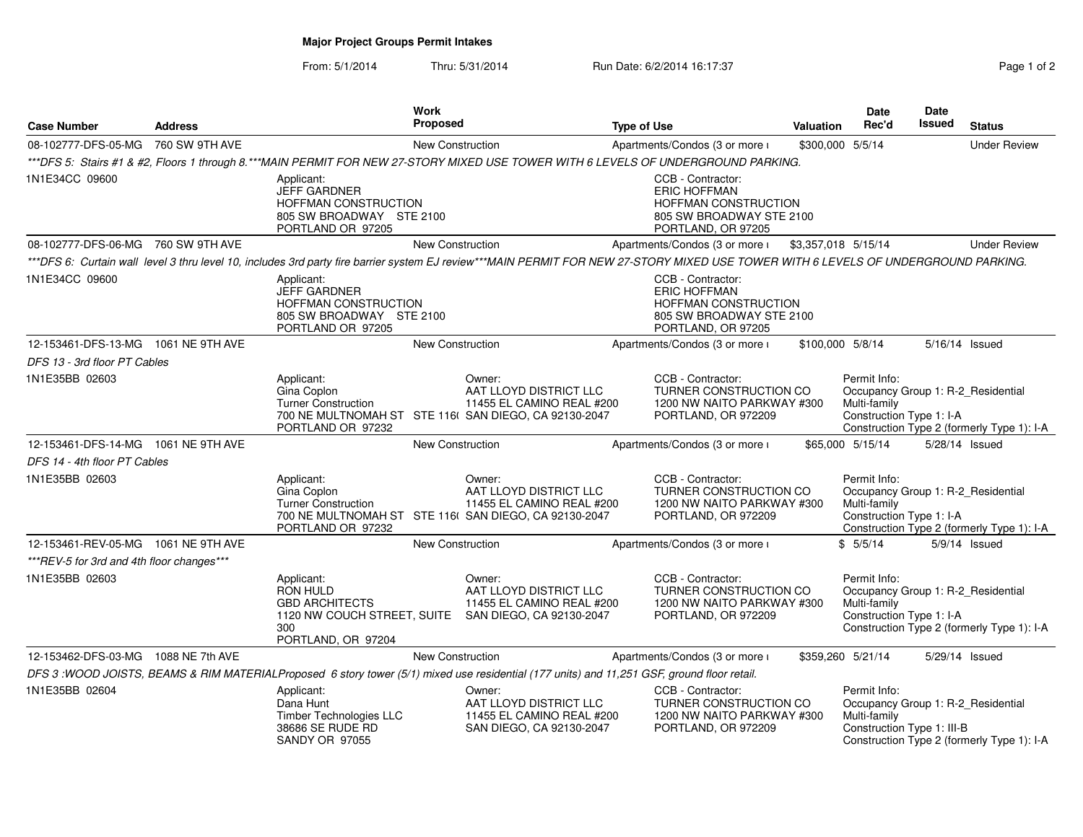# **Major Project Groups Permit Intakes**

### From: 5/1/2014Thru: 5/31/2014 Run Date: 6/2/2014 16:17:37 Page 1 of 2

| Page 1 of 2 |  |  |  |
|-------------|--|--|--|
|-------------|--|--|--|

| <b>Case Number</b>                        | <b>Address</b> |                                                                                                            | Work<br><b>Proposed</b> |                                                                                                                                                                                     | <b>Type of Use</b> |                                                                                                                    | <b>Valuation</b>    | <b>Date</b><br>Rec'd                                                                             | <b>Date</b><br><b>Issued</b> | <b>Status</b>                              |
|-------------------------------------------|----------------|------------------------------------------------------------------------------------------------------------|-------------------------|-------------------------------------------------------------------------------------------------------------------------------------------------------------------------------------|--------------------|--------------------------------------------------------------------------------------------------------------------|---------------------|--------------------------------------------------------------------------------------------------|------------------------------|--------------------------------------------|
| 08-102777-DFS-05-MG                       | 760 SW 9TH AVE |                                                                                                            | <b>New Construction</b> |                                                                                                                                                                                     |                    | Apartments/Condos (3 or more i                                                                                     |                     | \$300,000 5/5/14                                                                                 |                              | <b>Under Review</b>                        |
|                                           |                |                                                                                                            |                         | ***DFS 5: Stairs #1 & #2, Floors 1 through 8.***MAIN PERMIT FOR NEW 27-STORY MIXED USE TOWER WITH 6 LEVELS OF UNDERGROUND PARKING.                                                  |                    |                                                                                                                    |                     |                                                                                                  |                              |                                            |
| 1N1E34CC 09600                            |                | Applicant:<br><b>JEFF GARDNER</b><br>HOFFMAN CONSTRUCTION<br>805 SW BROADWAY STE 2100<br>PORTLAND OR 97205 |                         |                                                                                                                                                                                     |                    | CCB - Contractor:<br><b>ERIC HOFFMAN</b><br>HOFFMAN CONSTRUCTION<br>805 SW BROADWAY STE 2100<br>PORTLAND, OR 97205 |                     |                                                                                                  |                              |                                            |
| 08-102777-DFS-06-MG 760 SW 9TH AVE        |                |                                                                                                            | New Construction        |                                                                                                                                                                                     |                    | Apartments/Condos (3 or more i                                                                                     | \$3,357,018 5/15/14 |                                                                                                  |                              | <b>Under Review</b>                        |
|                                           |                |                                                                                                            |                         | ***DFS 6: Curtain wall level 3 thru level 10, includes 3rd party fire barrier system EJ review***MAIN PERMIT FOR NEW 27-STORY MIXED USE TOWER WITH 6 LEVELS OF UNDERGROUND PARKING. |                    |                                                                                                                    |                     |                                                                                                  |                              |                                            |
| 1N1E34CC 09600                            |                | Applicant:<br><b>JEFF GARDNER</b><br>HOFFMAN CONSTRUCTION<br>805 SW BROADWAY STE 2100<br>PORTLAND OR 97205 |                         |                                                                                                                                                                                     |                    | CCB - Contractor:<br><b>ERIC HOFFMAN</b><br>HOFFMAN CONSTRUCTION<br>805 SW BROADWAY STE 2100<br>PORTLAND, OR 97205 |                     |                                                                                                  |                              |                                            |
| 12-153461-DFS-13-MG 1061 NE 9TH AVE       |                |                                                                                                            | New Construction        |                                                                                                                                                                                     |                    | Apartments/Condos (3 or more i                                                                                     |                     | \$100,000 5/8/14                                                                                 |                              | 5/16/14 Issued                             |
| DFS 13 - 3rd floor PT Cables              |                |                                                                                                            |                         |                                                                                                                                                                                     |                    |                                                                                                                    |                     |                                                                                                  |                              |                                            |
| 1N1E35BB 02603                            |                | Applicant:<br>Gina Coplon<br><b>Turner Construction</b><br>PORTLAND OR 97232                               |                         | Owner:<br>AAT LLOYD DISTRICT LLC<br>11455 EL CAMINO REAL #200<br>700 NE MULTNOMAH ST STE 116( SAN DIEGO, CA 92130-2047                                                              |                    | CCB - Contractor:<br>TURNER CONSTRUCTION CO<br>1200 NW NAITO PARKWAY #300<br>PORTLAND, OR 972209                   |                     | Permit Info:<br>Occupancy Group 1: R-2_Residential<br>Multi-family<br>Construction Type 1: I-A   |                              | Construction Type 2 (formerly Type 1): I-A |
| 12-153461-DFS-14-MG 1061 NE 9TH AVE       |                |                                                                                                            | New Construction        |                                                                                                                                                                                     |                    | Apartments/Condos (3 or more i                                                                                     |                     | \$65,000 5/15/14                                                                                 |                              | 5/28/14 Issued                             |
| DFS 14 - 4th floor PT Cables              |                |                                                                                                            |                         |                                                                                                                                                                                     |                    |                                                                                                                    |                     |                                                                                                  |                              |                                            |
| 1N1E35BB 02603                            |                | Applicant:<br>Gina Coplon<br><b>Turner Construction</b><br>PORTLAND OR 97232                               |                         | Owner:<br>AAT LLOYD DISTRICT LLC<br>11455 EL CAMINO REAL #200<br>700 NE MULTNOMAH ST STE 116( SAN DIEGO, CA 92130-2047                                                              |                    | CCB - Contractor:<br>TURNER CONSTRUCTION CO<br>1200 NW NAITO PARKWAY #300<br>PORTLAND, OR 972209                   |                     | Permit Info:<br>Occupancy Group 1: R-2_Residential<br>Multi-family<br>Construction Type 1: I-A   |                              | Construction Type 2 (formerly Type 1): I-A |
| 12-153461-REV-05-MG  1061 NE 9TH AVE      |                |                                                                                                            | New Construction        |                                                                                                                                                                                     |                    | Apartments/Condos (3 or more i                                                                                     |                     | \$5/5/14                                                                                         |                              | 5/9/14 Issued                              |
| ***REV-5 for 3rd and 4th floor changes*** |                |                                                                                                            |                         |                                                                                                                                                                                     |                    |                                                                                                                    |                     |                                                                                                  |                              |                                            |
| 1N1E35BB 02603                            |                | Applicant:<br>RON HULD<br><b>GBD ARCHITECTS</b><br>300<br>PORTLAND, OR 97204                               |                         | Owner:<br>AAT LLOYD DISTRICT LLC<br>11455 EL CAMINO REAL #200<br>1120 NW COUCH STREET, SUITE SAN DIEGO, CA 92130-2047                                                               |                    | CCB - Contractor:<br>TURNER CONSTRUCTION CO<br>1200 NW NAITO PARKWAY #300<br>PORTLAND, OR 972209                   |                     | Permit Info:<br>Occupancy Group 1: R-2_Residential<br>Multi-family<br>Construction Type 1: I-A   |                              | Construction Type 2 (formerly Type 1): I-A |
| 12-153462-DFS-03-MG 1088 NE 7th AVE       |                |                                                                                                            | <b>New Construction</b> |                                                                                                                                                                                     |                    | Apartments/Condos (3 or more i                                                                                     |                     | \$359,260 5/21/14                                                                                |                              | 5/29/14 Issued                             |
|                                           |                |                                                                                                            |                         | DFS 3: WOOD JOISTS, BEAMS & RIM MATERIALProposed 6 story tower (5/1) mixed use residential (177 units) and 11,251 GSF, ground floor retail.                                         |                    |                                                                                                                    |                     |                                                                                                  |                              |                                            |
| 1N1E35BB 02604                            |                | Applicant:<br>Dana Hunt<br>Timber Technologies LLC<br>38686 SE RUDE RD<br><b>SANDY OR 97055</b>            |                         | Owner:<br>AAT LLOYD DISTRICT LLC<br>11455 EL CAMINO REAL #200<br>SAN DIEGO, CA 92130-2047                                                                                           |                    | CCB - Contractor:<br>TURNER CONSTRUCTION CO<br>1200 NW NAITO PARKWAY #300<br>PORTLAND, OR 972209                   |                     | Permit Info:<br>Occupancy Group 1: R-2_Residential<br>Multi-family<br>Construction Type 1: III-B |                              | Construction Type 2 (formerly Type 1): I-A |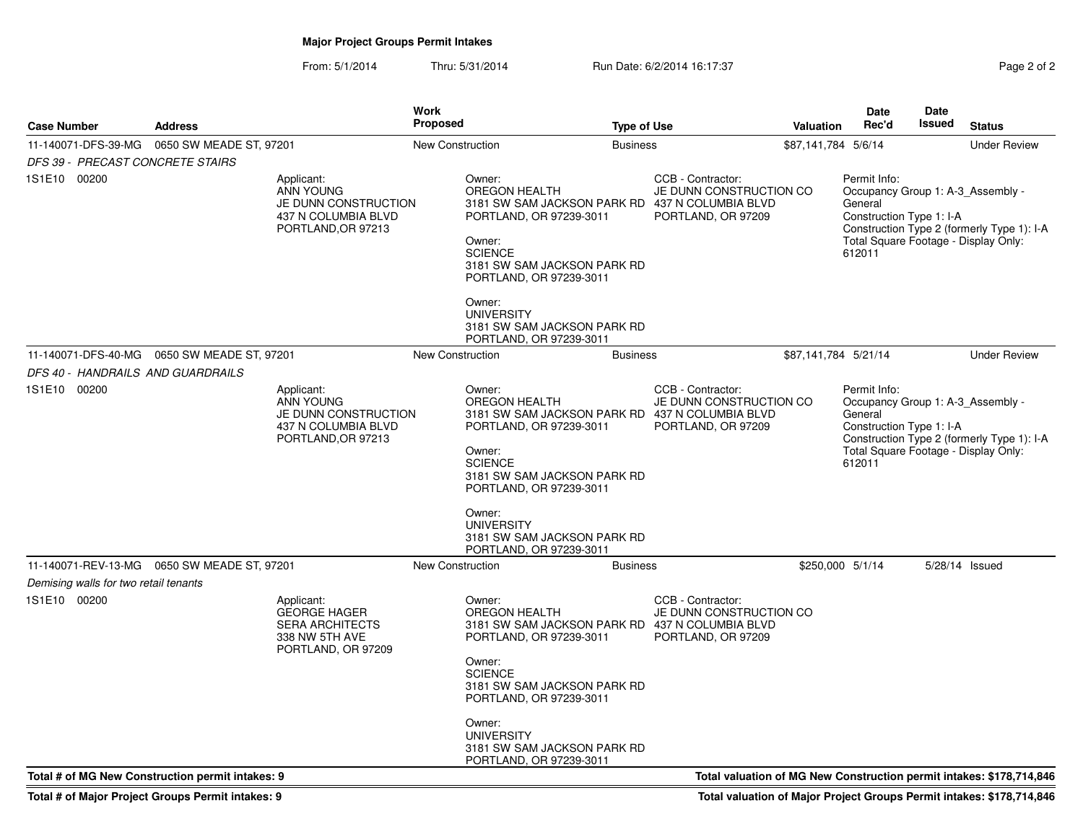# **Major Project Groups Permit Intakes**

From: 5/1/2014Thru: 5/31/2014 Run Date: 6/2/2014 16:17:37 Rege 2 of 2

| <b>Case Number</b>                                    | <b>Address</b>                                   |                                                                                                     | <b>Work</b><br><b>Proposed</b> | <b>Type of Use</b>                                                                                                                                                                                                                                                                          |                                                                    | Valuation            | <b>Date</b><br>Rec'd                                                                                                                       | Date<br><b>Issued</b> | <b>Status</b>                                                        |
|-------------------------------------------------------|--------------------------------------------------|-----------------------------------------------------------------------------------------------------|--------------------------------|---------------------------------------------------------------------------------------------------------------------------------------------------------------------------------------------------------------------------------------------------------------------------------------------|--------------------------------------------------------------------|----------------------|--------------------------------------------------------------------------------------------------------------------------------------------|-----------------------|----------------------------------------------------------------------|
| 11-140071-DFS-39-MG                                   | 0650 SW MEADE ST, 97201                          |                                                                                                     | <b>New Construction</b>        | <b>Business</b>                                                                                                                                                                                                                                                                             |                                                                    | \$87,141,784 5/6/14  |                                                                                                                                            |                       | <b>Under Review</b>                                                  |
| DFS 39 - PRECAST CONCRETE STAIRS<br>1S1E10 00200      |                                                  | Applicant:<br><b>ANN YOUNG</b><br>JE DUNN CONSTRUCTION<br>437 N COLUMBIA BLVD<br>PORTLAND, OR 97213 |                                | Owner:<br>OREGON HEALTH<br>3181 SW SAM JACKSON PARK RD 437 N COLUMBIA BLVD<br>PORTLAND, OR 97239-3011<br>Owner:<br><b>SCIENCE</b><br>3181 SW SAM JACKSON PARK RD<br>PORTLAND, OR 97239-3011<br>Owner:<br><b>UNIVERSITY</b><br>3181 SW SAM JACKSON PARK RD<br>PORTLAND, OR 97239-3011        | CCB - Contractor:<br>JE DUNN CONSTRUCTION CO<br>PORTLAND, OR 97209 |                      | Permit Info:<br>Occupancy Group 1: A-3 Assembly -<br>General<br>Construction Type 1: I-A<br>Total Square Footage - Display Only:<br>612011 |                       | Construction Type 2 (formerly Type 1): I-A                           |
| 11-140071-DFS-40-MG                                   | 0650 SW MEADE ST, 97201                          |                                                                                                     | <b>New Construction</b>        | <b>Business</b>                                                                                                                                                                                                                                                                             |                                                                    | \$87,141,784 5/21/14 |                                                                                                                                            |                       | <b>Under Review</b>                                                  |
| DFS 40 - HANDRAILS AND GUARDRAILS                     |                                                  |                                                                                                     |                                |                                                                                                                                                                                                                                                                                             |                                                                    |                      |                                                                                                                                            |                       |                                                                      |
| 1S1E10 00200                                          |                                                  | Applicant:<br>ANN YOUNG<br>JE DUNN CONSTRUCTION<br>437 N COLUMBIA BLVD<br>PORTLAND, OR 97213        |                                | Owner:<br><b>OREGON HEALTH</b><br>3181 SW SAM JACKSON PARK RD 437 N COLUMBIA BLVD<br>PORTLAND, OR 97239-3011<br>Owner:<br><b>SCIENCE</b><br>3181 SW SAM JACKSON PARK RD<br>PORTLAND, OR 97239-3011<br>Owner:<br><b>UNIVERSITY</b><br>3181 SW SAM JACKSON PARK RD<br>PORTLAND, OR 97239-3011 | CCB - Contractor:<br>JE DUNN CONSTRUCTION CO<br>PORTLAND, OR 97209 |                      | Permit Info:<br>Occupancy Group 1: A-3_Assembly -<br>General<br>Construction Type 1: I-A<br>Total Square Footage - Display Only:<br>612011 |                       | Construction Type 2 (formerly Type 1): I-A                           |
|                                                       | 11-140071-REV-13-MG  0650 SW MEADE ST, 97201     |                                                                                                     | New Construction               | <b>Business</b>                                                                                                                                                                                                                                                                             |                                                                    | \$250,000 5/1/14     |                                                                                                                                            |                       | 5/28/14 Issued                                                       |
| Demising walls for two retail tenants<br>1S1E10 00200 |                                                  | Applicant:<br><b>GEORGE HAGER</b><br><b>SERA ARCHITECTS</b><br>338 NW 5TH AVE<br>PORTLAND, OR 97209 |                                | Owner:<br><b>OREGON HEALTH</b><br>3181 SW SAM JACKSON PARK RD 437 N COLUMBIA BLVD<br>PORTLAND, OR 97239-3011<br>Owner:<br><b>SCIENCE</b><br>3181 SW SAM JACKSON PARK RD<br>PORTLAND, OR 97239-3011<br>Owner:<br><b>UNIVERSITY</b><br>3181 SW SAM JACKSON PARK RD<br>PORTLAND, OR 97239-3011 | CCB - Contractor:<br>JE DUNN CONSTRUCTION CO<br>PORTLAND, OR 97209 |                      |                                                                                                                                            |                       |                                                                      |
|                                                       | Total # of MG New Construction permit intakes: 9 |                                                                                                     |                                |                                                                                                                                                                                                                                                                                             |                                                                    |                      |                                                                                                                                            |                       | Total valuation of MG New Construction permit intakes: \$178,714,846 |

**Total # of Major Project Groups Permit intakes: 9**

**Total valuation of Major Project Groups Permit intakes: \$178,714,846**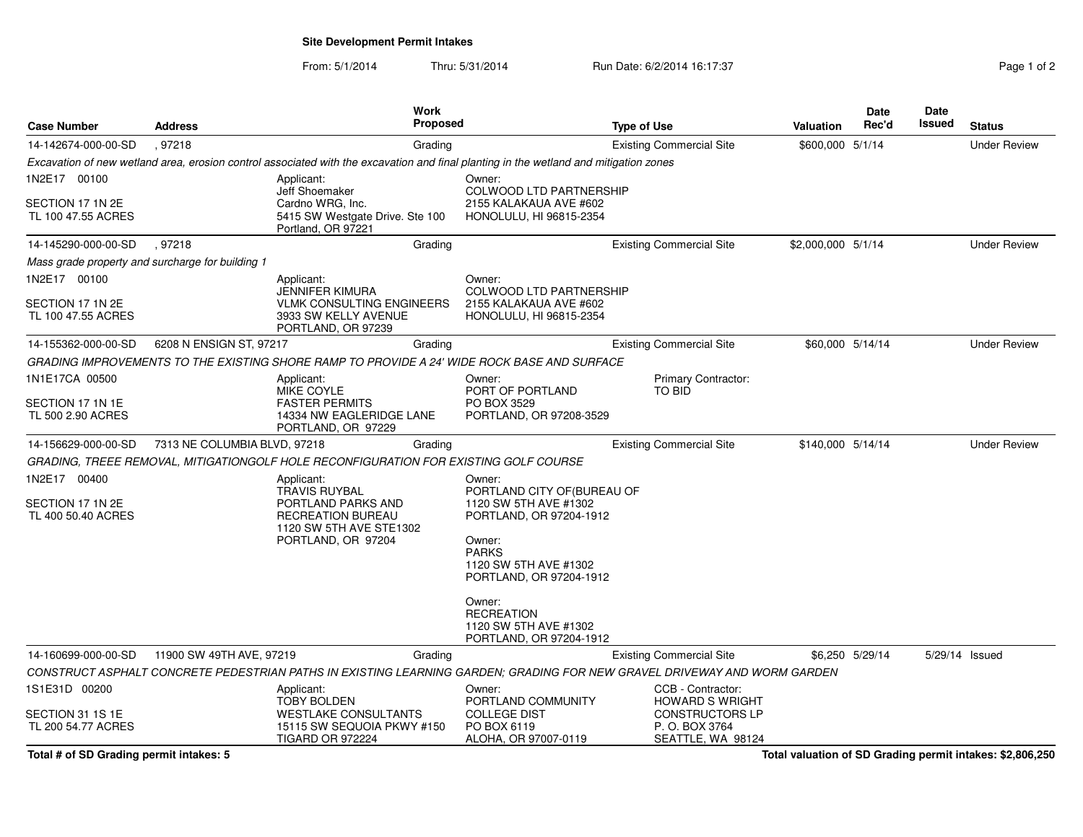**Site Development Permit Intakes**

From: 5/1/2014Thru: 5/31/2014 Run Date: 6/2/2014 16:17:37 Rage 1 of 2

| <b>Case Number</b>                               |                                                                                      | Work                                                                                                                                                                                                                                                   |                                                                                                                                                                             |                                                                                                                                                                                                                                                                                                                                                                                                                                                                                                                                                                                                                                                            | Date                                                                                                                                  | Date                                                                                                        |                          |
|--------------------------------------------------|--------------------------------------------------------------------------------------|--------------------------------------------------------------------------------------------------------------------------------------------------------------------------------------------------------------------------------------------------------|-----------------------------------------------------------------------------------------------------------------------------------------------------------------------------|------------------------------------------------------------------------------------------------------------------------------------------------------------------------------------------------------------------------------------------------------------------------------------------------------------------------------------------------------------------------------------------------------------------------------------------------------------------------------------------------------------------------------------------------------------------------------------------------------------------------------------------------------------|---------------------------------------------------------------------------------------------------------------------------------------|-------------------------------------------------------------------------------------------------------------|--------------------------|
|                                                  |                                                                                      |                                                                                                                                                                                                                                                        |                                                                                                                                                                             |                                                                                                                                                                                                                                                                                                                                                                                                                                                                                                                                                                                                                                                            |                                                                                                                                       |                                                                                                             | <b>Status</b>            |
|                                                  |                                                                                      |                                                                                                                                                                                                                                                        |                                                                                                                                                                             |                                                                                                                                                                                                                                                                                                                                                                                                                                                                                                                                                                                                                                                            |                                                                                                                                       |                                                                                                             | <b>Under Review</b>      |
|                                                  |                                                                                      |                                                                                                                                                                                                                                                        |                                                                                                                                                                             |                                                                                                                                                                                                                                                                                                                                                                                                                                                                                                                                                                                                                                                            |                                                                                                                                       |                                                                                                             |                          |
|                                                  | <b>Jeff Shoemaker</b>                                                                |                                                                                                                                                                                                                                                        |                                                                                                                                                                             |                                                                                                                                                                                                                                                                                                                                                                                                                                                                                                                                                                                                                                                            |                                                                                                                                       |                                                                                                             |                          |
|                                                  | 5415 SW Westgate Drive. Ste 100<br>Portland, OR 97221                                |                                                                                                                                                                                                                                                        |                                                                                                                                                                             |                                                                                                                                                                                                                                                                                                                                                                                                                                                                                                                                                                                                                                                            |                                                                                                                                       |                                                                                                             |                          |
| .97218                                           | Grading                                                                              |                                                                                                                                                                                                                                                        | <b>Existing Commercial Site</b>                                                                                                                                             |                                                                                                                                                                                                                                                                                                                                                                                                                                                                                                                                                                                                                                                            |                                                                                                                                       |                                                                                                             | <b>Under Review</b>      |
| Mass grade property and surcharge for building 1 |                                                                                      |                                                                                                                                                                                                                                                        |                                                                                                                                                                             |                                                                                                                                                                                                                                                                                                                                                                                                                                                                                                                                                                                                                                                            |                                                                                                                                       |                                                                                                             |                          |
|                                                  | Applicant:                                                                           | Owner:                                                                                                                                                                                                                                                 |                                                                                                                                                                             |                                                                                                                                                                                                                                                                                                                                                                                                                                                                                                                                                                                                                                                            |                                                                                                                                       |                                                                                                             |                          |
|                                                  | VLMK CONSULTING ENGINEERS<br>3933 SW KELLY AVENUE<br>PORTLAND, OR 97239              |                                                                                                                                                                                                                                                        |                                                                                                                                                                             |                                                                                                                                                                                                                                                                                                                                                                                                                                                                                                                                                                                                                                                            |                                                                                                                                       |                                                                                                             |                          |
|                                                  | Grading                                                                              |                                                                                                                                                                                                                                                        | <b>Existing Commercial Site</b>                                                                                                                                             |                                                                                                                                                                                                                                                                                                                                                                                                                                                                                                                                                                                                                                                            |                                                                                                                                       |                                                                                                             | <b>Under Review</b>      |
|                                                  |                                                                                      |                                                                                                                                                                                                                                                        |                                                                                                                                                                             |                                                                                                                                                                                                                                                                                                                                                                                                                                                                                                                                                                                                                                                            |                                                                                                                                       |                                                                                                             |                          |
|                                                  | Applicant:                                                                           | Owner:                                                                                                                                                                                                                                                 | Primary Contractor:                                                                                                                                                         |                                                                                                                                                                                                                                                                                                                                                                                                                                                                                                                                                                                                                                                            |                                                                                                                                       |                                                                                                             |                          |
|                                                  | <b>FASTER PERMITS</b><br>14334 NW EAGLERIDGE LANE                                    | PO BOX 3529                                                                                                                                                                                                                                            |                                                                                                                                                                             |                                                                                                                                                                                                                                                                                                                                                                                                                                                                                                                                                                                                                                                            |                                                                                                                                       |                                                                                                             |                          |
|                                                  | Grading                                                                              |                                                                                                                                                                                                                                                        | <b>Existing Commercial Site</b>                                                                                                                                             |                                                                                                                                                                                                                                                                                                                                                                                                                                                                                                                                                                                                                                                            |                                                                                                                                       |                                                                                                             | <b>Under Review</b>      |
|                                                  |                                                                                      |                                                                                                                                                                                                                                                        |                                                                                                                                                                             |                                                                                                                                                                                                                                                                                                                                                                                                                                                                                                                                                                                                                                                            |                                                                                                                                       |                                                                                                             |                          |
|                                                  | Applicant:<br><b>TRAVIS RUYBAL</b>                                                   | Owner:                                                                                                                                                                                                                                                 |                                                                                                                                                                             |                                                                                                                                                                                                                                                                                                                                                                                                                                                                                                                                                                                                                                                            |                                                                                                                                       |                                                                                                             |                          |
|                                                  | PORTLAND PARKS AND<br>RECREATION BUREAU                                              | 1120 SW 5TH AVE #1302                                                                                                                                                                                                                                  |                                                                                                                                                                             |                                                                                                                                                                                                                                                                                                                                                                                                                                                                                                                                                                                                                                                            |                                                                                                                                       |                                                                                                             |                          |
|                                                  | PORTLAND, OR 97204                                                                   | Owner:                                                                                                                                                                                                                                                 |                                                                                                                                                                             |                                                                                                                                                                                                                                                                                                                                                                                                                                                                                                                                                                                                                                                            |                                                                                                                                       |                                                                                                             |                          |
|                                                  |                                                                                      | 1120 SW 5TH AVE #1302                                                                                                                                                                                                                                  |                                                                                                                                                                             |                                                                                                                                                                                                                                                                                                                                                                                                                                                                                                                                                                                                                                                            |                                                                                                                                       |                                                                                                             |                          |
|                                                  |                                                                                      | Owner:<br><b>RECREATION</b><br>1120 SW 5TH AVE #1302                                                                                                                                                                                                   |                                                                                                                                                                             |                                                                                                                                                                                                                                                                                                                                                                                                                                                                                                                                                                                                                                                            |                                                                                                                                       |                                                                                                             |                          |
|                                                  | Grading                                                                              |                                                                                                                                                                                                                                                        | <b>Existing Commercial Site</b>                                                                                                                                             |                                                                                                                                                                                                                                                                                                                                                                                                                                                                                                                                                                                                                                                            |                                                                                                                                       |                                                                                                             |                          |
|                                                  |                                                                                      |                                                                                                                                                                                                                                                        |                                                                                                                                                                             |                                                                                                                                                                                                                                                                                                                                                                                                                                                                                                                                                                                                                                                            |                                                                                                                                       |                                                                                                             |                          |
|                                                  | Applicant:                                                                           | Owner:                                                                                                                                                                                                                                                 | CCB - Contractor:                                                                                                                                                           |                                                                                                                                                                                                                                                                                                                                                                                                                                                                                                                                                                                                                                                            |                                                                                                                                       |                                                                                                             |                          |
|                                                  | <b>WESTLAKE CONSULTANTS</b><br>15115 SW SEQUOIA PKWY #150<br><b>TIGARD OR 972224</b> | <b>COLLEGE DIST</b><br>PO BOX 6119<br>ALOHA, OR 97007-0119                                                                                                                                                                                             | <b>CONSTRUCTORS LP</b><br>P. O. BOX 3764<br>SEATTLE, WA 98124                                                                                                               |                                                                                                                                                                                                                                                                                                                                                                                                                                                                                                                                                                                                                                                            |                                                                                                                                       |                                                                                                             |                          |
|                                                  | <b>Address</b><br>.97218                                                             | Grading<br>Applicant:<br>Cardno WRG, Inc.<br><b>JENNIFER KIMURA</b><br>6208 N ENSIGN ST, 97217<br><b>MIKE COYLE</b><br>PORTLAND, OR 97229<br>7313 NE COLUMBIA BLVD, 97218<br>1120 SW 5TH AVE STE1302<br>11900 SW 49TH AVE, 97219<br><b>TOBY BOLDEN</b> | <b>Proposed</b><br>Owner:<br>PORT OF PORTLAND<br>GRADING, TREEE REMOVAL, MITIGATIONGOLF HOLE RECONFIGURATION FOR EXISTING GOLF COURSE<br><b>PARKS</b><br>PORTLAND COMMUNITY | <b>Type of Use</b><br><b>Existing Commercial Site</b><br>Excavation of new wetland area, erosion control associated with the excavation and final planting in the wetland and mitigation zones<br><b>COLWOOD LTD PARTNERSHIP</b><br>2155 KALAKAUA AVE #602<br>HONOLULU, HI 96815-2354<br><b>COLWOOD LTD PARTNERSHIP</b><br>2155 KALAKAUA AVE #602<br>HONOLULU, HI 96815-2354<br>GRADING IMPROVEMENTS TO THE EXISTING SHORE RAMP TO PROVIDE A 24' WIDE ROCK BASE AND SURFACE<br>TO BID<br>PORTLAND, OR 97208-3529<br>PORTLAND CITY OF (BUREAU OF<br>PORTLAND, OR 97204-1912<br>PORTLAND, OR 97204-1912<br>PORTLAND, OR 97204-1912<br><b>HOWARD S WRIGHT</b> | Valuation<br>CONSTRUCT ASPHALT CONCRETE PEDESTRIAN PATHS IN EXISTING LEARNING GARDEN; GRADING FOR NEW GRAVEL DRIVEWAY AND WORM GARDEN | Rec'd<br>\$600,000 5/1/14<br>\$2,000,000 5/1/14<br>\$60,000 5/14/14<br>\$140,000 5/14/14<br>\$6,250 5/29/14 | Issued<br>5/29/14 Issued |

**Total # of SD Grading permit intakes: 5**

**Total valuation of SD Grading permit intakes: \$2,806,250**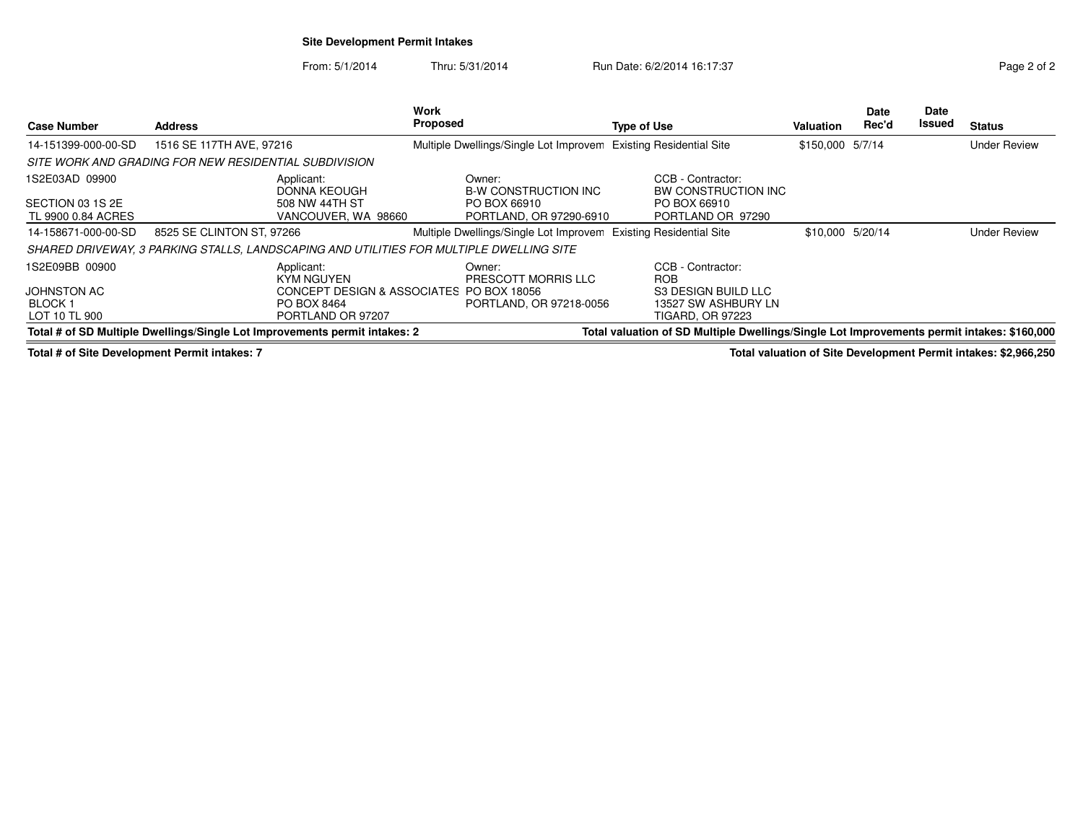## **Site Development Permit Intakes**

From: 5/1/2014Thru: 5/31/2014 Run Date: 6/2/2014 16:17:37 Rege 2 of 2

| <b>Case Number</b>                     | <b>Address</b>                                                                                                                                                           | <b>Work</b><br><b>Proposed</b>           | <b>Type of Use</b>                       | Valuation        | <b>Date</b><br>Rec'd | Date<br>Issued | <b>Status</b>       |
|----------------------------------------|--------------------------------------------------------------------------------------------------------------------------------------------------------------------------|------------------------------------------|------------------------------------------|------------------|----------------------|----------------|---------------------|
| 14-151399-000-00-SD                    | 1516 SE 117TH AVE, 97216                                                                                                                                                 | Multiple Dwellings/Single Lot Improvem   | <b>Existing Residential Site</b>         | \$150,000 5/7/14 |                      |                | <b>Under Review</b> |
|                                        | SITE WORK AND GRADING FOR NEW RESIDENTIAL SUBDIVISION                                                                                                                    |                                          |                                          |                  |                      |                |                     |
| 1S2E03AD 09900                         | Applicant:<br>DONNA KEOUGH                                                                                                                                               | Owner:<br><b>B-W CONSTRUCTION INC</b>    | CCB - Contractor:<br>BW CONSTRUCTION INC |                  |                      |                |                     |
| SECTION 03 1S 2E<br>TL 9900 0.84 ACRES | 508 NW 44TH ST<br>VANCOUVER, WA 98660                                                                                                                                    | PO BOX 66910<br>PORTLAND, OR 97290-6910  | PO BOX 66910<br>PORTLAND OR 97290        |                  |                      |                |                     |
| 14-158671-000-00-SD                    | 8525 SE CLINTON ST, 97266                                                                                                                                                | Multiple Dwellings/Single Lot Improvem   | <b>Existing Residential Site</b>         | \$10,000 5/20/14 |                      |                | <b>Under Review</b> |
|                                        | SHARED DRIVEWAY. 3 PARKING STALLS. LANDSCAPING AND UTILITIES FOR MULTIPLE DWELLING SITE                                                                                  |                                          |                                          |                  |                      |                |                     |
| 1S2E09BB 00900                         | Applicant:<br>KYM NGUYEN                                                                                                                                                 | Owner:<br>PRESCOTT MORRIS LLC            | CCB - Contractor:<br><b>ROB</b>          |                  |                      |                |                     |
| <b>JOHNSTON AC</b>                     |                                                                                                                                                                          | CONCEPT DESIGN & ASSOCIATES PO BOX 18056 | S3 DESIGN BUILD LLC                      |                  |                      |                |                     |
| BLOCK 1                                | PO BOX 8464                                                                                                                                                              | PORTLAND, OR 97218-0056                  | 13527 SW ASHBURY LN                      |                  |                      |                |                     |
| LOT 10 TL 900                          | PORTLAND OR 97207                                                                                                                                                        |                                          | <b>TIGARD, OR 97223</b>                  |                  |                      |                |                     |
|                                        | Total # of SD Multiple Dwellings/Single Lot Improvements permit intakes: 2<br>Total valuation of SD Multiple Dwellings/Single Lot Improvements permit intakes: \$160,000 |                                          |                                          |                  |                      |                |                     |

**Total # of Site Development Permit intakes: 7**

**Total valuation of Site Development Permit intakes: \$2,966,250**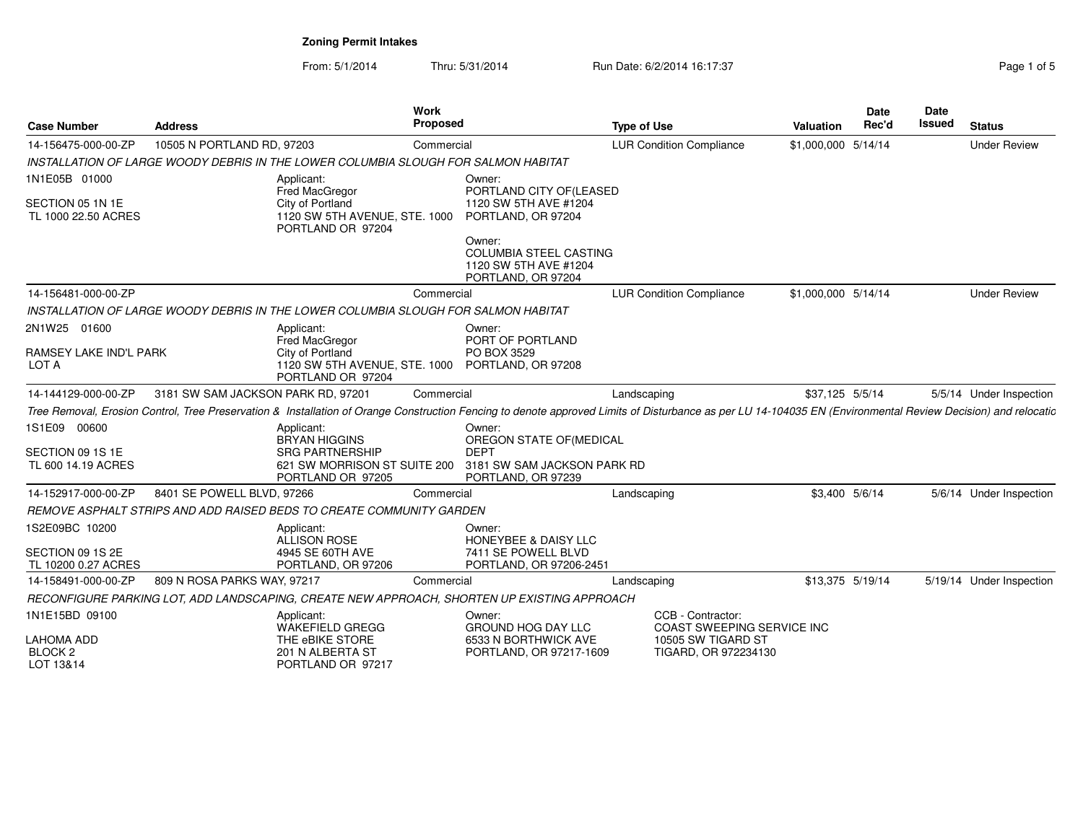From: 5/1/2014Thru: 5/31/2014 Run Date: 6/2/2014 16:17:37 Rage 1 of 5/31/2014

| Page 1 of 5 |  |  |
|-------------|--|--|

| <b>Case Number</b>                               | <b>Address</b>                     |                                                                                    | <b>Work</b><br>Proposed |                                                                                                                                                                                                              | <b>Type of Use</b>              |                                                        | Valuation           | <b>Date</b><br>Rec'd | Date<br>Issued | <b>Status</b>            |
|--------------------------------------------------|------------------------------------|------------------------------------------------------------------------------------|-------------------------|--------------------------------------------------------------------------------------------------------------------------------------------------------------------------------------------------------------|---------------------------------|--------------------------------------------------------|---------------------|----------------------|----------------|--------------------------|
| 14-156475-000-00-ZP                              | 10505 N PORTLAND RD, 97203         |                                                                                    | Commercial              |                                                                                                                                                                                                              | <b>LUR Condition Compliance</b> |                                                        | \$1,000,000 5/14/14 |                      |                | <b>Under Review</b>      |
|                                                  |                                    | INSTALLATION OF LARGE WOODY DEBRIS IN THE LOWER COLUMBIA SLOUGH FOR SALMON HABITAT |                         |                                                                                                                                                                                                              |                                 |                                                        |                     |                      |                |                          |
| 1N1E05B 01000                                    |                                    | Applicant:<br>Fred MacGregor                                                       |                         | Owner:<br>PORTLAND CITY OF (LEASED                                                                                                                                                                           |                                 |                                                        |                     |                      |                |                          |
| SECTION 05 1N 1E<br>TL 1000 22.50 ACRES          |                                    | City of Portland<br>1120 SW 5TH AVENUE, STE. 1000<br>PORTLAND OR 97204             |                         | 1120 SW 5TH AVE #1204<br>PORTLAND, OR 97204                                                                                                                                                                  |                                 |                                                        |                     |                      |                |                          |
|                                                  |                                    |                                                                                    |                         | Owner:<br>COLUMBIA STEEL CASTING<br>1120 SW 5TH AVE #1204<br>PORTLAND, OR 97204                                                                                                                              |                                 |                                                        |                     |                      |                |                          |
| 14-156481-000-00-ZP                              |                                    |                                                                                    | Commercial              |                                                                                                                                                                                                              | <b>LUR Condition Compliance</b> |                                                        | \$1,000,000 5/14/14 |                      |                | <b>Under Review</b>      |
|                                                  |                                    | INSTALLATION OF LARGE WOODY DEBRIS IN THE LOWER COLUMBIA SLOUGH FOR SALMON HABITAT |                         |                                                                                                                                                                                                              |                                 |                                                        |                     |                      |                |                          |
| 2N1W25 01600                                     |                                    | Applicant:<br>Fred MacGregor                                                       |                         | Owner:<br>PORT OF PORTLAND                                                                                                                                                                                   |                                 |                                                        |                     |                      |                |                          |
| RAMSEY LAKE IND'L PARK<br>LOT A                  |                                    | City of Portland<br>1120 SW 5TH AVENUE, STE. 1000<br>PORTLAND OR 97204             |                         | PO BOX 3529<br>PORTLAND, OR 97208                                                                                                                                                                            |                                 |                                                        |                     |                      |                |                          |
| 14-144129-000-00-ZP                              | 3181 SW SAM JACKSON PARK RD, 97201 |                                                                                    | Commercial              |                                                                                                                                                                                                              | Landscaping                     |                                                        | \$37,125 5/5/14     |                      |                | 5/5/14 Under Inspection  |
|                                                  |                                    |                                                                                    |                         | Tree Removal, Erosion Control, Tree Preservation & Installation of Orange Construction Fencing to denote approved Limits of Disturbance as per LU 14-104035 EN (Environmental Review Decision) and relocatic |                                 |                                                        |                     |                      |                |                          |
| 1S1E09 00600                                     |                                    | Applicant:<br><b>BRYAN HIGGINS</b>                                                 |                         | Owner:<br>OREGON STATE OF(MEDICAL                                                                                                                                                                            |                                 |                                                        |                     |                      |                |                          |
| SECTION 09 1S 1E<br>TL 600 14.19 ACRES           |                                    | <b>SRG PARTNERSHIP</b><br>621 SW MORRISON ST SUITE 200<br>PORTLAND OR 97205        |                         | <b>DEPT</b><br>3181 SW SAM JACKSON PARK RD<br>PORTLAND, OR 97239                                                                                                                                             |                                 |                                                        |                     |                      |                |                          |
| 14-152917-000-00-ZP                              | 8401 SE POWELL BLVD, 97266         |                                                                                    | Commercial              |                                                                                                                                                                                                              | Landscaping                     |                                                        | \$3.400 5/6/14      |                      |                | 5/6/14 Under Inspection  |
|                                                  |                                    | REMOVE ASPHALT STRIPS AND ADD RAISED BEDS TO CREATE COMMUNITY GARDEN               |                         |                                                                                                                                                                                                              |                                 |                                                        |                     |                      |                |                          |
| 1S2E09BC 10200                                   |                                    | Applicant:<br><b>ALLISON ROSE</b>                                                  |                         | Owner:<br><b>HONEYBEE &amp; DAISY LLC</b>                                                                                                                                                                    |                                 |                                                        |                     |                      |                |                          |
| SECTION 09 1S 2E<br>TL 10200 0.27 ACRES          |                                    | 4945 SE 60TH AVE<br>PORTLAND, OR 97206                                             |                         | 7411 SE POWELL BLVD<br>PORTLAND, OR 97206-2451                                                                                                                                                               |                                 |                                                        |                     |                      |                |                          |
| 14-158491-000-00-ZP                              | 809 N ROSA PARKS WAY, 97217        |                                                                                    | Commercial              |                                                                                                                                                                                                              | Landscaping                     |                                                        | \$13,375 5/19/14    |                      |                | 5/19/14 Under Inspection |
|                                                  |                                    |                                                                                    |                         | RECONFIGURE PARKING LOT, ADD LANDSCAPING, CREATE NEW APPROACH, SHORTEN UP EXISTING APPROACH                                                                                                                  |                                 |                                                        |                     |                      |                |                          |
| 1N1E15BD 09100                                   |                                    | Applicant:<br><b>WAKEFIELD GREGG</b>                                               |                         | Owner:<br><b>GROUND HOG DAY LLC</b>                                                                                                                                                                          |                                 | CCB - Contractor:<br><b>COAST SWEEPING SERVICE INC</b> |                     |                      |                |                          |
| <b>LAHOMA ADD</b><br><b>BLOCK 2</b><br>LOT 13&14 |                                    | THE eBIKE STORE<br>201 N ALBERTA ST<br>PORTLAND OR 97217                           |                         | 6533 N BORTHWICK AVE<br>PORTLAND, OR 97217-1609                                                                                                                                                              |                                 | 10505 SW TIGARD ST<br>TIGARD, OR 972234130             |                     |                      |                |                          |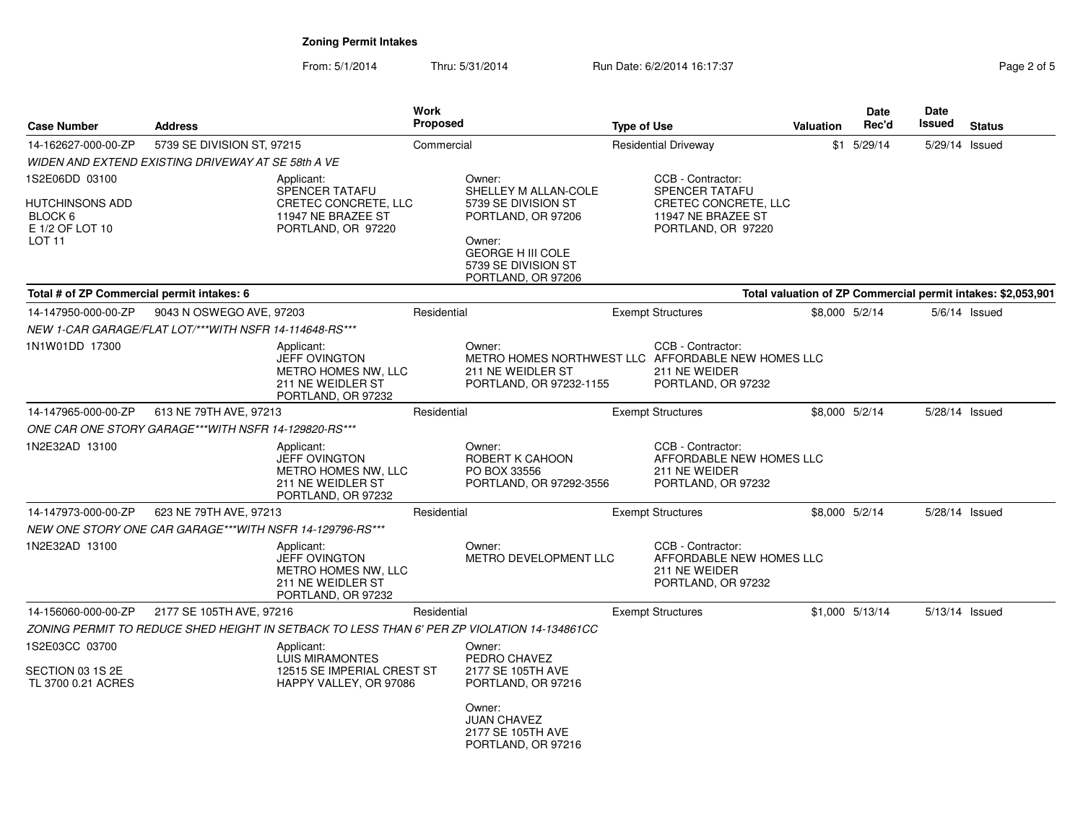| <b>Case Number</b>                                                 | <b>Address</b>                                           |                                                                                                      | <b>Work</b><br><b>Proposed</b> |                                                                                                                                                      | <b>Type of Use</b> |                                                                                      | Valuation      | <b>Date</b><br>Rec'd | <b>Date</b><br>Issued | <b>Status</b>                                                |
|--------------------------------------------------------------------|----------------------------------------------------------|------------------------------------------------------------------------------------------------------|--------------------------------|------------------------------------------------------------------------------------------------------------------------------------------------------|--------------------|--------------------------------------------------------------------------------------|----------------|----------------------|-----------------------|--------------------------------------------------------------|
| 14-162627-000-00-ZP                                                | 5739 SE DIVISION ST, 97215                               |                                                                                                      | Commercial                     |                                                                                                                                                      |                    | <b>Residential Driveway</b>                                                          |                | $$1$ 5/29/14         | 5/29/14 Issued        |                                                              |
|                                                                    | WIDEN AND EXTEND EXISTING DRIVEWAY AT SE 58th A VE       |                                                                                                      |                                |                                                                                                                                                      |                    |                                                                                      |                |                      |                       |                                                              |
| 1S2E06DD 03100                                                     |                                                          | Applicant:                                                                                           |                                | Owner:                                                                                                                                               |                    | CCB - Contractor:                                                                    |                |                      |                       |                                                              |
| HUTCHINSONS ADD<br>BLOCK 6<br>E 1/2 OF LOT 10<br>LOT <sub>11</sub> |                                                          | <b>SPENCER TATAFU</b><br>CRETEC CONCRETE, LLC<br>11947 NE BRAZEE ST<br>PORTLAND, OR 97220            |                                | SHELLEY M ALLAN-COLE<br>5739 SE DIVISION ST<br>PORTLAND, OR 97206<br>Owner:<br><b>GEORGE H III COLE</b><br>5739 SE DIVISION ST<br>PORTLAND, OR 97206 |                    | SPENCER TATAFU<br>CRETEC CONCRETE, LLC<br>11947 NE BRAZEE ST<br>PORTLAND, OR 97220   |                |                      |                       |                                                              |
| Total # of ZP Commercial permit intakes: 6                         |                                                          |                                                                                                      |                                |                                                                                                                                                      |                    |                                                                                      |                |                      |                       | Total valuation of ZP Commercial permit intakes: \$2,053,901 |
| 14-147950-000-00-ZP                                                | 9043 N OSWEGO AVE, 97203                                 |                                                                                                      | Residential                    |                                                                                                                                                      |                    | <b>Exempt Structures</b>                                                             | \$8,000 5/2/14 |                      |                       | $5/6/14$ Issued                                              |
|                                                                    | NEW 1-CAR GARAGE/FLAT LOT/***WITH NSFR 14-114648-RS***   |                                                                                                      |                                |                                                                                                                                                      |                    |                                                                                      |                |                      |                       |                                                              |
| 1N1W01DD 17300                                                     |                                                          | Applicant:<br><b>JEFF OVINGTON</b><br>METRO HOMES NW, LLC<br>211 NE WEIDLER ST<br>PORTLAND, OR 97232 |                                | Owner:<br>METRO HOMES NORTHWEST LLC AFFORDABLE NEW HOMES LLC<br>211 NE WEIDLER ST<br>PORTLAND, OR 97232-1155                                         |                    | CCB - Contractor:<br>211 NE WEIDER<br>PORTLAND, OR 97232                             |                |                      |                       |                                                              |
| 14-147965-000-00-ZP                                                | 613 NE 79TH AVE, 97213                                   |                                                                                                      | Residential                    |                                                                                                                                                      |                    | <b>Exempt Structures</b>                                                             | \$8,000 5/2/14 |                      | 5/28/14 Issued        |                                                              |
|                                                                    | ONE CAR ONE STORY GARAGE***WITH NSFR 14-129820-RS***     |                                                                                                      |                                |                                                                                                                                                      |                    |                                                                                      |                |                      |                       |                                                              |
| 1N2E32AD 13100                                                     |                                                          | Applicant:<br><b>JEFF OVINGTON</b><br>METRO HOMES NW, LLC<br>211 NE WEIDLER ST<br>PORTLAND, OR 97232 |                                | Owner:<br>ROBERT K CAHOON<br>PO BOX 33556<br>PORTLAND, OR 97292-3556                                                                                 |                    | CCB - Contractor:<br>AFFORDABLE NEW HOMES LLC<br>211 NE WEIDER<br>PORTLAND, OR 97232 |                |                      |                       |                                                              |
| 14-147973-000-00-ZP                                                | 623 NE 79TH AVE, 97213                                   |                                                                                                      | Residential                    |                                                                                                                                                      |                    | <b>Exempt Structures</b>                                                             |                | \$8,000 5/2/14       | 5/28/14 Issued        |                                                              |
|                                                                    | NEW ONE STORY ONE CAR GARAGE***WITH NSFR 14-129796-RS*** |                                                                                                      |                                |                                                                                                                                                      |                    |                                                                                      |                |                      |                       |                                                              |
| 1N2E32AD 13100                                                     |                                                          | Applicant:<br><b>JEFF OVINGTON</b><br>METRO HOMES NW, LLC<br>211 NE WEIDLER ST<br>PORTLAND, OR 97232 |                                | Owner:<br>METRO DEVELOPMENT LLC                                                                                                                      |                    | CCB - Contractor:<br>AFFORDABLE NEW HOMES LLC<br>211 NE WEIDER<br>PORTLAND, OR 97232 |                |                      |                       |                                                              |
| 14-156060-000-00-ZP                                                | 2177 SE 105TH AVE, 97216                                 |                                                                                                      | Residential                    |                                                                                                                                                      |                    | <b>Exempt Structures</b>                                                             |                | \$1,000 5/13/14      | 5/13/14 Issued        |                                                              |
|                                                                    |                                                          | ZONING PERMIT TO REDUCE SHED HEIGHT IN SETBACK TO LESS THAN 6' PER ZP VIOLATION 14-134861CC          |                                |                                                                                                                                                      |                    |                                                                                      |                |                      |                       |                                                              |
| 1S2E03CC 03700<br>SECTION 03 1S 2E<br>TL 3700 0.21 ACRES           |                                                          | Applicant:<br><b>LUIS MIRAMONTES</b><br>12515 SE IMPERIAL CREST ST<br>HAPPY VALLEY, OR 97086         |                                | Owner:<br>PEDRO CHAVEZ<br>2177 SE 105TH AVE<br>PORTLAND, OR 97216                                                                                    |                    |                                                                                      |                |                      |                       |                                                              |
|                                                                    |                                                          |                                                                                                      |                                | Owner:<br><b>JUAN CHAVEZ</b><br>2177 SE 105TH AVE<br>PORTLAND, OR 97216                                                                              |                    |                                                                                      |                |                      |                       |                                                              |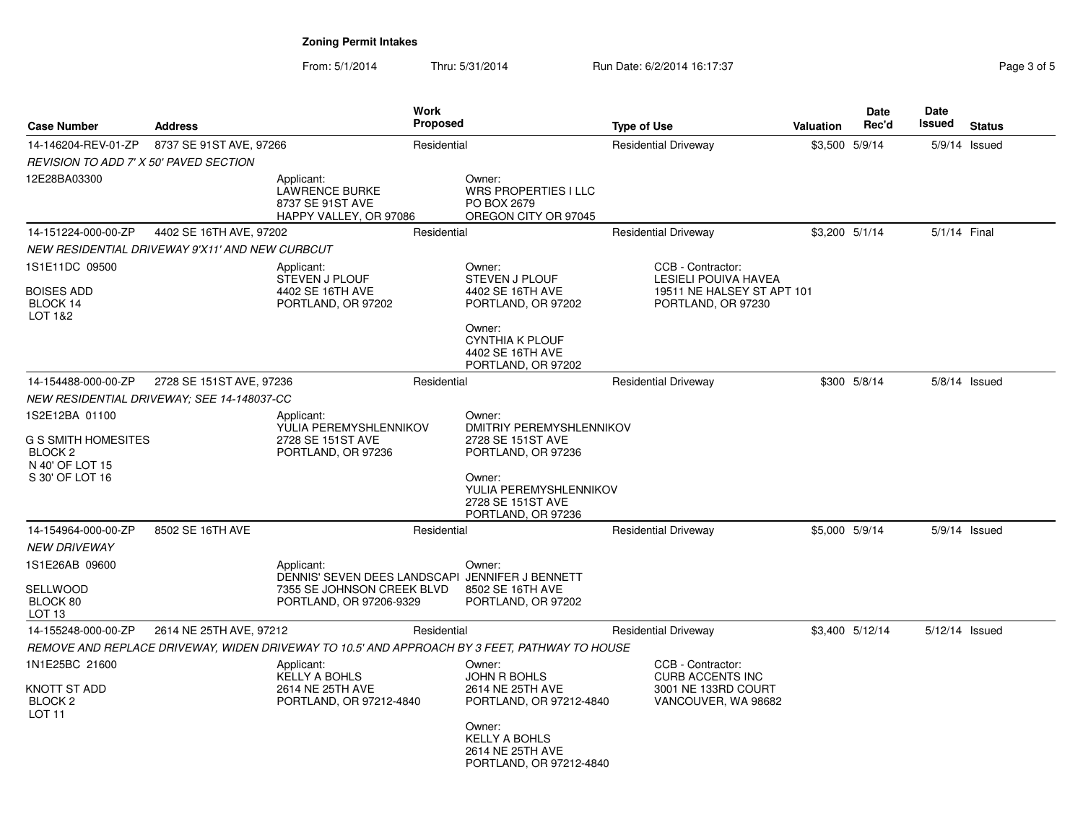From: 5/1/2014Thru: 5/31/2014 Run Date: 6/2/2014 16:17:37 Rege 3 of 5

| <b>Case Number</b><br><b>Address</b>                         |                                                 |                                                                                                          | <b>Work</b><br>Proposed                                      |                                                                                               | <b>Type of Use</b>                               | <b>Valuation</b> | <b>Date</b><br>Rec'd | Date<br>Issued | <b>Status</b>   |
|--------------------------------------------------------------|-------------------------------------------------|----------------------------------------------------------------------------------------------------------|--------------------------------------------------------------|-----------------------------------------------------------------------------------------------|--------------------------------------------------|------------------|----------------------|----------------|-----------------|
| 14-146204-REV-01-ZP                                          | 8737 SE 91ST AVE, 97266                         |                                                                                                          | Residential                                                  |                                                                                               | <b>Residential Driveway</b>                      |                  | \$3,500 5/9/14       |                | 5/9/14 Issued   |
| REVISION TO ADD 7' X 50' PAVED SECTION                       |                                                 |                                                                                                          |                                                              |                                                                                               |                                                  |                  |                      |                |                 |
| 12E28BA03300                                                 |                                                 | Applicant:<br><b>LAWRENCE BURKE</b><br>8737 SE 91ST AVE<br>HAPPY VALLEY, OR 97086                        |                                                              | Owner:<br><b>WRS PROPERTIES I LLC</b><br>PO BOX 2679<br>OREGON CITY OR 97045                  |                                                  |                  |                      |                |                 |
| 14-151224-000-00-ZP                                          | 4402 SE 16TH AVE, 97202                         |                                                                                                          | Residential                                                  |                                                                                               | <b>Residential Driveway</b>                      |                  | \$3.200 5/1/14       | 5/1/14 Final   |                 |
|                                                              | NEW RESIDENTIAL DRIVEWAY 9'X11' AND NEW CURBCUT |                                                                                                          |                                                              |                                                                                               |                                                  |                  |                      |                |                 |
| 1S1E11DC 09500                                               |                                                 | Applicant:<br><b>STEVEN J PLOUF</b>                                                                      |                                                              | Owner:<br><b>STEVEN J PLOUF</b>                                                               | CCB - Contractor:<br><b>LESIELI POUIVA HAVEA</b> |                  |                      |                |                 |
| <b>BOISES ADD</b><br>BLOCK 14<br>LOT 1&2                     |                                                 | 4402 SE 16TH AVE<br>PORTLAND, OR 97202                                                                   |                                                              | 4402 SE 16TH AVE<br>PORTLAND, OR 97202                                                        | 19511 NE HALSEY ST APT 101<br>PORTLAND, OR 97230 |                  |                      |                |                 |
|                                                              |                                                 |                                                                                                          |                                                              | Owner:<br><b>CYNTHIA K PLOUF</b><br>4402 SE 16TH AVE<br>PORTLAND, OR 97202                    |                                                  |                  |                      |                |                 |
| 14-154488-000-00-ZP                                          | 2728 SE 151ST AVE, 97236                        |                                                                                                          | Residential                                                  |                                                                                               | <b>Residential Driveway</b>                      |                  | \$300 5/8/14         |                | $5/8/14$ Issued |
|                                                              | NEW RESIDENTIAL DRIVEWAY; SEE 14-148037-CC      |                                                                                                          |                                                              |                                                                                               |                                                  |                  |                      |                |                 |
| 1S2E12BA 01100<br>Applicant:                                 |                                                 |                                                                                                          | Owner:<br>YULIA PEREMYSHLENNIKOV<br>DMITRIY PEREMYSHLENNIKOV |                                                                                               |                                                  |                  |                      |                |                 |
| G S SMITH HOMESITES<br>BLOCK <sub>2</sub><br>N 40' OF LOT 15 |                                                 | 2728 SE 151ST AVE<br>PORTLAND, OR 97236                                                                  |                                                              | 2728 SE 151ST AVE<br>PORTLAND, OR 97236                                                       |                                                  |                  |                      |                |                 |
| S 30' OF LOT 16                                              |                                                 |                                                                                                          |                                                              | Owner:<br>YULIA PEREMYSHLENNIKOV<br>2728 SE 151ST AVE<br>PORTLAND, OR 97236                   |                                                  |                  |                      |                |                 |
| 14-154964-000-00-ZP                                          | 8502 SE 16TH AVE                                |                                                                                                          | Residential                                                  |                                                                                               | <b>Residential Driveway</b>                      |                  | \$5,000 5/9/14       |                | $5/9/14$ Issued |
| <i>NEW DRIVEWAY</i>                                          |                                                 |                                                                                                          |                                                              |                                                                                               |                                                  |                  |                      |                |                 |
| 1S1E26AB 09600                                               |                                                 | Applicant:                                                                                               |                                                              | Owner:                                                                                        |                                                  |                  |                      |                |                 |
| SELLWOOD<br>BLOCK 80<br>LOT <sub>13</sub>                    |                                                 | DENNIS' SEVEN DEES LANDSCAPI JENNIFER J BENNETT<br>7355 SE JOHNSON CREEK BLVD<br>PORTLAND, OR 97206-9329 |                                                              | 8502 SE 16TH AVE<br>PORTLAND, OR 97202                                                        |                                                  |                  |                      |                |                 |
| 14-155248-000-00-ZP                                          | 2614 NE 25TH AVE, 97212                         |                                                                                                          | Residential                                                  |                                                                                               | <b>Residential Driveway</b>                      |                  | \$3,400 5/12/14      | 5/12/14 Issued |                 |
|                                                              |                                                 |                                                                                                          |                                                              | REMOVE AND REPLACE DRIVEWAY, WIDEN DRIVEWAY TO 10.5' AND APPROACH BY 3 FEET, PATHWAY TO HOUSE |                                                  |                  |                      |                |                 |
| 1N1E25BC 21600                                               |                                                 | Applicant:<br><b>KELLY A BOHLS</b>                                                                       |                                                              | Owner:<br><b>JOHN R BOHLS</b>                                                                 | CCB - Contractor:<br><b>CURB ACCENTS INC</b>     |                  |                      |                |                 |
| KNOTT ST ADD<br>BLOCK <sub>2</sub><br>LOT 11                 |                                                 | 2614 NE 25TH AVE<br>PORTLAND, OR 97212-4840                                                              |                                                              | 2614 NE 25TH AVE<br>PORTLAND, OR 97212-4840                                                   | 3001 NE 133RD COURT<br>VANCOUVER, WA 98682       |                  |                      |                |                 |
|                                                              |                                                 |                                                                                                          |                                                              | Owner:<br><b>KELLY A BOHLS</b><br>2614 NE 25TH AVE<br>PORTLAND, OR 97212-4840                 |                                                  |                  |                      |                |                 |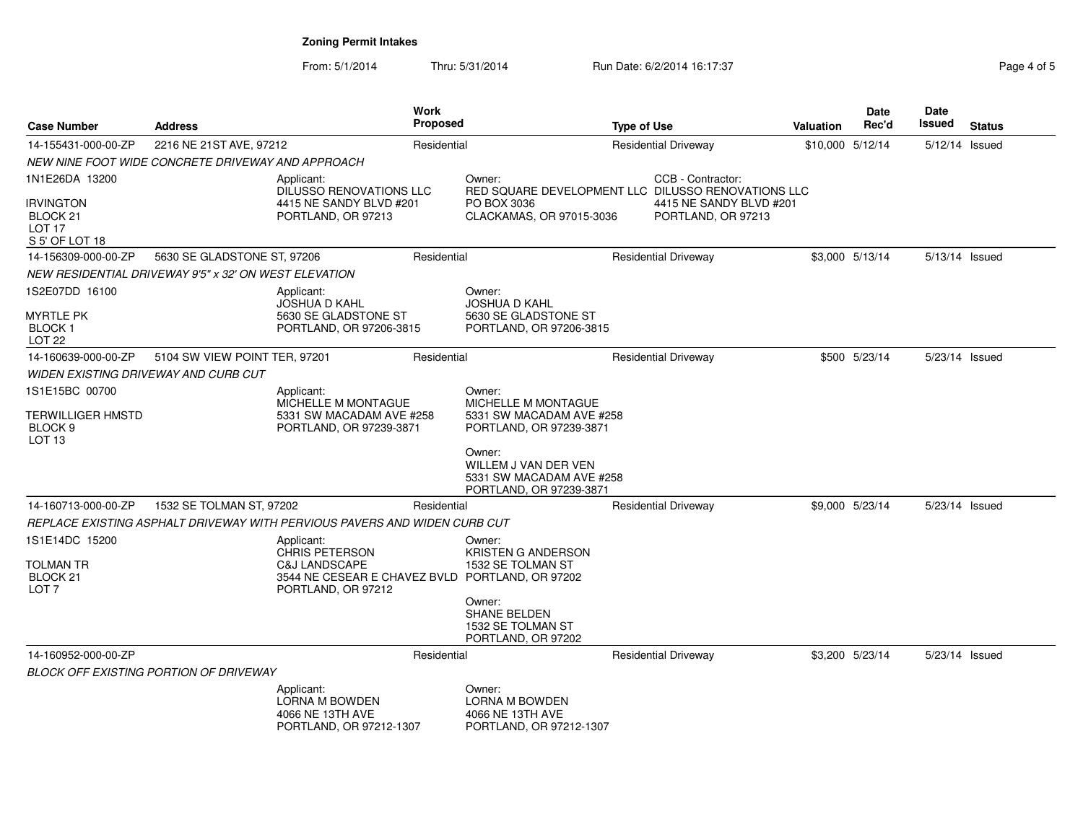From: 5/1/2014Thru: 5/31/2014 Run Date: 6/2/2014 16:17:37 Rage 4 of 5

| <b>Case Number</b>                                                  | <b>Address</b>                                        |                                                                                                   |                                                                                          | <b>Work</b><br><b>Proposed</b>                                                        |  | <b>Type of Use</b>          | <b>Valuation</b> | <b>Date</b><br>Rec'd | Date<br><b>Issued</b> | <b>Status</b> |
|---------------------------------------------------------------------|-------------------------------------------------------|---------------------------------------------------------------------------------------------------|------------------------------------------------------------------------------------------|---------------------------------------------------------------------------------------|--|-----------------------------|------------------|----------------------|-----------------------|---------------|
| 14-155431-000-00-ZP                                                 | 2216 NE 21ST AVE, 97212                               |                                                                                                   | Residential                                                                              |                                                                                       |  | <b>Residential Driveway</b> | \$10,000 5/12/14 |                      | 5/12/14 Issued        |               |
|                                                                     | NEW NINE FOOT WIDE CONCRETE DRIVEWAY AND APPROACH     |                                                                                                   |                                                                                          |                                                                                       |  |                             |                  |                      |                       |               |
| 1N1E26DA 13200<br>Applicant:<br>DILUSSO RENOVATIONS LLC             |                                                       |                                                                                                   | CCB - Contractor:<br>Owner:<br>RED SQUARE DEVELOPMENT LLC DILUSSO RENOVATIONS LLC        |                                                                                       |  |                             |                  |                      |                       |               |
| <b>IRVINGTON</b><br>BLOCK 21<br>LOT <sub>17</sub><br>S 5' OF LOT 18 |                                                       | 4415 NE SANDY BLVD #201<br>PORTLAND, OR 97213                                                     | PO BOX 3036<br>4415 NE SANDY BLVD #201<br>CLACKAMAS, OR 97015-3036<br>PORTLAND, OR 97213 |                                                                                       |  |                             |                  |                      |                       |               |
| 14-156309-000-00-ZP                                                 | 5630 SE GLADSTONE ST, 97206                           |                                                                                                   | Residential                                                                              |                                                                                       |  | <b>Residential Driveway</b> |                  | \$3,000 5/13/14      | 5/13/14 Issued        |               |
|                                                                     | NEW RESIDENTIAL DRIVEWAY 9'5" x 32' ON WEST ELEVATION |                                                                                                   |                                                                                          |                                                                                       |  |                             |                  |                      |                       |               |
| 1S2E07DD 16100                                                      |                                                       | Applicant:<br><b>JOSHUA D KAHL</b>                                                                |                                                                                          | Owner:<br><b>JOSHUA D KAHL</b>                                                        |  |                             |                  |                      |                       |               |
| <b>MYRTLE PK</b><br><b>BLOCK1</b><br><b>LOT 22</b>                  |                                                       | 5630 SE GLADSTONE ST<br>PORTLAND, OR 97206-3815                                                   |                                                                                          | 5630 SE GLADSTONE ST<br>PORTLAND, OR 97206-3815                                       |  |                             |                  |                      |                       |               |
| 14-160639-000-00-ZP                                                 | 5104 SW VIEW POINT TER, 97201                         |                                                                                                   | Residential                                                                              |                                                                                       |  | <b>Residential Driveway</b> |                  | \$500 5/23/14        | 5/23/14 Issued        |               |
|                                                                     | WIDEN EXISTING DRIVEWAY AND CURB CUT                  |                                                                                                   |                                                                                          |                                                                                       |  |                             |                  |                      |                       |               |
| 1S1E15BC 00700                                                      |                                                       | Applicant:                                                                                        |                                                                                          | Owner:                                                                                |  |                             |                  |                      |                       |               |
| TERWILLIGER HMSTD<br>BLOCK <sub>9</sub><br>LOT <sub>13</sub>        |                                                       | MICHELLE M MONTAGUE<br>5331 SW MACADAM AVE #258<br>PORTLAND, OR 97239-3871                        |                                                                                          | MICHELLE M MONTAGUE<br>5331 SW MACADAM AVE #258<br>PORTLAND, OR 97239-3871            |  |                             |                  |                      |                       |               |
|                                                                     |                                                       |                                                                                                   |                                                                                          | Owner:<br>WILLEM J VAN DER VEN<br>5331 SW MACADAM AVE #258<br>PORTLAND, OR 97239-3871 |  |                             |                  |                      |                       |               |
| 14-160713-000-00-ZP                                                 | 1532 SE TOLMAN ST, 97202                              |                                                                                                   | Residential                                                                              |                                                                                       |  | <b>Residential Driveway</b> |                  | \$9,000 5/23/14      | 5/23/14 Issued        |               |
|                                                                     |                                                       | REPLACE EXISTING ASPHALT DRIVEWAY WITH PERVIOUS PAVERS AND WIDEN CURB CUT                         |                                                                                          |                                                                                       |  |                             |                  |                      |                       |               |
| 1S1E14DC 15200                                                      |                                                       | Applicant:<br><b>CHRIS PETERSON</b>                                                               |                                                                                          | Owner:<br><b>KRISTEN G ANDERSON</b>                                                   |  |                             |                  |                      |                       |               |
| TOLMAN TR<br>BLOCK <sub>21</sub><br>LOT <sub>7</sub>                |                                                       | <b>C&amp;J LANDSCAPE</b><br>3544 NE CESEAR E CHAVEZ BVLD PORTLAND, OR 97202<br>PORTLAND, OR 97212 |                                                                                          | 1532 SE TOLMAN ST                                                                     |  |                             |                  |                      |                       |               |
|                                                                     |                                                       |                                                                                                   |                                                                                          | Owner:<br><b>SHANE BELDEN</b><br>1532 SE TOLMAN ST<br>PORTLAND, OR 97202              |  |                             |                  |                      |                       |               |
| 14-160952-000-00-ZP                                                 |                                                       |                                                                                                   | Residential                                                                              |                                                                                       |  | <b>Residential Driveway</b> |                  | \$3,200 5/23/14      | 5/23/14 Issued        |               |
|                                                                     | <b>BLOCK OFF EXISTING PORTION OF DRIVEWAY</b>         |                                                                                                   |                                                                                          |                                                                                       |  |                             |                  |                      |                       |               |
|                                                                     |                                                       | Applicant:<br>LORNA M BOWDEN<br>4066 NE 13TH AVE<br>PORTLAND, OR 97212-1307                       |                                                                                          | Owner:<br>LORNA M BOWDEN<br>4066 NE 13TH AVE<br>PORTLAND, OR 97212-1307               |  |                             |                  |                      |                       |               |